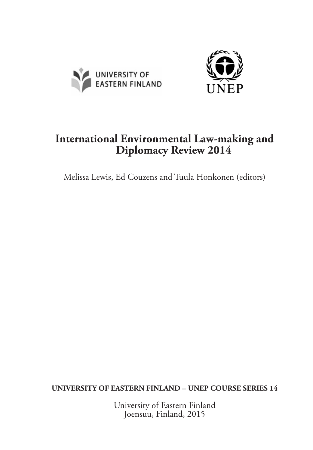



# **International Environmental Law-making and Diplomacy Review 2014**

Melissa Lewis, Ed Couzens and Tuula Honkonen (editors)

**UNIVERSITY OF EASTERN FINLAND – UNEP COURSE SERIES 14**

University of Eastern Finland Joensuu, Finland, 2015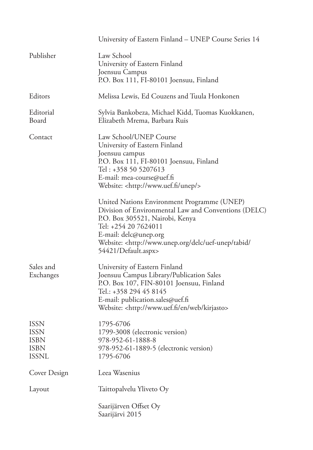|                                                                          | University of Eastern Finland - UNEP Course Series 14                                                                                                                                                                                                                                         |
|--------------------------------------------------------------------------|-----------------------------------------------------------------------------------------------------------------------------------------------------------------------------------------------------------------------------------------------------------------------------------------------|
| Publisher                                                                | Law School<br>University of Eastern Finland<br>Joensuu Campus<br>P.O. Box 111, FI-80101 Joensuu, Finland                                                                                                                                                                                      |
| Editors                                                                  | Melissa Lewis, Ed Couzens and Tuula Honkonen                                                                                                                                                                                                                                                  |
| Editorial<br>Board                                                       | Sylvia Bankobeza, Michael Kidd, Tuomas Kuokkanen,<br>Elizabeth Mrema, Barbara Ruis                                                                                                                                                                                                            |
| Contact                                                                  | Law School/UNEP Course<br>University of Eastern Finland<br>Joensuu campus<br>P.O. Box 111, FI-80101 Joensuu, Finland<br>Tel: +358 50 5207613<br>E-mail: mea-course@uef.fi<br>Website: <http: unep="" www.uef.fi=""></http:>                                                                   |
|                                                                          | United Nations Environment Programme (UNEP)<br>Division of Environmental Law and Conventions (DELC)<br>P.O. Box 305521, Nairobi, Kenya<br>Tel: +254 20 7624011<br>E-mail: delc@unep.org<br>Website: <http: <br="" delc="" tabid="" uef-unep="" www.unep.org="">54421/Default.aspx&gt;</http:> |
| Sales and<br>Exchanges                                                   | University of Eastern Finland<br>Joensuu Campus Library/Publication Sales<br>P.O. Box 107, FIN-80101 Joensuu, Finland<br>Tel.: +358 294 45 8145<br>E-mail: publication.sales@uef.fi<br>Website: <http: en="" kirjasto="" web="" www.uef.fi=""></http:>                                        |
| <b>ISSN</b><br><b>ISSN</b><br><b>ISBN</b><br><b>ISBN</b><br><b>ISSNL</b> | 1795-6706<br>1799-3008 (electronic version)<br>978-952-61-1888-8<br>978-952-61-1889-5 (electronic version)<br>1795-6706                                                                                                                                                                       |
| Cover Design                                                             | Leea Wasenius                                                                                                                                                                                                                                                                                 |
| Layout                                                                   | Taittopalvelu Yliveto Oy                                                                                                                                                                                                                                                                      |
|                                                                          | Saarijärven Offset Oy<br>Saarijärvi 2015                                                                                                                                                                                                                                                      |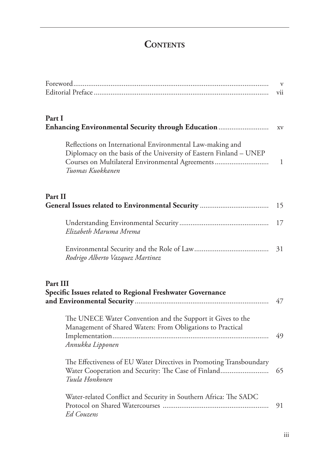# **CONTENTS**

|                                                                                                                                                                                                         | $\mathbf{V}$<br>vii |
|---------------------------------------------------------------------------------------------------------------------------------------------------------------------------------------------------------|---------------------|
| Part I<br>Enhancing Environmental Security through Education                                                                                                                                            | XV                  |
| Reflections on International Environmental Law-making and<br>Diplomacy on the basis of the University of Eastern Finland - UNEP<br>Courses on Multilateral Environmental Agreements<br>Tuomas Kuokkanen | $\mathbf{1}$        |
| Part II                                                                                                                                                                                                 | 15                  |
| Elizabeth Maruma Mrema                                                                                                                                                                                  | 17                  |
| Rodrigo Alberto Vazquez Martinez                                                                                                                                                                        | 31                  |
| Part III<br>Specific Issues related to Regional Freshwater Governance                                                                                                                                   | 47                  |
| The UNECE Water Convention and the Support it Gives to the<br>Management of Shared Waters: From Obligations to Practical<br>Annukka Lipponen                                                            | 49                  |
| The Effectiveness of EU Water Directives in Promoting Transboundary<br>Water Cooperation and Security: The Case of Finland<br>Tuula Honkonen                                                            | 65                  |
| Water-related Conflict and Security in Southern Africa: The SADC<br>Ed Couzens                                                                                                                          | 91                  |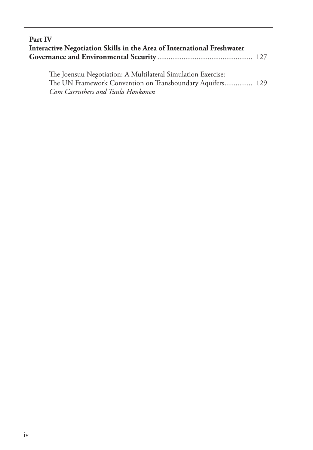| Part IV                                                                |  |
|------------------------------------------------------------------------|--|
| Interactive Negotiation Skills in the Area of International Freshwater |  |
|                                                                        |  |

The Joensuu Negotiation: A Multilateral Simulation Exercise: The UN Framework Convention on Transboundary Aquifers............... 129 *Cam Carruthers and Tuula Honkonen*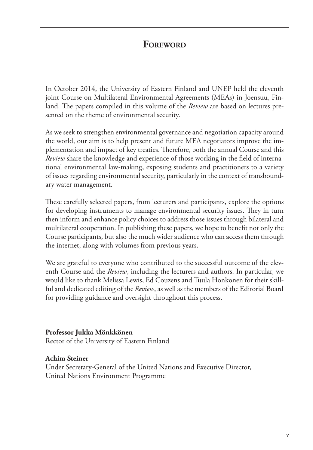## **FOREWORD**

In October 2014, the University of Eastern Finland and UNEP held the eleventh joint Course on Multilateral Environmental Agreements (MEAs) in Joensuu, Finland. The papers compiled in this volume of the *Review* are based on lectures presented on the theme of environmental security.

As we seek to strengthen environmental governance and negotiation capacity around the world, our aim is to help present and future MEA negotiators improve the implementation and impact of key treaties. Therefore, both the annual Course and this *Review* share the knowledge and experience of those working in the field of international environmental law-making, exposing students and practitioners to a variety of issues regarding environmental security, particularly in the context of transboundary water management.

These carefully selected papers, from lecturers and participants, explore the options for developing instruments to manage environmental security issues. They in turn then inform and enhance policy choices to address those issues through bilateral and multilateral cooperation. In publishing these papers, we hope to benefit not only the Course participants, but also the much wider audience who can access them through the internet, along with volumes from previous years.

We are grateful to everyone who contributed to the successful outcome of the eleventh Course and the *Review*, including the lecturers and authors. In particular, we would like to thank Melissa Lewis, Ed Couzens and Tuula Honkonen for their skillful and dedicated editing of the *Review*, as well as the members of the Editorial Board for providing guidance and oversight throughout this process.

#### **Professor Jukka Mönkkönen**

Rector of the University of Eastern Finland

#### **Achim Steiner**

Under Secretary-General of the United Nations and Executive Director, United Nations Environment Programme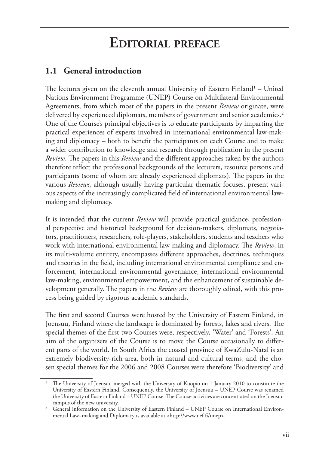# **Editorial preface**

## **1.1 General introduction**

The lectures given on the eleventh annual University of Eastern Finland<sup>1</sup> – United Nations Environment Programme (UNEP) Course on Multilateral Environmental Agreements, from which most of the papers in the present *Review* originate, were delivered by experienced diplomats, members of government and senior academics.<sup>2</sup> One of the Course's principal objectives is to educate participants by imparting the practical experiences of experts involved in international environmental law-making and diplomacy – both to benefit the participants on each Course and to make a wider contribution to knowledge and research through publication in the present *Review*. The papers in this *Review* and the different approaches taken by the authors therefore reflect the professional backgrounds of the lecturers, resource persons and participants (some of whom are already experienced diplomats). The papers in the various *Reviews*, although usually having particular thematic focuses, present various aspects of the increasingly complicated field of international environmental lawmaking and diplomacy.

It is intended that the current *Review* will provide practical guidance, professional perspective and historical background for decision-makers, diplomats, negotiators, practitioners, researchers, role-players, stakeholders, students and teachers who work with international environmental law-making and diplomacy. The *Review*, in its multi-volume entirety, encompasses different approaches, doctrines, techniques and theories in the field, including international environmental compliance and enforcement, international environmental governance, international environmental law-making, environmental empowerment, and the enhancement of sustainable development generally. The papers in the *Review* are thoroughly edited, with this process being guided by rigorous academic standards.

The first and second Courses were hosted by the University of Eastern Finland, in Joensuu, Finland where the landscape is dominated by forests, lakes and rivers. The special themes of the first two Courses were, respectively, 'Water' and 'Forests'. An aim of the organizers of the Course is to move the Course occasionally to different parts of the world. In South Africa the coastal province of KwaZulu-Natal is an extremely biodiversity-rich area, both in natural and cultural terms, and the chosen special themes for the 2006 and 2008 Courses were therefore 'Biodiversity' and

<sup>1</sup> The University of Joensuu merged with the University of Kuopio on 1 January 2010 to constitute the University of Eastern Finland. Consequently, the University of Joensuu – UNEP Course was renamed the University of Eastern Finland – UNEP Course. The Course activities are concentrated on the Joensuu campus of the new university.

<sup>&</sup>lt;sup>2</sup> General information on the University of Eastern Finland – UNEP Course on International Environmental Law–making and Diplomacy is available at <http://www.uef.fi/unep>.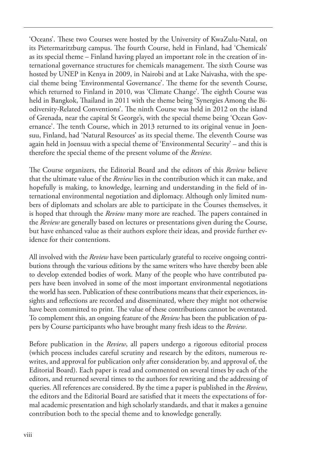'Oceans'. These two Courses were hosted by the University of KwaZulu-Natal, on its Pietermaritzburg campus. The fourth Course, held in Finland, had 'Chemicals' as its special theme – Finland having played an important role in the creation of international governance structures for chemicals management. The sixth Course was hosted by UNEP in Kenya in 2009, in Nairobi and at Lake Naivasha, with the special theme being 'Environmental Governance'. The theme for the seventh Course, which returned to Finland in 2010, was 'Climate Change'. The eighth Course was held in Bangkok, Thailand in 2011 with the theme being 'Synergies Among the Biodiversity-Related Conventions'. The ninth Course was held in 2012 on the island of Grenada, near the capital St George's, with the special theme being 'Ocean Governance'. The tenth Course, which in 2013 returned to its original venue in Joensuu, Finland, had 'Natural Resources' as its special theme. The eleventh Course was again held in Joensuu with a special theme of 'Environmental Security' – and this is therefore the special theme of the present volume of the *Review*.

The Course organizers, the Editorial Board and the editors of this *Review* believe that the ultimate value of the *Review* lies in the contribution which it can make, and hopefully is making, to knowledge, learning and understanding in the field of international environmental negotiation and diplomacy. Although only limited numbers of diplomats and scholars are able to participate in the Courses themselves, it is hoped that through the *Review* many more are reached. The papers contained in the *Review* are generally based on lectures or presentations given during the Course, but have enhanced value as their authors explore their ideas, and provide further evidence for their contentions.

All involved with the *Review* have been particularly grateful to receive ongoing contributions through the various editions by the same writers who have thereby been able to develop extended bodies of work. Many of the people who have contributed papers have been involved in some of the most important environmental negotiations the world has seen. Publication of these contributions means that their experiences, insights and reflections are recorded and disseminated, where they might not otherwise have been committed to print. The value of these contributions cannot be overstated. To complement this, an ongoing feature of the *Review* has been the publication of papers by Course participants who have brought many fresh ideas to the *Review*.

Before publication in the *Review*, all papers undergo a rigorous editorial process (which process includes careful scrutiny and research by the editors, numerous rewrites, and approval for publication only after consideration by, and approval of, the Editorial Board). Each paper is read and commented on several times by each of the editors, and returned several times to the authors for rewriting and the addressing of queries. All references are considered. By the time a paper is published in the *Review*, the editors and the Editorial Board are satisfied that it meets the expectations of formal academic presentation and high scholarly standards, and that it makes a genuine contribution both to the special theme and to knowledge generally.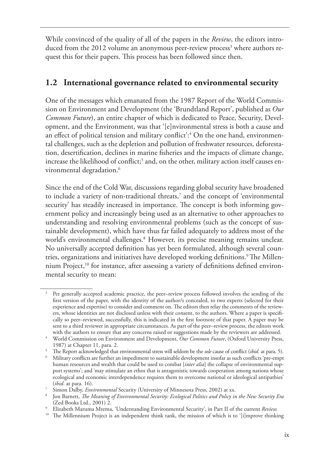While convinced of the quality of all of the papers in the *Review*, the editors introduced from the 2012 volume an anonymous peer-review process<sup>3</sup> where authors request this for their papers. This process has been followed since then.

## **1.2 International governance related to environmental security**

One of the messages which emanated from the 1987 Report of the World Commission on Environment and Development (the 'Brundtland Report', published as *Our Common Future*), an entire chapter of which is dedicated to Peace, Security, Development, and the Environment, was that '[e]nvironmental stress is both a cause and an effect of political tension and military conflict': $^4$  On the one hand, environmental challenges, such as the depletion and pollution of freshwater resources, deforestation, desertification, declines in marine fisheries and the impacts of climate change, increase the likelihood of conflict;<sup>5</sup> and, on the other, military action itself causes environmental degradation.<sup>6</sup>

Since the end of the Cold War, discussions regarding global security have broadened to include a variety of non-traditional threats,<sup>7</sup> and the concept of 'environmental security' has steadily increased in importance. The concept is both informing government policy and increasingly being used as an alternative to other approaches to understanding and resolving environmental problems (such as the concept of sustainable development), which have thus far failed adequately to address most of the world's environmental challenges.<sup>8</sup> However, its precise meaning remains unclear. No universally accepted definition has yet been formulated, although several countries, organizations and initiatives have developed working definitions.<sup>9</sup> The Millennium Project,<sup>10</sup> for instance, after assessing a variety of definitions defined environmental security to mean:

<sup>3</sup> Per generally accepted academic practice, the peer–review process followed involves the sending of the first version of the paper, with the identity of the author/s concealed, to two experts (selected for their experience and expertise) to consider and comment on. The editors then relay the comments of the reviewers, whose identities are not disclosed unless with their consent, to the authors. Where a paper is specifically so peer–reviewed, successfully, this is indicated in the first footnote of that paper. A paper may be sent to a third reviewer in appropriate circumstances. As part of the peer–review process, the editors work

<sup>&</sup>lt;sup>4</sup> World Commission on Environment and Development, *Our Common Future*, (Oxford University Press, 1987) at Chapter 11, para. 2.

<sup>5</sup> The Report acknowledged that environmental stress will seldom be the *sole* cause of conflict (*ibid.* at para. 5).

<sup>6</sup> Military conflicts are further an impediment to sustainable development insofar as such conflicts 'pre-empt human resources and wealth that could be used to combat [*inter alia*] the collapse of environmental support systems'; and 'may stimulate an ethos that is antagonistic towards cooperation among nations whose ecological and economic interdependence requires them to overcome national or ideological antipathies' (*ibid*. at para. 16).

<sup>7</sup> Simon Dalby, *Environmental* Security (University of Minnesota Press, 2002) at xx.

<sup>8</sup> Jon Barnett, *The Meaning of Environmental Security: Ecological Politics and Policy in the New Security Era*  (Zed Books Ltd., 2001) 2.

<sup>9</sup> Elizabeth Maruma Mrema, 'Understanding Environmental Security', in Part II of the current *Review.*

<sup>&</sup>lt;sup>10</sup> The Millennium Project is an independent think tank, the mission of which is to '[i]mprove thinking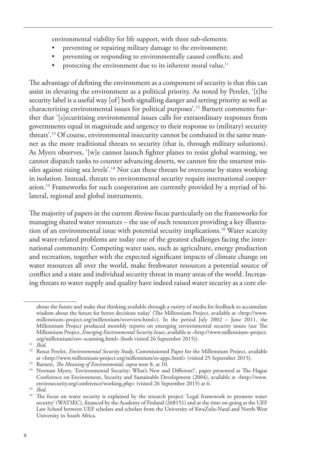environmental viability for life support, with three sub-elements:

- preventing or repairing military damage to the environment;
- preventing or responding to environmentally caused conflicts; and
- protecting the environment due to its inherent moral value.<sup>11</sup>

The advantage of defining the environment as a component of security is that this can assist in elevating the environment as a political priority. As noted by Perelet, '[t]he security label is a useful way [of] both signalling danger and setting priority as well as characterizing environmental issues for political purposes'.12 Barnett comments further that '[s]ecuritising environmental issues calls for extraordinary responses from governments equal in magnitude and urgency to their response to (military) security threats'.13 Of course, environmental insecurity cannot be combated in the same manner as the more traditional threats to security (that is, through military solutions). As Myers observes, '[w]e cannot launch fighter planes to resist global warming, we cannot dispatch tanks to counter advancing deserts, we cannot fire the smartest missiles against rising sea levels'.<sup>14</sup> Nor can these threats be overcome by states working in isolation. Instead, threats to environmental security require international cooperation.15 Frameworks for such cooperation are currently provided by a myriad of bilateral, regional and global instruments.

The majority of papers in the current *Review* focus particularly on the frameworks for managing shared water resources – the use of such resources providing a key illustration of an environmental issue with potential security implications.16 Water scarcity and water-related problems are today one of the greatest challenges facing the international community. Competing water uses, such as agriculture, energy production and recreation, together with the expected significant impacts of climate change on water resources all over the world, make freshwater resources a potential source of conflict and a state and individual security threat in many areas of the world. Increasing threats to water supply and quality have indeed raised water security as a core ele-

about the future and make that thinking available through a variety of media for feedback to accumulate wisdom about the future for better decisions today' (The Millennium Project, available at <http://www. millennium–project.org/millennium/overview.html>). In the period July 2002 – June 2011, the Millennium Project produced monthly reports on emerging environmental security issues (see The Millennium Project, *Emerging Environmental Security Issues*, available at <http://www.millennium–project. org/millennium/env–scanning.html> (both visited 26 September 2015)).

<sup>&</sup>lt;sup>12</sup> Renat Perelet, *Environmental Security Study*, Commissioned Paper for the Millennium Project, available at <http://www.millennium-project.org/millennium/es-appc.html> (visited 25 September 2015).

<sup>13</sup> Barnett, *The Meaning of Environmental*, *supra* note 8, at 10.

<sup>&</sup>lt;sup>14</sup> Norman Myers, 'Environmental Security: What's New and Different?', paper presented at The Hague Conference on Environment, Security and Sustainable Development (2004), available at <http://www. envirosecurity.org/conference/working.php> (visited 26 September 2015) at 6.

<sup>15</sup> *Ibid.* 

<sup>&</sup>lt;sup>16</sup> The focus on water security is explained by the research project 'Legal framework to promote water security' (WATSEC), financed by the Academy of Finland (268151) and at the time on-going at the UEF Law School between UEF scholars and scholars from the University of KwaZulu-Natal and North-West University in South Africa.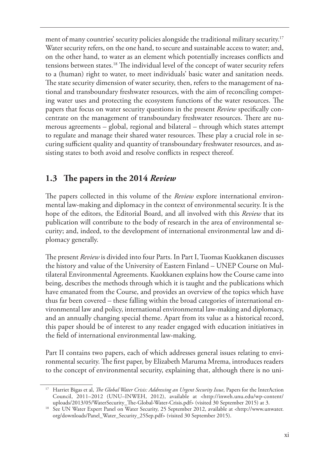ment of many countries' security policies alongside the traditional military security.<sup>17</sup> Water security refers, on the one hand, to secure and sustainable access to water; and, on the other hand, to water as an element which potentially increases conflicts and tensions between states.18 The individual level of the concept of water security refers to a (human) right to water, to meet individuals' basic water and sanitation needs. The state security dimension of water security, then, refers to the management of national and transboundary freshwater resources, with the aim of reconciling competing water uses and protecting the ecosystem functions of the water resources. The papers that focus on water security questions in the present *Review* specifically concentrate on the management of transboundary freshwater resources. There are numerous agreements – global, regional and bilateral – through which states attempt to regulate and manage their shared water resources. These play a crucial role in securing sufficient quality and quantity of transboundary freshwater resources, and assisting states to both avoid and resolve conflicts in respect thereof.

# **1.3 The papers in the 2014** *Review*

The papers collected in this volume of the *Review* explore international environmental law-making and diplomacy in the context of environmental security. It is the hope of the editors, the Editorial Board, and all involved with this *Review* that its publication will contribute to the body of research in the area of environmental security; and, indeed, to the development of international environmental law and diplomacy generally.

The present *Review* is divided into four Parts. In Part I, Tuomas Kuokkanen discusses the history and value of the University of Eastern Finland – UNEP Course on Multilateral Environmental Agreements. Kuokkanen explains how the Course came into being, describes the methods through which it is taught and the publications which have emanated from the Course, and provides an overview of the topics which have thus far been covered – these falling within the broad categories of international environmental law and policy, international environmental law-making and diplomacy, and an annually changing special theme. Apart from its value as a historical record, this paper should be of interest to any reader engaged with education initiatives in the field of international environmental law-making.

Part II contains two papers, each of which addresses general issues relating to environmental security. The first paper, by Elizabeth Maruma Mrema, introduces readers to the concept of environmental security, explaining that, although there is no uni-

<sup>&</sup>lt;sup>17</sup> Harriet Bigas et al, *The Global Water Crisis: Addressing an Urgent Security Issue*, Papers for the InterAction Council, 2011–2012 (UNU–INWEH, 2012), available at <http://inweh.unu.edu/wp-content/ uploads/2013/05/WaterSecurity\_The-Global-Water-Crisis.pdf> (visited 30 September 2015) at 3.

<sup>18</sup> See UN Water Expert Panel on Water Security, 25 September 2012, available at <http://www.unwater. org/downloads/Panel\_Water\_Security\_25Sep.pdf> (visited 30 September 2015).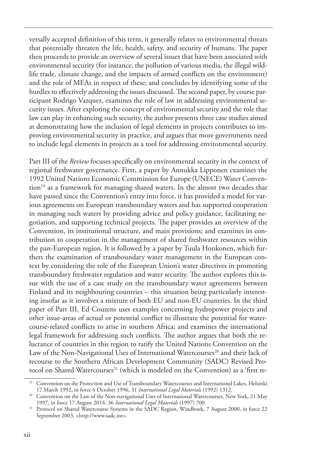versally accepted definition of this term, it generally relates to environmental threats that potentially threaten the life, health, safety, and security of humans. The paper then proceeds to provide an overview of several issues that have been associated with environmental security (for instance, the pollution of various media, the illegal wildlife trade, climate change, and the impacts of armed conflicts on the environment) and the role of MEAs in respect of these; and concludes by identifying some of the hurdles to effectively addressing the issues discussed. The second paper, by course participant Rodrigo Vazquez, examines the role of law in addressing environmental security issues. After exploring the concept of environmental security and the role that law can play in enhancing such security, the author presents three case studies aimed at demonstrating how the inclusion of legal elements in projects contributes to improving environmental security in practice, and argues that more governments need to include legal elements in projects as a tool for addressing environmental security.

Part III of the *Review* focuses specifically on environmental security in the context of regional freshwater governance. First, a paper by Annukka Lipponen examines the 1992 United Nations Economic Commission for Europe (UNECE) Water Convention<sup>19</sup> as a framework for managing shared waters. In the almost two decades that have passed since the Convention's entry into force, it has provided a model for various agreements on European transboundary waters and has supported cooperation in managing such waters by providing advice and policy guidance, facilitating negotiation, and supporting technical projects. The paper provides an overview of the Convention, its institutional structure, and main provisions; and examines its contribution to cooperation in the management of shared freshwater resources within the pan-European region. It is followed by a paper by Tuula Honkonen, which furthers the examination of transboundary water management in the European context by considering the role of the European Union's water directives in promoting transboundary freshwater regulation and water security. The author explores this issue with the use of a case study on the transboundary water agreements between Finland and its neighbouring countries – this situation being particularly interesting insofar as it involves a mixture of both EU and non-EU countries. In the third paper of Part III, Ed Couzens uses examples concerning hydropower projects and other issue-areas of actual or potential conflict to illustrate the potential for watercourse-related conflicts to arise in southern Africa; and examines the international legal framework for addressing such conflicts. The author argues that both the reluctance of countries in this region to ratify the United Nations Convention on the Law of the Non-Navigational Uses of International Watercourses<sup>20</sup> and their lack of recourse to the Southern African Development Community (SADC) Revised Protocol on Shared Watercourses<sup>21</sup> (which is modeled on the Convention) as a 'first re-

<sup>&</sup>lt;sup>19</sup> Convention on the Protection and Use of Transboundary Watercourses and International Lakes, Helsinki 17 March 1992, in force 6 October 1996, 31 *International Legal Materials* (1992) 1312.

<sup>&</sup>lt;sup>20</sup> Convention on the Law of the Non-navigational Uses of International Watercourses, New York, 21 May 1997, in force 17 August 2014, 36 *International Legal Materials* (1997) 700.

<sup>&</sup>lt;sup>21</sup> Protocol on Shared Watercourse Systems in the SADC Region, Windhoek, 7 August 2000, in force 22 September 2003, <http://www.sadc.int>.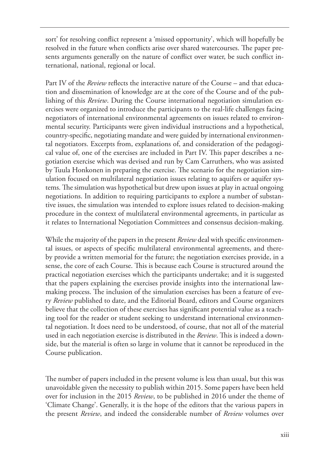sort' for resolving conflict represent a 'missed opportunity', which will hopefully be resolved in the future when conflicts arise over shared watercourses. The paper presents arguments generally on the nature of conflict over water, be such conflict international, national, regional or local.

Part IV of the *Review* reflects the interactive nature of the Course – and that education and dissemination of knowledge are at the core of the Course and of the publishing of this *Review*. During the Course international negotiation simulation exercises were organized to introduce the participants to the real-life challenges facing negotiators of international environmental agreements on issues related to environmental security. Participants were given individual instructions and a hypothetical, country-specific, negotiating mandate and were guided by international environmental negotiators. Excerpts from, explanations of, and consideration of the pedagogical value of, one of the exercises are included in Part IV. This paper describes a negotiation exercise which was devised and run by Cam Carruthers, who was assisted by Tuula Honkonen in preparing the exercise. The scenario for the negotiation simulation focused on multilateral negotiation issues relating to aquifers or aquifer systems. The simulation was hypothetical but drew upon issues at play in actual ongoing negotiations. In addition to requiring participants to explore a number of substantive issues, the simulation was intended to explore issues related to decision-making procedure in the context of multilateral environmental agreements, in particular as it relates to International Negotiation Committees and consensus decision-making.

While the majority of the papers in the present *Review* deal with specific environmental issues, or aspects of specific multilateral environmental agreements, and thereby provide a written memorial for the future; the negotiation exercises provide, in a sense, the core of each Course. This is because each Course is structured around the practical negotiation exercises which the participants undertake; and it is suggested that the papers explaining the exercises provide insights into the international lawmaking process. The inclusion of the simulation exercises has been a feature of every *Review* published to date, and the Editorial Board, editors and Course organizers believe that the collection of these exercises has significant potential value as a teaching tool for the reader or student seeking to understand international environmental negotiation. It does need to be understood, of course, that not all of the material used in each negotiation exercise is distributed in the *Review*. This is indeed a downside, but the material is often so large in volume that it cannot be reproduced in the Course publication.

The number of papers included in the present volume is less than usual, but this was unavoidable given the necessity to publish within 2015. Some papers have been held over for inclusion in the 2015 *Review*, to be published in 2016 under the theme of 'Climate Change'. Generally, it is the hope of the editors that the various papers in the present *Review*, and indeed the considerable number of *Review* volumes over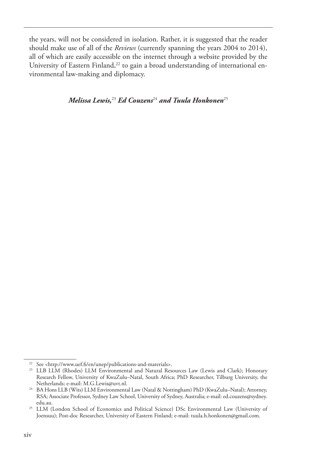the years, will not be considered in isolation. Rather, it is suggested that the reader should make use of all of the *Reviews* (currently spanning the years 2004 to 2014), all of which are easily accessible on the internet through a website provided by the University of Eastern Finland, $^{22}$  to gain a broad understanding of international environmental law-making and diplomacy.

*Melissa Lewis,*<sup>23</sup> *Ed Couzens*<sup>24</sup> *and Tuula Honkonen*<sup>25</sup>

<sup>22</sup> See <http://www.uef.fi/en/unep/publications-and-materials>.

<sup>&</sup>lt;sup>23</sup> LLB LLM (Rhodes) LLM Environmental and Natural Resources Law (Lewis and Clark); Honorary Research Fellow, University of KwaZulu–Natal, South Africa; PhD Researcher, Tilburg University, the

<sup>&</sup>lt;sup>24</sup> BA Hons LLB (Wits) LLM Environmental Law (Natal & Nottingham) PhD (KwaZulu–Natal); Attorney, RSA; Associate Professor, Sydney Law School, University of Sydney, Australia; e-mail: ed.couzens@sydney. edu.au.

<sup>&</sup>lt;sup>25</sup> LLM (London School of Economics and Political Science) DSc Environmental Law (University of Joensuu); Post-doc Researcher, University of Eastern Finland; e-mail: tuula.h.honkonen@gmail.com.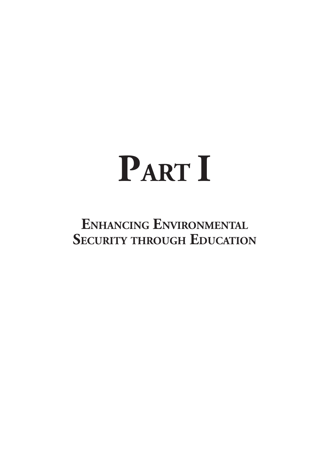# **PART I**

# **Enhancing Environmental Security through Education**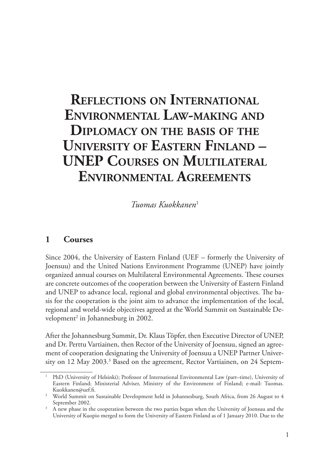# **Reflections on International Environmental Law-making and Diplomacy on the basis of the University of Eastern Finland – UNEP Courses on Multilateral Environmental Agreements**

*Tuomas Kuokkanen*<sup>1</sup>

#### **1 Courses**

Since 2004, the University of Eastern Finland (UEF – formerly the University of Joensuu) and the United Nations Environment Programme (UNEP) have jointly organized annual courses on Multilateral Environmental Agreements. These courses are concrete outcomes of the cooperation between the University of Eastern Finland and UNEP to advance local, regional and global environmental objectives. The basis for the cooperation is the joint aim to advance the implementation of the local, regional and world-wide objectives agreed at the World Summit on Sustainable Development<sup>2</sup> in Johannesburg in 2002.

After the Johannesburg Summit, Dr. Klaus Töpfer, then Executive Director of UNEP, and Dr. Perttu Vartiainen, then Rector of the University of Joensuu, signed an agreement of cooperation designating the University of Joensuu a UNEP Partner University on 12 May 2003.<sup>3</sup> Based on the agreement, Rector Vartiainen, on 24 Septem-

<sup>1</sup> PhD (University of Helsinki); Professor of International Environmental Law (part–time), University of Eastern Finland; Ministerial Adviser, Ministry of the Environment of Finland; e-mail: Tuomas.

Kuokkanen@uef.fi. 2 World Summit on Sustainable Development held in Johannesburg, South Africa, from 26 August to 4 September 2002.

<sup>&</sup>lt;sup>3</sup> A new phase in the cooperation between the two parties began when the University of Joensuu and the University of Kuopio merged to form the University of Eastern Finland as of 1 January 2010. Due to the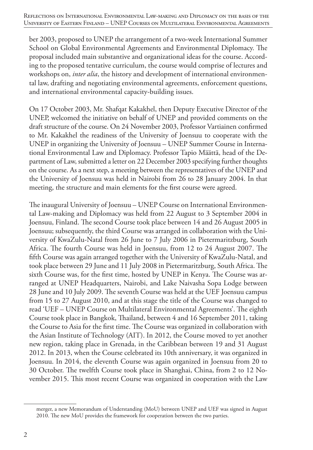ber 2003, proposed to UNEP the arrangement of a two-week International Summer School on Global Environmental Agreements and Environmental Diplomacy. The proposal included main substantive and organizational ideas for the course. According to the proposed tentative curriculum, the course would comprise of lectures and workshops on, *inter alia*, the history and development of international environmental law, drafting and negotiating environmental agreements, enforcement questions, and international environmental capacity-building issues.

On 17 October 2003, Mr. Shafqat Kakakhel, then Deputy Executive Director of the UNEP, welcomed the initiative on behalf of UNEP and provided comments on the draft structure of the course. On 24 November 2003, Professor Vartiainen confirmed to Mr. Kakakhel the readiness of the University of Joensuu to cooperate with the UNEP in organizing the University of Joensuu – UNEP Summer Course in International Environmental Law and Diplomacy. Professor Tapio Määttä, head of the Department of Law, submitted a letter on 22 December 2003 specifying further thoughts on the course. As a next step, a meeting between the representatives of the UNEP and the University of Joensuu was held in Nairobi from 26 to 28 January 2004. In that meeting, the structure and main elements for the first course were agreed.

The inaugural University of Joensuu – UNEP Course on International Environmental Law-making and Diplomacy was held from 22 August to 3 September 2004 in Joensuu, Finland. The second Course took place between 14 and 26 August 2005 in Joensuu; subsequently, the third Course was arranged in collaboration with the University of KwaZulu-Natal from 26 June to 7 July 2006 in Pietermaritzburg, South Africa. The fourth Course was held in Joensuu, from 12 to 24 August 2007. The fifth Course was again arranged together with the University of KwaZulu-Natal, and took place between 29 June and 11 July 2008 in Pietermaritzburg, South Africa. The sixth Course was, for the first time, hosted by UNEP in Kenya. The Course was arranged at UNEP Headquarters, Nairobi, and Lake Naivasha Sopa Lodge between 28 June and 10 July 2009. The seventh Course was held at the UEF Joensuu campus from 15 to 27 August 2010, and at this stage the title of the Course was changed to read 'UEF – UNEP Course on Multilateral Environmental Agreements'. The eighth Course took place in Bangkok, Thailand, between 4 and 16 September 2011, taking the Course to Asia for the first time. The Course was organized in collaboration with the Asian Institute of Technology (AIT). In 2012, the Course moved to yet another new region, taking place in Grenada, in the Caribbean between 19 and 31 August 2012. In 2013, when the Course celebrated its 10th anniversary, it was organized in Joensuu. In 2014, the eleventh Course was again organized in Joensuu from 20 to 30 October. The twelfth Course took place in Shanghai, China, from 2 to 12 November 2015. This most recent Course was organized in cooperation with the Law

merger, a new Memorandum of Understanding (MoU) between UNEP and UEF was signed in August 2010. The new MoU provides the framework for cooperation between the two parties.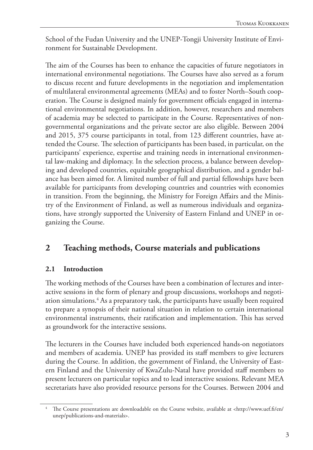School of the Fudan University and the UNEP-Tongji University Institute of Environment for Sustainable Development.

The aim of the Courses has been to enhance the capacities of future negotiators in international environmental negotiations. The Courses have also served as a forum to discuss recent and future developments in the negotiation and implementation of multilateral environmental agreements (MEAs) and to foster North–South cooperation. The Course is designed mainly for government officials engaged in international environmental negotiations. In addition, however, researchers and members of academia may be selected to participate in the Course. Representatives of nongovernmental organizations and the private sector are also eligible. Between 2004 and 2015, 375 course participants in total, from 123 different countries, have attended the Course. The selection of participants has been based, in particular, on the participants' experience, expertise and training needs in international environmental law-making and diplomacy. In the selection process, a balance between developing and developed countries, equitable geographical distribution, and a gender balance has been aimed for. A limited number of full and partial fellowships have been available for participants from developing countries and countries with economies in transition. From the beginning, the Ministry for Foreign Affairs and the Ministry of the Environment of Finland, as well as numerous individuals and organizations, have strongly supported the University of Eastern Finland and UNEP in organizing the Course.

## **2 Teaching methods, Course materials and publications**

#### **2.1 Introduction**

The working methods of the Courses have been a combination of lectures and interactive sessions in the form of plenary and group discussions, workshops and negotiation simulations.4 As a preparatory task, the participants have usually been required to prepare a synopsis of their national situation in relation to certain international environmental instruments, their ratification and implementation. This has served as groundwork for the interactive sessions.

The lecturers in the Courses have included both experienced hands-on negotiators and members of academia. UNEP has provided its staff members to give lecturers during the Course. In addition, the government of Finland, the University of Eastern Finland and the University of KwaZulu-Natal have provided staff members to present lecturers on particular topics and to lead interactive sessions. Relevant MEA secretariats have also provided resource persons for the Courses. Between 2004 and

<sup>4</sup> The Course presentations are downloadable on the Course website, available at <http://www.uef.fi/en/ unep/publications-and-materials>.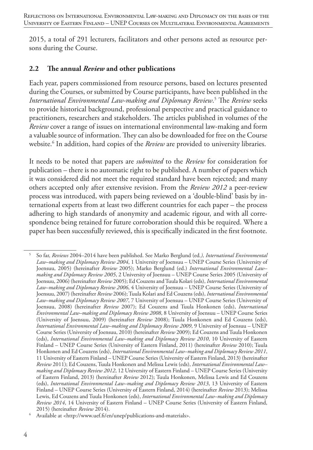2015, a total of 291 lecturers, facilitators and other persons acted as resource persons during the Course.

#### **2.2 The annual** *Review* **and other publications**

Each year, papers commissioned from resource persons, based on lectures presented during the Courses, or submitted by Course participants, have been published in the *International Environmental Law-making and Diplomacy Review*. 5 The *Review* seeks to provide historical background, professional perspective and practical guidance to practitioners, researchers and stakeholders. The articles published in volumes of the *Review* cover a range of issues on international environmental law-making and form a valuable source of information. They can also be downloaded for free on the Course website.6 In addition, hard copies of the *Review* are provided to university libraries.

It needs to be noted that papers are *submitted* to the *Review* for consideration for publication – there is no automatic right to be published. A number of papers which it was considered did not meet the required standard have been rejected; and many others accepted only after extensive revision. From the *Review 2012* a peer-review process was introduced, with papers being reviewed on a 'double-blind' basis by international experts from at least two different countries for each paper – the process adhering to high standards of anonymity and academic rigour, and with all correspondence being retained for future corroboration should this be required. Where a paper has been successfully reviewed, this is specifically indicated in the first footnote.

Available at <http://www.uef.fi/en/unep/publications-and-materials>.

<sup>5</sup> So far, *Reviews* 2004–2014 have been published. See Marko Berglund (ed*.), International Environmental Law–making and Diplomacy Review 2004*, 1 University of Joensuu – UNEP Course Series (University of Joensuu, 2005) (hereinafter *Review* 2005); Marko Berglund (ed.) *International Environmental Law– making and Diplomacy Review 2005*, 2 University of Joensuu – UNEP Course Series 2005 (University of Joensuu, 2006) (hereinafter *Review* 2005); Ed Couzens and Tuula Kolari (eds), *International Environmental Law–making and Diplomacy Review 2006*, 4 University of Joensuu – UNEP Course Series (University of Joensuu, 2007) (hereinafter *Review* 2006); Tuula Kolari and Ed Couzens (eds), *International Environmental Law–making and Diplomacy Review 2007*, 7 University of Joensuu – UNEP Course Series (University of Joensuu, 2008) (hereinafter *Review* 2007); Ed Couzens and Tuula Honkonen (eds), *International Environmental Law–making and Diplomacy Review 2008*, 8 University of Joensuu – UNEP Course Series (University of Joensuu, 2009) (hereinafter *Review* 2008); Tuula Honkonen and Ed Couzens (eds), *International Environmental Law–making and Diplomacy Review 2009*, 9 University of Joensuu – UNEP Course Series (University of Joensuu, 2010) (hereinafter *Review* 2009); Ed Couzens and Tuula Honkonen (eds), *International Environmental Law–making and Diplomacy Review 2010*, 10 University of Eastern Finland – UNEP Course Series (University of Eastern Finland, 2011) (hereinafter *Review* 2010); Tuula Honkonen and Ed Couzens (eds), *International Environmental Law–making and Diplomacy Review 2011*, 11 University of Eastern Finland – UNEP Course Series (University of Eastern Finland, 2013) (hereinafter *Review* 2011); Ed Couzens, Tuula Honkonen and Melissa Lewis (eds), *International Environmental Law– making and Diplomacy Review 2012*, 12 University of Eastern Finland – UNEP Course Series (University of Eastern Finland, 2013) (hereinafter *Review* 2012); Tuula Honkonen, Melissa Lewis and Ed Couzens (eds), *International Environmental Law–making and Diplomacy Review 2013*, 13 University of Eastern Finland – UNEP Course Series (University of Eastern Finland, 2014) (hereinafter *Review* 2013); Melissa Lewis, Ed Couzens and Tuula Honkonen (eds), *International Environmental Law–making and Diplomacy Review 2014*, 14 University of Eastern Finland – UNEP Course Series (University of Eastern Finland, 2015) (hereinafter *Review* 2014).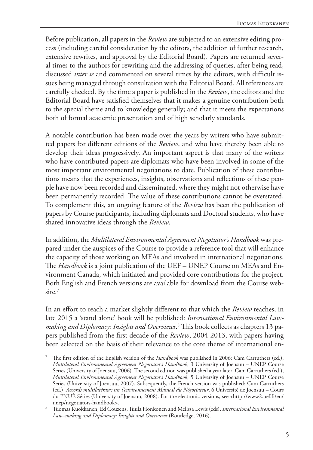Before publication, all papers in the *Review* are subjected to an extensive editing process (including careful consideration by the editors, the addition of further research, extensive rewrites, and approval by the Editorial Board). Papers are returned several times to the authors for rewriting and the addressing of queries, after being read, discussed *inter se* and commented on several times by the editors, with difficult issues being managed through consultation with the Editorial Board. All references are carefully checked. By the time a paper is published in the *Review*, the editors and the Editorial Board have satisfied themselves that it makes a genuine contribution both to the special theme and to knowledge generally; and that it meets the expectations both of formal academic presentation and of high scholarly standards.

A notable contribution has been made over the years by writers who have submitted papers for different editions of the *Review*, and who have thereby been able to develop their ideas progressively. An important aspect is that many of the writers who have contributed papers are diplomats who have been involved in some of the most important environmental negotiations to date. Publication of these contributions means that the experiences, insights, observations and reflections of these people have now been recorded and disseminated, where they might not otherwise have been permanently recorded. The value of these contributions cannot be overstated. To complement this, an ongoing feature of the *Review* has been the publication of papers by Course participants, including diplomats and Doctoral students, who have shared innovative ideas through the *Review*.

In addition, the *Multilateral Environmental Agreement Negotiator's Handbook* was prepared under the auspices of the Course to provide a reference tool that will enhance the capacity of those working on MEAs and involved in international negotiations. The *Handbook* is a joint publication of the UEF – UNEP Course on MEAs and Environment Canada, which initiated and provided core contributions for the project. Both English and French versions are available for download from the Course website.<sup>7</sup>

In an effort to reach a market slightly different to that which the *Review* reaches, in late 2015 a 'stand alone' book will be published: *International Environmental Lawmaking and Diplomacy: Insights and Overviews*. 8 This book collects as chapters 13 papers published from the first decade of the *Review*, 2004-2013, with papers having been selected on the basis of their relevance to the core theme of international en-

<sup>7</sup> The first edition of the English version of the *Handbook* was published in 2006: Cam Carruthers (ed.), *Multilateral Environmental Agreement Negotiator's Handbook*, 3 University of Joensuu – UNEP Course Series (University of Joensuu, 2006). The second edition was published a year later: Cam Carruthers (ed.), *Multilateral Environmental Agreement Negotiator's Handbook*, 5 University of Joensuu – UNEP Course Series (University of Joensuu, 2007). Subsequently, the French version was published: Cam Carruthers (ed.), *Accords multilatéraux sur l'environnement Manual du Négociateur*, 6 Université de Joensuu – Cours du PNUÈ Séries (University of Joensuu, 2008). For the electronic versions, see <http://www2.uef.fi/en/ unep/negotiators-handbook>.

<sup>8</sup> Tuomas Kuokkanen, Ed Couzens, Tuula Honkonen and Melissa Lewis (eds), *International Environmental Law–making and Diplomacy: Insights and Overviews* (Routledge, 2016).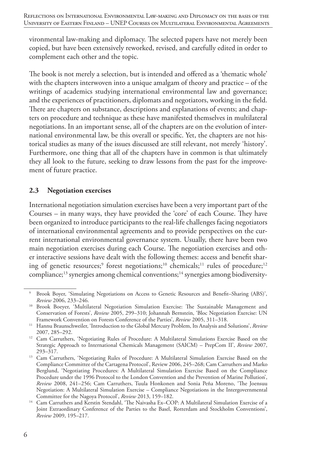vironmental law-making and diplomacy. The selected papers have not merely been copied, but have been extensively reworked, revised, and carefully edited in order to complement each other and the topic.

The book is not merely a selection, but is intended and offered as a 'thematic whole' with the chapters interwoven into a unique amalgam of theory and practice – of the writings of academics studying international environmental law and governance; and the experiences of practitioners, diplomats and negotiators, working in the field. There are chapters on substance, descriptions and explanations of events; and chapters on procedure and technique as these have manifested themselves in multilateral negotiations. In an important sense, all of the chapters are on the evolution of international environmental law, be this overall or specific. Yet, the chapters are not historical studies as many of the issues discussed are still relevant, not merely 'history'. Furthermore, one thing that all of the chapters have in common is that ultimately they all look to the future, seeking to draw lessons from the past for the improvement of future practice.

#### **2.3 Negotiation exercises**

International negotiation simulation exercises have been a very important part of the Courses – in many ways, they have provided the 'core' of each Course. They have been organized to introduce participants to the real-life challenges facing negotiators of international environmental agreements and to provide perspectives on the current international environmental governance system. Usually, there have been two main negotiation exercises during each Course. The negotiation exercises and other interactive sessions have dealt with the following themes: access and benefit sharing of genetic resources;<sup>9</sup> forest negotiations;<sup>10</sup> chemicals;<sup>11</sup> rules of procedure;<sup>12</sup> compliance;13 synergies among chemical conventions;14 synergies among biodiversity-

<sup>9</sup> Brook Boyer, 'Simulating Negotiations on Access to Genetic Resources and Benefit–Sharing (ABS)', *Review* 2006, 233–246.

<sup>&</sup>lt;sup>10</sup> Brook Boeyer, 'Multilateral Negotiation Simulation Exercise: The Sustainable Management and Conservation of Forests', *Review* 2005, 299–310; Johannah Bernstein, 'Bloc Negotiation Exercise: UN Framework Convention on Forests Conference of the Parties', *Review* 2005, 311–318.

<sup>11</sup> Hannu Braunschweiler, 'Introduction to the Global Mercury Problem, Its Analysis and Solutions', *Review* 2007, 285–292.

<sup>&</sup>lt;sup>12</sup> Cam Carruthers, 'Negotiating Rules of Procedure: A Multilateral Simulations Exercise Based on the Strategic Approach to International Chemicals Management (SAICM) – PrepCom II', *Review* 2007,  $293 - 317$ .

<sup>&</sup>lt;sup>13</sup> Cam Carruthers, 'Negotiating Rules of Procedure: A Multilateral Simulation Exercise Based on the Compliance Committee of the Cartagena Protocol', Review 2006, 245–268; Cam Carruthers and Marko Berglund, 'Negotiating Procedures: A Multilateral Simulation Exercise Based on the Compliance Procedure under the 1996 Protocol to the London Convention and the Prevention of Marine Pollution', *Review* 2008, 241–256; Cam Carruthers, Tuula Honkonen and Sonia Peña Moreno, 'The Joensuu Negotiation: A Multilateral Simulation Exercise – Compliance Negotiations in the Intergovernmental Committee for the Nagoya Protocol', *Review* 2013, 159–182.<br><sup>14</sup> Cam Carruthers and Kerstin Stendahl, 'The Naivasha Ex–COP: A Multilateral Simulation Exercise of a

Joint Extraordinary Conference of the Parties to the Basel, Rotterdam and Stockholm Conventions', *Review* 2009, 195–217.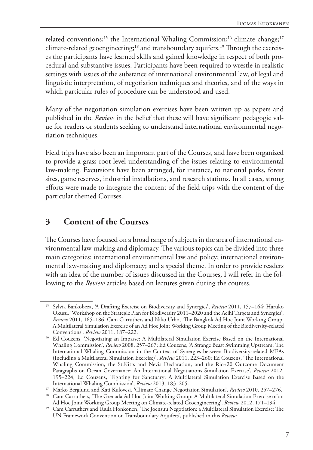related conventions;<sup>15</sup> the International Whaling Commission;<sup>16</sup> climate change;<sup>17</sup> climate-related geoengineering;18 and transboundary aquifers.19 Through the exercises the participants have learned skills and gained knowledge in respect of both procedural and substantive issues. Participants have been required to wrestle in realistic settings with issues of the substance of international environmental law, of legal and linguistic interpretation, of negotiation techniques and theories, and of the ways in which particular rules of procedure can be understood and used.

Many of the negotiation simulation exercises have been written up as papers and published in the *Review* in the belief that these will have significant pedagogic value for readers or students seeking to understand international environmental negotiation techniques.

Field trips have also been an important part of the Courses, and have been organized to provide a grass-root level understanding of the issues relating to environmental law-making. Excursions have been arranged, for instance, to national parks, forest sites, game reserves, industrial installations, and research stations. In all cases, strong efforts were made to integrate the content of the field trips with the content of the particular themed Courses.

## **3 Content of the Courses**

The Courses have focused on a broad range of subjects in the area of international environmental law-making and diplomacy. The various topics can be divided into three main categories: international environmental law and policy; international environmental law-making and diplomacy; and a special theme. In order to provide readers with an idea of the number of issues discussed in the Courses, I will refer in the following to the *Review* articles based on lectures given during the courses.

<sup>15</sup> Sylvia Bankobeza, 'A Drafting Exercise on Biodiversity and Synergies', *Review* 2011, 157–164; Haruko Okusu, 'Workshop on the Strategic Plan for Biodiversity 2011–2020 and the Acihi Targets and Synergies', *Review* 2011, 165–186. Cam Carruthers and Niko Urho, 'The Bangkok Ad Hoc Joint Working Group: A Multilateral Simulation Exercise of an Ad Hoc Joint Working Group Meeting of the Biodiversity-related Conventions', *Review* 2011, 187–222.

<sup>&</sup>lt;sup>16</sup> Ed Couzens, 'Negotiating an Impasse: A Multilateral Simulation Exercise Based on the International Whaling Commission', *Review* 2008, 257–267; Ed Couzens, 'A Strange Beast Swimming Upstream: The International Whaling Commission in the Context of Synergies between Biodiversity-related MEAs (Including a Multilateral Simulation Exercise)', *Review* 2011, 223–260; Ed Couzens, 'The International Whaling Commission, the St.Kitts and Nevis Declaration, and the Rio+20 Outcome Document Paragraphs on Ocean Governance: An International Negotiations Simulation Exercise', *Review* 2012, 195–224; Ed Couzens, 'Fighting for Sanctuary: A Multilateral Simulation Exercise Based on the International Whaling Commission', *Review* 2013, 183–205.

<sup>17</sup> Marko Berglund and Kati Kulovesi, 'Climate Change Negotiation Simulation', *Review* 2010, 257–276.

<sup>&</sup>lt;sup>18</sup> Cam Carruthers, 'The Grenada Ad Hoc Joint Working Group: A Multilateral Simulation Exercise of an Ad Hoc Joint Working Group Meeting on Climate-related Geoengineering', *Review* 2012, 171–194.

<sup>&</sup>lt;sup>19</sup> Cam Carruthers and Tuula Honkonen, 'The Joensuu Negotiation: a Multilateral Simulation Exercise: The UN Framework Convention on Transboundary Aquifers', published in this *Review*.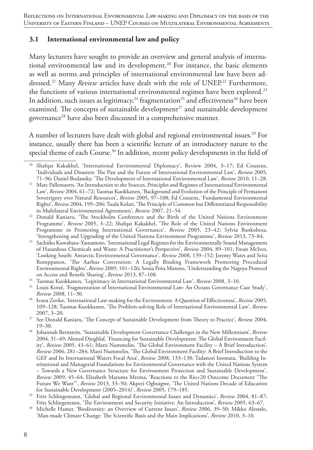#### **3.1 International environmental law and policy**

Many lecturers have sought to provide an overview and general analysis of international environmental law and its development.<sup>20</sup> For instance, the basic elements as well as norms and principles of international environmental law have been addressed.<sup>21</sup> Many *Review* articles have dealt with the role of UNEP.<sup>22</sup> Furthermore, the functions of various international environmental regimes have been explored.<sup>23</sup> In addition, such issues as legitimacy,<sup>24</sup> fragmentation<sup>25</sup> and effectiveness<sup>26</sup> have been examined. The concepts of sustainable development<sup>27</sup> and sustainable development governance<sup>28</sup> have also been discussed in a comprehensive manner.

A number of lecturers have dealt with global and regional environmental issues.<sup>29</sup> For instance, usually there has been a scientific lecture of an introductory nature to the special theme of each Course.<sup>30</sup> In addition, recent policy developments in the field of

- <sup>25</sup> Louis Kotzé, 'Fragmentation of International Environmental Law: An Oceans Governance Case Study', *Review* 2008, 11–30.
- <sup>26</sup> Ivana Zovko, 'International Law-making for the Environment: A Question of Effectiveness', *Review* 2005, 109–128; Tuomas Kuokkanen, 'The Problem-solving Role of International Environmental Law', *Review* 2007, 3–20.

<sup>30</sup> Michelle Hamer, 'Biodiversity: an Overview of Current Issues', *Review* 2006, 39–50; Mikko Alestalo, 'Man-made Climate Change: The Scientific Basis and the Main Implications', *Review* 2010, 3–10.

<sup>20</sup> Shafqat Kakakhel, 'International Environmental Diplomacy', Review 2004, 3–17; Ed Couzens, 'Individuals and Disasters: The Past and the Future of International Environmental Law', *Review* 2005, 71–96; Daniel Bodansky, 'The Development of International Environmental Law', *Review* 2010, 11–28.

<sup>&</sup>lt;sup>21</sup> Marc Pallemaerts, 'An Introduction to the Sources, Principles and Regimes of International Environmental Law', *Review* 2004, 61–72; Tuomas Kuokkanen, 'Background and Evolution of the Principle of Permanent Sovereignty over Natural Resources', *Review* 2005, 97–108; Ed Couzens, 'Fundamental Environmental Rights', *Review* 2004, 199–206; Tuula Kolari, 'The Principle of Common but Differentiated Responsibility in Multilateral Environmental Agreements', *Review* 2007, 21–54.

<sup>22</sup> Donald Kaniaru, 'The Stockholm Conference and the Birth of the United Nations Environment Programme', *Review* 2005, 3–22; Shafqat Kakakhel, 'The Role of the United Nations Environment Programme in Promoting International Governance', *Review* 2005, 23–42; Sylvia Bankobeza, 'Strengthening and Upgrading of the United Nations Environment Programme', *Review* 2013, 73–84.

<sup>&</sup>lt;sup>23</sup> Sachiiko Kuwabara–Yamamoto, 'International Legal Regimes for the Environmentally Sound Management of Hazardous Chemicals and Waste: A Practitioner's Perspective', *Review* 2004, 89–101; Ewan McIvor, 'Looking South: Antarctic Environmental Governance', *Review* 2008, 139–152; Jeremy Wates and Seita Romppanen, 'The Aarhus Convention: A Legally Binding Framework Promoting Procedural Environmental Rights', *Review* 2009, 101–126; Sonia Peña Moreno, 'Understanding the Nagoya Protocol on Access and Benefit Sharing', *Review* 2013, 87–108.

<sup>24</sup> Tuomas Kuokkanen, 'Legitimacy in International Environmental Law', *Review* 2008, 3–10.

<sup>27</sup> See Donald Kaniaru, 'The Concept of Sustainable Development from Theory to Practice', *Review* 2004, 19–30.

<sup>28</sup> Johannah Bernstein, 'Sustainable Development Governance Challenges in the New Millennium', *Review* 2004, 31–49; Ahmed Djoghlaf, 'Financing for Sustainable Development: The Global Environment Facility', *Review* 2005, 43–61; Matti Nummelin, 'The Global Environment Facility – A Brief Introduction', *Review* 2006, 281–284; Matti Nummelin, 'The Global Environment Facility: A Brief Introduction to the GEF and Its International Waters Focal Area', *Review* 2008, 133–138; Tadanori Inomata, 'Building Institutional and Managerial Foundations for Environmental Governance with the United Nations System – Towards a New Governance Structure for Environment Protection and Sustainable Development', *Review* 2009, 45–64; Elizabeth Maruma Mrema, 'Reactions to the Rio+20 Outcome Document "The Future We Want"', *Review* 2013, 33–50; Akpezi Ogbuigwe, 'The United Nations Decade of Education for Sustainable Development (2005–2014)', *Review* 2005, 179–185.

<sup>29</sup> Fritz Schlingemann, 'Global and Regional Environmental Issues and Dynamics', *Review* 2004, 81–87; Frits Schlingemann, 'The Environment and Security Initiative: An Introduction', *Review* 2005, 63–67.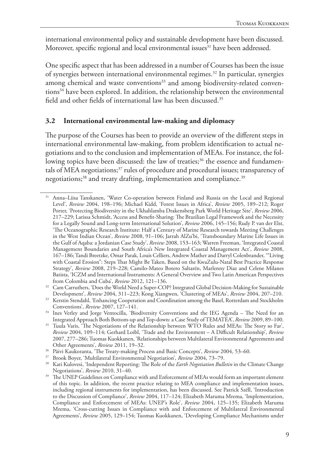international environmental policy and sustainable development have been discussed. Moreover, specific regional and local environmental issues<sup>31</sup> have been addressed.

One specific aspect that has been addressed in a number of Courses has been the issue of synergies between international environmental regimes.32 In particular, synergies among chemical and waste conventions<sup>33</sup> and among biodiversity-related conventions<sup>34</sup> have been explored. In addition, the relationship between the environmental field and other fields of international law has been discussed.35

#### **3.2 International environmental law-making and diplomacy**

The purpose of the Courses has been to provide an overview of the different steps in international environmental law-making, from problem identification to actual negotiations and to the conclusion and implementation of MEAs. For instance, the following topics have been discussed: the law of treaties;<sup>36</sup> the essence and fundamentals of MEA negotiations; $37$  rules of procedure and procedural issues; transparency of negotiations;<sup>38</sup> and treaty drafting, implementation and compliance.<sup>39</sup>

<sup>31</sup> Anna–Liisa Tanskanen, 'Water Co-operation between Finland and Russia on the Local and Regional Level', *Review* 2004, 198–196; Michael Kidd, 'Forest Issues in Africa', *Review* 2005, 189–212; Roger Porter, 'Protecting Biodiversity in the Ukhahlamba Drakensberg Park World Heritage Site', *Review* 2006, 217–229; Larissa Schmidt, 'Access and Benefit-Sharing: The Brazilian Legal Framework and the Necessity for a Legally Sound and Long-term International Solution', *Review* 2006, 145–156; Rudy P. van der Elst, 'The Oceanographic Research Institute: Half a Century of Marine Research towards Meeting Challenges in the West Indian Ocean', *Review* 2008, 91–106; Jarrah AlZu'bi, 'Transboundary Marine Life Issues in the Gulf of Aqaba: a Jordanian Case Study', *Review* 2008, 153–163; Warren Freeman, 'Integrated Coastal Management Boundaries and South Africa's New Integrated Coastal Management Act', *Review* 2008, 167–186; Tandi Breetzke, Omar Parak, Louis Celliers, Andrew Mather and Darryl Colenbrander, '"Living with Coastal Erosion": Steps That Might Be Taken, Based on the KwaZulu-Natal Best Practice Response Strategy', *Review* 2008, 219–228; Camilo-Mateo Botero Saltarén, Marlenny Diaz and Celene Milanes Batista, 'ICZM and International Instruments: A General Overview and Two Latin American Perspectives from Colombia and Cuba', *Review* 2012, 121–136.

<sup>&</sup>lt;sup>32</sup> Cam Carruthers, 'Does the World Need a Super-COP? Integrated Global Decision-Making for Sustainable Development', *Review* 2004, 311–223; Kong Xiangwen, 'Clustering of MEAs', *Review* 2004, 207–210.

<sup>&</sup>lt;sup>33</sup> Kerstin Stendahl, 'Enhancing Cooperation and Coordination among the Basel, Rotterdam and Stockholm Conventions', *Review* 2007, 127–141.

<sup>34</sup> Ines Verley and Jorge Ventocilla, 'Biodiversity Conventions and the IEG Agenda – The Need for an Integrated Approach Both Bottom-up and Top-down: a Case Study of TEMATEA', *Review* 2009, 89–100.

<sup>&</sup>lt;sup>35</sup> Tuula Varis, 'The Negotiations of the Relationship between WTO Rules and MEAs: The Story so Far', *Review* 2004, 109–114; Gerhard Loibl, 'Trade and the Environment – A Difficult Relationship', *Review* 2007, 277–286; Tuomas Kuokkanen, 'Relationships between Multilateral Environmental Agreements and Other Agreements', *Review* 2011, 19–32.

<sup>36</sup> Päivi Kaukoranta, 'The Treaty-making Process and Basic Concepts', *Review* 2004, 53–60.

<sup>37</sup> Brook Boyer, 'Multilateral Environmental Negotiation', *Review* 2004, 73–79.

<sup>38</sup> Kati Kulovesi, 'Independent Reporting: The Role of the *Earth Negotiation Bulletin* in the Climate Change Negotiations', *Review* 2010, 31–40.

The UNEP Guidelines on Compliance with and Enforcement of MEAs would form an important element of this topic. In addition, the recent practice relating to MEA compliance and implementation issues, including regional instruments for implementation, has been discussed. See Patrick Széll, 'Introduction to the Discussion of Compliance', *Review* 2004, 117–124; Elizabeth Maruma Mrema, 'Implementation, Compliance and Enforcement of MEAs: UNEP's Role', *Review* 2004, 125–135; Elizabeth Maruma Mrema, 'Cross-cutting Issues in Compliance with and Enforcement of Multilateral Environmental Agreements', *Review* 2005, 129–154; Tuomas Kuokkanen, 'Developing Compliance Mechanisms under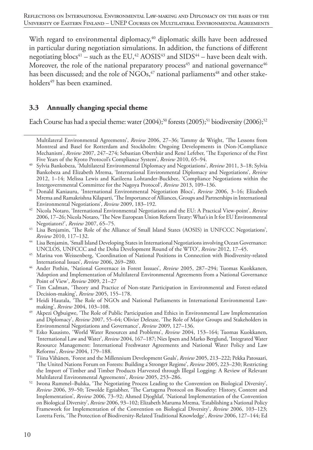With regard to environmental diplomacy,<sup>40</sup> diplomatic skills have been addressed in particular during negotiation simulations. In addition, the functions of different negotiating blocs<sup>41</sup> – such as the EU,<sup>42</sup> AOSIS<sup>43</sup> and SIDS<sup>44</sup> – have been dealt with. Moreover, the role of the national preparatory process<sup>45</sup> and national governance<sup>46</sup> has been discussed; and the role of NGOs, $47$  national parliaments<sup>48</sup> and other stakeholders<sup>49</sup> has been examined.

#### **3.3 Annually changing special theme**

Each Course has had a special theme: water  $(2004);^{50}$  forests  $(2005);^{51}$  biodiversity  $(2006);^{52}$ 

Multilateral Environmental Agreements', *Review* 2006, 27–36; Tammy de Wright, 'The Lessons from Montreal and Basel for Rotterdam and Stockholm: Ongoing Developments in (Non-)Compliance Mechanism', *Review* 2007, 247–274; Sebastian Oberthür and René Lefeber, 'The Experience of the First Five Years of the Kyoto Protocol's Compliance System', *Review* 2010, 65–94.

<sup>40</sup> Sylvia Bankobeza, 'Multilateral Environmental Diplomacy and Negotiations', *Review* 2011, 3–18; Sylvia Bankobeza and Elizabeth Mrema, 'International Environmental Diplomacy and Negotiations', *Review* 2012, 1–14; Melissa Lewis and Katileena Lohtander-Buckbee, 'Compliance Negotiations within the Intergovernmental Committee for the Nagoya Protocol', *Review* 2013, 109–136.

<sup>41</sup> Donald Kaniauru, 'International Environmental Negotiation Blocs', *Review* 2006, 3–16; Elizabeth Mrema and Ramakrishna Kilaparti, 'The Importance of Alliances, Groups and Partnerships in International Environmental Negotiations', *Review* 2009, 183–192.

<sup>42</sup> Nicola Notaro, 'International Environmental Negotiations and the EU: A Practical View-point', *Review* 2006, 17–26; Nicola Notaro, 'The New European Union Reform Treaty: What's in It for EU Environmental Negotiators?', *Review* 2007, 65–75.

<sup>43</sup> Lisa Benjamin, 'The Role of the Alliance of Small Island States (AOSIS) in UNFCCC Negotiations', *Review* 2010, 117–132.

<sup>44</sup> Lisa Benjamin, 'Small Island Developing States in International Negotiations involving Ocean Governance: UNCLOS, UNFCCC and the Doha Development Round of the WTO', *Review* 2012, 17–45.

<sup>45</sup> Marina von Weissenberg, 'Coordination of National Positions in Connection with Biodiversity-related International Issues', *Review* 2006, 269–280.

<sup>46</sup> Ander Pothin, 'National Governace in Forest Isssues', *Review* 2005, 287–294; Tuomas Kuokkanen, 'Adoption and Implementation of Multilateral Environmental Agreements from a National Governance Point of View', *Review* 2009, 21–27

<sup>47</sup> Tim Cadman, 'Theory and Practice of Non-state Participation in Environmental and Forest-related Decision-making', *Review* 2005, 155–178.

<sup>48</sup> Heidi Hautala, 'The Role of NGOs and National Parliaments in International Environmental Lawmaking', *Review* 2004, 103–108.

Akpezi Ogbuigwe, 'The Role of Public Participation and Ethics in Environmental Law Implementation and Diplomacy', *Review* 2007, 55–64; Olivier Deleuze, 'The Role of Major Groups and Stakeholders in Environmental Negotiations and Governance', *Review* 2009, 127–136.

<sup>50</sup> Esko Kuusisto, 'World Water Resources and Problems', *Review* 2004, 153–164; Tuomas Kuokkanen, 'International Law and Water', *Review* 2004, 167–187; Nies Ipsen and Marko Berglund, 'Integrated Water Resource Management: International Freshwater Agreements and National Water Policy and Law Reforms', *Review* 2004, 179–188.

<sup>51</sup> Tiina Vähänen, 'Forest and the Millennium Development Goals', *Review* 2005, 213–222; Pekka Patosaari, 'The United Nations Forum on Forests: Building a Stronger Regime', *Review* 2005, 223–230; Restricting the Import of Timber and Timber Products Harvested through Illegal Logging: A Review of Relevant Multilateral Environmental Agreements', *Review* 2005, 253–286.

<sup>52</sup> Iwona Rummel–Bulska, 'The Negotiating Process Leading to the Convention on Biological Diversity', *Review* 2006, 39–50; Tewolde Egziabher, 'The Cartagena Protocol on Biosafety: History, Content and Implementation', *Review* 2006, 73–92; Ahmed Djoghlaf, 'National Implementation of the Convention on Biological Diversity', *Review* 2006, 93–102; Elizabeth Maruma Mrema, 'Establishing a National Policy Framework for Implementation of the Convention on Biological Diversity', *Review* 2006, 103–123; Loretta Feris, 'The Protection of Biodiversity-Related Traditional Knowledge', *Review* 2006, 127–144; Ed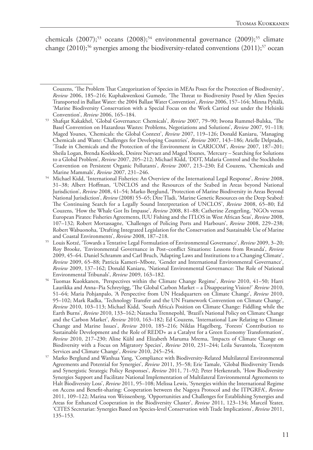chemicals  $(2007)$ ;<sup>53</sup> oceans  $(2008)$ ;<sup>54</sup> environmental governance  $(2009)$ ;<sup>55</sup> climate change  $(2010);^{56}$  synergies among the biodiversity-related conventions  $(2011);^{57}$  ocean

Couzens, 'The Problem That Categorization of Species in MEAs Poses for the Protection of Biodiversity', *Review* 2006, 185–216; Kuphakwenkosi Gumede, 'The Threat to Biodiversity Posed by Alien Species Transported in Ballast Water: the 2004 Ballast Water Convention', *Review* 2006, 157–164; Minna Pyhälä, 'Marine Biodiversity Conservation with a Special Focus on the Work Carried out under the Helsinki Convention', *Review* 2006, 165–184.

<sup>53</sup> Shafqat Kakakhel, 'Global Governance: Chemicals', *Review* 2007, 79–90; Iwona Rummel-Bulska, 'The Basel Convention on Hazardous Wastes: Problems, Negotiations and Solutions', *Review* 2007, 91–118; Maged Younes, 'Chemicals: the Global Context', *Review* 2007, 119–126; Donald Kaniaru, 'Managing Chemicals and Waste: Challenges for Developing Countries', *Review* 2007, 143–186; Arielle Delprado, 'Trade in Chemicals and the Protection of the Environment in CARICOM', *Review* 2007, 187–201; Sheila Logan, Brenda Koekkoek, Desiree Narvaez and Maged Younes, 'Mercury – Searching for Solutions to a Global Problem', *Review* 2007, 205–212; Michael Kidd, 'DDT, Malaria Control and the Stockholm Convention on Persistent Organic Pollutants', *Review* 2007, 213–230; Ed Couzens, 'Chemicals and

Marine Mammals', *Review* 2007, 231–246. 54 Michael Kidd, 'International Fisheries: An Overview of the International Legal Response', *Review* 2008, 31–38; Albert Hoffman, 'UNCLOS and the Resources of the Seabed in Areas beyond National Jurisdiction', *Review* 2008, 41–54; Marko Berglund, 'Protection of Marine Biodiversity in Areas Beyond National Jurisdiction', *Review* (2008) 55–65; Dire Tladi, 'Marine Genetic Resources on the Deep Seabed: The Continuing Search for a Legally Sound Interpretation of UNCLOS', *Review* 2008, 65–80; Ed Couzens, 'How the Whale Got Its Impasse', *Review* 2008, 81–88; Catherine Zengerling, 'NGOs versus European Pirates: Fisheries Agreements, IUU Fishing and the ITLOS in West African Seas', *Review* 2008, 107–132; Robert Mortassagne, 'Challenges of Policing Ports and Harbours', *Review* 2008, 229–238; Robert Wabuonoha, 'Drafting Integrated Legislation for the Conservation and Sustainable Use of Marine and Coastal Environments', *Review* 2008, 187–218.

<sup>55</sup> Louis Kotzé, 'Towards a Tentative Legal Formulation of Environmental Governance', *Review* 2009, 3–20; Roy Brooke, 'Environmental Governance in Post–conflict Situations: Lessons from Rwanda', *Review* 2009, 45–64. Daniel Schramm and Carl Bruch, 'Adapting Laws and Institutions to a Changing Climate', *Review* 2009, 65–88; Patricia Kameri–Mbote, 'Gender and International Environmental Governance', *Review* 2009, 137–162; Donald Kaniaru, 'National Environmental Governance: The Role of National Environmental Tribunals', *Review* 2009, 163–182.

<sup>56</sup> Tuomas Kuokkanen, 'Perspectives within the Climate Change Regime', *Review* 2010, 41–50; Harri Laurikka and Anna–Pia Schreyögg, 'The Global Carbon Market – a Disappearing Vision?' *Review* 2010, 51–64; Maria Pohjanpalo, 'A Perspective from UN Headquarters on Climate Change', *Review* 2010, 95–102; Mark Radka, 'Technology Transfer and the UN Framework Convention on Climate Change', *Review* 2010, 103–113; Michael Kidd, 'South Africa's Position on Climate Change: Fiddling while the Earth Burns', *Review* 2010, 133–162; Natascha Trennepohl, 'Brazil's National Policy on Climate Change and the Carbon Market', *Review* 2010, 163–182; Ed Couzens, 'International Law Relating to Climate Change and Marine Issues', *Review* 2010, 185–216; Niklas Hagelberg, 'Forests' Contribution to Sustainable Development and the Role of REDD+ as a Catalyst for a Green Economy Transformation', *Review* 2010, 217–230; Aline Kühl and Elizabeth Maruma Mrema, 'Impacts of Climate Change on Biodiversity with a Focus on Migratory Species', *Review* 2010, 231–244; Leila Suvantola, 'Ecosystem Services and Climate Change', *Review* 2010, 245–254.

<sup>57</sup> Marko Berglund and Wanhua Yang, 'Compliance with Biodiversity-Related Multilateral Environmental Agreements and Potential for Synergies', *Review* 2011, 35–58; Erie Tamale, 'Global Biodiversity Trends and Synergistic Strategic Policy Responses', *Review* 2011, 71–92; Peter Herkenrath, 'How Biodiversity Synergies Support and Facilitate National Implementation of Multilateral Environmental Agreements to Halt Biodiversity Loss', *Review* 2011, 95–108; Melissa Lewis, 'Synergies within the International Regime on Access and Benefit-sharing: Cooperation between the Nagoya Protocol and the ITPGRFA', *Review* 2011, 109–122; Marina von Weissenberg, 'Opportunities and Challenges for Establishing Synergies and Areas for Enhanced Cooperation in the Biodiversity Cluster', *Review* 2011, 123–134; Marceil Yeater, 'CITES Secretariat: Synergies Based on Species-level Conservation with Trade Implications', *Review* 2011, 135–153.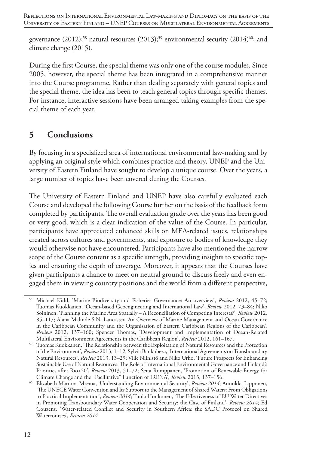governance  $(2012)$ ;<sup>58</sup> natural resources  $(2013)$ ;<sup>59</sup> environmental security  $(2014)^{60}$ ; and climate change (2015).

During the first Course, the special theme was only one of the course modules. Since 2005, however, the special theme has been integrated in a comprehensive manner into the Course programme. Rather than dealing separately with general topics and the special theme, the idea has been to teach general topics through specific themes. For instance, interactive sessions have been arranged taking examples from the special theme of each year.

# **5 Conclusions**

By focusing in a specialized area of international environmental law-making and by applying an original style which combines practice and theory, UNEP and the University of Eastern Finland have sought to develop a unique course. Over the years, a large number of topics have been covered during the Courses.

The University of Eastern Finland and UNEP have also carefully evaluated each Course and developed the following Course further on the basis of the feedback form completed by participants. The overall evaluation grade over the years has been good or very good, which is a clear indication of the value of the Course. In particular, participants have appreciated enhanced skills on MEA-related issues, relationships created across cultures and governments, and exposure to bodies of knowledge they would otherwise not have encountered. Participants have also mentioned the narrow scope of the Course content as a specific strength, providing insights to specific topics and ensuring the depth of coverage. Moreover, it appears that the Courses have given participants a chance to meet on neutral ground to discuss freely and even engaged them in viewing country positions and the world from a different perspective,

<sup>58</sup> Michael Kidd, 'Marine Biodiversity and Fisheries Governance: An overview', *Review* 2012, 45–72; Tuomas Kuokkanen, 'Ocean-based Geoengineering and International Law', *Review* 2012, 73–84; Niko Soininen, 'Planning the Marine Area Spatially – A Reconciliation of Competing Interests?', *Review* 2012, 85–117; Alana Malinde S.N. Lancaster, 'An Overview of Marine Management and Ocean Governance in the Caribbean Community and the Organisation of Eastern Caribbean Regions of the Caribbean', *Review* 2012, 137–160; Spencer Thomas, 'Development and Implementation of Ocean-Related Multilateral Environment Agreements in the Caribbean Region', *Review* 2012, 161–167.

<sup>59</sup> Tuomas Kuokkanen, 'The Relationship between the Exploitation of Natural Resources and the Protection of the Environment', *Review* 2013, 1–12; Sylvia Bankobeza, 'International Agreements on Transboundary Natural Resources', *Review* 2013, 13–29; Ville Niinistö and Niko Urho, 'Future Prospects for Enhancing Sustainable Use of Natural Resources: The Role of International Environmental Governance and Finland's Priorities after Rio+20', *Review* 2013, 51–72; Seita Romppanen, 'Promotion of Renewable Energy for Climate Change and the "Facilitative" Function of IRENA', *Review* 2013, 137–156.

<sup>60</sup> Elizabeth Maruma Mrema, 'Understanding Environmental Security', *Review 2014*; Annukka Lipponen, 'The UNECE Water Convention and Its Support to the Management of Shared Waters: From Obligations to Practical Implementation', *Review 2014*; Tuula Honkonen, 'The Effectiveness of EU Water Directives in Promoting Transboundary Water Cooperation and Security: the Case of Finland', *Review 2014;* Ed Couzens, 'Water-related Conflict and Security in Southern Africa: the SADC Protocol on Shared Watercourses', *Review 2014.*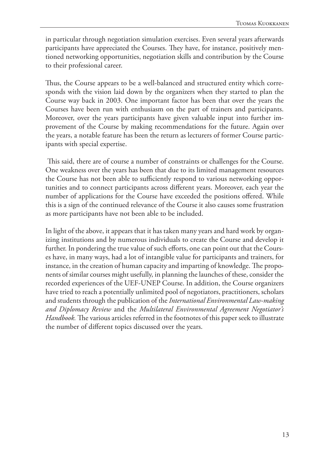in particular through negotiation simulation exercises. Even several years afterwards participants have appreciated the Courses. They have, for instance, positively mentioned networking opportunities, negotiation skills and contribution by the Course to their professional career.

Thus, the Course appears to be a well-balanced and structured entity which corresponds with the vision laid down by the organizers when they started to plan the Course way back in 2003. One important factor has been that over the years the Courses have been run with enthusiasm on the part of trainers and participants. Moreover, over the years participants have given valuable input into further improvement of the Course by making recommendations for the future. Again over the years, a notable feature has been the return as lecturers of former Course participants with special expertise.

 This said, there are of course a number of constraints or challenges for the Course. One weakness over the years has been that due to its limited management resources the Course has not been able to sufficiently respond to various networking opportunities and to connect participants across different years. Moreover, each year the number of applications for the Course have exceeded the positions offered. While this is a sign of the continued relevance of the Course it also causes some frustration as more participants have not been able to be included.

In light of the above, it appears that it has taken many years and hard work by organizing institutions and by numerous individuals to create the Course and develop it further. In pondering the true value of such efforts, one can point out that the Courses have, in many ways, had a lot of intangible value for participants and trainers, for instance, in the creation of human capacity and imparting of knowledge. The proponents of similar courses might usefully, in planning the launches of these, consider the recorded experiences of the UEF-UNEP Course. In addition, the Course organizers have tried to reach a potentially unlimited pool of negotiators, practitioners, scholars and students through the publication of the *International Environmental Law-making and Diplomacy Review* and the *Multilateral Environmental Agreement Negotiator's Handbook.* The various articles referred in the footnotes of this paper seek to illustrate the number of different topics discussed over the years.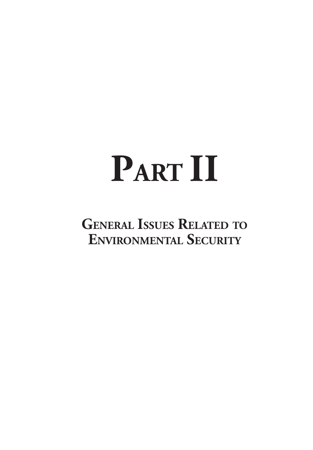# **PART II**

**General Issues Related to Environmental Security**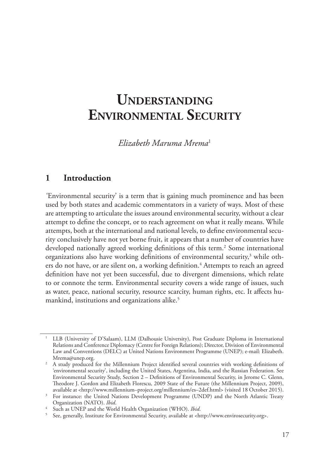# **Understanding Environmental Security**

*Elizabeth Maruma Mrema*<sup>1</sup>

#### **1 Introduction**

*'*Environmental security' is a term that is gaining much prominence and has been used by both states and academic commentators in a variety of ways. Most of these are attempting to articulate the issues around environmental security, without a clear attempt to define the concept, or to reach agreement on what it really means. While attempts, both at the international and national levels, to define environmental security conclusively have not yet borne fruit, it appears that a number of countries have developed nationally agreed working definitions of this term.<sup>2</sup> Some international organizations also have working definitions of environmental security,<sup>3</sup> while others do not have, or are silent on, a working definition.<sup>4</sup> Attempts to reach an agreed definition have not yet been successful, due to divergent dimensions, which relate to or connote the term. Environmental security covers a wide range of issues, such as water, peace, national security, resource scarcity, human rights, etc. It affects humankind, institutions and organizations alike.<sup>5</sup>

<sup>1</sup> LLB (University of D'Salaam), LLM (Dalhousie University), Post Graduate Diploma in International Relations and Conference Diplomacy (Centre for Foreign Relations); Director, Division of Environmental Law and Conventions (DELC) at United Nations Environment Programme (UNEP); e-mail: Elizabeth. Mrema@unep.org.

<sup>&</sup>lt;sup>2</sup> A study produced for the Millennium Project identified several countries with working definitions of 'environmental security', including the United States, Argentina, India, and the Russian Federation. See Environmental Security Study, Section 2 – Definitions of Environmental Security, in Jerome C. Glenn, Theodore J. Gordon and Elizabeth Florescu, 2009 State of the Future (the Millennium Project, 2009), available at <http://www.millennium–project.org/millennium/es–2def.html> (visited 18 October 2015).

<sup>&</sup>lt;sup>3</sup> For instance: the United Nations Development Programme (UNDP) and the North Atlantic Treaty Organization (NATO). *Ibid*.

<sup>4</sup> Such as UNEP and the World Health Organization (WHO). *Ibid*.

<sup>5</sup> See, generally, Institute for Environmental Security, available at <http://www.envirosecurity.org>.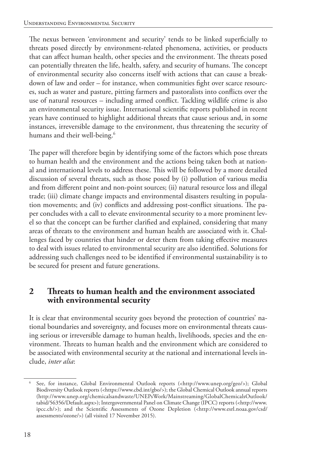The nexus between 'environment and security' tends to be linked superficially to threats posed directly by environment-related phenomena, activities, or products that can affect human health, other species and the environment. The threats posed can potentially threaten the life, health, safety, and security of humans. The concept of environmental security also concerns itself with actions that can cause a breakdown of law and order – for instance, when communities fight over scarce resources, such as water and pasture, pitting farmers and pastoralists into conflicts over the use of natural resources – including armed conflict. Tackling wildlife crime is also an environmental security issue. International scientific reports published in recent years have continued to highlight additional threats that cause serious and, in some instances, irreversible damage to the environment, thus threatening the security of humans and their well-being.<sup>6</sup>

The paper will therefore begin by identifying some of the factors which pose threats to human health and the environment and the actions being taken both at national and international levels to address these. This will be followed by a more detailed discussion of several threats, such as those posed by (i) pollution of various media and from different point and non-point sources; (ii) natural resource loss and illegal trade; (iii) climate change impacts and environmental disasters resulting in population movements; and (iv) conflicts and addressing post-conflict situations. The paper concludes with a call to elevate environmental security to a more prominent level so that the concept can be further clarified and explained, considering that many areas of threats to the environment and human health are associated with it. Challenges faced by countries that hinder or deter them from taking effective measures to deal with issues related to environmental security are also identified. Solutions for addressing such challenges need to be identified if environmental sustainability is to be secured for present and future generations.

### **2 Threats to human health and the environment associated with environmental security**

It is clear that environmental security goes beyond the protection of countries' national boundaries and sovereignty, and focuses more on environmental threats causing serious or irreversible damage to human health, livelihoods, species and the environment. Threats to human health and the environment which are considered to be associated with environmental security at the national and international levels include, *inter alia*:

<sup>6</sup> See, for instance, Global Environmental Outlook reports (<http://www.unep.org/geo/>); Global Biodiversity Outlook reports (<https://www.cbd.int/gbo/>); the Global Chemical Outlook annual reports (http://www.unep.org/chemicalsandwaste/UNEPsWork/Mainstreaming/GlobalChemicalsOutlook/ tabid/56356/Default.aspx>); Intergovernmental Panel on Climate Change (IPCC) reports (<http://www. ipcc.ch/>); and the Scientific Assessments of Ozone Depletion (<http://www.esrl.noaa.gov/csd/ assessments/ozone/>) (all visited 17 November 2015).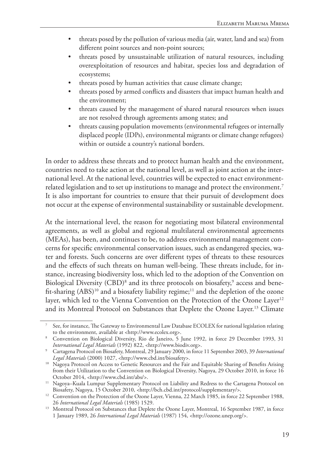- threats posed by the pollution of various media (air, water, land and sea) from different point sources and non-point sources;
- threats posed by unsustainable utilization of natural resources, including overexploitation of resources and habitat, species loss and degradation of ecosystems;
- threats posed by human activities that cause climate change;
- threats posed by armed conflicts and disasters that impact human health and the environment;
- threats caused by the management of shared natural resources when issues are not resolved through agreements among states; and
- threats causing population movements (environmental refugees or internally displaced people (IDPs), environmental migrants or climate change refugees) within or outside a country's national borders.

In order to address these threats and to protect human health and the environment, countries need to take action at the national level, as well as joint action at the international level. At the national level, countries will be expected to enact environmentrelated legislation and to set up institutions to manage and protect the environment.<sup>7</sup> It is also important for countries to ensure that their pursuit of development does not occur at the expense of environmental sustainability or sustainable development.

At the international level, the reason for negotiating most bilateral environmental agreements, as well as global and regional multilateral environmental agreements (MEAs), has been, and continues to be, to address environmental management concerns for specific environmental conservation issues, such as endangered species, water and forests. Such concerns are over different types of threats to these resources and the effects of such threats on human well-being. These threats include, for instance, increasing biodiversity loss, which led to the adoption of the Convention on Biological Diversity (CBD)<sup>8</sup> and its three protocols on biosafety,<sup>9</sup> access and benefit-sharing  $(ABS)^{10}$  and a biosafety liability regime;<sup>11</sup> and the depletion of the ozone layer, which led to the Vienna Convention on the Protection of the Ozone Layer<sup>12</sup> and its Montreal Protocol on Substances that Deplete the Ozone Layer.<sup>13</sup> Climate

<sup>7</sup> See, for instance, The Gateway to Environmental Law Database ECOLEX for national legislation relating to the environment, available at <http://www.ecolex.org>.

<sup>8</sup> Convention on Biological Diversity, Rio de Janeiro, 5 June 1992, in force 29 December 1993, 31 *International Legal Materials* (1992) 822, <http://www.biodiv.org>.

<sup>9</sup> Cartagena Protocol on Biosafety, Montreal, 29 January 2000, in force 11 September 2003, 39 *International Legal Materials* (2000) 1027, <http://www.cbd.int/biosafety>.

<sup>&</sup>lt;sup>10</sup> Nagoya Protocol on Access to Genetic Resources and the Fair and Equitable Sharing of Benefits Arising from their Utilization to the Convention on Biological Diversity, Nagoya, 29 October 2010, in force 16 October 2014, <http://www.cbd.int/abs/>. 11 Nagoya–Kuala Lumpur Supplementary Protocol on Liability and Redress to the Cartagena Protocol on

Biosafety, Nagoya, 15 October 2010, <http://bch.cbd.int/protocol/supplementary/>.

<sup>&</sup>lt;sup>12</sup> Convention on the Protection of the Ozone Layer, Vienna, 22 March 1985, in force 22 September 1988, 26 *International Legal Materials* (1985) 1529.

<sup>&</sup>lt;sup>13</sup> Montreal Protocol on Substances that Deplete the Ozone Layer, Montreal, 16 September 1987, in force 1 January 1989, 26 *International Legal Materials* (1987) 154, <http://ozone.unep.org/>.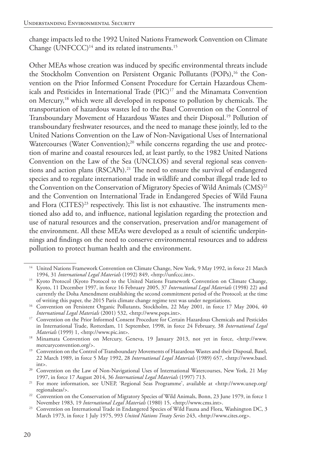change impacts led to the 1992 United Nations Framework Convention on Climate Change  $(UNFCCC)^{14}$  and its related instruments.<sup>15</sup>

Other MEAs whose creation was induced by specific environmental threats include the Stockholm Convention on Persistent Organic Pollutants (POPs),<sup>16</sup> the Convention on the Prior Informed Consent Procedure for Certain Hazardous Chemicals and Pesticides in International Trade (PIC)<sup>17</sup> and the Minamata Convention on Mercury,<sup>18</sup> which were all developed in response to pollution by chemicals. The transportation of hazardous wastes led to the Basel Convention on the Control of Transboundary Movement of Hazardous Wastes and their Disposal.19 Pollution of transboundary freshwater resources, and the need to manage these jointly, led to the United Nations Convention on the Law of Non-Navigational Uses of International Watercourses (Water Convention);<sup>20</sup> while concerns regarding the use and protection of marine and coastal resources led, at least partly, to the 1982 United Nations Convention on the Law of the Sea (UNCLOS) and several regional seas conventions and action plans (RSCAPs).<sup>21</sup> The need to ensure the survival of endangered species and to regulate international trade in wildlife and combat illegal trade led to the Convention on the Conservation of Migratory Species of Wild Animals (CMS)<sup>22</sup> and the Convention on International Trade in Endangered Species of Wild Fauna and Flora (CITES)<sup>23</sup> respectively. This list is not exhaustive. The instruments mentioned also add to, and influence, national legislation regarding the protection and use of natural resources and the conservation, preservation and/or management of the environment. All these MEAs were developed as a result of scientific underpinnings and findings on the need to conserve environmental resources and to address pollution to protect human health and the environment.

<sup>&</sup>lt;sup>14</sup> United Nations Framework Convention on Climate Change, New York, 9 May 1992, in force 21 March 1994, 31 *International Legal Materials* (1992) 849, <http://unfccc.int>.

<sup>&</sup>lt;sup>15</sup> Kyoto Protocol (Kyoto Protocol to the United Nations Framework Convention on Climate Change, Kyoto, 11 December 1997, in force 16 February 2005, 37 *International Legal Materials* (1998) 22) and currently the Doha Amendment establishing the second commitment period of the Protocol; at the time of writing this paper, the 2015 Paris climate change regime text was under negotiations.

<sup>&</sup>lt;sup>16</sup> Convention on Persistent Organic Pollutants, Stockholm, 22 May 2001, in force 17 May 2004, 40 *International Legal Materials* (2001) 532, <http://www.pops.int>.

<sup>&</sup>lt;sup>17</sup> Convention on the Prior Informed Consent Procedure for Certain Hazardous Chemicals and Pesticides in International Trade, Rotterdam, 11 September, 1998, in force 24 February, 38 *International Legal* 

<sup>&</sup>lt;sup>18</sup> Minamata Convention on Mercury, Geneva, 19 January 2013, not yet in force, <http://www. mercuryconvention.org/>. 19 Convention on the Control of Transboundary Movements of Hazardous Wastes and their Disposal, Basel,

<sup>22</sup> March 1989, in force 5 May 1992, 28 *International Legal Materials* (1989) 657, <http://www.basel. int>.

<sup>&</sup>lt;sup>20</sup> Convention on the Law of Non-Navigational Uses of International Watercourses, New York, 21 May 1997, in force 17 August 2014, 36 *International Legal Materials* (1997) 713.

<sup>21</sup> For more information, see UNEP, 'Regional Seas Programme', available at <http://www.unep.org/ regionalseas/>.

<sup>&</sup>lt;sup>22</sup> Convention on the Conservation of Migratory Species of Wild Animals, Bonn, 23 June 1979, in force 1<br>November 1983, 19 *International Legal Materials* (1980) 15, <http://www.cms.int>.

<sup>&</sup>lt;sup>23</sup> Convention on International Trade in Endangered Species of Wild Fauna and Flora, Washington DC, 3 March 1973, in force 1 July 1975, 993 *United Nations Treaty Series* 243, <http://www.cites.org>.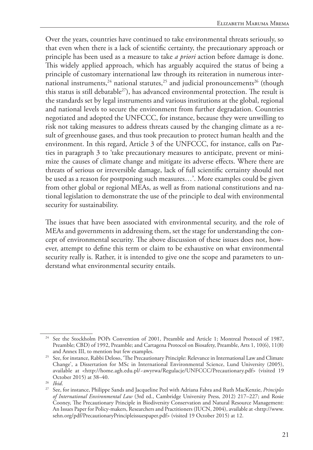Over the years, countries have continued to take environmental threats seriously, so that even when there is a lack of scientific certainty, the precautionary approach or principle has been used as a measure to take *a priori* action before damage is done. This widely applied approach, which has arguably acquired the status of being a principle of customary international law through its reiteration in numerous international instruments,<sup>24</sup> national statutes,<sup>25</sup> and judicial pronouncements<sup>26</sup> (though this status is still debatable<sup>27</sup>), has advanced environmental protection. The result is the standards set by legal instruments and various institutions at the global, regional and national levels to secure the environment from further degradation. Countries negotiated and adopted the UNFCCC, for instance, because they were unwilling to risk not taking measures to address threats caused by the changing climate as a result of greenhouse gases, and thus took precaution to protect human health and the environment. In this regard, Article 3 of the UNFCCC, for instance, calls on Parties in paragraph 3 to 'take precautionary measures to anticipate, prevent or minimize the causes of climate change and mitigate its adverse effects. Where there are threats of serious or irreversible damage, lack of full scientific certainty should not be used as a reason for postponing such measures…'. More examples could be given from other global or regional MEAs, as well as from national constitutions and national legislation to demonstrate the use of the principle to deal with environmental security for sustainability.

The issues that have been associated with environmental security, and the role of MEAs and governments in addressing them, set the stage for understanding the concept of environmental security. The above discussion of these issues does not, however, attempt to define this term or claim to be exhaustive on what environmental security really is. Rather, it is intended to give one the scope and parameters to understand what environmental security entails.

<sup>24</sup> See the Stockholm POPs Convention of 2001, Preamble and Article 1; Montreal Protocol of 1987, Preamble; CBD) of 1992, Preamble; and Cartagena Protocol on Biosafety, Preamble, Arts 1, 10(6), 11(8) and Annex III, to mention but few examples.

<sup>&</sup>lt;sup>25</sup> See, for instance, Rabbi Deloso, 'The Precautionary Principle: Relevance in International Law and Climate Change', a Dissertation for MSc in International Environmental Science, Lund University (2005), available at <http://home.agh.edu.pl/~awyrwa/Regulacje/UNFCCC/Precautionary.pdf> (visited 19 October 2015) at 38–40.

<sup>26</sup> *Ibid*.

<sup>27</sup> See, for instance, Philippe Sands and Jacqueline Peel with Adriana Fabra and Ruth MacKenzie, *Principles of International Environmental Law* (3rd ed., Cambridge University Press, 2012) 217–227; and Rosie Cooney, The Precautionary Principle in Biodiversity Conservation and Natural Resource Management: An Issues Paper for Policy-makers, Researchers and Practitioners (IUCN, 2004), available at <http://www. sehn.org/pdf/PrecautionaryPrincipleissuespaper.pdf> (visited 19 October 2015) at 12.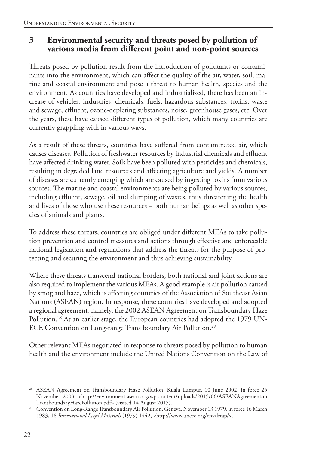#### **3 Environmental security and threats posed by pollution of various media from different point and non-point sources**

Threats posed by pollution result from the introduction of pollutants or contaminants into the environment, which can affect the quality of the air, water, soil, marine and coastal environment and pose a threat to human health, species and the environment. As countries have developed and industrialized, there has been an increase of vehicles, industries, chemicals, fuels, hazardous substances, toxins, waste and sewage, effluent, ozone-depleting substances, noise, greenhouse gases, etc. Over the years, these have caused different types of pollution, which many countries are currently grappling with in various ways.

As a result of these threats, countries have suffered from contaminated air, which causes diseases. Pollution of freshwater resources by industrial chemicals and effluent have affected drinking water. Soils have been polluted with pesticides and chemicals, resulting in degraded land resources and affecting agriculture and yields. A number of diseases are currently emerging which are caused by ingesting toxins from various sources. The marine and coastal environments are being polluted by various sources, including effluent, sewage, oil and dumping of wastes, thus threatening the health and lives of those who use these resources – both human beings as well as other species of animals and plants.

To address these threats, countries are obliged under different MEAs to take pollution prevention and control measures and actions through effective and enforceable national legislation and regulations that address the threats for the purpose of protecting and securing the environment and thus achieving sustainability.

Where these threats transcend national borders, both national and joint actions are also required to implement the various MEAs. A good example is air pollution caused by smog and haze, which is affecting countries of the Association of Southeast Asian Nations (ASEAN) region. In response, these countries have developed and adopted a regional agreement, namely, the 2002 ASEAN Agreement on Transboundary Haze Pollution.28 At an earlier stage, the European countries had adopted the 1979 UN-ECE Convention on Long-range Trans boundary Air Pollution.29

Other relevant MEAs negotiated in response to threats posed by pollution to human health and the environment include the United Nations Convention on the Law of

<sup>28</sup> ASEAN Agreement on Transboundary Haze Pollution, Kuala Lumpur, 10 June 2002, in force 25 November 2003, <http://environment.asean.org/wp-content/uploads/2015/06/ASEANAgreementon TransboundaryHazePollution.pdf> (visited 14 August 2015).

<sup>&</sup>lt;sup>29</sup> Convention on Long-Range Transboundary Air Pollution, Geneva, November 13 1979, in force 16 March 1983, 18 *International Legal Materials* (1979) 1442, <http://www.unece.org/env/lrtap/>.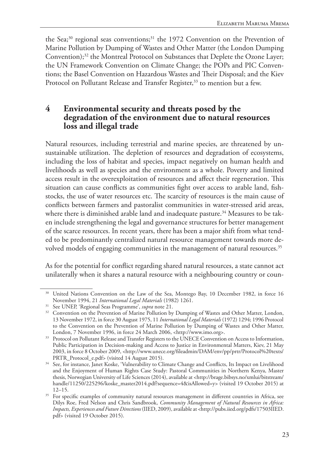the Sea;<sup>30</sup> regional seas conventions;<sup>31</sup> the 1972 Convention on the Prevention of Marine Pollution by Dumping of Wastes and Other Matter (the London Dumping Convention);<sup>32</sup> the Montreal Protocol on Substances that Deplete the Ozone Layer; the UN Framework Convention on Climate Change; the POPs and PIC Conventions; the Basel Convention on Hazardous Wastes and Their Disposal; and the Kiev Protocol on Pollutant Release and Transfer Register,<sup>33</sup> to mention but a few.

#### **4 Environmental security and threats posed by the degradation of the environment due to natural resources loss and illegal trade**

Natural resources, including terrestrial and marine species, are threatened by unsustainable utilization. The depletion of resources and degradation of ecosystems, including the loss of habitat and species, impact negatively on human health and livelihoods as well as species and the environment as a whole. Poverty and limited access result in the overexploitation of resources and affect their regeneration. This situation can cause conflicts as communities fight over access to arable land, fishstocks, the use of water resources etc. The scarcity of resources is the main cause of conflicts between farmers and pastoralist communities in water-stressed arid areas, where there is diminished arable land and inadequate pasture.<sup>34</sup> Measures to be taken include strengthening the legal and governance structures for better management of the scarce resources. In recent years, there has been a major shift from what tended to be predominantly centralized natural resource management towards more devolved models of engaging communities in the management of natural resources.<sup>35</sup>

As for the potential for conflict regarding shared natural resources, a state cannot act unilaterally when it shares a natural resource with a neighbouring country or coun-

<sup>&</sup>lt;sup>30</sup> United Nations Convention on the Law of the Sea, Montego Bay, 10 December 1982, in force 16 November 1994, 21 *International Legal Materials* (1982) 1261.

<sup>31</sup> See UNEP, 'Regional Seas Programme', *supra* note 21.

<sup>&</sup>lt;sup>32</sup> Convention on the Prevention of Marine Pollution by Dumping of Wastes and Other Matter, London, 13 November 1972, in force 30 August 1975, 11 *International Legal Materials* (1972) 1294; 1996 Protocol to the Convention on the Prevention of Marine Pollution by Dumping of Wastes and Other Matter, London, 7 November 1996, in force 24 March 2006, <http://www.imo.org>.

<sup>&</sup>lt;sup>33</sup> Protocol on Pollutant Release and Transfer Registers to the UNECE Convention on Access to Information, Public Participation in Decision-making and Access to Justice in Environmental Matters, Kiev, 21 May 2003, in force 8 October 2009, <http://www.unece.org/fileadmin/DAM/env/pp/prtr/Protocol%20texts/ PRTR\_Protocol\_e.pdf> (visited 14 August 2015).

<sup>&</sup>lt;sup>34</sup> See, for instance, Janet Koske, 'Vulnerability to Climate Change and Conflicts, Its Impact on Livelihood and the Enjoyment of Human Rights Case Study: Pastoral Communities in Northern Kenya, Master thesis, Norwegian University of Life Sciences (2014), available at <http://brage.bibsys.no/xmlui/bitstream/ handle/11250/225296/koske\_master2014.pdf?sequence=4&isAllowed=y> (visited 19 October 2015) at 12–15.

<sup>&</sup>lt;sup>35</sup> For specific examples of community natural resources management in different countries in Africa, see Dilys Roe, Fred Nelson and Chris Sandbrook, *Community Management of Natural Resources in Africa: Impacts, Experiences and Future Directions* (IIED, 2009), available at <http://pubs.iied.org/pdfs/17503IIED. pdf> (visited 19 October 2015).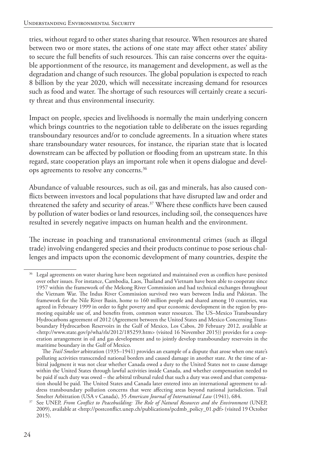tries, without regard to other states sharing that resource. When resources are shared between two or more states, the actions of one state may affect other states' ability to secure the full benefits of such resources. This can raise concerns over the equitable apportionment of the resource, its management and development, as well as the degradation and change of such resources. The global population is expected to reach 8 billion by the year 2020, which will necessitate increasing demand for resources such as food and water. The shortage of such resources will certainly create a security threat and thus environmental insecurity.

Impact on people, species and livelihoods is normally the main underlying concern which brings countries to the negotiation table to deliberate on the issues regarding transboundary resources and/or to conclude agreements. In a situation where states share transboundary water resources, for instance, the riparian state that is located downstream can be affected by pollution or flooding from an upstream state. In this regard, state cooperation plays an important role when it opens dialogue and develops agreements to resolve any concerns.36

Abundance of valuable resources, such as oil, gas and minerals, has also caused conflicts between investors and local populations that have disrupted law and order and threatened the safety and security of areas.<sup>37</sup> Where these conflicts have been caused by pollution of water bodies or land resources, including soil, the consequences have resulted in severely negative impacts on human health and the environment.

The increase in poaching and transnational environmental crimes (such as illegal trade) involving endangered species and their products continue to pose serious challenges and impacts upon the economic development of many countries, despite the

 $36$  Legal agreements on water sharing have been negotiated and maintained even as conflicts have persisted over other issues. For instance, Cambodia, Laos, Thailand and Vietnam have been able to cooperate since 1957 within the framework of the Mekong River Commission and had technical exchanges throughout the Vietnam War. The Indus River Commission survived two wars between India and Pakistan. The framework for the Nile River Basin, home to 160 million people and shared among 10 countries, was agreed in February 1999 in order to fight poverty and spur economic development in the region by promoting equitable use of, and benefits from, common water resources. The US–Mexico Transboundary Hydrocarbons agreement of 2012 (Agreement between the United States and Mexico Concerning Transboundary Hydrocarbon Reservoirs in the Gulf of Mexico, Los Cabos, 20 February 2012, available at <http://www.state.gov/p/wha/rls/2012/185259.htm> (visited 16 November 2015)) provides for a cooperation arrangement in oil and gas development and to jointly develop transboundary reservoirs in the maritime boundary in the Gulf of Mexico.

The *Trail Smelter* arbitration (1935–1941) provides an example of a dispute that arose when one state's polluting activities transcended national borders and caused damage in another state. At the time of arbitral judgment it was not clear whether Canada owed a duty to the United States not to cause damage within the United States through lawful activities inside Canada, and whether compensation needed to be paid if such duty was owed – the arbitral tribunal ruled that such a duty was owed and that compensation should be paid. The United States and Canada later entered into an international agreement to address transboundary pollution concerns that were affecting areas beyond national jurisdiction. Trail Smelter Arbitration (USA v Canada), 35 *American Journal of International Law* (1941), 684.

<sup>37</sup> See UNEP, *From Conflict to Peacebuilding: The Role of Natural Resources and the Environment* (UNEP, 2009), available at <http://postconflict.unep.ch/publications/pcdmb\_policy\_01.pdf> (visited 19 October 2015).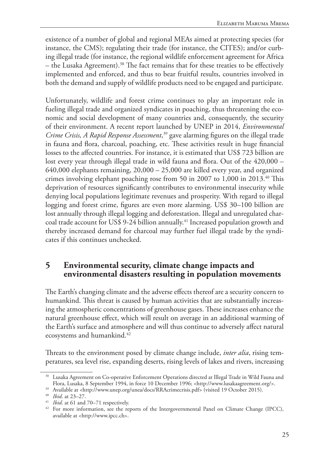existence of a number of global and regional MEAs aimed at protecting species (for instance, the CMS); regulating their trade (for instance, the CITES); and/or curbing illegal trade (for instance, the regional wildlife enforcement agreement for Africa – the Lusaka Agreement).38 The fact remains that for these treaties to be effectively implemented and enforced, and thus to bear fruitful results, countries involved in both the demand and supply of wildlife products need to be engaged and participate.

Unfortunately, wildlife and forest crime continues to play an important role in fueling illegal trade and organized syndicates in poaching, thus threatening the economic and social development of many countries and, consequently, the security of their environment. A recent report launched by UNEP in 2014, *Environmental Crime Crisis, A Rapid Response Assessment*, 39 gave alarming figures on the illegal trade in fauna and flora, charcoal, poaching, etc. These activities result in huge financial losses to the affected countries. For instance, it is estimated that US\$ 723 billion are lost every year through illegal trade in wild fauna and flora. Out of the 420,000 – 640,000 elephants remaining, 20,000 – 25,000 are killed every year, and organized crimes involving elephant poaching rose from 50 in 2007 to 1,000 in 2013.40 This deprivation of resources significantly contributes to environmental insecurity while denying local populations legitimate revenues and prosperity. With regard to illegal logging and forest crime, figures are even more alarming. US\$ 30–100 billion are lost annually through illegal logging and deforestation. Illegal and unregulated charcoal trade account for US\$ 9-24 billion annually.<sup>41</sup> Increased population growth and thereby increased demand for charcoal may further fuel illegal trade by the syndicates if this continues unchecked.

#### **5 Environmental security, climate change impacts and environmental disasters resulting in population movements**

The Earth's changing climate and the adverse effects thereof are a security concern to humankind. This threat is caused by human activities that are substantially increasing the atmospheric concentrations of greenhouse gases. These increases enhance the natural greenhouse effect, which will result on average in an additional warming of the Earth's surface and atmosphere and will thus continue to adversely affect natural ecosystems and humankind.<sup>42</sup>

Threats to the environment posed by climate change include, *inter alia*, rising temperatures, sea level rise, expanding deserts, rising levels of lakes and rivers, increasing

<sup>38</sup> Lusaka Agreement on Co-operative Enforcement Operations directed at Illegal Trade in Wild Fauna and Flora, Lusaka, 8 September 1994, in force 10 December 1996; <http://www.lusakaagreement.org/>.

<sup>39</sup> Available at <http://www.unep.org/unea/docs/RRAcrimecrisis.pdf> (visited 19 October 2015).

<sup>40</sup> *Ibid*. at 23–27.

<sup>41</sup> *Ibid*. at 61 and 70–71 respectively.

<sup>&</sup>lt;sup>42</sup> For more information, see the reports of the Intergovernmental Panel on Climate Change (IPCC), available at <http://www.ipcc.ch>.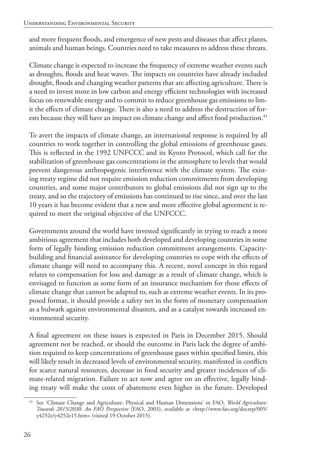and more frequent floods, and emergence of new pests and diseases that affect plants, animals and human beings. Countries need to take measures to address these threats.

Climate change is expected to increase the frequency of extreme weather events such as droughts, floods and heat waves. The impacts on countries have already included drought, floods and changing weather patterns that are affecting agriculture. There is a need to invest more in low carbon and energy efficient technologies with increased focus on renewable energy and to commit to reduce greenhouse gas emissions to limit the effects of climate change. There is also a need to address the destruction of forests because they will have an impact on climate change and affect food production.<sup>43</sup>

To avert the impacts of climate change, an international response is required by all countries to work together in controlling the global emissions of greenhouse gases. This is reflected in the 1992 UNFCCC and its Kyoto Protocol, which call for the stabilization of greenhouse gas concentrations in the atmosphere to levels that would prevent dangerous anthropogenic interference with the climate system. The existing treaty regime did not require emission reduction commitments from developing countries, and some major contributors to global emissions did not sign up to the treaty, and so the trajectory of emissions has continued to rise since, and over the last 10 years it has become evident that a new and more effective global agreement is required to meet the original objective of the UNFCCC.

Governments around the world have invested significantly in trying to reach a more ambitious agreement that includes both developed and developing countries in some form of legally binding emission reduction commitment arrangements. Capacitybuilding and financial assistance for developing countries to cope with the effects of climate change will need to accompany this. A recent, novel concept in this regard relates to compensation for loss and damage as a result of climate change, which is envisaged to function as some form of an insurance mechanism for those effects of climate change that cannot be adapted to, such as extreme weather events. In its proposed format, it should provide a safety net in the form of monetary compensation as a bulwark against environmental disasters, and as a catalyst towards increased environmental security.

A final agreement on these issues is expected in Paris in December 2015. Should agreement not be reached, or should the outcome in Paris lack the degree of ambition required to keep concentrations of greenhouse gases within specified limits, this will likely result in decreased levels of environmental security, manifested in conflicts for scarce natural resources, decrease in food security and greater incidences of climate-related migration. Failure to act now and agree on an effective, legally binding treaty will make the costs of abatement even higher in the future. Developed

<sup>43</sup> See 'Climate Change and Agriculture: Physical and Human Dimensions' in FAO, *World Agriculture: Towards 2015/2030. An FAO Perspective* (FAO, 2003), available at <http://www.fao.org/docrep/005/ y4252e/y4252e15.htm> (visited 19 October 2015).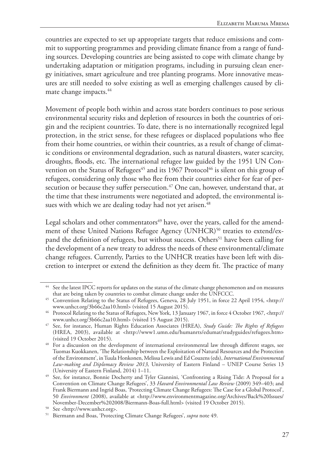countries are expected to set up appropriate targets that reduce emissions and commit to supporting programmes and providing climate finance from a range of funding sources. Developing countries are being assisted to cope with climate change by undertaking adaptation or mitigation programs, including in pursuing clean energy initiatives, smart agriculture and tree planting programs. More innovative measures are still needed to solve existing as well as emerging challenges caused by climate change impacts.<sup>44</sup>

Movement of people both within and across state borders continues to pose serious environmental security risks and depletion of resources in both the countries of origin and the recipient countries. To date, there is no internationally recognized legal protection, in the strict sense, for these refugees or displaced populations who flee from their home countries, or within their countries, as a result of change of climatic conditions or environmental degradation, such as natural disasters, water scarcity, droughts, floods, etc. The international refugee law guided by the 1951 UN Convention on the Status of Refugees<sup>45</sup> and its 1967 Protocol<sup>46</sup> is silent on this group of refugees, considering only those who flee from their countries either for fear of persecution or because they suffer persecution.<sup>47</sup> One can, however, understand that, at the time that these instruments were negotiated and adopted, the environmental issues with which we are dealing today had not yet arisen.<sup>48</sup>

Legal scholars and other commentators $49$  have, over the years, called for the amendment of these United Nations Refugee Agency (UNHCR)<sup>50</sup> treaties to extend/expand the definition of refugees, but without success. Others<sup>51</sup> have been calling for the development of a new treaty to address the needs of these environmental/climate change refugees. Currently, Parties to the UNHCR treaties have been left with discretion to interpret or extend the definition as they deem fit. The practice of many

<sup>44</sup> See the latest IPCC reports for updates on the status of the climate change phenomenon and on measures that are being taken by countries to combat climate change under the UNFCCC.

<sup>45</sup> Convention Relating to the Status of Refugees, Geneva, 28 July 1951, in force 22 April 1954, <http:// www.unhcr.org/3b66c2aa10.html> (visited 15 August 2015).

<sup>46</sup> Protocol Relating to the Status of Refugees, New York, 13 January 1967, in force 4 October 1967, <http:// www.unhcr.org/3b66c2aa10.html> (visited 15 August 2015).

<sup>47</sup> See, for instance, Human Rights Education Associates (HREA), *Study Guide: The Rights of Refugees* (HREA, 2003), available at <http://www1.umn.edu/humanrts/edumat/studyguides/refugees.htm> (visited 19 October 2015).

<sup>&</sup>lt;sup>48</sup> For a discussion on the development of international environmental law through different stages, see Tuomas Kuokkanen, 'The Relationship between the Exploitation of Natural Resources and the Protection of the Environment', in Tuula Honkonen, Melissa Lewis and Ed Couzens (eds), *International Environmental Law-making and Diplomacy Review 2013,* University of Eastern Finland – UNEP Course Series 13 (University of Eastern Finland, 2014) 1–11.

<sup>&</sup>lt;sup>49</sup> See, for instance, Bonnie Docherty and Tyler Giannini, 'Confronting a Rising Tide: A Proposal for a Convention on Climate Change Refugees', 33 *Havard Environmental Law Review* (2009) 349–403; and Frank Biermann and Ingrid Boas, 'Protecting Climate Change Refugees: The Case for a Global Protocol', 50 *Environment* (2008), available at <http://www.environmentmagazine.org/Archives/Back%20Issues/ November-December%202008/Biermann-Boas-full.html> (visited 19 October 2015). 50 See <http://www.unhcr.org>.

<sup>51</sup> Biermann and Boas, 'Protecting Climate Change Refugees', *supra* note 49.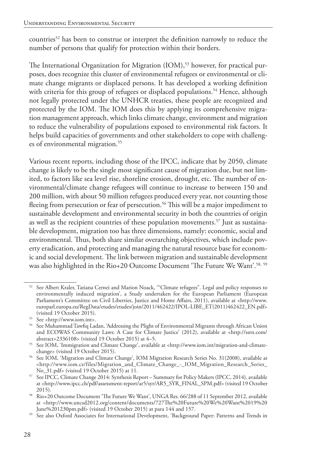countries<sup>52</sup> has been to construe or interpret the definition narrowly to reduce the number of persons that qualify for protection within their borders.

The International Organization for Migration (IOM),<sup>53</sup> however, for practical purposes, does recognize this cluster of environmental refugees or environmental or climate change migrants or displaced persons. It has developed a working definition with criteria for this group of refugees or displaced populations.<sup>54</sup> Hence, although not legally protected under the UNHCR treaties, these people are recognized and protected by the IOM. The IOM does this by applying its comprehensive migration management approach, which links climate change, environment and migration to reduce the vulnerability of populations exposed to environmental risk factors. It helps build capacities of governments and other stakeholders to cope with challenges of environmental migration.<sup>55</sup>

Various recent reports, including those of the IPCC, indicate that by 2050, climate change is likely to be the single most significant cause of migration due, but not limited, to factors like sea level rise, shoreline erosion, drought, etc. The number of environmental/climate change refugees will continue to increase to between 150 and 200 million, with about 50 million refugees produced every year, not counting those fleeing from persecution or fear of persecution.<sup>56</sup> This will be a major impediment to sustainable development and environmental security in both the countries of origin as well as the recipient countries of these population movements.<sup>57</sup> Just as sustainable development, migration too has three dimensions, namely: economic, social and environmental. Thus, both share similar overarching objectives, which include poverty eradication, and protecting and managing the natural resource base for economic and social development. The link between migration and sustainable development was also highlighted in the Rio+20 Outcome Document 'The Future We Want'.<sup>58, 59</sup>

<sup>52</sup> See Albert Kraler, Tatiana Cernei and Marion Noack, '"Climate refugees". Legal and policy responses to environmentally induced migration', a Study undertaken for the European Parliament (European Parliament's Committee on Civil Liberties, Justice and Home Affairs, 2011), available at <http://www. europarl.europa.eu/RegData/etudes/etudes/join/2011/462422/IPOL-LIBE\_ET(2011)462422\_EN.pdf> (visited 19 October 2015).

<sup>53</sup> See <http://www.iom.int>.

<sup>54</sup> See Muhammad Tawfiq Ladan, 'Addressing the Plight of Environmental Migrants through African Union and ECOWAS Community Laws: A Case for Climate Justice' (2012), available at <http://ssrn.com/ abstract=2336108> (visited 19 October 2015) at 4–5.

<sup>55</sup> See IOM, 'Immigration and Climate Change', available at <http://www.iom.int/migration-and-climatechange> (visited 19 October 2015).

<sup>56</sup> See IOM, 'Migration and Climate Change', IOM Migration Research Series No. 31(2008), available at <http://www.iom.cz/files/Migration\_and\_Climate\_Change\_-\_IOM\_Migration\_Research\_Series\_ No\_31.pdf> (visited 19 October 2015) at 11.

<sup>57</sup> See IPCC, Climate Change 2014: Synthesis Report – Summary for Policy Makers (IPCC, 2014), available at <http://www.ipcc.ch/pdf/assessment-report/ar5/syr/AR5\_SYR\_FINAL\_SPM.pdf> (visited 19 October 2015).

<sup>58</sup> Rio+20 Outcome Document 'The Future We Want', UNGA Res. 66/288 of 11 September 2012, available at <http://www.uncsd2012.org/content/documents/727The%20Future%20We%20Want%2019%20 June%201230pm.pdf> (visited 19 October 2015) at para 144 and 157.

<sup>&</sup>lt;sup>59</sup> See also Oxford Associates for International Development, 'Background Paper: Patterns and Trends in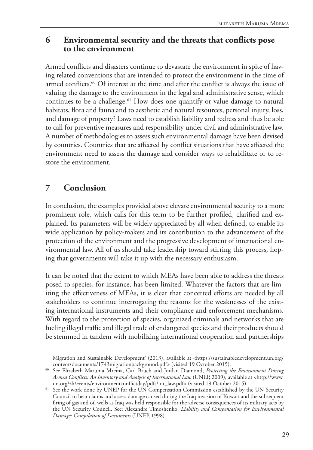#### **6 Environmental security and the threats that conflicts pose to the environment**

Armed conflicts and disasters continue to devastate the environment in spite of having related conventions that are intended to protect the environment in the time of armed conflicts.<sup>60</sup> Of interest at the time and after the conflict is always the issue of valuing the damage to the environment in the legal and administrative sense, which continues to be a challenge.<sup>61</sup> How does one quantify or value damage to natural habitats, flora and fauna and to aesthetic and natural resources, personal injury, loss, and damage of property? Laws need to establish liability and redress and thus be able to call for preventive measures and responsibility under civil and administrative law. A number of methodologies to assess such environmental damage have been devised by countries. Countries that are affected by conflict situations that have affected the environment need to assess the damage and consider ways to rehabilitate or to restore the environment.

## **7 Conclusion**

In conclusion, the examples provided above elevate environmental security to a more prominent role, which calls for this term to be further profiled, clarified and explained. Its parameters will be widely appreciated by all when defined, to enable its wide application by policy-makers and its contribution to the advancement of the protection of the environment and the progressive development of international environmental law. All of us should take leadership toward stirring this process, hoping that governments will take it up with the necessary enthusiasm.

It can be noted that the extent to which MEAs have been able to address the threats posed to species, for instance, has been limited. Whatever the factors that are limiting the effectiveness of MEAs, it is clear that concerted efforts are needed by all stakeholders to continue interrogating the reasons for the weaknesses of the existing international instruments and their compliance and enforcement mechanisms. With regard to the protection of species, organized criminals and networks that are fueling illegal traffic and illegal trade of endangered species and their products should be stemmed in tandem with mobilizing international cooperation and partnerships

Migration and Sustainable Development' (2013), available at <https://sustainabledevelopment.un.org/ content/documents/1743migrationbackground.pdf> (visited 19 October 2015).

<sup>60</sup> See Elizabeth Maruma Mrema, Carl Bruch and Jordan Diamond, *Protecting the Environment During Armed Conflicts: An Inventory and Analysis of International Law* (UNEP, 2009), available at <http://www. un.org/zh/events/environmentconflictday/pdfs/int\_law.pdf> (visited 19 October 2015).

<sup>&</sup>lt;sup>61</sup> See the work done by UNEP for the UN Compensation Commission established by the UN Security Council to hear claims and assess damage caused during the Iraq invasion of Kuwait and the subsequent firing of gas and oil wells as Iraq was held responsible for the adverse consequences of its military acts by the UN Security Council. See: Alexandre Timoshenko, *Liability and Compensation for Environmental Damage: Compilation of Documents* (UNEP, 1998).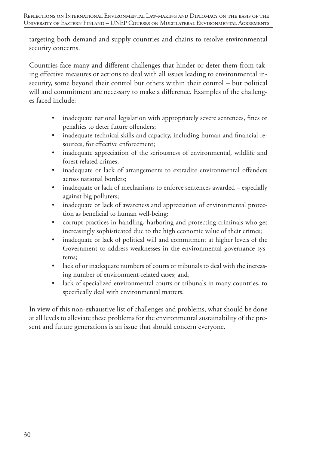targeting both demand and supply countries and chains to resolve environmental security concerns.

Countries face many and different challenges that hinder or deter them from taking effective measures or actions to deal with all issues leading to environmental insecurity, some beyond their control but others within their control – but political will and commitment are necessary to make a difference. Examples of the challenges faced include:

- inadequate national legislation with appropriately severe sentences, fines or penalties to deter future offenders;
- inadequate technical skills and capacity, including human and financial resources, for effective enforcement;
- inadequate appreciation of the seriousness of environmental, wildlife and forest related crimes;
- inadequate or lack of arrangements to extradite environmental offenders across national borders;
- inadequate or lack of mechanisms to enforce sentences awarded especially against big polluters;
- inadequate or lack of awareness and appreciation of environmental protection as beneficial to human well-being;
- corrupt practices in handling, harboring and protecting criminals who get increasingly sophisticated due to the high economic value of their crimes;
- inadequate or lack of political will and commitment at higher levels of the Government to address weaknesses in the environmental governance systems;
- lack of or inadequate numbers of courts or tribunals to deal with the increasing number of environment-related cases; and,
- lack of specialized environmental courts or tribunals in many countries, to specifically deal with environmental matters.

In view of this non-exhaustive list of challenges and problems, what should be done at all levels to alleviate these problems for the environmental sustainability of the present and future generations is an issue that should concern everyone.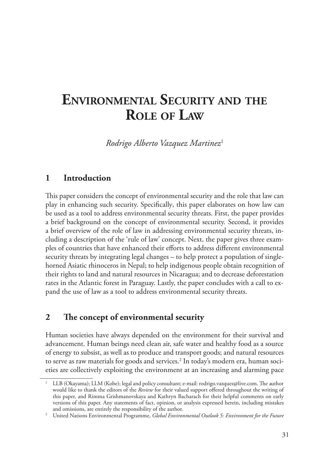## **environmental seCurity and the role oF law**

*Rodrigo Alberto Vazquez Martinez*<sup>1</sup>

#### **1 Introduction**

This paper considers the concept of environmental security and the role that law can play in enhancing such security. Specifically, this paper elaborates on how law can be used as a tool to address environmental security threats. First, the paper provides a brief background on the concept of environmental security. Second, it provides a brief overview of the role of law in addressing environmental security threats, including a description of the 'rule of law' concept. Next, the paper gives three examples of countries that have enhanced their efforts to address different environmental security threats by integrating legal changes – to help protect a population of singlehorned Asiatic rhinoceros in Nepal; to help indigenous people obtain recognition of their rights to land and natural resources in Nicaragua; and to decrease deforestation rates in the Atlantic forest in Paraguay. Lastly, the paper concludes with a call to expand the use of law as a tool to address environmental security threats.

## **2 The concept of environmental security**

Human societies have always depended on the environment for their survival and advancement. Human beings need clean air, safe water and healthy food as a source of energy to subsist, as well as to produce and transport goods; and natural resources to serve as raw materials for goods and services.<sup>2</sup> In today's modern era, human societies are collectively exploiting the environment at an increasing and alarming pace

<sup>1</sup> LLB (Okayama); LLM (Kobe); legal and policy consultant; e-mail: rodrigo.vazquez@live.com. The author would like to thank the editors of the *Review* for their valued support offered throughout the writing of this paper, and Rimma Grishmanovskaya and Kathryn Bacharach for their helpful comments on early versions of this paper. Any statements of fact, opinion, or analysis expressed herein, including mistakes and omissions, are entirely the responsibility of the author.

<sup>&</sup>lt;sup>2</sup> United Nations Environmental Programme, *Global Environmental Outlook 5: Environment for the Future*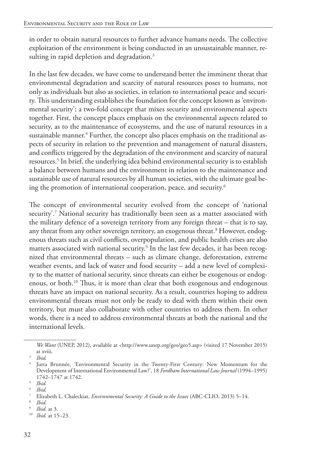in order to obtain natural resources to further advance humans needs. The collective exploitation of the environment is being conducted in an unsustainable manner, resulting in rapid depletion and degradation.<sup>3</sup>

In the last few decades, we have come to understand better the imminent threat that environmental degradation and scarcity of natural resources poses to humans, not only as individuals but also as societies, in relation to international peace and security. This understanding establishes the foundation for the concept known as 'environmental security'; a two-fold concept that mixes security and environmental aspects together. First, the concept places emphasis on the environmental aspects related to security, as to the maintenance of ecosystems, and the use of natural resources in a sustainable manner.<sup>4</sup> Further, the concept also places emphasis on the traditional aspects of security in relation to the prevention and management of natural disasters, and conflicts triggered by the degradation of the environment and scarcity of natural resources.5 In brief, the underlying idea behind environmental security is to establish a balance between humans and the environment in relation to the maintenance and sustainable use of natural resources by all human societies, with the ultimate goal being the promotion of international cooperation, peace, and security.6

The concept of environmental security evolved from the concept of 'national security'.7 National security has traditionally been seen as a matter associated with the military defence of a sovereign territory from any foreign threat – that is to say, any threat from any other sovereign territory, an exogenous threat.<sup>8</sup> However, endogenous threats such as civil conflicts, overpopulation, and public health crises are also matters associated with national security.<sup>9</sup> In the last few decades, it has been recognized that environmental threats – such as climate change, deforestation, extreme weather events, and lack of water and food security – add a new level of complexity to the matter of national security, since threats can either be exogenous or endogenous, or both.10 Thus, it is more than clear that both exogenous and endogenous threats have an impact on national security. As a result, countries hoping to address environmental threats must not only be ready to deal with them within their own territory, but must also collaborate with other countries to address them. In other words, there is a need to address environmental threats at both the national and the international levels.

*We Want* (UNEP, 2012), available at <http://www.unep.org/geo/geo5.asp> (visited 17 November 2015) at xviii.

<sup>3</sup> *Ibid.*

<sup>4</sup> Jutta Brunnée, 'Environmental Security in the Twenty-First Century: New Momentum for the Development of International Environmental Law?', 18 *Fordham International Law Journal* (1994–1995) 1742–1747 at 1742.

 $\frac{5}{6}$  *Ibid.* 

 $\frac{6}{7}$  *Ibid.* 

<sup>7</sup> Elizabeth L. Chaleckiat, *Environmental Security: A Guide to the Issues* (ABC-CLIO, 2013) 5–14.

<sup>8</sup> *Ibid.*

<sup>9</sup> *Ibid.* at 3.

<sup>10</sup> *Ibid.* at 15–23.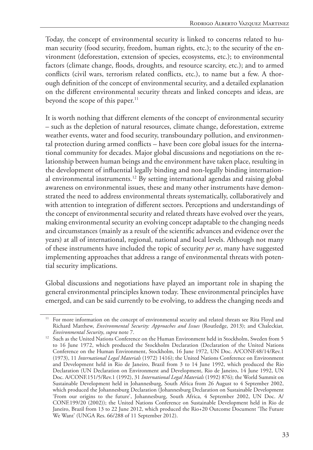Today, the concept of environmental security is linked to concerns related to human security (food security, freedom, human rights, etc.); to the security of the environment (deforestation, extension of species, ecosystems, etc.); to environmental factors (climate change, floods, droughts, and resource scarcity, etc.); and to armed conflicts (civil wars, terrorism related conflicts, etc.), to name but a few. A thorough definition of the concept of environmental security, and a detailed explanation on the different environmental security threats and linked concepts and ideas, are beyond the scope of this paper. $^{11}$ 

It is worth nothing that different elements of the concept of environmental security – such as the depletion of natural resources, climate change, deforestation, extreme weather events, water and food security, transboundary pollution, and environmental protection during armed conflicts – have been core global issues for the international community for decades. Major global discussions and negotiations on the relationship between human beings and the environment have taken place, resulting in the development of influential legally binding and non-legally binding international environmental instruments.12 By setting international agendas and raising global awareness on environmental issues, these and many other instruments have demonstrated the need to address environmental threats systematically, collaboratively and with attention to integration of different sectors. Perceptions and understandings of the concept of environmental security and related threats have evolved over the years, making environmental security an evolving concept adaptable to the changing needs and circumstances (mainly as a result of the scientific advances and evidence over the years) at all of international, regional, national and local levels. Although not many of these instruments have included the topic of security *per se*, many have suggested implementing approaches that address a range of environmental threats with potential security implications.

Global discussions and negotiations have played an important role in shaping the general environmental principles known today. These environmental principles have emerged, and can be said currently to be evolving, to address the changing needs and

<sup>&</sup>lt;sup>11</sup> For more information on the concept of environmental security and related threats see Rita Floyd and Richard Matthew, *Environmental Security: Approaches and Issues* (Routledge, 2013); and Chaleckiat*, Environmental Security*, *supra* note 7.

<sup>&</sup>lt;sup>12</sup> Such as the United Nations Conference on the Human Environment held in Stockholm, Sweden from 5 to 16 June 1972, which produced the Stockholm Declaration (Declaration of the United Nations Conference on the Human Environment, Stockholm, 16 June 1972, UN Doc. A/CONF.48/14/Rev.1 (1973), 11 *International Legal Materials* (1972) 1416); the United Nations Conference on Environment and Development held in Rio de Janeiro, Brazil from 3 to 14 June 1992, which produced the Rio Declaration (UN Declaration on Environment and Development, Rio de Janeiro, 14 June 1992, UN Doc. A/CONF.151/5/Rev.1 (1992), 31 *International Legal Materials* (1992) 876); the World Summit on Sustainable Development held in Johannesburg, South Africa from 26 August to 4 September 2002, which produced the Johannesburg Declaration (Johannesburg Declaration on Sustainable Development 'From our origins to the future', Johannesburg, South Africa, 4 September 2002, UN Doc. A/ CONF.199/20 (2002)); the United Nations Conference on Sustainable Development held in Rio de Janeiro, Brazil from 13 to 22 June 2012, which produced the Rio+20 Outcome Document 'The Future We Want' (UNGA Res. 66/288 of 11 September 2012).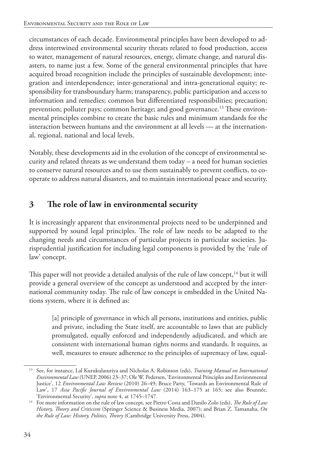circumstances of each decade. Environmental principles have been developed to address intertwined environmental security threats related to food production, access to water, management of natural resources, energy, climate change, and natural disasters, to name just a few. Some of the general environmental principles that have acquired broad recognition include the principles of sustainable development; integration and interdependence; inter-generational and intra-generational equity; responsibility for transboundary harm; transparency, public participation and access to information and remedies; common but differentiated responsibilities; precaution; prevention; polluter pays; common heritage; and good governance.<sup>13</sup> These environmental principles combine to create the basic rules and minimum standards for the interaction between humans and the environment at all levels — at the international, regional, national and local levels.

Notably, these developments aid in the evolution of the concept of environmental security and related threats as we understand them today – a need for human societies to conserve natural resources and to use them sustainably to prevent conflicts, to cooperate to address natural disasters, and to maintain international peace and security.

## **3 The role of law in environmental security**

It is increasingly apparent that environmental projects need to be underpinned and supported by sound legal principles. The role of law needs to be adapted to the changing needs and circumstances of particular projects in particular societies. Jurisprudential justification for including legal components is provided by the 'rule of law' concept.

This paper will not provide a detailed analysis of the rule of law concept,<sup>14</sup> but it will provide a general overview of the concept as understood and accepted by the international community today. The rule of law concept is embedded in the United Nations system, where it is defined as:

[a] principle of governance in which all persons, institutions and entities, public and private, including the State itself, are accountable to laws that are publicly promulgated, equally enforced and independently adjudicated, and which are consistent with international human rights norms and standards. It requires, as well, measures to ensure adherence to the principles of supremacy of law, equal-

<sup>13</sup> See, for instance, Lal Kurukulasuriya and Nicholas A. Robinson (eds), *Training Manual on International Environmental Law* (UNEP, 2006) 23–37; Ole W. Pedersen, 'Environmental Principles and Environmental Justice', 12 *Environmental Law Review* (2010) 26–49; Bruce Party, 'Towards an Environmental Rule of Law', 17 *Asia Pacific Journal of Environmental Law* (2014) 163–175 at 165; see also Brunnée, 'Environmental Security', *supra* note 4, at 1745–1747.

<sup>14</sup> For more information on the rule of law concept, see Pietro Costa and Danilo Zolo (eds), *The Rule of Law History, Theory and Criticism* (Springer Science & Business Media, 2007); and Brian Z. Tamanaha, *On the Rule of Law: History, Politics, Theory* (Cambridge University Press, 2004).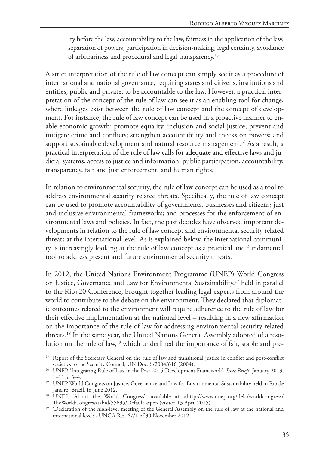ity before the law, accountability to the law, fairness in the application of the law, separation of powers, participation in decision-making, legal certainty, avoidance of arbitrariness and procedural and legal transparency.15

A strict interpretation of the rule of law concept can simply see it as a procedure of international and national governance, requiring states and citizens, institutions and entities, public and private, to be accountable to the law. However, a practical interpretation of the concept of the rule of law can see it as an enabling tool for change, where linkages exist between the rule of law concept and the concept of development. For instance, the rule of law concept can be used in a proactive manner to enable economic growth; promote equality, inclusion and social justice; prevent and mitigate crime and conflicts; strengthen accountability and checks on powers; and support sustainable development and natural resource management.<sup>16</sup> As a result, a practical interpretation of the rule of law calls for adequate and effective laws and judicial systems, access to justice and information, public participation, accountability, transparency, fair and just enforcement, and human rights.

In relation to environmental security, the rule of law concept can be used as a tool to address environmental security related threats. Specifically, the rule of law concept can be used to promote accountability of governments, businesses and citizens; just and inclusive environmental frameworks; and processes for the enforcement of environmental laws and policies. In fact, the past decades have observed important developments in relation to the rule of law concept and environmental security related threats at the international level. As is explained below, the international community is increasingly looking at the rule of law concept as a practical and fundamental tool to address present and future environmental security threats.

In 2012, the United Nations Environment Programme (UNEP) World Congress on Justice, Governance and Law for Environmental Sustainability,<sup>17</sup> held in parallel to the Rio+20 Conference, brought together leading legal experts from around the world to contribute to the debate on the environment. They declared that diplomatic outcomes related to the environment will require adherence to the rule of law for their effective implementation at the national level – resulting in a new affirmation on the importance of the rule of law for addressing environmental security related threats.18 In the same year, the United Nations General Assembly adopted of a resolution on the rule of law,19 which underlined the importance of fair, stable and pre-

<sup>&</sup>lt;sup>15</sup> Report of the Secretary General on the rule of law and transitional justice in conflict and post-conflict societies to the Security Council, UN Doc. S/2004/616 (2004). 16 UNEP, 'Integrating Rule of Law in the Post-2015 Development Framework', *Issue Briefs*, January 2013,

<sup>1–11</sup> at 3–4.

<sup>&</sup>lt;sup>17</sup> UNEP World Congress on Justice, Governance and Law for Environmental Sustainability held in Rio de Janeiro, Brazil, in June 2012.

<sup>18</sup> UNEP, 'About the World Congress', available at <http://www.unep.org/delc/worldcongress/ TheWorldCongress/tabid/55695/Default.aspx> (visited 13 April 2015).

<sup>&</sup>lt;sup>19</sup> 'Declaration of the high-level meeting of the General Assembly on the rule of law at the national and international levels', UNGA Res. 67/1 of 30 November 2012.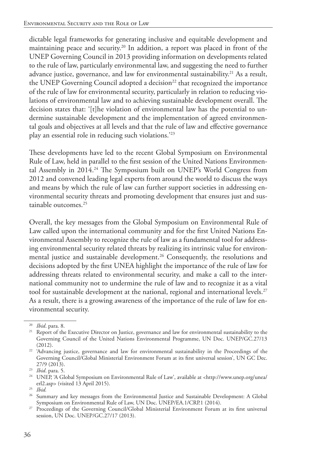dictable legal frameworks for generating inclusive and equitable development and maintaining peace and security.20 In addition, a report was placed in front of the UNEP Governing Council in 2013 providing information on developments related to the rule of law, particularly environmental law, and suggesting the need to further advance justice, governance, and law for environmental sustainability.<sup>21</sup> As a result, the UNEP Governing Council adopted a decision<sup>22</sup> that recognized the importance of the rule of law for environmental security, particularly in relation to reducing violations of environmental law and to achieving sustainable development overall. The decision states that: '[t]he violation of environmental law has the potential to undermine sustainable development and the implementation of agreed environmental goals and objectives at all levels and that the rule of law and effective governance play an essential role in reducing such violations.'23

These developments have led to the recent Global Symposium on Environmental Rule of Law, held in parallel to the first session of the United Nations Environmental Assembly in 2014.<sup>24</sup> The Symposium built on UNEP's World Congress from 2012 and convened leading legal experts from around the world to discuss the ways and means by which the rule of law can further support societies in addressing environmental security threats and promoting development that ensures just and sustainable outcomes.<sup>25</sup>

Overall, the key messages from the Global Symposium on Environmental Rule of Law called upon the international community and for the first United Nations Environmental Assembly to recognize the rule of law as a fundamental tool for addressing environmental security related threats by realizing its intrinsic value for environmental justice and sustainable development.<sup>26</sup> Consequently, the resolutions and decisions adopted by the first UNEA highlight the importance of the rule of law for addressing threats related to environmental security, and make a call to the international community not to undermine the rule of law and to recognize it as a vital tool for sustainable development at the national, regional and international levels.<sup>27</sup> As a result, there is a growing awareness of the importance of the rule of law for environmental security.

<sup>20</sup> *Ibid*. para. 8.

<sup>&</sup>lt;sup>21</sup> Report of the Executive Director on Justice, governance and law for environmental sustainability to the Governing Council of the United Nations Environmental Programme, UN Doc. UNEP/GC.27/13 (2012).

<sup>&</sup>lt;sup>22</sup> 'Advancing justice, governance and law for environmental sustainability in the Proceedings of the Governing Council/Global Ministerial Environment Forum at its first universal session', UN GC Dec. 27/9 (2013).

<sup>23</sup> *Ibid*. para. 5.

<sup>&</sup>lt;sup>24</sup> UNEP, 'A Global Symposium on Environmental Rule of Law', available at <http://www.unep.org/unea/ erl2.asp> (visited 13 April 2015).

<sup>25</sup> *Ibid.*

<sup>&</sup>lt;sup>26</sup> Summary and key messages from the Environmental Justice and Sustainable Development: A Global Symposium on Environmental Rule of Law, UN Doc. UNEP/EA.1/CRP.1 (2014).

<sup>&</sup>lt;sup>27</sup> Proceedings of the Governing Council/Global Ministerial Environment Forum at its first universal session, UN Doc. UNEP/GC.27/17 (2013).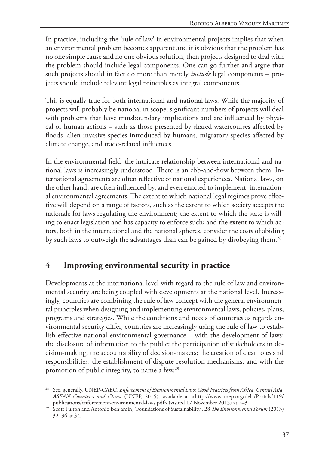In practice, including the 'rule of law' in environmental projects implies that when an environmental problem becomes apparent and it is obvious that the problem has no one simple cause and no one obvious solution, then projects designed to deal with the problem should include legal components. One can go further and argue that such projects should in fact do more than merely *include* legal components – projects should include relevant legal principles as integral components.

This is equally true for both international and national laws. While the majority of projects will probably be national in scope, significant numbers of projects will deal with problems that have transboundary implications and are influenced by physical or human actions – such as those presented by shared watercourses affected by floods, alien invasive species introduced by humans, migratory species affected by climate change, and trade-related influences.

In the environmental field, the intricate relationship between international and national laws is increasingly understood. There is an ebb-and-flow between them. International agreements are often reflective of national experiences. National laws, on the other hand, are often influenced by, and even enacted to implement, international environmental agreements. The extent to which national legal regimes prove effective will depend on a range of factors, such as the extent to which society accepts the rationale for laws regulating the environment; the extent to which the state is willing to enact legislation and has capacity to enforce such; and the extent to which actors, both in the international and the national spheres, consider the costs of abiding by such laws to outweigh the advantages than can be gained by disobeying them.<sup>28</sup>

## **4 Improving environmental security in practice**

Developments at the international level with regard to the rule of law and environmental security are being coupled with developments at the national level. Increasingly, countries are combining the rule of law concept with the general environmental principles when designing and implementing environmental laws, policies, plans, programs and strategies. While the conditions and needs of countries as regards environmental security differ, countries are increasingly using the rule of law to establish effective national environmental governance – with the development of laws; the disclosure of information to the public; the participation of stakeholders in decision-making; the accountability of decision-makers; the creation of clear roles and responsibilities; the establishment of dispute resolution mechanisms; and with the promotion of public integrity, to name a few.29

<sup>28</sup> See, generally, UNEP-CAEC, *Enforcement of Environmental Law: Good Practices from Africa, Central Asia, ASEAN Countries and China* (UNEP, 2015), available at <http://www.unep.org/delc/Portals/119/ publications/enforcement-environmental-laws.pdf> (visited 17 November 2015) at 2–3.

<sup>29</sup> Scott Fulton and Antonio Benjamin, 'Foundations of Sustainability', 28 *The Environmental Forum* (2013) 32–36 at 34.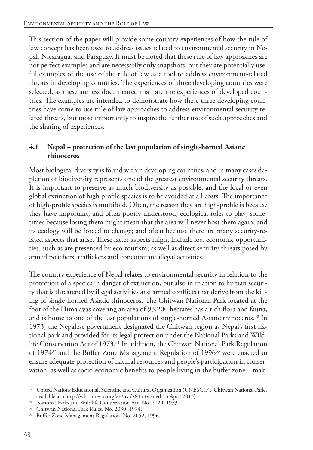This section of the paper will provide some country experiences of how the rule of law concept has been used to address issues related to environmental security in Nepal, Nicaragua, and Paraguay. It must be noted that these rule of law approaches are not perfect examples and are necessarily only snapshots, but they are potentially useful examples of the use of the rule of law as a tool to address environment-related threats in developing countries. The experiences of three developing countries were selected, as these are less documented than are the experiences of developed countries. The examples are intended to demonstrate how these three developing countries have come to use rule of law approaches to address environmental security related threats, but most importantly to inspire the further use of such approaches and the sharing of experiences.

#### **4.1 Nepal – protection of the last population of single-horned Asiatic rhinoceros**

Most biological diversity is found within developing countries, and in many cases depletion of biodiversity represents one of the greatest environmental security threats. It is important to preserve as much biodiversity as possible, and the local or even global extinction of high profile species is to be avoided at all costs. The importance of high-profile species is multifold. Often, the reason they are high-profile is because they have important, and often poorly understood, ecological roles to play; sometimes because losing them might mean that the area will never host them again, and its ecology will be forced to change; and often because there are many security-related aspects that arise. These latter aspects might include lost economic opportunities, such as are presented by eco-tourism; as well as direct security threats posed by armed poachers, traffickers and concomitant illegal activities.

The country experience of Nepal relates to environmental security in relation to the protection of a species in danger of extinction, but also in relation to human security that is threatened by illegal activities and armed conflicts that derive from the killing of single-horned Asiatic rhinoceros. The Chitwan National Park located at the foot of the Himalayas covering an area of 93,200 hectares has a rich flora and fauna, and is home to one of the last populations of single-horned Asiatic rhinoceros.30 In 1973, the Nepalese government designated the Chitwan region as Nepal's first national park and provided for its legal protection under the National Parks and Wildlife Conservation Act of 1973.<sup>31</sup> In addition, the Chitwan National Park Regulation of 1974<sup>32</sup> and the Buffer Zone Management Regulation of 1996<sup>33</sup> were enacted to ensure adequate protection of natural resources and people's participation in conservation, as well as socio-economic benefits to people living in the buffer zone – mak-

<sup>30</sup> United Nations Educational, Scientific and Cultural Organization (UNESCO), 'Chitwan National Park', available at <http://whc.unesco.org/en/list/284> (visited 13 April 2015).

<sup>31</sup> National Parks and Wildlife Conservation Act, No. 2029, 1973*.*

<sup>&</sup>lt;sup>32</sup> Chitwan National Park Rules, No. 2030, 1974.

<sup>&</sup>lt;sup>33</sup> Buffer Zone Management Regulation, No. 2052, 1996.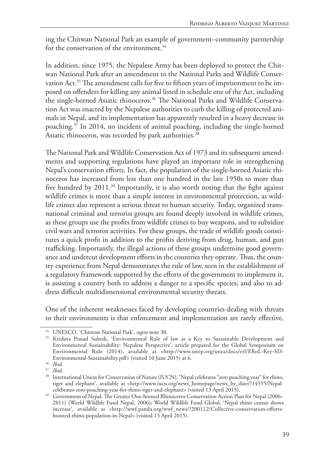ing the Chitwan National Park an example of government–community partnership for the conservation of the environment.<sup>34</sup>

In addition, since 1975, the Nepalese Army has been deployed to protect the Chitwan National Park after an amendment to the National Parks and Wildlife Conservation Act.<sup>35</sup> The amendment calls for five to fifteen years of imprisonment to be imposed on offenders for killing any animal listed in schedule one of the Act, including the single-horned Asiatic rhinoceros.<sup>36</sup> The National Parks and Wildlife Conservation Act was enacted by the Nepalese authorities to curb the killing of protected animals in Nepal, and its implementation has apparently resulted in a heavy decrease in poaching.37 In 2014, no incident of animal poaching, including the single-horned Asiatic rhinoceros, was recorded by park authorities.<sup>38</sup>

The National Park and Wildlife Conservation Act of 1973 and its subsequent amendments and supporting regulations have played an important role in strengthening Nepal's conservation efforts. In fact, the population of the single-horned Asiatic rhinoceros has increased from less than one hundred in the late 1950s to more than five hundred by 2011.39 Importantly, it is also worth noting that the fight against wildlife crimes is more than a simple interest in environmental protection, as wildlife crimes also represent a serious threat to human security. Today, organized transnational criminal and terrorist groups are found deeply involved in wildlife crimes, as these groups use the profits from wildlife crimes to buy weapons, and to subsidize civil wars and terrorist activities. For these groups, the trade of wildlife goods constitutes a quick profit in addition to the profits deriving from drug, human, and gun trafficking. Importantly, the illegal actions of these groups undermine good governance and undercut development efforts in the countries they operate. Thus, the country experience from Nepal demonstrates the rule of law, seen in the establishment of a regulatory framework supported by the efforts of the government to implement it, is assisting a country both to address a danger to a specific species; and also to address difficult multidimensional environmental security threats.

One of the inherent weaknesses faced by developing countries dealing with threats to their environments is that enforcement and implementation are rarely effective,

<sup>34</sup> UNESCO, 'Chitwan National Park', *supra* note 30*.*

<sup>35</sup> Krishna Prasad Subedi, 'Environmental Rule of law as a Key to Sustainable Development and Environmental Sustainability: Nepalese Perspective', article prepared for the Global Symposium on Environmental Rule (2014), available at <http://www.unep.org/unea/docs/erl/ERoL-Key-SD-Environmental-Sustainability.pdf> (visited 10 June 2015) at 6.

<sup>36</sup> *Ibid.*

<sup>37</sup> *Ibid.*

<sup>&</sup>lt;sup>38</sup> International Union for Conservation of Nature (IUCN), 'Nepal celebrates "zero poaching year" for rhino, tiger and elephant', available at <http://www.iucn.org/news\_homepage/news\_by\_date/?14555/Nepalcelebrates-zero-poaching-year-for-rhino-tiger-and-elephant> (visited 13 April 2015).

<sup>&</sup>lt;sup>39</sup> Government of Nepal, The Greater One-horned Rhinoceros Conservation Action Plan for Nepal (2006– 2011) (World Wildlife Fund Nepal, 2006); World Wildlife Fund Global, 'Nepal rhino census shows increase', available at <http://wwf.panda.org/wwf\_news/?200112/Collective-conservation-effortsboosted-rhino-population-in-Nepal> (visited 13 April 2015).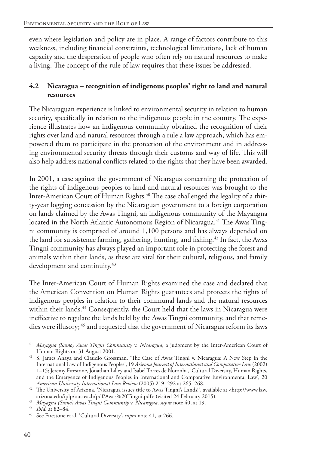even where legislation and policy are in place. A range of factors contribute to this weakness, including financial constraints, technological limitations, lack of human capacity and the desperation of people who often rely on natural resources to make a living. The concept of the rule of law requires that these issues be addressed.

#### **4.2 Nicaragua – recognition of indigenous peoples' right to land and natural resources**

The Nicaraguan experience is linked to environmental security in relation to human security, specifically in relation to the indigenous people in the country. The experience illustrates how an indigenous community obtained the recognition of their rights over land and natural resources through a rule a law approach, which has empowered them to participate in the protection of the environment and in addressing environmental security threats through their customs and way of life. This will also help address national conflicts related to the rights that they have been awarded.

In 2001, a case against the government of Nicaragua concerning the protection of the rights of indigenous peoples to land and natural resources was brought to the Inter-American Court of Human Rights.<sup>40</sup> The case challenged the legality of a thirty-year logging concession by the Nicaraguan government to a foreign corporation on lands claimed by the Awas Tingni, an indigenous community of the Mayangna located in the North Atlantic Autonomous Region of Nicaragua.<sup>41</sup> The Awas Tingni community is comprised of around 1,100 persons and has always depended on the land for subsistence farming, gathering, hunting, and fishing.<sup>42</sup> In fact, the Awas Tingni community has always played an important role in protecting the forest and animals within their lands, as these are vital for their cultural, religious, and family development and continuity.<sup>43</sup>

The Inter-American Court of Human Rights examined the case and declared that the American Convention on Human Rights guarantees and protects the rights of indigenous peoples in relation to their communal lands and the natural resources within their lands.<sup>44</sup> Consequently, the Court held that the laws in Nicaragua were ineffective to regulate the lands held by the Awas Tingni community, and that remedies were illusory; <sup>45</sup> and requested that the government of Nicaragua reform its laws

<sup>40</sup> *Mayagna (Sumo) Awas Tingni Community* v. *Nicaragua*, a judgment by the Inter-American Court of Human Rights on 31 August 2001.

<sup>41</sup> S. James Anaya and Claudio Grossman, 'The Case of Awas Tingni v. Nicaragua: A New Step in the International Law of Indigenous Peoples', 19 *Arizona Journal of International and Comparative Law* (2002) 1–15; Jeremy Firestone, Jonathan Lilley and Isabel Torres de Noronha, 'Cultural Diversity, Human Rights, and the Emergence of Indigenous Peoples in International and Comparative Environmental Law', 20 *American University International Law Review* (2005) 219–292 at 265–268.

<sup>42</sup> The University of Arizona, 'Nicaragua issues title to Awas Tingni's Lands!', available at <http://www.law. arizona.edu/iplp/outreach/pdf/Awas%20Tingni.pdf> (visited 24 February 2015).

<sup>43</sup> *Mayagna (Sumo) Awas Tingni Community* v. *Nicaragua, supra* note 40, at 19.

<sup>44</sup> *Ibid.* at 82–84.

<sup>45</sup> See Firestone et al, 'Cultural Diversity', *supra* note 41, at 266.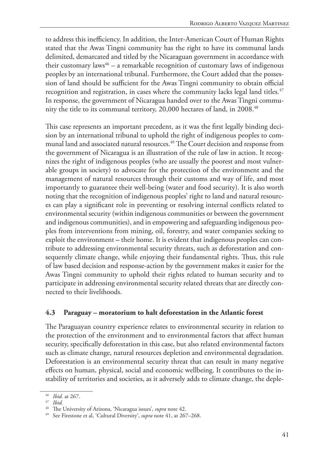to address this inefficiency. In addition, the Inter-American Court of Human Rights stated that the Awas Tingni community has the right to have its communal lands delimited, demarcated and titled by the Nicaraguan government in accordance with their customary laws<sup>46</sup> – a remarkable recognition of customary laws of indigenous peoples by an international tribunal. Furthermore, the Court added that the possession of land should be sufficient for the Awas Tingni community to obtain official recognition and registration, in cases where the community lacks legal land titles.<sup>47</sup> In response, the government of Nicaragua handed over to the Awas Tingni community the title to its communal territory, 20,000 hectares of land, in 2008.<sup>48</sup>

This case represents an important precedent, as it was the first legally binding decision by an international tribunal to uphold the right of indigenous peoples to communal land and associated natural resources.<sup>49</sup> The Court decision and response from the government of Nicaragua is an illustration of the rule of law in action. It recognizes the right of indigenous peoples (who are usually the poorest and most vulnerable groups in society) to advocate for the protection of the environment and the management of natural resources through their customs and way of life, and most importantly to guarantee their well-being (water and food security). It is also worth noting that the recognition of indigenous peoples' right to land and natural resources can play a significant role in preventing or resolving internal conflicts related to environmental security (within indigenous communities or between the government and indigenous communities), and in empowering and safeguarding indigenous peoples from interventions from mining, oil, forestry, and water companies seeking to exploit the environment **–** their home. It is evident that indigenous peoples can contribute to addressing environmental security threats, such as deforestation and consequently climate change, while enjoying their fundamental rights. Thus, this rule of law based decision and response-action by the government makes it easier for the Awas Tingni community to uphold their rights related to human security and to participate in addressing environmental security related threats that are directly connected to their livelihoods.

#### **4.3 Paraguay – moratorium to halt deforestation in the Atlantic forest**

The Paraguayan country experience relates to environmental security in relation to the protection of the environment and to environmental factors that affect human security, specifically deforestation in this case, but also related environmental factors such as climate change, natural resources depletion and environmental degradation. Deforestation is an environmental security threat that can result in many negative effects on human, physical, social and economic wellbeing. It contributes to the instability of territories and societies, as it adversely adds to climate change, the deple-

<sup>46</sup> *Ibid.* at 267.

<sup>47</sup> *Ibid.*

<sup>48</sup> The University of Arizona, 'Nicaragua issues', *supra* note 42.

<sup>49</sup> See Firestone et al, 'Cultural Diversity', *supra* note 41, at 267–268.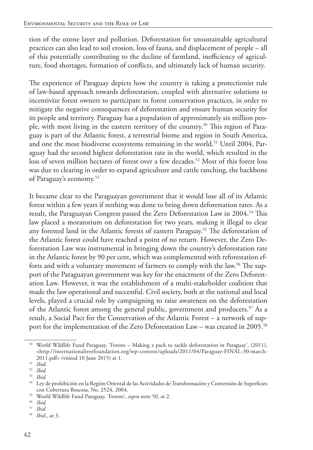tion of the ozone layer and pollution. Deforestation for unsustainable agricultural practices can also lead to soil erosion, loss of fauna, and displacement of people – all of this potentially contributing to the decline of farmland, inefficiency of agriculture, food shortages, formation of conflicts, and ultimately lack of human security.

The experience of Paraguay depicts how the country is taking a protectionist rule of law-based approach towards deforestation, coupled with alternative solutions to incentivize forest owners to participate in forest conservation practices, in order to mitigate the negative consequences of deforestation and ensure human security for its people and territory. Paraguay has a population of approximately six million people, with most living in the eastern territory of the country.50 This region of Paraguay is part of the Atlantic forest, a terrestrial biome and region in South America, and one the most biodiverse ecosystems remaining in the world.<sup>51</sup> Until 2004, Paraguay had the second highest deforestation rate in the world, which resulted in the loss of seven million hectares of forest over a few decades.<sup>52</sup> Most of this forest loss was due to clearing in order to expand agriculture and cattle ranching, the backbone of Paraguay's economy.53

It became clear to the Paraguayan government that it would lose all of its Atlantic forest within a few years if nothing was done to bring down deforestation rates. As a result, the Paraguayan Congress passed the Zero Deforestation Law in 2004.<sup>54</sup> This law placed a moratorium on deforestation for two years, making it illegal to clear any forested land in the Atlantic forests of eastern Paraguay.<sup>55</sup> The deforestation of the Atlantic forest could have reached a point of no return. However, the Zero Deforestation Law was instrumental in bringing down the country's deforestation rate in the Atlantic forest by 90 per cent, which was complemented with reforestation efforts and with a voluntary movement of farmers to comply with the law.<sup>56</sup> The support of the Paraguayan government was key for the enactment of the Zero Deforestation Law. However, it was the establishment of a multi-stakeholder coalition that made the law operational and successful. Civil society, both at the national and local levels, played a crucial role by campaigning to raise awareness on the deforestation of the Atlantic forest among the general public, government and producers.<sup>57</sup> As a result, a Social Pact for the Conservation of the Atlantic Forest – a network of support for the implementation of the Zero Deforestation Law – was created in 2005.<sup>58</sup>

<sup>50</sup> World Wildlife Fund Paraguay, 'Forests – Making a pack to tackle deforestation in Paraguay', (2011), <http://internationaltreefoundation.org/wp-content/uploads/2011/04/Paraguay-FINAL-30-march-2011.pdf> (visited 10 June 2015) at 1.

<sup>51</sup> *Ibid.*

<sup>52</sup> *Ibid.*

<sup>53</sup> *Ibid.*

<sup>54</sup> Ley de prohibición en la Región Oriental de las Actividades de Transformación y Conversión de Superficies con Cobertura Boscosa, No. 2524, 2004.

<sup>55</sup> World Wildlife Fund Paraguay, 'Forests', *supra* note 50, at 2.

<sup>56</sup> *Ibid.*

<sup>57</sup> *Ibid.*

<sup>58</sup> *Ibid.,* at 3.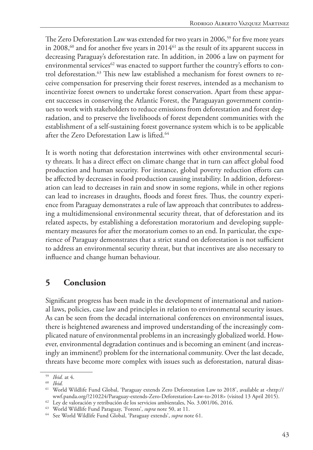The Zero Deforestation Law was extended for two years in 2006,<sup>59</sup> for five more years in 2008, $^{60}$  and for another five years in 2014 $^{61}$  as the result of its apparent success in decreasing Paraguay's deforestation rate. In addition, in 2006 a law on payment for environmental services<sup>62</sup> was enacted to support further the country's efforts to control deforestation.63 This new law established a mechanism for forest owners to receive compensation for preserving their forest reserves, intended as a mechanism to incentivize forest owners to undertake forest conservation. Apart from these apparent successes in conserving the Atlantic Forest, the Paraguayan government continues to work with stakeholders to reduce emissions from deforestation and forest degradation, and to preserve the livelihoods of forest dependent communities with the establishment of a self-sustaining forest governance system which is to be applicable after the Zero Deforestation Law is lifted.<sup>64</sup>

It is worth noting that deforestation intertwines with other environmental security threats. It has a direct effect on climate change that in turn can affect global food production and human security. For instance, global poverty reduction efforts can be affected by decreases in food production causing instability. In addition, deforestation can lead to decreases in rain and snow in some regions, while in other regions can lead to increases in draughts, floods and forest fires. Thus, the country experience from Paraguay demonstrates a rule of law approach that contributes to addressing a multidimensional environmental security threat, that of deforestation and its related aspects, by establishing a deforestation moratorium and developing supplementary measures for after the moratorium comes to an end. In particular, the experience of Paraguay demonstrates that a strict stand on deforestation is not sufficient to address an environmental security threat, but that incentives are also necessary to influence and change human behaviour.

## **5 Conclusion**

Significant progress has been made in the development of international and national laws, policies, case law and principles in relation to environmental security issues. As can be seen from the decadal international conferences on environmental issues, there is heightened awareness and improved understanding of the increasingly complicated nature of environmental problems in an increasingly globalized world. However, environmental degradation continues and is becoming an eminent (and increasingly an imminent!) problem for the international community. Over the last decade, threats have become more complex with issues such as deforestation, natural disas-

<sup>59</sup> *Ibid.* at 4.

<sup>60</sup> *Ibid.*

<sup>61</sup> World Wildlife Fund Global, 'Paraguay extends Zero Deforestation Law to 2018', available at <http:// wwf.panda.org/?210224/Paraguay-extends-Zero-Deforestation-Law-to-2018> (visited 13 April 2015).

<sup>62</sup> Ley de valoración y retribución de los servicios ambientales, No. 3.001/06, 2016.

<sup>63</sup> World Wildlife Fund Paraguay, 'Forests', *supra* note 50, at 11.

<sup>64</sup> See World Wildlife Fund Global, 'Paraguay extends', *supra* note 61.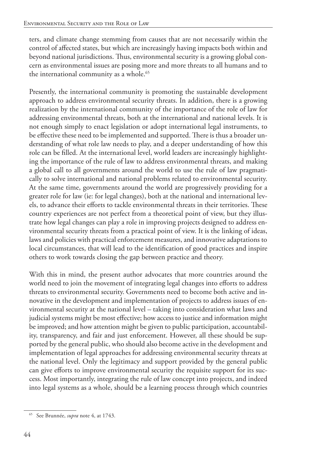ters, and climate change stemming from causes that are not necessarily within the control of affected states, but which are increasingly having impacts both within and beyond national jurisdictions. Thus, environmental security is a growing global concern as environmental issues are posing more and more threats to all humans and to the international community as a whole.<sup>65</sup>

Presently, the international community is promoting the sustainable development approach to address environmental security threats. In addition, there is a growing realization by the international community of the importance of the role of law for addressing environmental threats, both at the international and national levels. It is not enough simply to enact legislation or adopt international legal instruments, to be effective these need to be implemented and supported. There is thus a broader understanding of what role law needs to play, and a deeper understanding of how this role can be filled. At the international level, world leaders are increasingly highlighting the importance of the rule of law to address environmental threats, and making a global call to all governments around the world to use the rule of law pragmatically to solve international and national problems related to environmental security. At the same time, governments around the world are progressively providing for a greater role for law (ie: for legal changes), both at the national and international levels, to advance their efforts to tackle environmental threats in their territories. These country experiences are not perfect from a theoretical point of view, but they illustrate how legal changes can play a role in improving projects designed to address environmental security threats from a practical point of view. It is the linking of ideas, laws and policies with practical enforcement measures, and innovative adaptations to local circumstances, that will lead to the identification of good practices and inspire others to work towards closing the gap between practice and theory.

With this in mind, the present author advocates that more countries around the world need to join the movement of integrating legal changes into efforts to address threats to environmental security. Governments need to become both active and innovative in the development and implementation of projects to address issues of environmental security at the national level – taking into consideration what laws and judicial systems might be most effective; how access to justice and information might be improved; and how attention might be given to public participation, accountability, transparency, and fair and just enforcement. However, all these should be supported by the general public, who should also become active in the development and implementation of legal approaches for addressing environmental security threats at the national level. Only the legitimacy and support provided by the general public can give efforts to improve environmental security the requisite support for its success. Most importantly, integrating the rule of law concept into projects, and indeed into legal systems as a whole, should be a learning process through which countries

<sup>65</sup> See Brunnée, *supra* note 4, at 1743.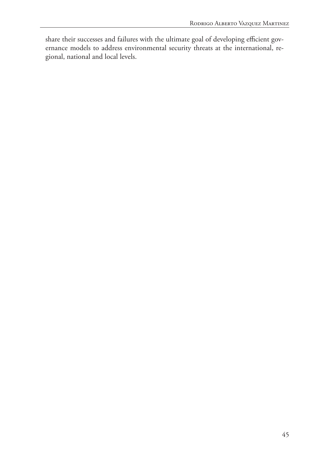share their successes and failures with the ultimate goal of developing efficient governance models to address environmental security threats at the international, regional, national and local levels.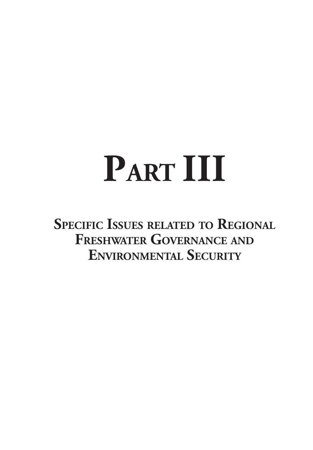# **PART III**

**Specific Issues related to Regional Freshwater Governance and Environmental Security**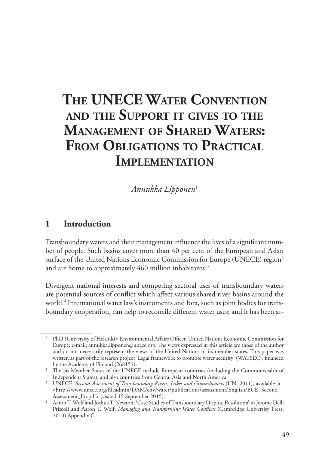# **The UNECE Water Convention and the Support it gives to the Management of Shared Waters: From Obligations to Practical Implementation**

*Annukka Lipponen*<sup>1</sup>

#### **1 Introduction**

Transboundary waters and their management influence the lives of a significant number of people. Such basins cover more than 40 per cent of the European and Asian surface of the United Nations Economic Commission for Europe (UNECE) region<sup>2</sup> and are home to approximately 460 million inhabitants.<sup>3</sup>

Divergent national interests and competing sectoral uses of transboundary waters are potential sources of conflict which affect various shared river basins around the world.4 International water law's instruments and fora, such as joint bodies for transboundary cooperation, can help to reconcile different water uses; and it has been ar-

<sup>1</sup> PhD (University of Helsinki); Environmental Affairs Officer, United Nations Economic Commission for Europe; e-mail: annukka.lipponen@unece.org. The views expressed in this article are those of the author and do not necessarily represent the views of the United Nations or its member states. This paper was written as part of the research project 'Legal framework to promote water security' (WATSEC), financed by the Academy of Finland (268151).

<sup>&</sup>lt;sup>2</sup> The 56 Member States of the UNECE include European countries (including the Commonwealth of Independent States), and also countries from Central Asia and North America.

<sup>3</sup> UNECE, *Second Assessment of Transboundary Rivers, Lakes and Groundwaters* (UN, 2011), available at  $\langle$ http://www.unece.org/fileadmin/DAM/env/water/publications/assessment/English/ECE\_Second\_ Assessment\_En.pdf> (visited 15 September 2015).

<sup>4</sup> Aaron T. Wolf and Joshua T. Newton, 'Case Studies of Transboundary Dispute Resolution' in Jerome Delli Priscoli and Aaron T. Wolf, *Managing and Transforming Water Conflicts* (Cambridge University Press, 2010) Appendix C.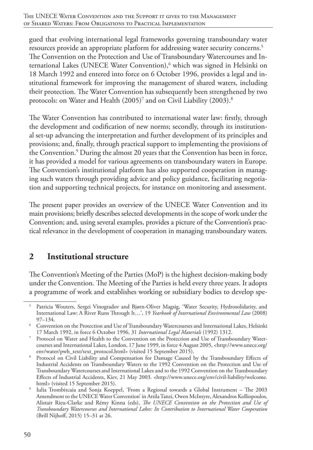gued that evolving international legal frameworks governing transboundary water resources provide an appropriate platform for addressing water security concerns.<sup>5</sup> The Convention on the Protection and Use of Transboundary Watercourses and International Lakes (UNECE Water Convention),<sup>6</sup> which was signed in Helsinki on 18 March 1992 and entered into force on 6 October 1996, provides a legal and institutional framework for improving the management of shared waters, including their protection. The Water Convention has subsequently been strengthened by two protocols: on Water and Health (2005)<sup>7</sup> and on Civil Liability (2003). $^8$ 

The Water Convention has contributed to international water law: firstly, through the development and codification of new norms; secondly, through its institutional set-up advancing the interpretation and further development of its principles and provisions; and, finally, through practical support to implementing the provisions of the Convention.<sup>9</sup> During the almost 20 years that the Convention has been in force, it has provided a model for various agreements on transboundary waters in Europe. The Convention's institutional platform has also supported cooperation in managing such waters through providing advice and policy guidance, facilitating negotiation and supporting technical projects, for instance on monitoring and assessment.

The present paper provides an overview of the UNECE Water Convention and its main provisions; briefly describes selected developments in the scope of work under the Convention; and, using several examples, provides a picture of the Convention's practical relevance in the development of cooperation in managing transboundary waters.

## **2 Institutional structure**

The Convention's Meeting of the Parties (MoP) is the highest decision-making body under the Convention. The Meeting of the Parties is held every three years. It adopts a programme of work and establishes working or subsidiary bodies to develop spe-

<sup>5</sup> Patricia Wouters, Sergei Vinogradov and Bjørn-Oliver Magsig, 'Water Security, Hydrosolidarity, and International Law: A River Runs Through It…', 19 *Yearbook of International Environmental Law* (2008) 97–134.

<sup>6</sup> Convention on the Protection and Use of Transboundary Watercourses and International Lakes, Helsinki 17 March 1992, in force 6 October 1996, 31 *International Legal Materials* (1992) 1312.

<sup>7</sup> Protocol on Water and Health to the Convention on the Protection and Use of Transboundary Watercourses and International Lakes, London, 17 June 1999, in force 4 August 2005, <http://www.unece.org/ env/water/pwh\_text/text\_protocol.html> (visited 15 September 2015).

Protocol on Civil Liability and Compensation for Damage Caused by the Transboundary Effects of Industrial Accidents on Transboundary Waters to the 1992 Convention on the Protection and Use of Transboundary Watercourses and International Lakes and to the 1992 Convention on the Transboundary Effects of Industrial Accidents, Kiev, 21 May 2003. <http://www.unece.org/env/civil-liability/welcome. html> (visited 15 September 2015).

<sup>9</sup> Iulia Trombitcaia and Sonja Koeppel, 'From a Regional towards a Global Instrument – The 2003 Amendment to the UNECE Water Convention' in Attila Tanzi, Owen McIntyre, Alexandros Kolliopoulos, Alistair Rieu-Clarke and Rémy Kinna (eds), *The UNECE Convention on the Protection and Use of Transboundary Watercourses and International Lakes: Its Contribution to International Water Cooperation* (Brill Nijhoff, 2015) 15–31 at 26.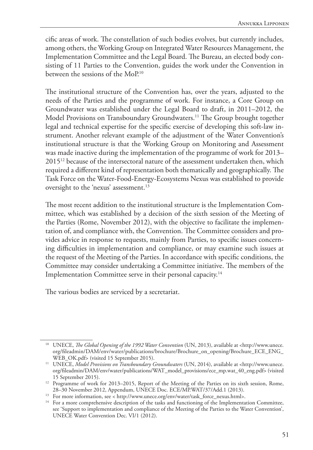cific areas of work. The constellation of such bodies evolves, but currently includes, among others, the Working Group on Integrated Water Resources Management, the Implementation Committee and the Legal Board. The Bureau, an elected body consisting of 11 Parties to the Convention, guides the work under the Convention in between the sessions of the MoP<sup>10</sup>

The institutional structure of the Convention has, over the years, adjusted to the needs of the Parties and the programme of work. For instance, a Core Group on Groundwater was established under the Legal Board to draft, in 2011–2012, the Model Provisions on Transboundary Groundwaters.<sup>11</sup> The Group brought together legal and technical expertise for the specific exercise of developing this soft-law instrument. Another relevant example of the adjustment of the Water Convention's institutional structure is that the Working Group on Monitoring and Assessment was made inactive during the implementation of the programme of work for 2013– 201512 because of the intersectoral nature of the assessment undertaken then, which required a different kind of representation both thematically and geographically. The Task Force on the Water-Food-Energy-Ecosystems Nexus was established to provide oversight to the 'nexus' assessment.<sup>13</sup>

The most recent addition to the institutional structure is the Implementation Committee, which was established by a decision of the sixth session of the Meeting of the Parties (Rome, November 2012), with the objective to facilitate the implementation of, and compliance with, the Convention. The Committee considers and provides advice in response to requests, mainly from Parties, to specific issues concerning difficulties in implementation and compliance, or may examine such issues at the request of the Meeting of the Parties. In accordance with specific conditions, the Committee may consider undertaking a Committee initiative. The members of the Implementation Committee serve in their personal capacity.14

The various bodies are serviced by a secretariat.

<sup>&</sup>lt;sup>10</sup> UNECE, *The Global Opening of the 1992 Water Convention* (UN, 2013), available at <http://www.unece. org/fileadmin/DAM/env/water/publications/brochure/Brochure\_on\_opening/Brochure\_ECE\_ENG\_ WEB\_OK.pdf> (visited 15 September 2015).

<sup>&</sup>lt;sup>11</sup> UNECE, Model Provisions on Transboundary Groundwaters (UN, 2014), available at <http://www.unece. org/fileadmin/DAM/env/water/publications/WAT\_model\_provisions/ece\_mp.wat\_40\_eng.pdf> (visited 15 September 2015).

<sup>&</sup>lt;sup>12</sup> Programme of work for 2013–2015, Report of the Meeting of the Parties on its sixth session, Rome, 28–30 November 2012, Appendum, UNECE Doc. ECE/MP.WAT/37/Add.1 (2013).

<sup>13</sup> For more information, see < http://www.unece.org/env/water/task\_force\_nexus.html>.

<sup>&</sup>lt;sup>14</sup> For a more comprehensive description of the tasks and functioning of the Implementation Committee, see 'Support to implementation and compliance of the Meeting of the Parties to the Water Convention', UNECE Water Convention Dec. VI/1 (2012).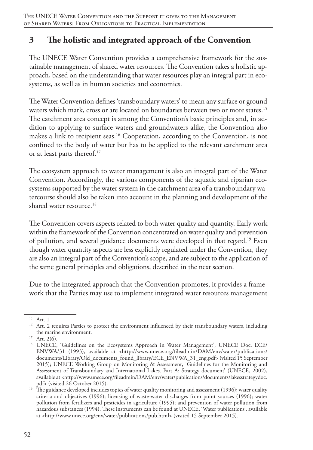## **3 The holistic and integrated approach of the Convention**

The UNECE Water Convention provides a comprehensive framework for the sustainable management of shared water resources. The Convention takes a holistic approach, based on the understanding that water resources play an integral part in ecosystems, as well as in human societies and economies.

The Water Convention defines 'transboundary waters' to mean any surface or ground waters which mark, cross or are located on boundaries between two or more states.<sup>15</sup> The catchment area concept is among the Convention's basic principles and, in addition to applying to surface waters and groundwaters alike, the Convention also makes a link to recipient seas.<sup>16</sup> Cooperation, according to the Convention, is not confined to the body of water but has to be applied to the relevant catchment area or at least parts thereof.17

The ecosystem approach to water management is also an integral part of the Water Convention. Accordingly, the various components of the aquatic and riparian ecosystems supported by the water system in the catchment area of a transboundary watercourse should also be taken into account in the planning and development of the shared water resource.<sup>18</sup>

The Convention covers aspects related to both water quality and quantity. Early work within the framework of the Convention concentrated on water quality and prevention of pollution, and several guidance documents were developed in that regard.19 Even though water quantity aspects are less explicitly regulated under the Convention, they are also an integral part of the Convention's scope, and are subject to the application of the same general principles and obligations, described in the next section.

Due to the integrated approach that the Convention promotes, it provides a framework that the Parties may use to implement integrated water resources management

<sup>15</sup> Art. 1

<sup>&</sup>lt;sup>16</sup> Art. 2 requires Parties to protect the environment influenced by their transboundary waters, including the marine environment.

 $17$  Art. 2(6).

<sup>&</sup>lt;sup>18</sup> UNECE, 'Guidelines on the Ecosystems Approach in Water Management', UNECE Doc. ECE/ ENVWA/31 (1993), available at <http://www.unece.org/fileadmin/DAM/env/water/publications/ documents/Library/Old\_documents\_found\_library/ECE\_ENVWA\_31\_eng.pdf> (visited 15 September 2015); UNECE Working Group on Monitoring & Assessment, 'Guidelines for the Monitoring and Assessment of Transboundary and International Lakes. Part A: Strategy document' (UNECE, 2002), available at <http://www.unece.org/fileadmin/DAM/env/water/publications/documents/lakesstrategydoc. pdf> (visited 26 October 2015).

<sup>&</sup>lt;sup>19</sup> The guidance developed includes topics of water quality monitoring and assessment (1996); water quality criteria and objectives (1996); licensing of waste-water discharges from point sources (1996); water pollution from fertilizers and pesticides in agriculture (1995); and prevention of water pollution from hazardous substances (1994). These instruments can be found at UNECE, 'Water publications', available at <http://www.unece.org/env/water/publications/pub.html> (visited 15 September 2015).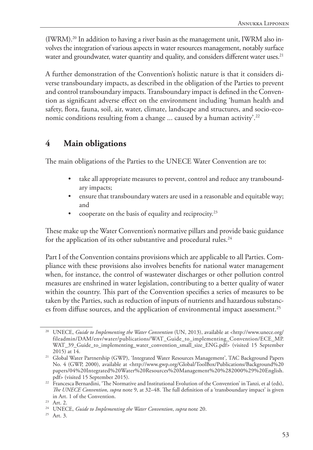(IWRM).20 In addition to having a river basin as the management unit, IWRM also involves the integration of various aspects in water resources management, notably surface water and groundwater, water quantity and quality, and considers different water uses.<sup>21</sup>

A further demonstration of the Convention's holistic nature is that it considers diverse transboundary impacts, as described in the obligation of the Parties to prevent and control transboundary impacts. Transboundary impact is defined in the Convention as significant adverse effect on the environment including 'human health and safety, flora, fauna, soil, air, water, climate, landscape and structures, and socio-economic conditions resulting from a change ... caused by a human activity'.<sup>22</sup>

## **4 Main obligations**

The main obligations of the Parties to the UNECE Water Convention are to:

- take all appropriate measures to prevent, control and reduce any transboundary impacts;
- ensure that transboundary waters are used in a reasonable and equitable way; and
- cooperate on the basis of equality and reciprocity.23

These make up the Water Convention's normative pillars and provide basic guidance for the application of its other substantive and procedural rules.<sup>24</sup>

Part I of the Convention contains provisions which are applicable to all Parties. Compliance with these provisions also involves benefits for national water management when, for instance, the control of wastewater discharges or other pollution control measures are enshrined in water legislation, contributing to a better quality of water within the country. This part of the Convention specifies a series of measures to be taken by the Parties, such as reduction of inputs of nutrients and hazardous substances from diffuse sources, and the application of environmental impact assessment.<sup>25</sup>

<sup>&</sup>lt;sup>20</sup> UNECE, *Guide to Implementing the Water Convention* (UN, 2013), available at <http://www.unece.org/ fileadmin/DAM/env/water/publications/WAT\_Guide\_to\_implementing\_Convention/ECE\_MP. WAT\_39\_Guide\_to\_implementing\_water\_convention\_small\_size\_ENG.pdf> (visited 15 September 2015) at 14.

<sup>21</sup> Global Water Partnership (GWP), 'Integrated Water Resources Management'*,* TAC Background Papers No. 4 (GWP, 2000), available at <http://www.gwp.org/Global/ToolBox/Publications/Background%20 papers/04%20Integrated%20Water%20Resources%20Management%20%282000%29%20English. pdf> (visited 15 September 2015).

<sup>&</sup>lt;sup>22</sup> Francesca Bernardini, 'The Normative and Institutional Evolution of the Convention' in Tanzi, et al (eds), *The UNECE Convention*, *supra* note 9, at 32–48. The full definition of a 'transboundary impact' is given in Art. 1 of the Convention. 23 Art. 2.

<sup>24</sup> UNECE, *Guide to Implementing the Water Convention*, *supra* note 20.

<sup>25</sup> Art. 3.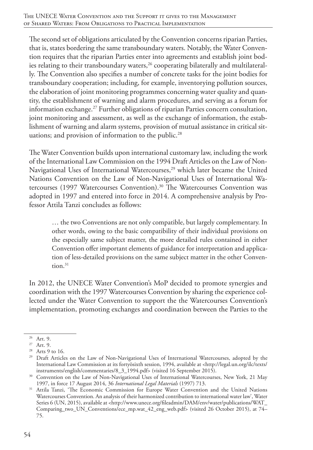The second set of obligations articulated by the Convention concerns riparian Parties, that is, states bordering the same transboundary waters. Notably, the Water Convention requires that the riparian Parties enter into agreements and establish joint bodies relating to their transboundary waters,<sup>26</sup> cooperating bilaterally and multilaterally. The Convention also specifies a number of concrete tasks for the joint bodies for transboundary cooperation; including, for example, inventorying pollution sources, the elaboration of joint monitoring programmes concerning water quality and quantity, the establishment of warning and alarm procedures, and serving as a forum for information exchange.27 Further obligations of riparian Parties concern consultation, joint monitoring and assessment, as well as the exchange of information, the establishment of warning and alarm systems, provision of mutual assistance in critical situations; and provision of information to the public.<sup>28</sup>

The Water Convention builds upon international customary law, including the work of the International Law Commission on the 1994 Draft Articles on the Law of Non-Navigational Uses of International Watercourses,<sup>29</sup> which later became the United Nations Convention on the Law of Non-Navigational Uses of International Watercourses (1997 Watercourses Convention).<sup>30</sup> The Watercourses Convention was adopted in 1997 and entered into force in 2014. A comprehensive analysis by Professor Attila Tanzi concludes as follows:

… the two Conventions are not only compatible, but largely complementary. In other words, owing to the basic compatibility of their individual provisions on the especially same subject matter, the more detailed rules contained in either Convention offer important elements of guidance for interpretation and application of less-detailed provisions on the same subject matter in the other Conven $tion.<sup>31</sup>$ 

In 2012, the UNECE Water Convention's MoP decided to promote synergies and coordination with the 1997 Watercourses Convention by sharing the experience collected under the Water Convention to support the the Watercourses Convention's implementation, promoting exchanges and coordination between the Parties to the

<sup>26</sup> Art. 9.

<sup>27</sup> Art. 9.

<sup>28</sup> Arts 9 to 16.

<sup>&</sup>lt;sup>29</sup> Draft Articles on the Law of Non-Navigational Uses of International Watercourses, adopted by the International Law Commission at its fortyösixth session, 1994, available at <http://legal.un.org/ilc/texts/ instruments/english/commentaries/8\_3\_1994.pdf> (visited 16 September 2015).

<sup>&</sup>lt;sup>30</sup> Convention on the Law of Non-Navigational Uses of International Watercourses, New York, 21 May 1997, in force 17 August 2014, 36 *International Legal Materials* (1997) 713.

<sup>&</sup>lt;sup>31</sup> Attila Tanzi, 'The Economic Commission for Europe Water Convention and the United Nations Watercourses Convention. An analysis of their harmonized contribution to international water law', Water Series 6 (UN, 2015), available at <http://www.unece.org/fileadmin/DAM/env/water/publications/WAT\_ Comparing\_two\_UN\_Conventions/ece\_mp.wat\_42\_eng\_web.pdf> (visited 26 October 2015), at 74– 75.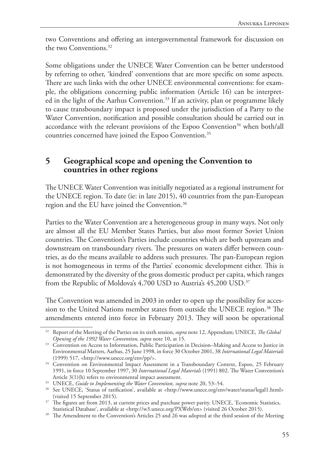two Conventions and offering an intergovernmental framework for discussion on the two Conventions.<sup>32</sup>

Some obligations under the UNECE Water Convention can be better understood by referring to other, 'kindred' conventions that are more specific on some aspects. There are such links with the other UNECE environmental conventions: for example, the obligations concerning public information (Article 16) can be interpreted in the light of the Aarhus Convention.<sup>33</sup> If an activity, plan or programme likely to cause transboundary impact is proposed under the jurisdiction of a Party to the Water Convention, notification and possible consultation should be carried out in accordance with the relevant provisions of the Espoo Convention<sup>34</sup> when both/all countries concerned have joined the Espoo Convention.<sup>35</sup>

#### **5 Geographical scope and opening the Convention to countries in other regions**

The UNECE Water Convention was initially negotiated as a regional instrument for the UNECE region. To date (ie: in late 2015), 40 countries from the pan-European region and the EU have joined the Convention.36

Parties to the Water Convention are a heterogeneous group in many ways. Not only are almost all the EU Member States Parties, but also most former Soviet Union countries. The Convention's Parties include countries which are both upstream and downstream on transboundary rivers. The pressures on waters differ between countries, as do the means available to address such pressures. The pan-European region is not homogeneous in terms of the Parties' economic development either. This is demonstrated by the diversity of the gross domestic product per capita, which ranges from the Republic of Moldova's 4,700 USD to Austria's 45,200 USD.<sup>37</sup>

The Convention was amended in 2003 in order to open up the possibility for accession to the United Nations member states from outside the UNECE region.<sup>38</sup> The amendments entered into force in February 2013. They will soon be operational

<sup>32</sup> Report of the Meeting of the Parties on its sixth session, *supra* note 12, Appendum; UNECE, *The Global Opening of the 1992 Water Convention, supra* note 10, at 15.

<sup>&</sup>lt;sup>33</sup> Convention on Access to Information, Public Participation in Decision–Making and Access to Justice in Environmental Matters, Aarhus, 25 June 1998, in force 30 October 2001, 38 *International Legal Materials* (1999) 517, <http://www.unece.org/env/pp/>.

<sup>&</sup>lt;sup>34</sup> Convention on Environmental Impact Assessment in a Transboundary Context, Espoo, 25 February 1991, in force 10 September 1997, 30 *International Legal Materials* (1991) 802. The Water Convention's Article 3(1)(h) refers to environmental impact assessment.

<sup>35</sup> UNECE, *Guide to Implementing the Water Convention, supra* note 20, 53–54.

<sup>36</sup> See UNECE, 'Status of ratification', available at <http://www.unece.org/env/water/status/legal1.html> (visited 15 September 2015). 37 The figures are from 2013, at current prices and purchase power parity. UNECE, 'Economic Statistics,

Statistical Database', available at <http://w3.unece.org/PXWeb/en> (visited 26 October 2015). 38 The Amendment to the Convention's Articles 25 and 26 was adopted at the third session of the Meeting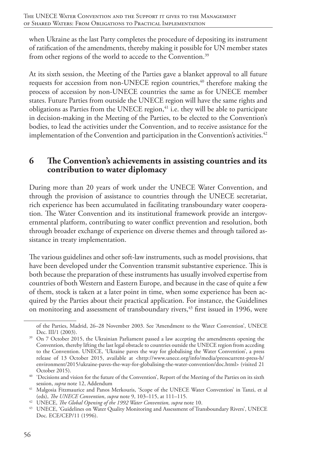when Ukraine as the last Party completes the procedure of depositing its instrument of ratification of the amendments, thereby making it possible for UN member states from other regions of the world to accede to the Convention.<sup>39</sup>

At its sixth session, the Meeting of the Parties gave a blanket approval to all future requests for accession from non-UNECE region countries,<sup>40</sup> therefore making the process of accession by non-UNECE countries the same as for UNECE member states. Future Parties from outside the UNECE region will have the same rights and obligations as Parties from the UNECE region, $41$  i.e. they will be able to participate in decision-making in the Meeting of the Parties, to be elected to the Convention's bodies, to lead the activities under the Convention, and to receive assistance for the implementation of the Convention and participation in the Convention's activities.<sup>42</sup>

#### **6 The Convention's achievements in assisting countries and its contribution to water diplomacy**

During more than 20 years of work under the UNECE Water Convention, and through the provision of assistance to countries through the UNECE secretariat, rich experience has been accumulated in facilitating transboundary water cooperation. The Water Convention and its institutional framework provide an intergovernmental platform, contributing to water conflict prevention and resolution, both through broader exchange of experience on diverse themes and through tailored assistance in treaty implementation.

The various guidelines and other soft-law instruments, such as model provisions, that have been developed under the Convention transmit substantive experience. This is both because the preparation of these instruments has usually involved expertise from countries of both Western and Eastern Europe, and because in the case of quite a few of them, stock is taken at a later point in time, when some experience has been acquired by the Parties about their practical application. For instance, the Guidelines on monitoring and assessment of transboundary rivers,<sup>43</sup> first issued in 1996, were

of the Parties, Madrid, 26–28 November 2003. See 'Amendment to the Water Convention', UNECE Dec. III/1 (2003).

<sup>&</sup>lt;sup>39</sup> On 7 October 2015, the Ukrainian Parliament passed a law accepting the amendments opening the Convention, thereby lifting the last legal obstacle to countries outside the UNECE region from acceding to the Convention. UNECE, 'Ukraine paves the way for globalising the Water Convention', a press release of 13 October 2015, available at <http://www.unece.org/info/media/presscurrent-press-h/ environment/2015/ukraine-paves-the-way-for-globalising-the-water-convention/doc.html> (visited 21 October 2015).

<sup>&</sup>lt;sup>40</sup> 'Decisions and vision for the future of the Convention', Report of the Meeting of the Parties on its sixth session, *supra* note 12, Addendum

<sup>&</sup>lt;sup>41</sup> Malgosia Fitzmaurice and Panos Merkouris, 'Scope of the UNECE Water Convention' in Tanzi, et al (eds), *The UNECE Convention*, *supra* note 9, 103–115, at 111–115.

<sup>42</sup> UNECE, *The Global Opening of the 1992 Water Convention, supra* note 10.

<sup>43</sup> UNECE, 'Guidelines on Water Quality Monitoring and Assessment of Transboundary Rivers', UNECE Doc. ECE/CEP/11 (1996).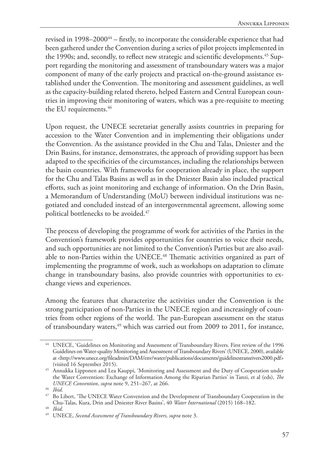revised in 1998–2000<sup>44</sup> – firstly, to incorporate the considerable experience that had been gathered under the Convention during a series of pilot projects implemented in the 1990s; and, secondly, to reflect new strategic and scientific developments.<sup>45</sup> Support regarding the monitoring and assessment of transboundary waters was a major component of many of the early projects and practical on-the-ground assistance established under the Convention. The monitoring and assessment guidelines, as well as the capacity-building related thereto, helped Eastern and Central European countries in improving their monitoring of waters, which was a pre-requisite to meeting the EU requirements.<sup>46</sup>

Upon request, the UNECE secretariat generally assists countries in preparing for accession to the Water Convention and in implementing their obligations under the Convention. As the assistance provided in the Chu and Talas, Dniester and the Drin Basins, for instance, demonstrates, the approach of providing support has been adapted to the specificities of the circumstances, including the relationships between the basin countries. With frameworks for cooperation already in place, the support for the Chu and Talas Basins as well as in the Dniester Basin also included practical efforts, such as joint monitoring and exchange of information. On the Drin Basin, a Memorandum of Understanding (MoU) between individual institutions was negotiated and concluded instead of an intergovernmental agreement, allowing some political bottlenecks to be avoided.<sup>47</sup>

The process of developing the programme of work for activities of the Parties in the Convention's framework provides opportunities for countries to voice their needs, and such opportunities are not limited to the Convention's Parties but are also available to non-Parties within the UNECE.<sup>48</sup> Thematic activities organized as part of implementing the programme of work, such as workshops on adaptation to climate change in transboundary basins, also provide countries with opportunities to exchange views and experiences.

Among the features that characterize the activities under the Convention is the strong participation of non-Parties in the UNECE region and increasingly of countries from other regions of the world. The pan-European assessment on the status of transboundary waters,<sup>49</sup> which was carried out from 2009 to 2011, for instance,

<sup>44</sup> UNECE, 'Guidelines on Monitoring and Assessment of Transboundary Rivers. First review of the 1996 Guidelines on Water-quality Monitoring and Assessment of Transboundary Rivers' (UNECE, 2000), available at <http://www.unece.org/fileadmin/DAM/env/water/publications/documents/guidelinestransrivers2000.pdf> (visited 16 September 2015).

<sup>45</sup> Annukka Lipponen and Lea Kauppi, 'Monitoring and Assessment and the Duty of Cooperation under the Water Convention: Exchange of Information Among the Riparian Parties' in Tanzi, et al (eds), *The UNECE Convention*, *supra* note 9, 251–267, at 266.

<sup>46</sup> *Ibid*.

<sup>47</sup> Bo Libert, 'The UNECE Water Convention and the Development of Transboundary Cooperation in the Chu-Talas, Kura, Drin and Dniester River Basins', 40 *Water International* (2015) 168–182.

<sup>48</sup> *Ibid*.

<sup>49</sup> UNECE, *Second Assessment of Transboundary Rivers, supra* note 3.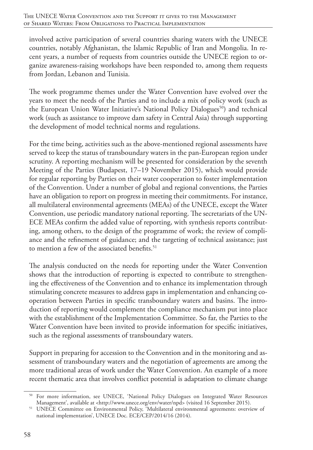involved active participation of several countries sharing waters with the UNECE countries, notably Afghanistan, the Islamic Republic of Iran and Mongolia. In recent years, a number of requests from countries outside the UNECE region to organize awareness-raising workshops have been responded to, among them requests from Jordan, Lebanon and Tunisia.

The work programme themes under the Water Convention have evolved over the years to meet the needs of the Parties and to include a mix of policy work (such as the European Union Water Initiative's National Policy Dialogues<sup>50</sup>) and technical work (such as assistance to improve dam safety in Central Asia) through supporting the development of model technical norms and regulations.

For the time being, activities such as the above-mentioned regional assessments have served to keep the status of transboundary waters in the pan-European region under scrutiny. A reporting mechanism will be presented for consideration by the seventh Meeting of the Parties (Budapest, 17–19 November 2015), which would provide for regular reporting by Parties on their water cooperation to foster implementation of the Convention. Under a number of global and regional conventions, the Parties have an obligation to report on progress in meeting their commitments. For instance, all multilateral environmental agreements (MEAs) of the UNECE, except the Water Convention, use periodic mandatory national reporting. The secretariats of the UN-ECE MEAs confirm the added value of reporting, with synthesis reports contributing, among others, to the design of the programme of work; the review of compliance and the refinement of guidance; and the targeting of technical assistance; just to mention a few of the associated benefits.<sup>51</sup>

The analysis conducted on the needs for reporting under the Water Convention shows that the introduction of reporting is expected to contribute to strengthening the effectiveness of the Convention and to enhance its implementation through stimulating concrete measures to address gaps in implementation and enhancing cooperation between Parties in specific transboundary waters and basins. The introduction of reporting would complement the compliance mechanism put into place with the establishment of the Implementation Committee. So far, the Parties to the Water Convention have been invited to provide information for specific initiatives, such as the regional assessments of transboundary waters.

Support in preparing for accession to the Convention and in the monitoring and assessment of transboundary waters and the negotiation of agreements are among the more traditional areas of work under the Water Convention. An example of a more recent thematic area that involves conflict potential is adaptation to climate change

<sup>&</sup>lt;sup>50</sup> For more information, see UNECE, 'National Policy Dialogues on Integrated Water Resources Management', available at <http://www.unece.org/env/water/npd> (visited 16 September 2015).

<sup>51</sup> UNECE Committee on Environmental Policy, 'Multilateral environmental agreements: overview of national implementation', UNECE Doc. ECE/CEP/2014/16 (2014).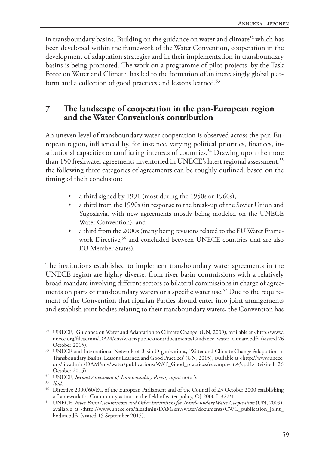in transboundary basins. Building on the guidance on water and climate<sup>52</sup> which has been developed within the framework of the Water Convention, cooperation in the development of adaptation strategies and in their implementation in transboundary basins is being promoted. The work on a programme of pilot projects, by the Task Force on Water and Climate, has led to the formation of an increasingly global platform and a collection of good practices and lessons learned.<sup>53</sup>

## **7 The landscape of cooperation in the pan-European region and the Water Convention's contribution**

An uneven level of transboundary water cooperation is observed across the pan-European region, influenced by, for instance, varying political priorities, finances, institutional capacities or conflicting interests of countries.<sup>54</sup> Drawing upon the more than 150 freshwater agreements inventoried in UNECE's latest regional assessment,<sup>55</sup> the following three categories of agreements can be roughly outlined, based on the timing of their conclusion:

- a third signed by 1991 (most during the 1950s or 1960s);
- a third from the 1990s (in response to the break-up of the Soviet Union and Yugoslavia, with new agreements mostly being modeled on the UNECE Water Convention); and
- a third from the 2000s (many being revisions related to the EU Water Framework Directive,<sup>56</sup> and concluded between UNECE countries that are also EU Member States).

The institutions established to implement transboundary water agreements in the UNECE region are highly diverse, from river basin commissions with a relatively broad mandate involving different sectors to bilateral commissions in charge of agreements on parts of transboundary waters or a specific water use.<sup>57</sup> Due to the requirement of the Convention that riparian Parties should enter into joint arrangements and establish joint bodies relating to their transboundary waters, the Convention has

<sup>52</sup> UNECE, 'Guidance on Water and Adaptation to Climate Change' (UN, 2009), available at <http://www. unece.org/fileadmin/DAM/env/water/publications/documents/Guidance\_water\_climate.pdf> (visited 26 October 2015).

<sup>53</sup> UNECE and International Network of Basin Organizations, 'Water and Climate Change Adaptation in Transboundary Basins: Lessons Learned and Good Practices' (UN, 2015), available at <http://www.unece. org/fileadmin/DAM/env/water/publications/WAT\_Good\_practices/ece.mp.wat.45.pdf> (visited 26 October 2015).

<sup>54</sup> UNECE, *Second Assessment of Transboundary Rivers, supra* note 3.

<sup>55</sup> *Ibid*.

<sup>56</sup> Directive 2000/60/EC of the European Parliament and of the Council of 23 October 2000 establishing a framework for Community action in the field of water policy, OJ 2000 L 327/1.

<sup>57</sup> UNECE, *River Basin Commissions and Other Institutions for Transboundary Water Cooperation* (UN, 2009), available at <http://www.unece.org/fileadmin/DAM/env/water/documents/CWC\_publication\_joint\_ bodies.pdf> (visited 15 September 2015).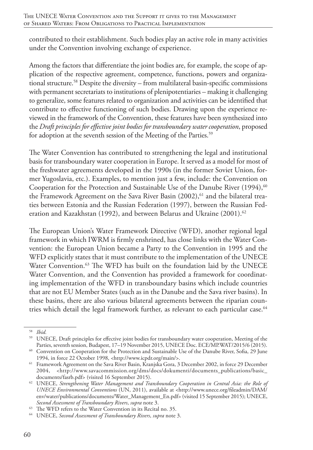contributed to their establishment. Such bodies play an active role in many activities under the Convention involving exchange of experience.

Among the factors that differentiate the joint bodies are, for example, the scope of application of the respective agreement, competence, functions, powers and organizational structure.58 Despite the diversity – from multilateral basin-specific commissions with permanent secretariats to institutions of plenipotentiaries – making it challenging to generalize, some features related to organization and activities can be identified that contribute to effective functioning of such bodies. Drawing upon the experience reviewed in the framework of the Convention, these features have been synthesized into the *Draft principles for effective joint bodies for transboundary water cooperation*, proposed for adoption at the seventh session of the Meeting of the Parties.<sup>59</sup>

The Water Convention has contributed to strengthening the legal and institutional basis for transboundary water cooperation in Europe. It served as a model for most of the freshwater agreements developed in the 1990s (in the former Soviet Union, former Yugoslavia, etc.). Examples, to mention just a few, include: the Convention on Cooperation for the Protection and Sustainable Use of the Danube River  $(1994)$ ,<sup>60</sup> the Framework Agreement on the Sava River Basin  $(2002)$ , <sup>61</sup> and the bilateral treaties between Estonia and the Russian Federation (1997), between the Russian Federation and Kazakhstan (1992), and between Belarus and Ukraine (2001).<sup>62</sup>

The European Union's Water Framework Directive (WFD), another regional legal framework in which IWRM is firmly enshrined, has close links with the Water Convention: the European Union became a Party to the Convention in 1995 and the WFD explicitly states that it must contribute to the implementation of the UNECE Water Convention.<sup>63</sup> The WFD has built on the foundation laid by the UNECE Water Convention, and the Convention has provided a framework for coordinating implementation of the WFD in transboundary basins which include countries that are not EU Member States (such as in the Danube and the Sava river basins). In these basins, there are also various bilateral agreements between the riparian countries which detail the legal framework further, as relevant to each particular case.<sup>64</sup>

<sup>58</sup> *Ibid.*

<sup>59</sup> UNECE, Draft principles for effective joint bodies for transboundary water cooperation, Meeting of the Parties, seventh session, Budapest, 17–19 November 2015, UNECE Doc. ECE/MP.WAT/2015/6 (2015).

<sup>&</sup>lt;sup>60</sup> Convention on Cooperation for the Protection and Sustainable Use of the Danube River, Sofia, 29 June 1994, in force 22 October 1998, <http://www.icpdr.org/main/>.

<sup>&</sup>lt;sup>61</sup> Framework Agreement on the Sava River Basin, Kranjska Gora, 3 December 2002, in force 29 December 2004, <http://www.savacommission.org/dms/docs/dokumenti/documents\_publications/basic\_ documents/fasrb.pdf> (visited 16 September 2015).

<sup>62</sup> UNECE, *Strengthening Water Management and Transboundary Cooperation in Central Asia: the Role of UNECE Environmental Conventions* (UN, 2011), available at <http://www.unece.org/fileadmin/DAM/ env/water/publications/documents/Water\_Management\_En.pdf> (visited 15 September 2015); UNECE, *Second Assessment of Transboundary Rivers*, *supra* note 3.

<sup>&</sup>lt;sup>64</sup> UNECE, *Second Assessment of Transboundary Rivers*, *supra* note 3.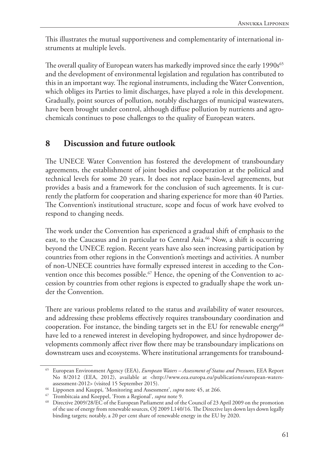This illustrates the mutual supportiveness and complementarity of international instruments at multiple levels.

The overall quality of European waters has markedly improved since the early 1990s<sup>65</sup> and the development of environmental legislation and regulation has contributed to this in an important way. The regional instruments, including the Water Convention, which obliges its Parties to limit discharges, have played a role in this development. Gradually, point sources of pollution, notably discharges of municipal wastewaters, have been brought under control, although diffuse pollution by nutrients and agrochemicals continues to pose challenges to the quality of European waters.

# **8 Discussion and future outlook**

The UNECE Water Convention has fostered the development of transboundary agreements, the establishment of joint bodies and cooperation at the political and technical levels for some 20 years. It does not replace basin-level agreements, but provides a basis and a framework for the conclusion of such agreements. It is currently the platform for cooperation and sharing experience for more than 40 Parties. The Convention's institutional structure, scope and focus of work have evolved to respond to changing needs.

The work under the Convention has experienced a gradual shift of emphasis to the east, to the Caucasus and in particular to Central Asia.<sup>66</sup> Now, a shift is occurring beyond the UNECE region. Recent years have also seen increasing participation by countries from other regions in the Convention's meetings and activities. A number of non-UNECE countries have formally expressed interest in acceding to the Convention once this becomes possible.<sup>67</sup> Hence, the opening of the Convention to accession by countries from other regions is expected to gradually shape the work under the Convention.

There are various problems related to the status and availability of water resources, and addressing these problems effectively requires transboundary coordination and cooperation. For instance, the binding targets set in the EU for renewable energy<sup>68</sup> have led to a renewed interest in developing hydropower, and since hydropower developments commonly affect river flow there may be transboundary implications on downstream uses and ecosystems. Where institutional arrangements for transbound-

<sup>65</sup> European Environment Agency (EEA), *European Waters – Assessment of Status and Pressures*, EEA Report No 8/2012 (EEA, 2012), available at <http://www.eea.europa.eu/publications/european-watersassessment-2012> (visited 15 September 2015).

<sup>66</sup> Lipponen and Kauppi, 'Monitoring and Assessment', *supra* note 45, at 266.

<sup>67</sup> Trombitcaia and Koeppel, 'From a Regional', *supra* note 9.

<sup>68</sup> Directive 2009/28/EC of the European Parliament and of the Council of 23 April 2009 on the promotion of the use of energy from renewable sources, OJ 2009 L140/16. The Directive lays down lays down legally binding targets; notably, a 20 per cent share of renewable energy in the EU by 2020.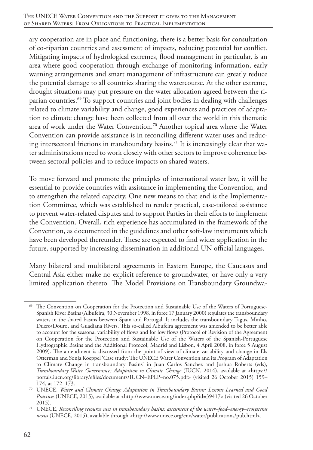ary cooperation are in place and functioning, there is a better basis for consultation of co-riparian countries and assessment of impacts, reducing potential for conflict. Mitigating impacts of hydrological extremes, flood management in particular, is an area where good cooperation through exchange of monitoring information, early warning arrangements and smart management of infrastructure can greatly reduce the potential damage to all countries sharing the watercourse. At the other extreme, drought situations may put pressure on the water allocation agreed between the riparian countries.69 To support countries and joint bodies in dealing with challenges related to climate variability and change, good experiences and practices of adaptation to climate change have been collected from all over the world in this thematic area of work under the Water Convention.70 Another topical area where the Water Convention can provide assistance is in reconciling different water uses and reducing intersectoral frictions in transboundary basins.<sup>71</sup> It is increasingly clear that water administrations need to work closely with other sectors to improve coherence between sectoral policies and to reduce impacts on shared waters.

To move forward and promote the principles of international water law, it will be essential to provide countries with assistance in implementing the Convention, and to strengthen the related capacity. One new means to that end is the Implementation Committee, which was established to render practical, case-tailored assistance to prevent water-related disputes and to support Parties in their efforts to implement the Convention. Overall, rich experience has accumulated in the framework of the Convention, as documented in the guidelines and other soft-law instruments which have been developed thereunder. These are expected to find wider application in the future, supported by increasing dissemination in additional UN official languages.

Many bilateral and multilateral agreements in Eastern Europe, the Caucasus and Central Asia either make no explicit reference to groundwater, or have only a very limited application thereto. The Model Provisions on Transboundary Groundwa-

<sup>&</sup>lt;sup>69</sup> The Convention on Cooperation for the Protection and Sustainable Use of the Waters of Portuguese-Spanish River Basins (Albufeira, 30 November 1998, in force 17 January 2000) regulates the transboundary waters in the shared basins between Spain and Portugal. It includes the transboundary Tagus, Minho, Duero/Douro, and Guadiana Rivers. This so-called Albufeira agreement was amended to be better able to account for the seasonal variability of flows and for low flows (Protocol of Revision of the Agreement on Cooperation for the Protection and Sustainable Use of the Waters of the Spanish-Portuguese Hydrographic Basins and the Additional Protocol, Madrid and Lisbon, 4 April 2008, in force 5 August 2009). The amendment is discussed from the point of view of climate variability and change in Els Otterman and Sonja Koeppel 'Case study: The UNECE Water Convention and its Program of Adaptation to Climate Change in transboundary Basins' in Juan Carlos Sanchez and Joshua Roberts (eds), *Transboundary Water Governance: Adaptation to Climate Change* (IUCN, 2014), available at <https:// portals.iucn.org/library/efiles/documents/IUCN–EPLP–no.075.pdf> (visited 26 October 2015) 159– 174, at 172–173.

<sup>70</sup> UNECE, *Water and Climate Change Adaptation in Transboundary Basins: Lessons Learned and Good Practices* (UNECE, 2015), available at <http://www.unece.org/index.php?id=39417> (visited 26 October 2015).

<sup>71</sup> UNECE, *Reconciling resource uses in transboundary basins: assessment of the water–food–energy–ecosystems nexus* (UNECE, 2015), available through <http://www.unece.org/env/water/publications/pub.html>.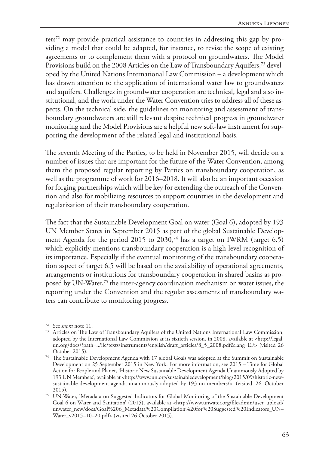ters72 may provide practical assistance to countries in addressing this gap by providing a model that could be adapted, for instance, to revise the scope of existing agreements or to complement them with a protocol on groundwaters. The Model Provisions build on the 2008 Articles on the Law of Transboundary Aquifers,<sup>73</sup> developed by the United Nations International Law Commission – a development which has drawn attention to the application of international water law to groundwaters and aquifers. Challenges in groundwater cooperation are technical, legal and also institutional, and the work under the Water Convention tries to address all of these aspects. On the technical side, the guidelines on monitoring and assessment of transboundary groundwaters are still relevant despite technical progress in groundwater monitoring and the Model Provisions are a helpful new soft-law instrument for supporting the development of the related legal and institutional basis.

The seventh Meeting of the Parties, to be held in November 2015, will decide on a number of issues that are important for the future of the Water Convention, among them the proposed regular reporting by Parties on transboundary cooperation, as well as the programme of work for 2016–2018. It will also be an important occasion for forging partnerships which will be key for extending the outreach of the Convention and also for mobilizing resources to support countries in the development and regularization of their transboundary cooperation.

The fact that the Sustainable Development Goal on water (Goal 6), adopted by 193 UN Member States in September 2015 as part of the global Sustainable Development Agenda for the period 2015 to 2030,<sup>74</sup> has a target on IWRM (target 6.5) which explicitly mentions transboundary cooperation is a high-level recognition of its importance. Especially if the eventual monitoring of the transboundary cooperation aspect of target 6.5 will be based on the availability of operational agreements, arrangements or institutions for transboundary cooperation in shared basins as proposed by UN-Water,75 the inter-agency coordination mechanism on water issues, the reporting under the Convention and the regular assessments of transboundary waters can contribute to monitoring progress.

<sup>72</sup> See *supra* note 11.

<sup>73</sup> Articles on The Law of Transboundary Aquifers of the United Nations International Law Commission, adopted by the International Law Commission at its sixtieth session, in 2008, available at <http://legal. un.org/docs/?path=../ilc/texts/instruments/english/draft\_articles/8\_5\_2008.pdf&lang=EF> (visited 26 October 2015).

<sup>74</sup> The Sustainable Development Agenda with 17 global Goals was adopted at the Summit on Sustainable Development on 25 September 2015 in New York. For more information, see 2015 – Time for Global Action for People and Planet, 'Historic New Sustainable Development Agenda Unanimously Adopted by 193 UN Members', available at <http://www.un.org/sustainabledevelopment/blog/2015/09/historic-newsustainable-development-agenda-unanimously-adopted-by-193-un-members/> (visited 26 October 2015).

<sup>75</sup> UN-Water, 'Metadata on Suggested Indicators for Global Monitoring of the Sustainable Development Goal 6 on Water and Sanitation' (2015), available at <http://www.unwater.org/fileadmin/user\_upload/ unwater\_new/docs/Goal%206\_Metadata%20Compilation%20for%20Suggested%20Indicators\_UN– Water\_v2015–10–20.pdf> (visited 26 October 2015).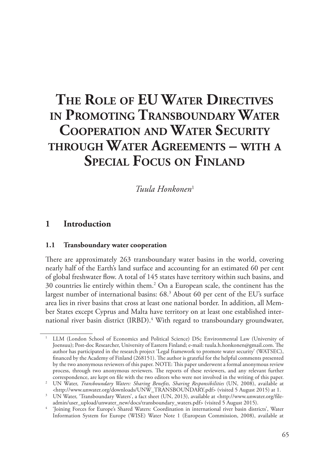# **The Role of EU Water Directives in Promoting Transboundary Water Cooperation and Water Security through Water Agreements – with a Special Focus on Finland**

*Tuula Honkonen*<sup>1</sup>

# **1 Introduction**

### **1.1 Transboundary water cooperation**

There are approximately 263 transboundary water basins in the world, covering nearly half of the Earth's land surface and accounting for an estimated 60 per cent of global freshwater flow. A total of 145 states have territory within such basins, and 30 countries lie entirely within them.2 On a European scale, the continent has the largest number of international basins: 68.3 About 60 per cent of the EU's surface area lies in river basins that cross at least one national border. In addition, all Member States except Cyprus and Malta have territory on at least one established international river basin district (IRBD).<sup>4</sup> With regard to transboundary groundwater,

<sup>1</sup> LLM (London School of Economics and Political Science) DSc Environmental Law (University of Joensuu); Post-doc Researcher, University of Eastern Finland; e-mail: tuula.h.honkonen@gmail.com. The author has participated in the research project 'Legal framework to promote water security' (WATSEC), financed by the Academy of Finland (268151). The author is grateful for the helpful comments presented by the two anonymous reviewers of this paper. NOTE: This paper underwent a formal anonymous review process, through two anonymous reviewers. The reports of these reviewers, and any relevant further correspondence, are kept on file with the two editors who were not involved in the writing of this paper.

<sup>&</sup>lt;sup>2</sup> UN Water, *Transboundary Waters: Sharing Benefits, Sharing Responsibilities* (UN, 2008), available at <http://www.unwater.org/downloads/UNW\_TRANSBOUNDARY.pdf> (visited 5 August 2015) at 1.

<sup>3</sup> UN Water, 'Transboundary Waters', a fact sheet (UN, 2013), available at <http://www.unwater.org/fileadmin/user\_upload/unwater\_new/docs/transboundary\_waters.pdf> (visited 5 August 2015).

<sup>&#</sup>x27;Joining Forces for Europe's Shared Waters: Coordination in international river basin districts', Water Information System for Europe (WISE) Water Note 1 (European Commission, 2008), available at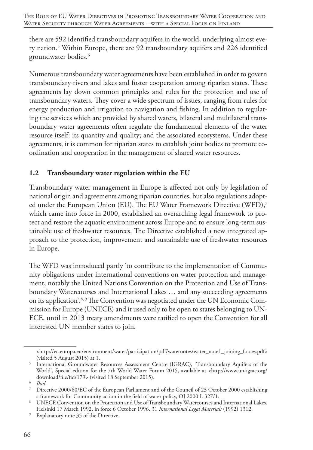there are 592 identified transboundary aquifers in the world, underlying almost every nation.5 Within Europe, there are 92 transboundary aquifers and 226 identified groundwater bodies.6

Numerous transboundary water agreements have been established in order to govern transboundary rivers and lakes and foster cooperation among riparian states. These agreements lay down common principles and rules for the protection and use of transboundary waters. They cover a wide spectrum of issues, ranging from rules for energy production and irrigation to navigation and fishing. In addition to regulating the services which are provided by shared waters, bilateral and multilateral transboundary water agreements often regulate the fundamental elements of the water resource itself: its quantity and quality; and the associated ecosystems. Under these agreements, it is common for riparian states to establish joint bodies to promote coordination and cooperation in the management of shared water resources.

### **1.2 Transboundary water regulation within the EU**

Transboundary water management in Europe is affected not only by legislation of national origin and agreements among riparian countries, but also regulations adopted under the European Union (EU). The EU Water Framework Directive (WFD),<sup>7</sup> which came into force in 2000, established an overarching legal framework to protect and restore the aquatic environment across Europe and to ensure long-term sustainable use of freshwater resources. The Directive established a new integrated approach to the protection, improvement and sustainable use of freshwater resources in Europe.

The WFD was introduced partly 'to contribute to the implementation of Community obligations under international conventions on water protection and management, notably the United Nations Convention on the Protection and Use of Transboundary Watercourses and International Lakes … and any succeeding agreements on its application'.<sup>8, 9</sup> The Convention was negotiated under the UN Economic Commission for Europe (UNECE) and it used only to be open to states belonging to UN-ECE, until in 2013 treaty amendments were ratified to open the Convention for all interested UN member states to join.

<sup>&</sup>lt;http://ec.europa.eu/environment/water/participation/pdf/waternotes/water\_note1\_joining\_forces.pdf> (visited 5 August 2015) at 1.

<sup>5</sup> International Groundwater Resources Assessment Centre (IGRAC), 'Transboundary Aquifers of the World', Special edition for the 7th World Water Forum 2015, available at <http://www.un-igrac.org/ download/file/fid/179> (visited 18 September 2015).

<sup>6</sup> *Ibid*.

<sup>7</sup> Directive 2000/60/EC of the European Parliament and of the Council of 23 October 2000 establishing a framework for Community action in the field of water policy, OJ 2000 L 327/1.

<sup>8</sup> UNECE Convention on the Protection and Use of Transboundary Watercourses and International Lakes, Helsinki 17 March 1992, in force 6 October 1996, 31 *International Legal Materials* (1992) 1312.

<sup>9</sup> Explanatory note 35 of the Directive.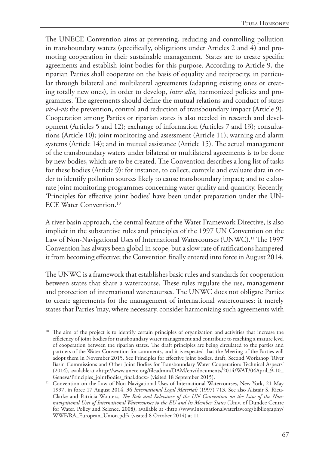The UNECE Convention aims at preventing, reducing and controlling pollution in transboundary waters (specifically, obligations under Articles 2 and 4) and promoting cooperation in their sustainable management. States are to create specific agreements and establish joint bodies for this purpose. According to Article 9, the riparian Parties shall cooperate on the basis of equality and reciprocity, in particular through bilateral and multilateral agreements (adapting existing ones or creating totally new ones), in order to develop, *inter alia*, harmonized policies and programmes. The agreements should define the mutual relations and conduct of states *vis-à-vis* the prevention, control and reduction of transboundary impact (Article 9). Cooperation among Parties or riparian states is also needed in research and development (Articles 5 and 12); exchange of information (Articles 7 and 13); consultations (Article 10); joint monitoring and assessment (Article 11); warning and alarm systems (Article 14); and in mutual assistance (Article 15). The actual management of the transboundary waters under bilateral or multilateral agreements is to be done by new bodies, which are to be created. The Convention describes a long list of tasks for these bodies (Article 9): for instance, to collect, compile and evaluate data in order to identify pollution sources likely to cause transboundary impact; and to elaborate joint monitoring programmes concerning water quality and quantity. Recently, 'Principles for effective joint bodies' have been under preparation under the UN-ECE Water Convention.10

A river basin approach, the central feature of the Water Framework Directive, is also implicit in the substantive rules and principles of the 1997 UN Convention on the Law of Non-Navigational Uses of International Watercourses (UNWC).<sup>11</sup> The 1997 Convention has always been global in scope, but a slow rate of ratifications hampered it from becoming effective; the Convention finally entered into force in August 2014.

The UNWC is a framework that establishes basic rules and standards for cooperation between states that share a watercourse. These rules regulate the use, management and protection of international watercourses. The UNWC does not obligate Parties to create agreements for the management of international watercourses; it merely states that Parties 'may, where necessary, consider harmonizing such agreements with

<sup>&</sup>lt;sup>10</sup> The aim of the project is to identify certain principles of organization and activities that increase the efficiency of joint bodies for transboundary water management and contribute to reaching a mature level of cooperation between the riparian states. The draft principles are being circulated to the parties and partners of the Water Convention for comments, and it is expected that the Meeting of the Parties will adopt them in November 2015. See Principles for effective joint bodies, draft, Second Workshop 'River Basin Commissions and Other Joint Bodies for Transboundary Water Cooperation: Technical Aspects' (2014), available at <http://www.unece.org/fileadmin/DAM/env/documents/2014/WAT/04April\_9-10\_ Geneva/Principles\_jointBodies\_final.docx> (visited 18 September 2015).

<sup>&</sup>lt;sup>11</sup> Convention on the Law of Non-Navigational Uses of International Watercourses, New York, 21 May 1997, in force 17 August 2014, 36 *International Legal Materials* (1997) 713. See also Alistair S. Rieu-Clarke and Patricia Wouters, *The Role and Relevance of the UN Convention on the Law of the Nonnavigational Uses of International Watercourses to the EU and Its Member States* (Univ. of Dundee Centre for Water, Policy and Science, 2008), available at <http://www.internationalwaterlaw.org/bibliography/ WWF/RA\_European\_Union.pdf> (visited 8 October 2014) at 11.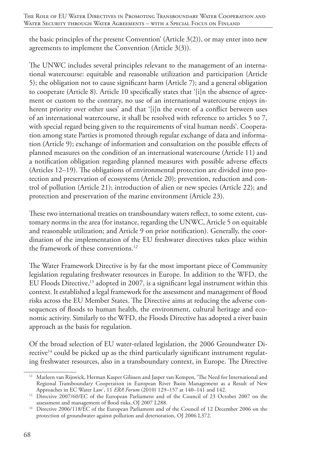the basic principles of the present Convention' (Article 3(2)), or may enter into new agreements to implement the Convention (Article 3(3)).

The UNWC includes several principles relevant to the management of an international watercourse: equitable and reasonable utilization and participation (Article 5); the obligation not to cause significant harm (Article 7); and a general obligation to cooperate (Article 8). Article 10 specifically states that '[i]n the absence of agreement or custom to the contrary, no use of an international watercourse enjoys inherent priority over other uses' and that '[i]n the event of a conflict between uses of an international watercourse, it shall be resolved with reference to articles 5 to 7, with special regard being given to the requirements of vital human needs'. Cooperation among state Parties is promoted through regular exchange of data and information (Article 9); exchange of information and consultation on the possible effects of planned measures on the condition of an international watercourse (Article 11) and a notification obligation regarding planned measures with possible adverse effects (Articles 12–19). The obligations of environmental protection are divided into protection and preservation of ecosystems (Article 20); prevention, reduction and control of pollution (Article 21); introduction of alien or new species (Article 22); and protection and preservation of the marine environment (Article 23).

These two international treaties on transboundary waters reflect, to some extent, customary norms in the area (for instance, regarding the UNWC, Article 5 on equitable and reasonable utilization; and Article 9 on prior notification). Generally, the coordination of the implementation of the EU freshwater directives takes place within the framework of these conventions.12

The Water Framework Directive is by far the most important piece of Community legislation regulating freshwater resources in Europe. In addition to the WFD, the EU Floods Directive,<sup>13</sup> adopted in 2007, is a significant legal instrument within this context. It established a legal framework for the assessment and management of flood risks across the EU Member States. The Directive aims at reducing the adverse consequences of floods to human health, the environment, cultural heritage and economic activity. Similarly to the WFD, the Floods Directive has adopted a river basin approach as the basis for regulation.

Of the broad selection of EU water-related legislation, the 2006 Groundwater Directive<sup>14</sup> could be picked up as the third particularly significant instrument regulating freshwater resources, also in a transboundary context, in Europe. The Directive

<sup>&</sup>lt;sup>12</sup> Marleen van Rijswick, Herman Kasper Gilissen and Jasper van Kempen, 'The Need for International and Regional Transboundary Cooperation in European River Basin Management as a Result of New Approaches in EC Water Law', 11 *ERA Forum* (2010) 129–157 at 140–141 and 142.

<sup>&</sup>lt;sup>13</sup> Directive 2007/60/EC of the European Parliament and of the Council of 23 October 2007 on the assessment and management of flood risks, OJ 2007 L288.

<sup>&</sup>lt;sup>14</sup> Directive 2006/118/EC of the European Parliament and of the Council of 12 December 2006 on the protection of groundwater against pollution and deterioration, OJ 2006 L372.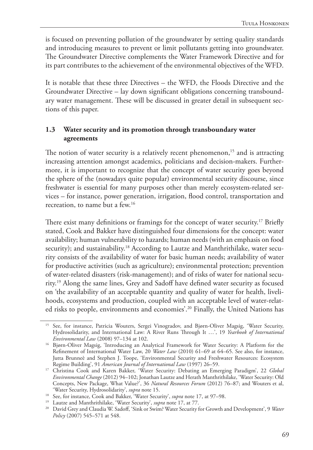is focused on preventing pollution of the groundwater by setting quality standards and introducing measures to prevent or limit pollutants getting into groundwater. The Groundwater Directive complements the Water Framework Directive and for its part contributes to the achievement of the environmental objectives of the WFD.

It is notable that these three Directives – the WFD, the Floods Directive and the Groundwater Directive – lay down significant obligations concerning transboundary water management. These will be discussed in greater detail in subsequent sections of this paper.

### **1.3 Water security and its promotion through transboundary water agreements**

The notion of water security is a relatively recent phenomenon,<sup>15</sup> and is attracting increasing attention amongst academics, politicians and decision-makers. Furthermore, it is important to recognize that the concept of water security goes beyond the sphere of the (nowadays quite popular) environmental security discourse, since freshwater is essential for many purposes other than merely ecosystem-related services – for instance, power generation, irrigation, flood control, transportation and recreation, to name but a few.16

There exist many definitions or framings for the concept of water security.<sup>17</sup> Briefly stated, Cook and Bakker have distinguished four dimensions for the concept: water availability; human vulnerability to hazards; human needs (with an emphasis on food security); and sustainability.<sup>18</sup> According to Lautze and Manthrithilake, water security consists of the availability of water for basic human needs; availability of water for productive activities (such as agriculture); environmental protection; prevention of water-related disasters (risk-management); and of risks of water for national security.19 Along the same lines, Grey and Sadoff have defined water security as focused on 'the availability of an acceptable quantity and quality of water for health, livelihoods, ecosystems and production, coupled with an acceptable level of water-related risks to people, environments and economies'.20 Finally, the United Nations has

<sup>&</sup>lt;sup>15</sup> See, for instance, Patricia Wouters, Sergei Vinogradov, and Bjørn-Oliver Magsig, 'Water Security, Hydrosolidarity, and International Law: A River Runs Through It …', 19 *Yearbook of International Environmental Law* (2008) 97–134 at 102.

<sup>16</sup> Bjørn-Oliver Magsig, 'Introducing an Analytical Framework for Water Security: A Platform for the Refinement of International Water Law, 20 *Water Law* (2010) 61–69 at 64–65. See also, for instance, Jutta Brunneè and Stephen J. Toope, 'Environmental Security and Freshwater Resources: Ecosystem Regime Building', 91 *American Journal of International Law* (1997) 26–59.

<sup>17</sup> Christina Cook and Karen Bakker, 'Water Security: Debating an Emerging Paradigm', 22 *Global Environmental Change* (2012) 94–102; Jonathan Lautze and Herath Manthrithilake, 'Water Security: Old Concepts, New Package, What Value?', 36 *Natural Resources Forum* (2012) 76–87; and Wouters et al, 'Water Security, Hydrosolidarity', *supra* note 15.

<sup>&</sup>lt;sup>18</sup> See, for instance, Cook and Bakker, 'Water Security', *supra* note 17, at 97-98.

<sup>19</sup> Lautze and Manthrithilake, 'Water Security', *supra* note 17, at 77.

<sup>&</sup>lt;sup>20</sup> David Grey and Claudia W. Sadoff, 'Sink or Swim? Water Security for Growth and Development', 9 Water *Policy* (2007) 545–571 at 548.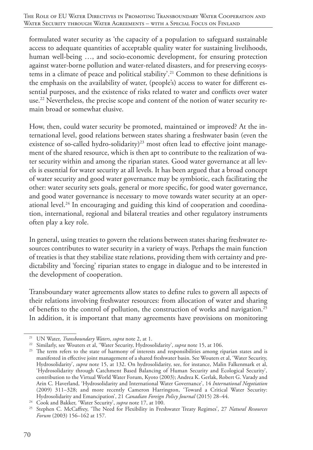formulated water security as 'the capacity of a population to safeguard sustainable access to adequate quantities of acceptable quality water for sustaining livelihoods, human well-being ..., and socio-economic development, for ensuring protection against water-borne pollution and water-related disasters, and for preserving ecosystems in a climate of peace and political stability'.21 Common to these definitions is the emphasis on the availability of water, (people's) access to water for different essential purposes, and the existence of risks related to water and conflicts over water use.<sup>22</sup> Nevertheless, the precise scope and content of the notion of water security remain broad or somewhat elusive.

How, then, could water security be promoted, maintained or improved? At the international level, good relations between states sharing a freshwater basin (even the existence of so-called hydro-solidarity)<sup>23</sup> most often lead to effective joint management of the shared resource, which is then apt to contribute to the realization of water security within and among the riparian states. Good water governance at all levels is essential for water security at all levels. It has been argued that a broad concept of water security and good water governance may be symbiotic, each facilitating the other: water security sets goals, general or more specific, for good water governance, and good water governance is necessary to move towards water security at an operational level.<sup>24</sup> In encouraging and guiding this kind of cooperation and coordination, international, regional and bilateral treaties and other regulatory instruments often play a key role.

In general, using treaties to govern the relations between states sharing freshwater resources contributes to water security in a variety of ways. Perhaps the main function of treaties is that they stabilize state relations, providing them with certainty and predictability and 'forcing' riparian states to engage in dialogue and to be interested in the development of cooperation.

Transboundary water agreements allow states to define rules to govern all aspects of their relations involving freshwater resources: from allocation of water and sharing of benefits to the control of pollution, the construction of works and navigation.25 In addition, it is important that many agreements have provisions on monitoring

<sup>21</sup> UN Water, *Transboundary Waters*, *supra* note 2, at 1.

<sup>&</sup>lt;sup>22</sup> Similarly, see Wouters et al, 'Water Security, Hydrosolidarity', *supra* note 15, at 106.

<sup>&</sup>lt;sup>23</sup> The term refers to the state of harmony of interests and responsibilities among riparian states and is manifested in effective joint management of a shared freshwater basin. See Wouters et al, 'Water Security, Hydrosolidarity', *supra* note 15, at 132. On hydrosolidarity, see, for instance, Malin Falkenmark et al, 'Hydrosolidarity through Catchment Based Balancing of Human Security and Ecological Security', contribution to the Virtual World Water Forum, Kyoto (2003); Andrea K. Gerlak, Robert G. Varady and Arin C. Haverland, 'Hydrosolidarity and International Water Governance', 14 *International Negotiation* (2009) 311–328; and more recently Cameron Harrington, 'Toward a Critical Water Security: Hydrosolidarity and Emancipation', 21 *Canadian Foreign Policy Journal* (2015) 28–44.

<sup>24</sup> Cook and Bakker, 'Water Security', *supra* note 17, at 100.

<sup>25</sup> Stephen C. McCaffrey, 'The Need for Flexibility in Freshwater Treaty Regimes', 27 *Natural Resources Forum* (2003) 156–162 at 157.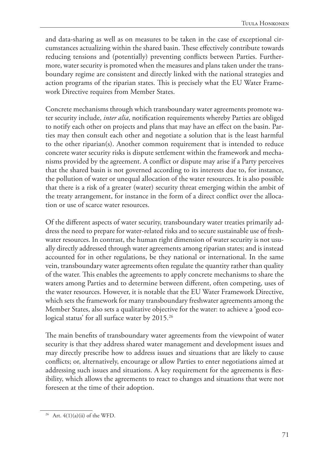and data-sharing as well as on measures to be taken in the case of exceptional circumstances actualizing within the shared basin. These effectively contribute towards reducing tensions and (potentially) preventing conflicts between Parties. Furthermore, water security is promoted when the measures and plans taken under the transboundary regime are consistent and directly linked with the national strategies and action programs of the riparian states. This is precisely what the EU Water Framework Directive requires from Member States.

Concrete mechanisms through which transboundary water agreements promote water security include, *inter alia*, notification requirements whereby Parties are obliged to notify each other on projects and plans that may have an effect on the basin. Parties may then consult each other and negotiate a solution that is the least harmful to the other riparian(s). Another common requirement that is intended to reduce concrete water security risks is dispute settlement within the framework and mechanisms provided by the agreement. A conflict or dispute may arise if a Party perceives that the shared basin is not governed according to its interests due to, for instance, the pollution of water or unequal allocation of the water resources. It is also possible that there is a risk of a greater (water) security threat emerging within the ambit of the treaty arrangement, for instance in the form of a direct conflict over the allocation or use of scarce water resources.

Of the different aspects of water security, transboundary water treaties primarily address the need to prepare for water-related risks and to secure sustainable use of freshwater resources. In contrast, the human right dimension of water security is not usually directly addressed through water agreements among riparian states; and is instead accounted for in other regulations, be they national or international. In the same vein, transboundary water agreements often regulate the quantity rather than quality of the water. This enables the agreements to apply concrete mechanisms to share the waters among Parties and to determine between different, often competing, uses of the water resources. However, it is notable that the EU Water Framework Directive, which sets the framework for many transboundary freshwater agreements among the Member States, also sets a qualitative objective for the water: to achieve a 'good ecological status' for all surface water by 2015.<sup>26</sup>

The main benefits of transboundary water agreements from the viewpoint of water security is that they address shared water management and development issues and may directly prescribe how to address issues and situations that are likely to cause conflicts; or, alternatively, encourage or allow Parties to enter negotiations aimed at addressing such issues and situations. A key requirement for the agreements is flexibility, which allows the agreements to react to changes and situations that were not foreseen at the time of their adoption.

<sup>&</sup>lt;sup>26</sup> Art.  $4(1)(a)(ii)$  of the WFD.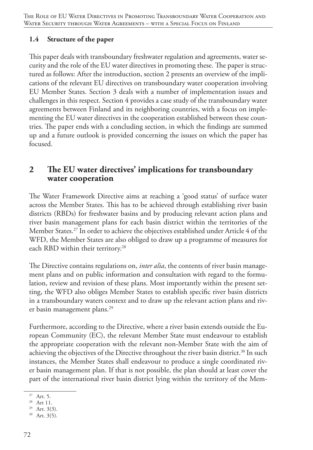### **1.4 Structure of the paper**

This paper deals with transboundary freshwater regulation and agreements, water security and the role of the EU water directives in promoting these. The paper is structured as follows: After the introduction, section 2 presents an overview of the implications of the relevant EU directives on transboundary water cooperation involving EU Member States. Section 3 deals with a number of implementation issues and challenges in this respect. Section 4 provides a case study of the transboundary water agreements between Finland and its neighboring countries, with a focus on implementing the EU water directives in the cooperation established between these countries. The paper ends with a concluding section, in which the findings are summed up and a future outlook is provided concerning the issues on which the paper has focused.

# **2 The EU water directives' implications for transboundary water cooperation**

The Water Framework Directive aims at reaching a 'good status' of surface water across the Member States. This has to be achieved through establishing river basin districts (RBDs) for freshwater basins and by producing relevant action plans and river basin management plans for each basin district within the territories of the Member States.27 In order to achieve the objectives established under Article 4 of the WFD, the Member States are also obliged to draw up a programme of measures for each RBD within their territory.<sup>28</sup>

The Directive contains regulations on, *inter alia*, the contents of river basin management plans and on public information and consultation with regard to the formulation, review and revision of these plans. Most importantly within the present setting, the WFD also obliges Member States to establish specific river basin districts in a transboundary waters context and to draw up the relevant action plans and river basin management plans.<sup>29</sup>

Furthermore, according to the Directive, where a river basin extends outside the European Community (EC), the relevant Member State must endeavour to establish the appropriate cooperation with the relevant non-Member State with the aim of achieving the objectives of the Directive throughout the river basin district.<sup>30</sup> In such instances, the Member States shall endeavour to produce a single coordinated river basin management plan. If that is not possible, the plan should at least cover the part of the international river basin district lying within the territory of the Mem-

<sup>27</sup> Art. 5.

<sup>28</sup> Art 11.

<sup>29</sup> Art. 3(3).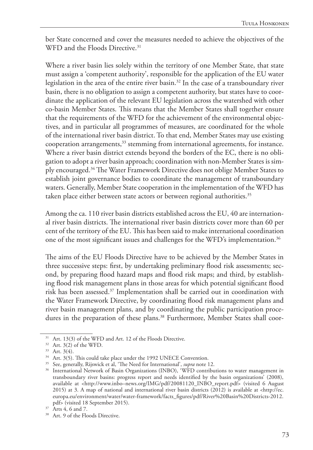ber State concerned and cover the measures needed to achieve the objectives of the WFD and the Floods Directive.<sup>31</sup>

Where a river basin lies solely within the territory of one Member State, that state must assign a 'competent authority', responsible for the application of the EU water legislation in the area of the entire river basin.32 In the case of a transboundary river basin, there is no obligation to assign a competent authority, but states have to coordinate the application of the relevant EU legislation across the watershed with other co-basin Member States. This means that the Member States shall together ensure that the requirements of the WFD for the achievement of the environmental objectives, and in particular all programmes of measures, are coordinated for the whole of the international river basin district. To that end, Member States may use existing cooperation arrangements,<sup>33</sup> stemming from international agreements, for instance. Where a river basin district extends beyond the borders of the EC, there is no obligation to adopt a river basin approach; coordination with non-Member States is simply encouraged.34 The Water Framework Directive does not oblige Member States to establish joint governance bodies to coordinate the management of transboundary waters. Generally, Member State cooperation in the implementation of the WFD has taken place either between state actors or between regional authorities.<sup>35</sup>

Among the ca. 110 river basin districts established across the EU, 40 are international river basin districts. The international river basin districts cover more than 60 per cent of the territory of the EU. This has been said to make international coordination one of the most significant issues and challenges for the WFD's implementation.<sup>36</sup>

The aims of the EU Floods Directive have to be achieved by the Member States in three successive steps: first, by undertaking preliminary flood risk assessments; second, by preparing flood hazard maps and flood risk maps; and third, by establishing flood risk management plans in those areas for which potential significant flood risk has been assessed.37 Implementation shall be carried out in coordination with the Water Framework Directive, by coordinating flood risk management plans and river basin management plans, and by coordinating the public participation procedures in the preparation of these plans.<sup>38</sup> Furthermore, Member States shall coor-

<sup>&</sup>lt;sup>31</sup> Art. 13(3) of the WFD and Art. 12 of the Floods Directive.

 $32$  Art.  $3(2)$  of the WFD.

 $33$  Art.  $3(4)$ .

<sup>&</sup>lt;sup>34</sup> Art. 3(5). This could take place under the 1992 UNECE Convention.

<sup>35</sup> See, generally, Rijswick et al, 'The Need for International', *supra* note 12.

<sup>&</sup>lt;sup>36</sup> International Network of Basin Organizations (INBO), 'WFD contributions to water management in transboundary river basins: progress report and needs identified by the basin organizations' (2008), available at <http://www.inbo–news.org/IMG/pdf/20081120\_INBO\_report.pdf> (visited 6 August 2015) at 3. A map of national and international river basin districts (2012) is available at <http://ec. europa.eu/environment/water/water-framework/facts\_figures/pdf/River%20Basin%20Districts-2012. pdf> (visited 18 September 2015).

<sup>&</sup>lt;sup>37</sup> Arts 4, 6 and 7.

<sup>&</sup>lt;sup>38</sup> Art. 9 of the Floods Directive.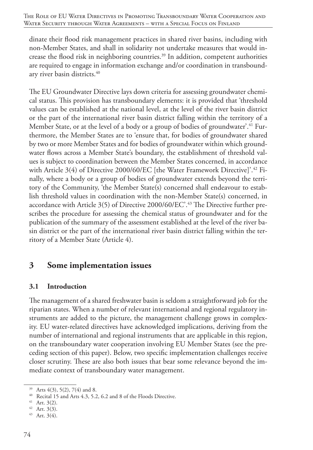dinate their flood risk management practices in shared river basins, including with non-Member States, and shall in solidarity not undertake measures that would increase the flood risk in neighboring countries.<sup>39</sup> In addition, competent authorities are required to engage in information exchange and/or coordination in transboundary river basin districts.40

The EU Groundwater Directive lays down criteria for assessing groundwater chemical status. This provision has transboundary elements: it is provided that 'threshold values can be established at the national level, at the level of the river basin district or the part of the international river basin district falling within the territory of a Member State, or at the level of a body or a group of bodies of groundwater'.<sup>41</sup> Furthermore, the Member States are to 'ensure that, for bodies of groundwater shared by two or more Member States and for bodies of groundwater within which groundwater flows across a Member State's boundary, the establishment of threshold values is subject to coordination between the Member States concerned, in accordance with Article 3(4) of Directive 2000/60/EC [the Water Framework Directive]'.42 Finally, where a body or a group of bodies of groundwater extends beyond the territory of the Community, 'the Member State(s) concerned shall endeavour to establish threshold values in coordination with the non-Member State(s) concerned, in accordance with Article 3(5) of Directive 2000/60/EC'.43 The Directive further prescribes the procedure for assessing the chemical status of groundwater and for the publication of the summary of the assessment established at the level of the river basin district or the part of the international river basin district falling within the territory of a Member State (Article 4).

## **3 Some implementation issues**

### **3.1 Introduction**

The management of a shared freshwater basin is seldom a straightforward job for the riparian states. When a number of relevant international and regional regulatory instruments are added to the picture, the management challenge grows in complexity. EU water-related directives have acknowledged implications, deriving from the number of international and regional instruments that are applicable in this region, on the transboundary water cooperation involving EU Member States (see the preceding section of this paper). Below, two specific implementation challenges receive closer scrutiny. These are also both issues that bear some relevance beyond the immediate context of transboundary water management.

<sup>39</sup> Arts 4(3), 5(2), 7(4) and 8.

<sup>40</sup> Recital 15 and Arts 4.3, 5.2, 6.2 and 8 of the Floods Directive.

<sup>41</sup> Art. 3(2).

<sup>42</sup> Art. 3(3).

<sup>43</sup> Art. 3(4).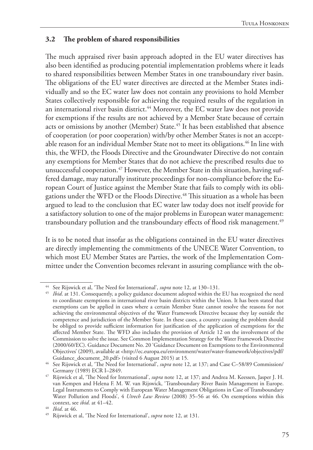### **3.2 The problem of shared responsibilities**

The much appraised river basin approach adopted in the EU water directives has also been identified as producing potential implementation problems where it leads to shared responsibilities between Member States in one transboundary river basin. The obligations of the EU water directives are directed at the Member States individually and so the EC water law does not contain any provisions to hold Member States collectively responsible for achieving the required results of the regulation in an international river basin district.<sup>44</sup> Moreover, the EC water law does not provide for exemptions if the results are not achieved by a Member State because of certain acts or omissions by another (Member) State.<sup>45</sup> It has been established that absence of cooperation (or poor cooperation) with/by other Member States is not an acceptable reason for an individual Member State not to meet its obligations.<sup>46</sup> In line with this, the WFD, the Floods Directive and the Groundwater Directive do not contain any exemptions for Member States that do not achieve the prescribed results due to unsuccessful cooperation.<sup>47</sup> However, the Member State in this situation, having suffered damage, may naturally institute proceedings for non-compliance before the European Court of Justice against the Member State that fails to comply with its obligations under the WFD or the Floods Directive.48 This situation as a whole has been argued to lead to the conclusion that EC water law today does not itself provide for a satisfactory solution to one of the major problems in European water management: transboundary pollution and the transboundary effects of flood risk management.<sup>49</sup>

It is to be noted that insofar as the obligations contained in the EU water directives are directly implementing the commitments of the UNECE Water Convention, to which most EU Member States are Parties, the work of the Implementation Committee under the Convention becomes relevant in assuring compliance with the ob-

<sup>44</sup> See Rijswick et al, 'The Need for International', *supra* note 12, at 130–131.

<sup>&</sup>lt;sup>45</sup> *Ibid.* at 131. Consequently, a policy guidance document adopted within the EU has recognized the need to coordinate exemptions in international river basin districts within the Union. It has been stated that exemptions can be applied in cases where a certain Member State cannot resolve the reasons for not achieving the environmental objectives of the Water Framework Directive because they lay outside the competence and jurisdiction of the Member State. In these cases, a country causing the problem should be obliged to provide sufficient information for justification of the application of exemptions for the affected Member State. The WFD also includes the provision of Article 12 on the involvement of the Commission to solve the issue. See Common Implementation Strategy for the Water Framework Directive (2000/60/EC). Guidance Document No. 20 'Guidance Document on Exemptions to the Environmental Objectives' (2009), available at <http://ec.europa.eu/environment/water/water-framework/objectives/pdf/ Guidance\_document\_20.pdf> (visited 6 August 2015) at 15.

<sup>46</sup> See Rijswick et al, 'The Need for International', *supra* note 12, at 137; and Case C–58/89 Commission/ Germany (1989) ECR I–2849.

<sup>47</sup> Rijswick et al, 'The Need for International', *supra* note 12, at 137; and Andrea M. Keessen, Jasper J. H. van Kempen and Helena F. M. W. van Rijswick, 'Transboundary River Basin Management in Europe. Legal Instruments to Comply with European Water Management Obligations in Case of Transboundary Water Pollution and Floods', 4 *Utrech Law Review* (2008) 35–56 at 46. On exemptions within this context, see *ibid*. at 41–42.

<sup>48</sup> *Ibid*. at 46.

<sup>49</sup> Rijswick et al, 'The Need for International', *supra* note 12, at 131.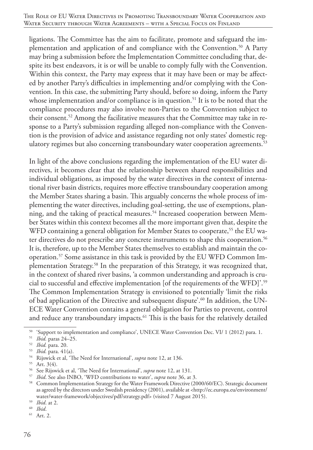ligations. The Committee has the aim to facilitate, promote and safeguard the implementation and application of and compliance with the Convention.<sup>50</sup> A Party may bring a submission before the Implementation Committee concluding that, despite its best endeavors, it is or will be unable to comply fully with the Convention. Within this context, the Party may express that it may have been or may be affected by another Party's difficulties in implementing and/or complying with the Convention. In this case, the submitting Party should, before so doing, inform the Party whose implementation and/or compliance is in question.<sup>51</sup> It is to be noted that the compliance procedures may also involve non-Parties to the Convention subject to their consent.52 Among the facilitative measures that the Committee may take in response to a Party's submission regarding alleged non-compliance with the Convention is the provision of advice and assistance regarding not only states' domestic regulatory regimes but also concerning transboundary water cooperation agreements.<sup>53</sup>

In light of the above conclusions regarding the implementation of the EU water directives, it becomes clear that the relationship between shared responsibilities and individual obligations, as imposed by the water directives in the context of international river basin districts, requires more effective transboundary cooperation among the Member States sharing a basin. This arguably concerns the whole process of implementing the water directives, including goal-setting, the use of exemptions, planning, and the taking of practical measures.54 Increased cooperation between Member States within this context becomes all the more important given that, despite the WFD containing a general obligation for Member States to cooperate,<sup>55</sup> the EU water directives do not prescribe any concrete instruments to shape this cooperation.<sup>56</sup> It is, therefore, up to the Member States themselves to establish and maintain the cooperation.57 Some assistance in this task is provided by the EU WFD Common Implementation Strategy.58 In the preparation of this Strategy, it was recognized that, in the context of shared river basins, 'a common understanding and approach is crucial to successful and effective implementation [of the requirements of the WFD]'.59 The Common Implementation Strategy is envisioned to potentially 'limit the risks of bad application of the Directive and subsequent dispute'.<sup>60</sup> In addition, the UN-ECE Water Convention contains a general obligation for Parties to prevent, control and reduce any transboundary impacts.<sup>61</sup> This is the basis for the relatively detailed

<sup>50</sup> 'Support to implementation and compliance', UNECE Water Convention Dec. VI/ 1 (2012) para. 1.

<sup>51</sup> *Ibid.* paras 24–25.

<sup>52</sup> *Ibid.* para. 20.

<sup>53</sup> *Ibid.* para. 41(a).

<sup>54</sup> Rijswick et al, 'The Need for International', *supra* note 12, at 136.

<sup>55</sup> Art. 3(4).

<sup>56</sup> See Rijswick et al, 'The Need for International', *supra* note 12, at 131.

<sup>57</sup> *Ibid*. See also INBO, 'WFD contributions to water', *supra* note 36, at 3.

<sup>&</sup>lt;sup>58</sup> Common Implementation Strategy for the Water Framework Directive (2000/60/EC). Strategic document as agreed by the directors under Swedish presidency (2001), available at <http://ec.europa.eu/environment/ water/water-framework/objectives/pdf/strategy.pdf> (visited 7 August 2015).

<sup>59</sup> *Ibid*. at 2.

<sup>60</sup> *Ibid*.

<sup>61</sup> Art. 2.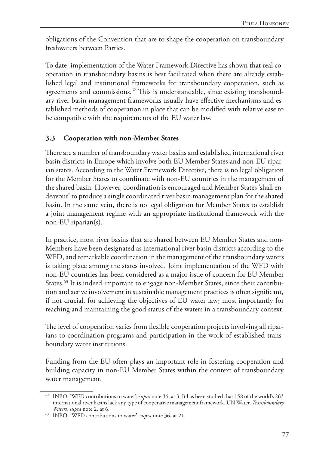obligations of the Convention that are to shape the cooperation on transboundary freshwaters between Parties.

To date, implementation of the Water Framework Directive has shown that real cooperation in transboundary basins is best facilitated when there are already established legal and institutional frameworks for transboundary cooperation, such as agreements and commissions.<sup>62</sup> This is understandable, since existing transboundary river basin management frameworks usually have effective mechanisms and established methods of cooperation in place that can be modified with relative ease to be compatible with the requirements of the EU water law.

### **3.3 Cooperation with non-Member States**

There are a number of transboundary water basins and established international river basin districts in Europe which involve both EU Member States and non-EU riparian states. According to the Water Framework Directive, there is no legal obligation for the Member States to coordinate with non-EU countries in the management of the shared basin. However, coordination is encouraged and Member States 'shall endeavour' to produce a single coordinated river basin management plan for the shared basin. In the same vein, there is no legal obligation for Member States to establish a joint management regime with an appropriate institutional framework with the non-EU riparian(s).

In practice, most river basins that are shared between EU Member States and non-Members have been designated as international river basin districts according to the WFD, and remarkable coordination in the management of the transboundary waters is taking place among the states involved. Joint implementation of the WFD with non-EU countries has been considered as a major issue of concern for EU Member States.<sup>63</sup> It is indeed important to engage non-Member States, since their contribution and active involvement in sustainable management practices is often significant, if not crucial, for achieving the objectives of EU water law; most importantly for reaching and maintaining the good status of the waters in a transboundary context.

The level of cooperation varies from flexible cooperation projects involving all riparians to coordination programs and participation in the work of established transboundary water institutions.

Funding from the EU often plays an important role in fostering cooperation and building capacity in non-EU Member States within the context of transboundary water management.

<sup>62</sup> INBO, 'WFD contributions to water', *supra* note 36, at 3. It has been studied that 158 of the world's 263 international river basins lack any type of cooperative management framework. UN Water, *Transboundary Waters*, *supra* note 2, at 6.

<sup>63</sup> INBO, 'WFD contributions to water', *supra* note 36, at 21.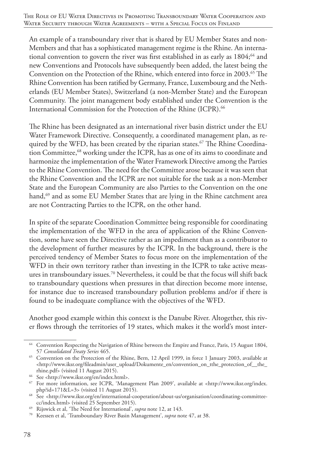An example of a transboundary river that is shared by EU Member States and non-Members and that has a sophisticated management regime is the Rhine. An international convention to govern the river was first established in as early as 1804;<sup>64</sup> and new Conventions and Protocols have subsequently been added, the latest being the Convention on the Protection of the Rhine, which entered into force in 2003.<sup>65</sup> The Rhine Convention has been ratified by Germany, France, Luxembourg and the Netherlands (EU Member States), Switzerland (a non-Member State) and the European Community. The joint management body established under the Convention is the International Commission for the Protection of the Rhine (ICPR).<sup>66</sup>

The Rhine has been designated as an international river basin district under the EU Water Framework Directive. Consequently, a coordinated management plan, as required by the WFD, has been created by the riparian states.<sup>67</sup> The Rhine Coordination Committee,<sup>68</sup> working under the ICPR, has as one of its aims to coordinate and harmonize the implementation of the Water Framework Directive among the Parties to the Rhine Convention. The need for the Committee arose because it was seen that the Rhine Convention and the ICPR are not suitable for the task as a non-Member State and the European Community are also Parties to the Convention on the one hand,<sup>69</sup> and as some EU Member States that are lying in the Rhine catchment area are not Contracting Parties to the ICPR, on the other hand.

In spite of the separate Coordination Committee being responsible for coordinating the implementation of the WFD in the area of application of the Rhine Convention, some have seen the Directive rather as an impediment than as a contributor to the development of further measures by the ICPR. In the background, there is the perceived tendency of Member States to focus more on the implementation of the WFD in their own territory rather than investing in the ICPR to take active measures in transboundary issues.<sup>70</sup> Nevertheless, it could be that the focus will shift back to transboundary questions when pressures in that direction become more intense, for instance due to increased transboundary pollution problems and/or if there is found to be inadequate compliance with the objectives of the WFD.

Another good example within this context is the Danube River. Altogether, this river flows through the territories of 19 states, which makes it the world's most inter-

<sup>64</sup> Convention Respecting the Navigation of Rhine between the Empire and France, Paris, 15 August 1804, 57 *Consolidated Treaty Series* 465.

<sup>&</sup>lt;sup>65</sup> Convention on the Protection of the Rhine, Bern, 12 April 1999, in force 1 January 2003, available at  $\langle$ http://www.iksr.org/fileadmin/user\_upload/Dokumente\_en/convention\_on\_tthe\_protection\_of\_\_the\_ rhine.pdf> (visited 11 August 2015).

<sup>66</sup> See <http://www.iksr.org/en/index.html>.

<sup>67</sup> For more information, see ICPR, 'Management Plan 2009', available at <http://www.iksr.org/index. php?id=171&L=3> (visited 11 August 2015).

<sup>68</sup> See <http://www.iksr.org/en/international-cooperation/about-us/organisation/coordinating-committeecc/index.html> (visited 25 September 2015).

<sup>69</sup> Rijswick et al, 'The Need for International', *supra* note 12, at 143.

<sup>70</sup> Keessen et al, 'Transboundary River Basin Management', *supra* note 47, at 38.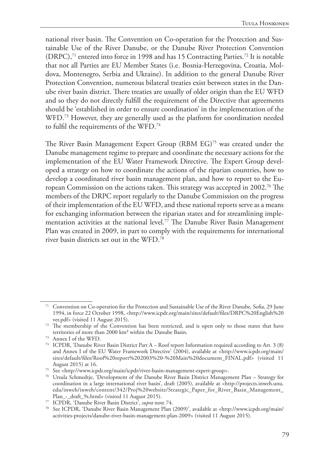national river basin. The Convention on Co-operation for the Protection and Sustainable Use of the River Danube, or the Danube River Protection Convention (DRPC),<sup>71</sup> entered into force in 1998 and has 15 Contracting Parties.<sup>72</sup> It is notable that not all Parties are EU Member States (i.e. Bosnia-Herzegovina, Croatia, Moldova, Montenegro, Serbia and Ukraine). In addition to the general Danube River Protection Convention, numerous bilateral treaties exist between states in the Danube river basin district. There treaties are usually of older origin than the EU WFD and so they do not directly fulfill the requirement of the Directive that agreements should be 'established in order to ensure coordination' in the implementation of the WFD.<sup>73</sup> However, they are generally used as the platform for coordination needed to fulfil the requirements of the WFD.74

The River Basin Management Expert Group (RBM EG)75 was created under the Danube management regime to prepare and coordinate the necessary actions for the implementation of the EU Water Framework Directive. The Expert Group developed a strategy on how to coordinate the actions of the riparian countries, how to develop a coordinated river basin management plan, and how to report to the European Commission on the actions taken. This strategy was accepted in 2002.76 The members of the DRPC report regularly to the Danube Commission on the progress of their implementation of the EU WFD, and these national reports serve as a means for exchanging information between the riparian states and for streamlining implementation activities at the national level.77 The Danube River Basin Management Plan was created in 2009, in part to comply with the requirements for international river basin districts set out in the WFD.78

<sup>71</sup> Convention on Co-operation for the Protection and Sustainable Use of the River Danube, Sofia, 29 June 1994, in force 22 October 1998, <http://www.icpdr.org/main/sites/default/files/DRPC%20English%20 ver.pdf> (visited 11 August 2015).

<sup>&</sup>lt;sup>72</sup> The membership of the Convention has been restricted, and is open only to those states that have territories of more than 2000 km² within the Danube Basin.

<sup>73</sup> Annex I of the WFD.

<sup>74</sup> ICPDR, 'Danube River Basin District Part A – Roof report Information required according to Art. 3 (8) and Annex I of the EU Water Framework Directive' (2004), available at <http://www.icpdr.org/main/ sites/default/files/Roof%20report%202003%20-%20Main%20document\_FINAL.pdf> (visited 11 August 2015) at 16.

<sup>75</sup> See <http://www.icpdr.org/main/icpdr/river-basin-management-expert-group>.

<sup>76</sup> Ursula Schmedtje, 'Development of the Danube River Basin District Management Plan – Strategy for coordination in a large international river basin', draft (2005), available at <http://projects.inweh.unu. edu/inweh/inweh/content/342/Proj%20website/Strategic\_Paper\_for\_River\_Basin\_Management\_ Plan\_-\_draft\_9s.html> (visited 11 August 2015).

<sup>77</sup> ICPDR, 'Danube River Basin District', *supra* note 74.

<sup>78</sup> See ICPDR, 'Danube River Basin Management Plan (2009)', available at <http://www.icpdr.org/main/ activities-projects/danube-river-basin-management-plan-2009> (visited 11 August 2015).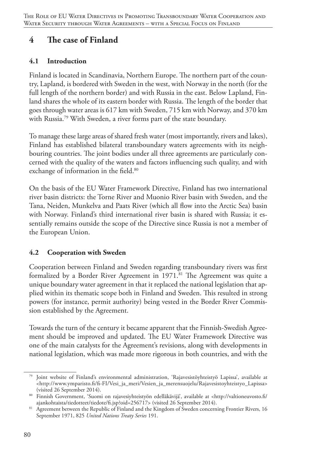# **4 The case of Finland**

### **4.1 Introduction**

Finland is located in Scandinavia, Northern Europe. The northern part of the country, Lapland, is bordered with Sweden in the west, with Norway in the north (for the full length of the northern border) and with Russia in the east. Below Lapland, Finland shares the whole of its eastern border with Russia. The length of the border that goes through water areas is 617 km with Sweden, 715 km with Norway, and 370 km with Russia.79 With Sweden, a river forms part of the state boundary.

To manage these large areas of shared fresh water (most importantly, rivers and lakes), Finland has established bilateral transboundary waters agreements with its neighbouring countries. The joint bodies under all three agreements are particularly concerned with the quality of the waters and factors influencing such quality, and with exchange of information in the field.<sup>80</sup>

On the basis of the EU Water Framework Directive, Finland has two international river basin districts: the Torne River and Muonio River basin with Sweden, and the Tana, Neiden, Munkelva and Paats River (which all flow into the Arctic Sea) basin with Norway. Finland's third international river basin is shared with Russia; it essentially remains outside the scope of the Directive since Russia is not a member of the European Union.

## **4.2 Cooperation with Sweden**

Cooperation between Finland and Sweden regarding transboundary rivers was first formalized by a Border River Agreement in 1971.<sup>81</sup> The Agreement was quite a unique boundary water agreement in that it replaced the national legislation that applied within its thematic scope both in Finland and Sweden. This resulted in strong powers (for instance, permit authority) being vested in the Border River Commission established by the Agreement.

Towards the turn of the century it became apparent that the Finnish-Swedish Agreement should be improved and updated. The EU Water Framework Directive was one of the main catalysts for the Agreement's revisions, along with developments in national legislation, which was made more rigorous in both countries, and with the

<sup>79</sup> Joint website of Finland's environmental administration, 'Rajavesistöyhteistyö Lapissa', available at <http://www.ymparisto.fi/fi-FI/Vesi\_ja\_meri/Vesien\_ja\_merensuojelu/Rajavesistoyhteistyo\_Lapissa> (visited 26 September 2014).

<sup>80</sup> Finnish Government, 'Suomi on rajavesiyhteistyön edelläkävijä', available at <http://valtioneuvosto.fi/ ajankohtaista/tiedotteet/tiedote/fi.jsp?oid=256717> (visited 26 September 2014).

<sup>&</sup>lt;sup>81</sup> Agreement between the Republic of Finland and the Kingdom of Sweden concerning Frontier Rivers, 16 September 1971, 825 *United Nations Treaty Series* 191.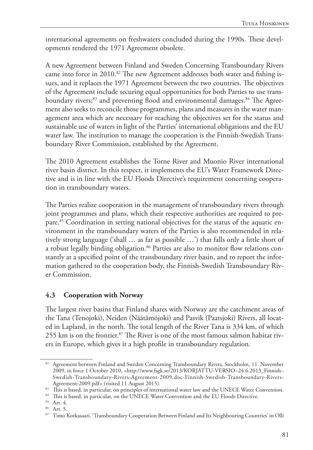international agreements on freshwaters concluded during the 1990s. These developments rendered the 1971 Agreement obsolete.

A new Agreement between Finland and Sweden Concerning Transboundary Rivers came into force in 2010.<sup>82</sup> The new Agreement addresses both water and fishing issues, and it replaces the 1971 Agreement between the two countries. The objectives of the Agreement include securing equal opportunities for both Parties to use transboundary rivers;<sup>83</sup> and preventing flood and environmental damages.<sup>84</sup> The Agreement also seeks to reconcile those programmes, plans and measures in the water management area which are necessary for reaching the objectives set for the status and sustainable use of waters in light of the Parties' international obligations and the EU water law. The institution to manage the cooperation is the Finnish-Swedish Transboundary River Commission, established by the Agreement.

The 2010 Agreement establishes the Torne River and Muonio River international river basin district. In this respect, it implements the EU's Water Framework Directive and is in line with the EU Floods Directive's requirement concerning cooperation in transboundary waters.

The Parties realize cooperation in the management of transboundary rivers through joint programmes and plans, which their respective authorities are required to prepare.85 Coordination in setting national objectives for the status of the aquatic environment in the transboundary waters of the Parties is also recommended in relatively strong language ('shall … as far as possible …') that falls only a little short of a robust legally binding obligation.<sup>86</sup> Parties are also to monitor flow relations constantly at a specified point of the transboundary river basin, and to report the information gathered to the cooperation body, the Finnish-Swedish Transboundary River Commission.

### **4.3 Cooperation with Norway**

The largest river basins that Finland shares with Norway are the catchment areas of the Tana (Tenojoki), Neiden (Näätämöjoki) and Pasvik (Paatsjoki) Rivers, all located in Lapland, in the north. The total length of the River Tana is 334 km, of which 255 km is on the frontier.<sup>87</sup> The River is one of the most famous salmon habitat rivers in Europe, which gives it a high profile in transboundary regulation.

<sup>82</sup> Agreement between Finland and Sweden Concerning Transboundary Rivers, Stockholm, 11. November 2009, in force 1 October 2010, <http://www.fsgk.se/2013/KORJATTU-VERSIO–24.6.2013\_Finnish– Swedish-Transboundary-Rivers-Agreement-2009.doc-Finnish-Swedish-Transboundary-Rivers-Agreement-2009.pdf> (visited 11 August 2015).

<sup>83</sup> This is based, in particular, on principles of international water law and the UNECE Water Convention.

<sup>84</sup> This is based, in particular, on the UNECE Water Convention and the EU Floods Directive.

<sup>85</sup> Art. 4.

<sup>86</sup> Art. 5.

<sup>87</sup> Timo Kotkasaari, 'Transboundary Cooperation Between Finland and Its Neighbouring Countries' in Olli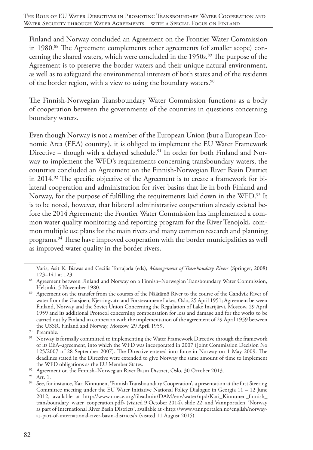Finland and Norway concluded an Agreement on the Frontier Water Commission in 1980.<sup>88</sup> The Agreement complements other agreements (of smaller scope) concerning the shared waters, which were concluded in the 1950s.<sup>89</sup> The purpose of the Agreement is to preserve the border waters and their unique natural environment, as well as to safeguard the environmental interests of both states and of the residents of the border region, with a view to using the boundary waters.<sup>90</sup>

The Finnish-Norwegian Transboundary Water Commission functions as a body of cooperation between the governments of the countries in questions concerning boundary waters.

Even though Norway is not a member of the European Union (but a European Economic Area (EEA) country), it is obliged to implement the EU Water Framework Directive – though with a delayed schedule.<sup>91</sup> In order for both Finland and Norway to implement the WFD's requirements concerning transboundary waters, the countries concluded an Agreement on the Finnish-Norwegian River Basin District in 2014.92 The specific objective of the Agreement is to create a framework for bilateral cooperation and administration for river basins that lie in both Finland and Norway, for the purpose of fulfilling the requirements laid down in the WFD.<sup>93</sup> It is to be noted, however, that bilateral administrative cooperation already existed before the 2014 Agreement; the Frontier Water Commission has implemented a common water quality monitoring and reporting program for the River Tenojoki, common multiple use plans for the main rivers and many common research and planning programs.94 These have improved cooperation with the border municipalities as well as improved water quality in the border rivers.

Varis, Asit K. Biswas and Cecilia Tortajada (eds), *Management of Transboudary Rivers* (Springer, 2008) 123–141 at 123.

<sup>88</sup> Agreement between Finland and Norway on a Finnish–Norwegian Transboundary Water Commission, Helsinki, 5 November 1980.

<sup>89</sup> Agreement on the transfer from the courses of the Näätämö River to the course of the Gandvik River of water from the Garsjöen, Kjerringvatn and Förstevannene Lakes, Oslo, 25 April 1951; Agreement between Finland, Norway and the Soviet Union Concerning the Regulation of Lake Inarijärvi, Moscow, 29 April 1959 and its additional Protocol concerning compensation for loss and damage and for the works to be carried out by Finland in connexion with the implementation of the agreement of 29 April 1959 between the USSR, Finland and Norway, Moscow, 29 April 1959.

<sup>&</sup>lt;sup>90</sup> Preamble.

<sup>&</sup>lt;sup>91</sup> Norway is formally committed to implementing the Water Framework Directive through the framework of its EEA–agreement, into which the WFD was incorporated in 2007 (Joint Commission Decision No 125/2007 of 28 September 2007). The Directive entered into force in Norway on 1 May 2009. The deadlines stated in the Directive were extended to give Norway the same amount of time to implement the WFD obligations as the EU Member States.

<sup>&</sup>lt;sup>92</sup> Agreement on the Finnish–Norwegian River Basin District, Oslo, 30 October 2013.

<sup>93</sup> Art. 1.

<sup>&</sup>lt;sup>94</sup> See, for instance, Kari Kinnunen, 'Finnish Transboundary Cooperation', a presentation at the first Steering Committee meeting under the EU Water Initiative National Policy Dialogue in Georgia 11 – 12 June 2012, available at http://www.unece.org/fileadmin/DAM/env/water/npd/Kari\_Kinnunen\_finnish\_ transboundary\_water\_cooperation.pdf> (visited 9 October 2014), slide 22; and Vannportalen, 'Norway as part of International River Basin Districts', available at <http://www.vannportalen.no/english/norwayas-part-of-international-river-basin-districts/> (visited 11 August 2015).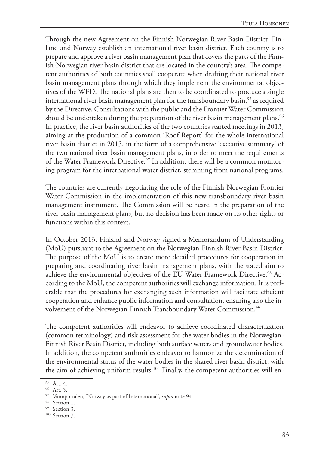Through the new Agreement on the Finnish-Norwegian River Basin District, Finland and Norway establish an international river basin district. Each country is to prepare and approve a river basin management plan that covers the parts of the Finnish-Norwegian river basin district that are located in the country's area. The competent authorities of both countries shall cooperate when drafting their national river basin management plans through which they implement the environmental objectives of the WFD. The national plans are then to be coordinated to produce a single international river basin management plan for the transboundary basin,  $95$  as required by the Directive. Consultations with the public and the Frontier Water Commission should be undertaken during the preparation of the river basin management plans.<sup>96</sup> In practice, the river basin authorities of the two countries started meetings in 2013, aiming at the production of a common 'Roof Report' for the whole international river basin district in 2015, in the form of a comprehensive 'executive summary' of the two national river basin management plans, in order to meet the requirements of the Water Framework Directive.<sup>97</sup> In addition, there will be a common monitoring program for the international water district, stemming from national programs.

The countries are currently negotiating the role of the Finnish-Norwegian Frontier Water Commission in the implementation of this new transboundary river basin management instrument. The Commission will be heard in the preparation of the river basin management plans, but no decision has been made on its other rights or functions within this context.

In October 2013, Finland and Norway signed a Memorandum of Understanding (MoU) pursuant to the Agreement on the Norwegian-Finnish River Basin District. The purpose of the MoU is to create more detailed procedures for cooperation in preparing and coordinating river basin management plans, with the stated aim to achieve the environmental objectives of the EU Water Framework Directive.<sup>98</sup> According to the MoU, the competent authorities will exchange information. It is preferable that the procedures for exchanging such information will facilitate efficient cooperation and enhance public information and consultation, ensuring also the involvement of the Norwegian-Finnish Transboundary Water Commission.<sup>99</sup>

The competent authorities will endeavor to achieve coordinated characterization (common terminology) and risk assessment for the water bodies in the Norwegian-Finnish River Basin District, including both surface waters and groundwater bodies. In addition, the competent authorities endeavor to harmonize the determination of the environmental status of the water bodies in the shared river basin district, with the aim of achieving uniform results.<sup>100</sup> Finally, the competent authorities will en-

<sup>95</sup> Art. 4.

<sup>96</sup> Art. 5.

<sup>97</sup> Vannportalen, 'Norway as part of International', *supra* note 94.

<sup>98</sup> Section 1.

<sup>&</sup>lt;sup>99</sup> Section 3.

<sup>&</sup>lt;sup>100</sup> Section 7.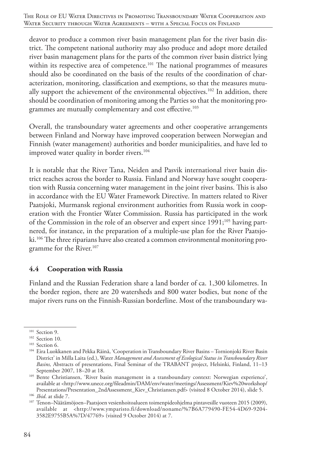deavor to produce a common river basin management plan for the river basin district. The competent national authority may also produce and adopt more detailed river basin management plans for the parts of the common river basin district lying within its respective area of competence.<sup>101</sup> The national programmes of measures should also be coordinated on the basis of the results of the coordination of characterization, monitoring, classification and exemptions, so that the measures mutually support the achievement of the environmental objectives.<sup>102</sup> In addition, there should be coordination of monitoring among the Parties so that the monitoring programmes are mutually complementary and cost effective.<sup>103</sup>

Overall, the transboundary water agreements and other cooperative arrangements between Finland and Norway have improved cooperation between Norwegian and Finnish (water management) authorities and border municipalities, and have led to improved water quality in border rivers.<sup>104</sup>

It is notable that the River Tana, Neiden and Pasvik international river basin district reaches across the border to Russia. Finland and Norway have sought cooperation with Russia concerning water management in the joint river basins. This is also in accordance with the EU Water Framework Directive. In matters related to River Paatsjoki, Murmansk regional environment authorities from Russia work in cooperation with the Frontier Water Commission. Russia has participated in the work of the Commission in the role of an observer and expert since  $1991;^{105}$  having partnered, for instance, in the preparation of a multiple-use plan for the River Paatsjoki.<sup>106</sup> The three riparians have also created a common environmental monitoring programme for the River.<sup>107</sup>

#### **4.4 Cooperation with Russia**

Finland and the Russian Federation share a land border of ca. 1,300 kilometres. In the border region, there are 20 watersheds and 800 water bodies, but none of the major rivers runs on the Finnish-Russian borderline. Most of the transboundary wa-

<sup>&</sup>lt;sup>101</sup> Section 9.

<sup>&</sup>lt;sup>102</sup> Section 10.

<sup>&</sup>lt;sup>103</sup> Section 6.

<sup>104</sup> Eira Luokkanen and Pekka Räinä, 'Cooperation in Transboundary River Basins – Tornionjoki River Basin District' in Milla Laita (ed.), Water *Management and Assessment of Ecological Status in Transboundary River Basins,* Abstracts of presentations, Final Seminar of the TRABANT project, Helsinki, Finland, 11–13 September 2007, 18–20 at 18.

<sup>&</sup>lt;sup>105</sup> Bente Christiansen, 'River basin management in a transboundary context: Norwegian experience', available at <http://www.unece.org/fileadmin/DAM/env/water/meetings/Assessment/Kiev%20workshop/ Presentations/Presentation\_2ndAssessment\_Kiev\_Christiansen.pdf> (visited 8 October 2014), slide 5.

<sup>106</sup> *Ibid*. at slide 7.

<sup>107</sup> Tenon–Näätämöjoen–Paatsjoen vesienhoitoalueen toimenpideohjelma pintavesille vuoteen 2015 (2009), available at <http://www.ymparisto.fi/download/noname/%7B6A779490-FE54-4D69-9204- 3582E9755B5A%7D/47769> (visited 9 October 2014) at 7.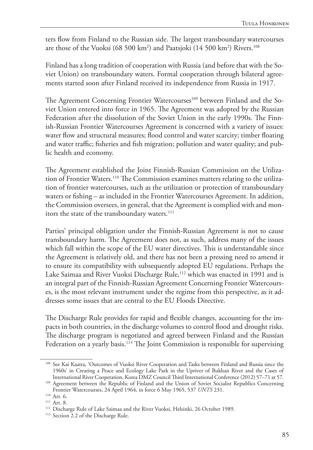ters flow from Finland to the Russian side. The largest transboundary watercourses are those of the Vuoksi (68 500 km2 ) and Paatsjoki (14 500 km2 ) Rivers.108

Finland has a long tradition of cooperation with Russia (and before that with the Soviet Union) on transboundary waters. Formal cooperation through bilateral agreements started soon after Finland received its independence from Russia in 1917.

The Agreement Concerning Frontier Watercourses<sup>109</sup> between Finland and the Soviet Union entered into force in 1965. The Agreement was adopted by the Russian Federation after the dissolution of the Soviet Union in the early 1990s. The Finnish-Russian Frontier Watercourses Agreement is concerned with a variety of issues: water flow and structural measures; flood control and water scarcity; timber floating and water traffic; fisheries and fish migration; pollution and water quality; and public health and economy.

The Agreement established the Joint Finnish-Russian Commission on the Utilization of Frontier Waters.110 The Commission examines matters relating to the utilization of frontier watercourses, such as the utilization or protection of transboundary waters or fishing – as included in the Frontier Watercourses Agreement. In addition, the Commission oversees, in general, that the Agreement is complied with and monitors the state of the transboundary waters.<sup>111</sup>

Parties' principal obligation under the Finnish-Russian Agreement is not to cause transboundary harm. The Agreement does not, as such, address many of the issues which fall within the scope of the EU water directives. This is understandable since the Agreement is relatively old, and there has not been a pressing need to amend it to ensure its compatibility with subsequently adopted EU regulations. Perhaps the Lake Saimaa and River Vuoksi Discharge Rule,<sup>112</sup> which was enacted in 1991 and is an integral part of the Finnish-Russian Agreement Concerning Frontier Watercourses, is the most relevant instrument under the regime from this perspective, as it addresses some issues that are central to the EU Floods Directive.

The Discharge Rule provides for rapid and flexible changes, accounting for the impacts in both countries, in the discharge volumes to control flood and drought risks. The discharge program is negotiated and agreed between Finland and the Russian Federation on a yearly basis.<sup>113</sup> The Joint Commission is responsible for supervising

<sup>108</sup> See Kai Kaatra, 'Outcomes of Vuoksi River Cooperation and Tasks between Finland and Russia since the 1960s' in Creating a Peace and Ecology Lake Park in the Upriver of Bukhan River and the Cases of International River Cooperation, Korea DMZ Council Third International Conference (2012) 57–71 at 57.

<sup>&</sup>lt;sup>109</sup> Agreement between the Republic of Finland and the Union of Soviet Socialist Republics Concerning Frontier Watercourses, 24 April 1964, in force 6 May 1965, 537 *UNTS* 231. 110 Art. 6.

<sup>&</sup>lt;sup>111</sup> Art. 8.

<sup>&</sup>lt;sup>112</sup> Discharge Rule of Lake Saimaa and the River Vuoksi, Helsinki, 26 October 1989.

<sup>&</sup>lt;sup>113</sup> Section 2.2 of the Discharge Rule.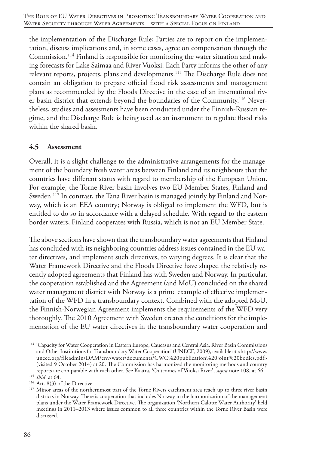the implementation of the Discharge Rule; Parties are to report on the implementation, discuss implications and, in some cases, agree on compensation through the Commission.114 Finland is responsible for monitoring the water situation and making forecasts for Lake Saimaa and River Vuoksi. Each Party informs the other of any relevant reports, projects, plans and developments.115 The Discharge Rule does not contain an obligation to prepare official flood risk assessments and management plans as recommended by the Floods Directive in the case of an international river basin district that extends beyond the boundaries of the Community.116 Nevertheless, studies and assessments have been conducted under the Finnish-Russian regime, and the Discharge Rule is being used as an instrument to regulate flood risks within the shared basin.

#### **4.5 Assessment**

Overall, it is a slight challenge to the administrative arrangements for the management of the boundary fresh water areas between Finland and its neighbours that the countries have different status with regard to membership of the European Union. For example, the Torne River basin involves two EU Member States, Finland and Sweden.<sup>117</sup> In contrast, the Tana River basin is managed jointly by Finland and Norway, which is an EEA country; Norway is obliged to implement the WFD, but is entitled to do so in accordance with a delayed schedule. With regard to the eastern border waters, Finland cooperates with Russia, which is not an EU Member State.

The above sections have shown that the transboundary water agreements that Finland has concluded with its neighboring countries address issues contained in the EU water directives, and implement such directives, to varying degrees. It is clear that the Water Framework Directive and the Floods Directive have shaped the relatively recently adopted agreements that Finland has with Sweden and Norway. In particular, the cooperation established and the Agreement (and MoU) concluded on the shared water management district with Norway is a prime example of effective implementation of the WFD in a transboundary context. Combined with the adopted MoU, the Finnish-Norwegian Agreement implements the requirements of the WFD very thoroughly. The 2010 Agreement with Sweden creates the conditions for the implementation of the EU water directives in the transboundary water cooperation and

<sup>&</sup>lt;sup>114</sup> 'Capacity for Water Cooperation in Eastern Europe, Caucasus and Central Asia. River Basin Commissions and Other Institutions for Transboundary Water Cooperation' (UNECE, 2009), available at <http://www. unece.org/fileadmin/DAM/env/water/documents/CWC%20publication%20joint%20bodies.pdf> (visited 9 October 2014) at 20. The Commission has harmonized the monitoring methods and country reports are comparable with each other. See Kaatra, 'Outcomes of Vuoksi River', *supra* note 108, at 66.

<sup>115</sup> *Ibid*. at 64.

<sup>116</sup> Art. 8(3) of the Directive.

<sup>&</sup>lt;sup>117</sup> Minor areas of the northernmost part of the Torne Rivers catchment area reach up to three river basin districts in Norway. There is cooperation that includes Norway in the harmonization of the management plans under the Water Framework Directive. The organization 'Northern Calotte Water Authority' held meetings in 2011–2013 where issues common to all three countries within the Torne River Basin were discussed.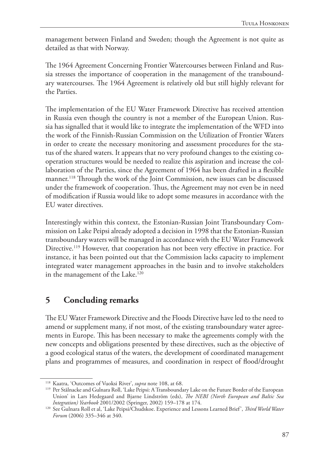management between Finland and Sweden; though the Agreement is not quite as detailed as that with Norway.

The 1964 Agreement Concerning Frontier Watercourses between Finland and Russia stresses the importance of cooperation in the management of the transboundary watercourses. The 1964 Agreement is relatively old but still highly relevant for the Parties.

The implementation of the EU Water Framework Directive has received attention in Russia even though the country is not a member of the European Union. Russia has signalled that it would like to integrate the implementation of the WFD into the work of the Finnish-Russian Commission on the Utilization of Frontier Waters in order to create the necessary monitoring and assessment procedures for the status of the shared waters. It appears that no very profound changes to the existing cooperation structures would be needed to realize this aspiration and increase the collaboration of the Parties, since the Agreement of 1964 has been drafted in a flexible manner.<sup>118</sup> Through the work of the Joint Commission, new issues can be discussed under the framework of cooperation. Thus, the Agreement may not even be in need of modification if Russia would like to adopt some measures in accordance with the EU water directives.

Interestingly within this context, the Estonian-Russian Joint Transboundary Commission on Lake Peipsi already adopted a decision in 1998 that the Estonian-Russian transboundary waters will be managed in accordance with the EU Water Framework Directive.119 However, that cooperation has not been very effective in practice. For instance, it has been pointed out that the Commission lacks capacity to implement integrated water management approaches in the basin and to involve stakeholders in the management of the Lake.<sup>120</sup>

# **5 Concluding remarks**

The EU Water Framework Directive and the Floods Directive have led to the need to amend or supplement many, if not most, of the existing transboundary water agreements in Europe. This has been necessary to make the agreements comply with the new concepts and obligations presented by these directives, such as the objective of a good ecological status of the waters, the development of coordinated management plans and programmes of measures, and coordination in respect of flood/drought

<sup>118</sup> Kaatra, 'Outcomes of Vuoksi River', *supra* note 108, at 68.

<sup>119</sup> Per Stålnacke and Gulnara Roll, 'Lake Peipsi: A Transboundary Lake on the Future Border of the European Union' in Lars Hedegaard and Bjarne Lindström (eds), *The NEBI (North European and Baltic Sea Integration) Yearbook* 2001/2002 (Springer, 2002) 159–178 at 174.

<sup>120</sup> See Gulnara Roll et al, 'Lake Peipsi/Chudskoe. Experience and Lessons Learned Brief', *Third World Water Forum* (2006) 335–346 at 340.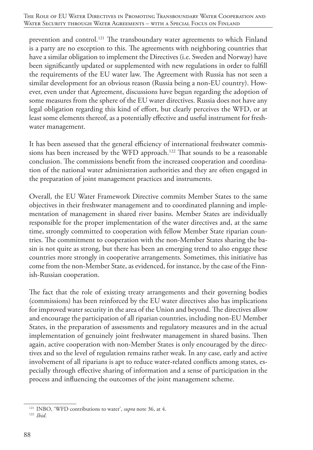prevention and control.<sup>121</sup> The transboundary water agreements to which Finland is a party are no exception to this. The agreements with neighboring countries that have a similar obligation to implement the Directives (i.e. Sweden and Norway) have been significantly updated or supplemented with new regulations in order to fulfill the requirements of the EU water law. The Agreement with Russia has not seen a similar development for an obvious reason (Russia being a non-EU country). However, even under that Agreement, discussions have begun regarding the adoption of some measures from the sphere of the EU water directives. Russia does not have any legal obligation regarding this kind of effort, but clearly perceives the WFD, or at least some elements thereof, as a potentially effective and useful instrument for freshwater management.

It has been assessed that the general efficiency of international freshwater commissions has been increased by the WFD approach.<sup>122</sup> That sounds to be a reasonable conclusion. The commissions benefit from the increased cooperation and coordination of the national water administration authorities and they are often engaged in the preparation of joint management practices and instruments.

Overall, the EU Water Framework Directive commits Member States to the same objectives in their freshwater management and to coordinated planning and implementation of management in shared river basins. Member States are individually responsible for the proper implementation of the water directives and, at the same time, strongly committed to cooperation with fellow Member State riparian countries. The commitment to cooperation with the non-Member States sharing the basin is not quite as strong, but there has been an emerging trend to also engage these countries more strongly in cooperative arrangements. Sometimes, this initiative has come from the non-Member State, as evidenced, for instance, by the case of the Finnish-Russian cooperation.

The fact that the role of existing treaty arrangements and their governing bodies (commissions) has been reinforced by the EU water directives also has implications for improved water security in the area of the Union and beyond. The directives allow and encourage the participation of all riparian countries, including non-EU Member States, in the preparation of assessments and regulatory measures and in the actual implementation of genuinely joint freshwater management in shared basins. Then again, active cooperation with non-Member States is only encouraged by the directives and so the level of regulation remains rather weak. In any case, early and active involvement of all riparians is apt to reduce water-related conflicts among states, especially through effective sharing of information and a sense of participation in the process and influencing the outcomes of the joint management scheme.

<sup>121</sup> INBO, 'WFD contributions to water', *supra* note 36, at 4. <sup>122</sup> *Ibid*.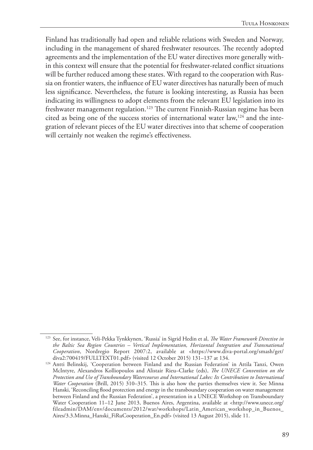Finland has traditionally had open and reliable relations with Sweden and Norway, including in the management of shared freshwater resources. The recently adopted agreements and the implementation of the EU water directives more generally within this context will ensure that the potential for freshwater-related conflict situations will be further reduced among these states. With regard to the cooperation with Russia on frontier waters, the influence of EU water directives has naturally been of much less significance. Nevertheless, the future is looking interesting, as Russia has been indicating its willingness to adopt elements from the relevant EU legislation into its freshwater management regulation.<sup>123</sup> The current Finnish-Russian regime has been cited as being one of the success stories of international water law,<sup>124</sup> and the integration of relevant pieces of the EU water directives into that scheme of cooperation will certainly not weaken the regime's effectiveness.

<sup>123</sup> See, for instance, Veli-Pekka Tynkkynen, 'Russia' in Sigrid Hedin et al, *The Water Framework Directive in the Baltic Sea Region Countries – Vertical Implementation, Horizontal Integration and Transnational Cooperation*, Nordregio Report 2007:2, available at <https://www.diva-portal.org/smash/get/ diva2:700419/FULLTEXT01.pdf> (visited 12 October 2015) 131–137 at 134.

<sup>124</sup> Antti Belinskij, 'Cooperation between Finland and the Russian Federation' in Attila Tanzi, Owen McIntyre, Alexandros Kolliopoulos and Alistair Rieu–Clarke (eds), *The UNECE Convention on the Protection and Use of Transboundary Watercourses and International Lakes: Its Contribution to International Water Cooperation* (Brill, 2015) 310–315. This is also how the parties themselves view it. See Minna Hanski, 'Reconciling flood protection and energy in the transboundary cooperation on water management between Finland and the Russian Federation', a presentation in a UNECE Workshop on Transboundary Water Cooperation 11–12 June 2013, Buenos Aires, Argentina, available at <http://www.unece.org/ fileadmin/DAM/env/documents/2012/wat/workshops/Latin\_American\_workshop\_in\_Buenos\_ Aires/3.3.Minna\_Hanski\_FiRuCooperation\_En.pdf> (visited 13 August 2015), slide 11.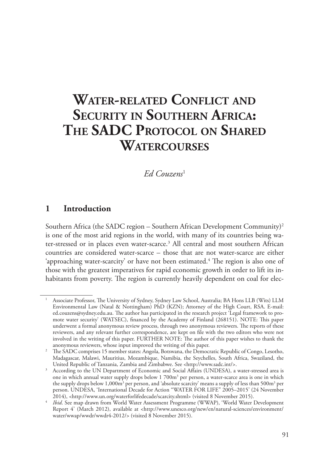# **Water-related Conflict and Security in Southern Africa: The SADC Protocol on Shared Watercourses**

### *Ed Couzens*<sup>1</sup>

## **1 Introduction**

Southern Africa (the SADC region – Southern African Development Community)<sup>2</sup> is one of the most arid regions in the world, with many of its countries being water-stressed or in places even water-scarce.<sup>3</sup> All central and most southern African countries are considered water-scarce – those that are not water-scarce are either 'approaching water-scarcity' or have not been estimated.<sup>4</sup> The region is also one of those with the greatest imperatives for rapid economic growth in order to lift its inhabitants from poverty. The region is currently heavily dependent on coal for elec-

<sup>1</sup> Associate Professor, The University of Sydney, Sydney Law School, Australia; BA Hons LLB (Wits) LLM Environmental Law (Natal & Nottingham) PhD (KZN); Attorney of the High Court, RSA. E-mail: ed.couzens@sydney.edu.au. The author has participated in the research project 'Legal framework to promote water security' (WATSEC), financed by the Academy of Finland (268151). NOTE: This paper underwent a formal anonymous review process, through two anonymous reviewers. The reports of these reviewers, and any relevant further correspondence, are kept on file with the two editors who were not involved in the writing of this paper. FURTHER NOTE: The author of this paper wishes to thank the anonymous reviewers, whose input improved the writing of this paper.

<sup>&</sup>lt;sup>2</sup> The SADC comprises 15 member states: Angola, Botswana, the Democratic Republic of Congo, Lesotho, Madagascar, Malawi, Mauritius, Mozambique, Namibia, the Seychelles, South Africa, Swaziland, the United Republic of Tanzania, Zambia and Zimbabwe. See <http://www.sadc.int/>.

<sup>3</sup> According to the UN Department of Economic and Social Affairs (UNDESA), a water-stressed area is one in which annual water supply drops below 1 700m<sup>3</sup> per person, a water-scarce area is one in which the supply drops below 1,000m<sup>3</sup> per person, and 'absolute scarcity' means a supply of less than 500m<sup>3</sup> per person. UNDESA, 'International Decade for Action "WATER FOR LIFE" 2005–2015' (24 November 2014), <http://www.un.org/waterforlifedecade/scarcity.shtml> (visited 8 November 2015).

<sup>4</sup> *Ibid*. See map drawn from World Water Assessment Programme (WWAP), 'World Water Development Report 4' (March 2012), available at <http://www.unesco.org/new/en/natural-sciences/environment/ water/wwap/wwdr/wwdr4-2012/> (visited 8 November 2015).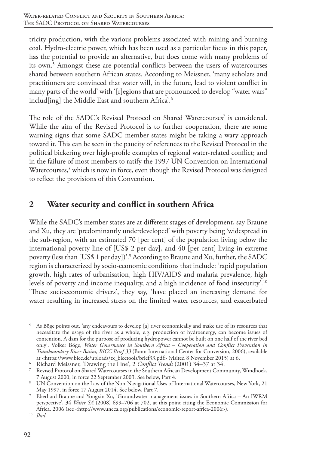tricity production, with the various problems associated with mining and burning coal. Hydro-electric power, which has been used as a particular focus in this paper, has the potential to provide an alternative, but does come with many problems of its own.<sup>5</sup> Amongst these are potential conflicts between the users of watercourses shared between southern African states. According to Meissner, 'many scholars and practitioners are convinced that water will, in the future, lead to violent conflict in many parts of the world' with '[r]egions that are pronounced to develop "water wars" includ<sup>[ing]</sup> the Middle East and southern Africa<sup>'.6</sup>

The role of the SADC's Revised Protocol on Shared Watercourses<sup>7</sup> is considered. While the aim of the Revised Protocol is to further cooperation, there are some warning signs that some SADC member states might be taking a wary approach toward it. This can be seen in the paucity of references to the Revised Protocol in the political bickering over high-profile examples of regional water-related conflict; and in the failure of most members to ratify the 1997 UN Convention on International Watercourses,<sup>8</sup> which is now in force, even though the Revised Protocol was designed to reflect the provisions of this Convention.

# **2 Water security and conflict in southern Africa**

While the SADC's member states are at different stages of development, say Braune and Xu, they are 'predominantly underdeveloped' with poverty being 'widespread in the sub-region, with an estimated 70 [per cent] of the population living below the international poverty line of [US\$ 2 per day], and 40 [per cent] living in extreme poverty (less than [US\$ 1 per day])'.9 According to Braune and Xu, further, the SADC region is characterized by socio-economic conditions that include: 'rapid population growth, high rates of urbanisation, high HIV/AIDS and malaria prevalence, high levels of poverty and income inequality, and a high incidence of food insecurity'.10 'These socioeconomic drivers', they say, 'have placed an increasing demand for water resulting in increased stress on the limited water resources, and exacerbated

<sup>5</sup> As Böge points out, 'any endeavours to develop [a] river economically and make use of its resources that necessitate the usage of the river as a whole, e.g. production of hydroenergy, can become issues of contention. A dam for the purpose of producing hydropower cannot be built on one half of the river bed only'. Volker Böge, *Water Governance in Southern Africa – Cooperation and Conflict Prevention in Transboundary River Basins, BICC Brief 33* (Bonn International Center for Conversion, 2006), available at <https://www.bicc.de/uploads/tx\_bicctools/brief33.pdf> (visited 8 November 2015) at 6.

<sup>6</sup> Richard Meissner, 'Drawing the Line', 2 *Conflict Trends* (2001) 34–37 at 34.

<sup>7</sup> Revised Protocol on Shared Watercourses in the Southern African Development Community, Windhoek, 7 August 2000, in force 22 September 2003. See below, Part 4.

<sup>8</sup> UN Convention on the Law of the Non-Navigational Uses of International Watercourses, New York, 21 May 1997, in force 17 August 2014. See below, Part 7.

<sup>9</sup> Eberhard Braune and Yongxin Xu, 'Groundwater management issues in Southern Africa – An IWRM perspective', 34 *Water SA* (2008) 699–706 at 702, at this point citing the Economic Commission for Africa, 2006 (see <http://www.uneca.org/publications/economic-report-africa-2006>).

<sup>10</sup> *Ibid*.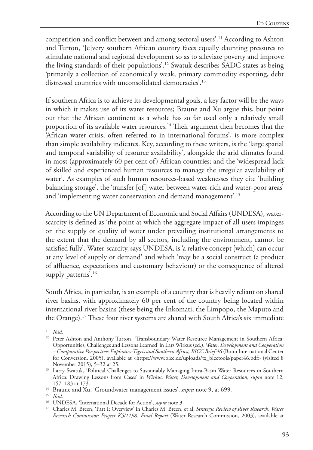competition and conflict between and among sectoral users'.11 According to Ashton and Turton, '[e]very southern African country faces equally daunting pressures to stimulate national and regional development so as to alleviate poverty and improve the living standards of their populations'.12 Swatuk describes SADC states as being 'primarily a collection of economically weak, primary commodity exporting, debt distressed countries with unconsolidated democracies'.<sup>13</sup>

If southern Africa is to achieve its developmental goals, a key factor will be the ways in which it makes use of its water resources; Braune and Xu argue this, but point out that the African continent as a whole has so far used only a relatively small proportion of its available water resources.<sup>14</sup> Their argument then becomes that the 'African water crisis, often referred to in international forums', is more complex than simple availability indicates. Key, according to these writers, is the 'large spatial and temporal variability of resource availability', alongside the arid climates found in most (approximately 60 per cent of) African countries; and the 'widespread lack of skilled and experienced human resources to manage the irregular availability of water'. As examples of such human resources-based weaknesses they cite 'building balancing storage', the 'transfer [of] water between water-rich and water-poor areas' and 'implementing water conservation and demand management'.15

According to the UN Department of Economic and Social Affairs (UNDESA), waterscarcity is defined as 'the point at which the aggregate impact of all users impinges on the supply or quality of water under prevailing institutional arrangements to the extent that the demand by all sectors, including the environment, cannot be satisfied fully'. Water-scarcity, says UNDESA, is 'a relative concept [which] can occur at any level of supply or demand' and which 'may be a social construct (a product of affluence, expectations and customary behaviour) or the consequence of altered supply patterns'.<sup>16</sup>

South Africa, in particular, is an example of a country that is heavily reliant on shared river basins, with approximately 60 per cent of the country being located within international river basins (these being the Inkomati, the Limpopo, the Maputo and the Orange).17 These four river systems are shared with South Africa's six immediate

<sup>11</sup> *Ibid*.

<sup>&</sup>lt;sup>12</sup> Peter Ashton and Anthony Turton, 'Transboundary Water Resource Management in Southern Africa: Opportunities, Challenges and Lessons Learned' in Lars Wirkus (ed.), *Water, Development and Cooperation – Comparative Perspective: Euphrates-Tigris and Southern Africa, BICC Brief 46* (Bonn International Center for Conversion, 2005), available at <https://www.bicc.de/uploads/tx\_bicctools/paper46.pdf> (visited 8 November 2015), 5–32 at 25.

<sup>&</sup>lt;sup>13</sup> Larry Swatuk, 'Political Challenges to Sustainably Managing Intra-Basin Water Resources in Southern Africa: Drawing Lessons from Cases' in *Wirkus, Water, Development and Cooperation*, *supra* note 12, 157–183 at 173.

<sup>&</sup>lt;sup>14</sup> Braune and Xu, 'Groundwater management issues', *supra* note 9, at 699.

<sup>15</sup> *Ibid*.

<sup>16</sup> UNDESA, 'International Decade for Action', *supra* note 3.

<sup>17</sup> Charles M. Breen, 'Part I: Overview' in Charles M. Breen, et al, *Strategic Review of River Research*. *Water Research Commission Project K5/1198: Final Report* (Water Research Commission, 2003), available at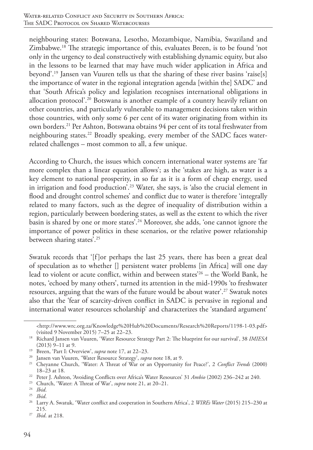neighbouring states: Botswana, Lesotho, Mozambique, Namibia, Swaziland and Zimbabwe.18 The strategic importance of this, evaluates Breen, is to be found 'not only in the urgency to deal constructively with establishing dynamic equity, but also in the lessons to be learned that may have much wider application in Africa and beyond'.19 Jansen van Vuuren tells us that the sharing of these river basins 'raise[s] the importance of water in the regional integration agenda [within the] SADC' and that 'South Africa's policy and legislation recognises international obligations in allocation protocol'.20 Botswana is another example of a country heavily reliant on other countries, and particularly vulnerable to management decisions taken within those countries, with only some 6 per cent of its water originating from within its own borders.21 Per Ashton, Botswana obtains 94 per cent of its total freshwater from neighbouring states.<sup>22</sup> Broadly speaking, every member of the SADC faces waterrelated challenges – most common to all, a few unique.

According to Church, the issues which concern international water systems are 'far more complex than a linear equation allows'; as the 'stakes are high, as water is a key element to national prosperity, in so far as it is a form of cheap energy, used in irrigation and food production'.23 Water, she says, is 'also the crucial element in flood and drought control schemes' and conflict due to water is therefore 'integrally related to many factors, such as the degree of inequality of distribution within a region, particularly between bordering states, as well as the extent to which the river basin is shared by one or more states'.24 Moreover, she adds, 'one cannot ignore the importance of power politics in these scenarios, or the relative power relationship between sharing states'.25

Swatuk records that '[f]or perhaps the last 25 years, there has been a great deal of speculation as to whether [] persistent water problems [in Africa] will one day lead to violent or acute conflict, within and between states'26 – the World Bank, he notes, 'echoed by many others', turned its attention in the mid-1990s 'to freshwater resources, arguing that the wars of the future would be about water'.<sup>27</sup> Swatuk notes also that the 'fear of scarcity-driven conflict in SADC is pervasive in regional and international water resources scholarship' and characterizes the 'standard argument'

<sup>&</sup>lt;http://www.wrc.org.za/Knowledge%20Hub%20Documents/Research%20Reports/1198-1-03.pdf> (visited 9 November 2015) 7–25 at 22–23.

<sup>18</sup> Richard Jansen van Vuuren, 'Water Resource Strategy Part 2: The blueprint for our survival', 38 *IMIESA* (2013) 9–11 at 9.

<sup>19</sup> Breen, 'Part I: Overview', *supra* note 17, at 22–23.

<sup>20</sup> Jansen van Vuuren, 'Water Resource Strategy', *supra* note 18, at 9.

<sup>21</sup> Cheyanne Church, 'Water: A Threat of War or an Opportunity for Peace?', 2 *Conflict Trends* (2000) 18–23 at 18.

<sup>&</sup>lt;sup>22</sup> Peter J. Ashton, 'Avoiding Conflicts over Africa's Water Resources' 31 Ambio (2002) 236-242 at 240.

<sup>23</sup> Church, 'Water: A Threat of War', *supra* note 21, at 20–21.

<sup>24</sup> *Ibid*.

<sup>25</sup> *Ibid*.

<sup>26</sup> Larry A. Swatuk, 'Water conflict and cooperation in Southern Africa', 2 *WIREs Water* (2015) 215–230 at 215.

<sup>27</sup> *Ibid*. at 218.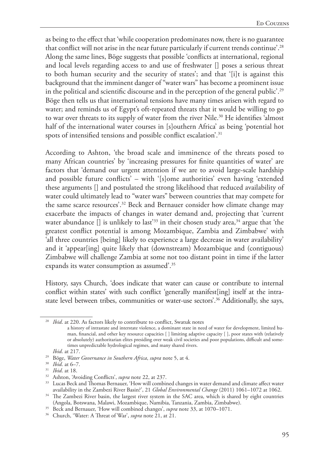as being to the effect that 'while cooperation predominates now, there is no guarantee that conflict will not arise in the near future particularly if current trends continue'.<sup>28</sup> Along the same lines, Böge suggests that possible 'conflicts at international, regional and local levels regarding access to and use of freshwater [] poses a serious threat to both human security and the security of states'; and that '[i]t is against this background that the imminent danger of "water wars" has become a prominent issue in the political and scientific discourse and in the perception of the general public'.29 Böge then tells us that international tensions have many times arisen with regard to water; and reminds us of Egypt's oft-repeated threats that it would be willing to go to war over threats to its supply of water from the river Nile.<sup>30</sup> He identifies 'almost half of the international water courses in [s]outhern Africa' as being 'potential hot spots of intensified tensions and possible conflict escalation'.<sup>31</sup>

According to Ashton, 'the broad scale and imminence of the threats posed to many African countries' by 'increasing pressures for finite quantities of water' are factors that 'demand our urgent attention if we are to avoid large-scale hardship and possible future conflicts' – with '[s]ome authorities' even having 'extended these arguments [] and postulated the strong likelihood that reduced availability of water could ultimately lead to "water wars" between countries that may compete for the same scarce resources'.32 Beck and Bernauer consider how climate change may exacerbate the impacts of changes in water demand and, projecting that 'current water abundance  $[]$  is unlikely to last<sup>233</sup> in their chosen study area,<sup>34</sup> argue that 'the greatest conflict potential is among Mozambique, Zambia and Zimbabwe' with 'all three countries [being] likely to experience a large decrease in water availability' and it 'appear[ing] quite likely that (downstream) Mozambique and (contiguous) Zimbabwe will challenge Zambia at some not too distant point in time if the latter expands its water consumption as assumed'.35

History, says Church, 'does indicate that water can cause or contribute to internal conflict within states' with such conflict 'generally manifest[ing] itself at the intrastate level between tribes, communities or water-use sectors'.36 Additionally, she says,

<sup>&</sup>lt;sup>28</sup> *Ibid.* at 220. As factors likely to contribute to conflict, Swatuk notes

a history of intrastate and interstate violence, a dominant state in need of water for development, limited human, financial, and other key resource capacities [ ] limiting adaptive capacity [ ], poor states with (relatively or absolutely) authoritarian elites presiding over weak civil societies and poor populations, difficult and sometimes unpredictable hydrological regimes, and many shared rivers.<br>Ibid. at 217.

<sup>&</sup>lt;sup>29</sup> Böge, *Water Governance in Southern Africa*, *supra* note 5, at 4.

<sup>30</sup> *Ibid*. at 6–7.

<sup>31</sup> *Ibid*. at 18.

<sup>32</sup> Ashton, 'Avoiding Conflicts', *supra* note 22, at 237.

<sup>&</sup>lt;sup>33</sup> Lucas Beck and Thomas Bernauer, 'How will combined changes in water demand and climate affect water availability in the Zambezi River Basin?', 21 *Global Environmental Change* (2011) 1061–1072 at 1062.

<sup>&</sup>lt;sup>34</sup> The Zambezi River basin, the largest river system in the SAC area, which is shared by eight countries (Angola, Botswana, Malawi, Mozambique, Namibia, Tanzania, Zambia, Zimbabwe).

<sup>35</sup> Beck and Bernauer, 'How will combined changes', *supra* note 33, at 1070–1071.

<sup>36</sup> Church, 'Water: A Threat of War', *supra* note 21, at 21.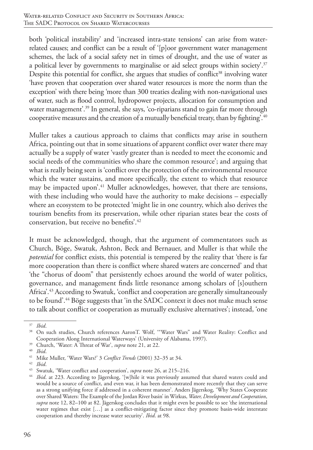both 'political instability' and 'increased intra-state tensions' can arise from waterrelated causes; and conflict can be a result of '[p]oor government water management schemes, the lack of a social safety net in times of drought, and the use of water as a political lever by governments to marginalise or aid select groups within society<sup>2,37</sup> Despite this potential for conflict, she argues that studies of conflict<sup>38</sup> involving water 'have proven that cooperation over shared water resources is more the norm than the exception' with there being 'more than 300 treaties dealing with non-navigational uses of water, such as flood control, hydropower projects, allocation for consumption and water management<sup>'39</sup> In general, she says, 'co-riparians stand to gain far more through cooperative measures and the creation of a mutually beneficial treaty, than by fighting'.<sup>40</sup>

Muller takes a cautious approach to claims that conflicts may arise in southern Africa, pointing out that in some situations of apparent conflict over water there may actually be a supply of water 'vastly greater than is needed to meet the economic and social needs of the communities who share the common resource'; and arguing that what is really being seen is 'conflict over the protection of the environmental resource which the water sustains, and more specifically, the extent to which that resource may be impacted upon'.<sup>41</sup> Muller acknowledges, however, that there are tensions, with these including who would have the authority to make decisions – especially where an ecosystem to be protected 'might lie in one country, which also derives the tourism benefits from its preservation, while other riparian states bear the costs of conservation, but receive no benefits'.42

It must be acknowledged, though, that the argument of commentators such as Church, Böge, Swatuk, Ashton, Beck and Bernauer, and Muller is that while the *potential* for conflict exists, this potential is tempered by the reality that 'there is far more cooperation than there is conflict where shared waters are concerned' and that 'the "chorus of doom" that persistently echoes around the world of water politics, governance, and management finds little resonance among scholars of [s]outhern Africa<sup>', 43</sup> According to Swatuk, 'conflict and cooperation are generally simultaneously to be found'.44 Böge suggests that 'in the SADC context it does not make much sense to talk about conflict or cooperation as mutually exclusive alternatives'; instead, 'one

<sup>39</sup> Church, 'Water: A Threat of War', *supra* note 21, at 22.

<sup>37</sup> *Ibid*.

<sup>38</sup> On such studies, Church references AaronT. Wolf, '"Water Wars" and Water Reality: Conflict and Cooperation Along International Waterways' (University of Alabama, 1997).

<sup>40</sup> *Ibid*.

<sup>41</sup> Mike Muller, 'Water Wars?' 3 *Conflict Trends* (2001) 32–35 at 34. 42 *Ibid*.

<sup>43</sup> Swatuk, 'Water conflict and cooperation', *supra* note 26, at 215–216.

<sup>&</sup>lt;sup>44</sup> *Ibid.* at 223. According to Jägerskog, '[w]hile it was previously assumed that shared waters could and would be a source of conflict, and even war, it has been demonstrated more recently that they can serve as a strong unifying force if addressed in a coherent manner'. Anders Jägerskog, 'Why States Cooperate over Shared Waters: The Example of the Jordan River basin' in Wirkus, *Water, Development and Cooperation*, *supra* note 12, 82–100 at 82. Jägerskog concludes that it might even be possible to see 'the international water regimes that exist […] as a conflict-mitigating factor since they promote basin-wide interstate cooperation and thereby increase water security'. *Ibid*. at 98.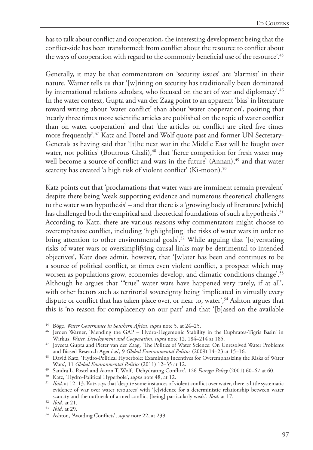has to talk about conflict and cooperation, the interesting development being that the conflict-side has been transformed: from conflict about the resource to conflict about the ways of cooperation with regard to the commonly beneficial use of the resource'.<sup>45</sup>

Generally, it may be that commentators on 'security issues' are 'alarmist' in their nature. Warner tells us that '[w]riting on security has traditionally been dominated by international relations scholars, who focused on the art of war and diplomacy'.<sup>46</sup> In the water context, Gupta and van der Zaag point to an apparent 'bias' in literature toward writing about 'water conflict' than about 'water cooperation', positing that 'nearly three times more scientific articles are published on the topic of water conflict than on water cooperation' and that 'the articles on conflict are cited five times more frequently'.47 Katz and Postel and Wolf quote past and former UN Secretary-Generals as having said that '[t]he next war in the Middle East will be fought over water, not politics' (Boutrous Ghali),<sup>48</sup> that 'fierce competition for fresh water may well become a source of conflict and wars in the future' (Annan),<sup>49</sup> and that water scarcity has created 'a high risk of violent conflict' (Ki-moon).<sup>50</sup>

Katz points out that 'proclamations that water wars are imminent remain prevalent' despite there being 'weak supporting evidence and numerous theoretical challenges to the water wars hypothesis' – and that there is a 'growing body of literature [which] has challenged both the empirical and theoretical foundations of such a hypothesis'.<sup>51</sup> According to Katz, there are various reasons why commentators might choose to overemphasize conflict, including 'highlight[ing] the risks of water wars in order to bring attention to other environmental goals'.<sup>52</sup> While arguing that '[o]verstating risks of water wars or oversimplifying causal links may be detrimental to intended objectives', Katz does admit, however, that '[w]ater has been and continues to be a source of political conflict, at times even violent conflict, a prospect which may worsen as populations grow, economies develop, and climatic conditions change'.<sup>53</sup> Although he argues that '"true" water wars have happened very rarely, if at all', with other factors such as territorial sovereignty being 'implicated in virtually every dispute or conflict that has taken place over, or near to, water',<sup>54</sup> Ashton argues that this is 'no reason for complacency on our part' and that '[b]ased on the available

<sup>45</sup> Böge, *Water Governance in Southern Africa*, *supra* note 5, at 24–25.

<sup>46</sup> Jeroen Warner, 'Mending the GAP – Hydro-Hegemonic Stability in the Euphrates-Tigris Basin' in Wirkus, *Water, Development and Cooperation*, *supra* note 12, 184–214 at 185.

<sup>47</sup> Joyeeta Gupta and Pieter van der Zaag, 'The Politics of Water Science: On Unresolved Water Problems and Biased Research Agendas', 9 *Global Environmental Politics* (2009) 14–23 at 15–16.

<sup>48</sup> David Katz, 'Hydro-Political Hyperbole: Examining Incentives for Overemphasizing the Risks of Water Wars', 11 *Global Environmental Politics* (2011) 12–35 at 12.

<sup>49</sup> Sandra L. Postel and Aaron T. Wolf, 'Dehydrating Conflict', 126 *Foreign Policy* (2001) 60–67 at 60.

<sup>50</sup> Katz, 'Hydro-Political Hyperbole', *supra* note 48, at 12.

<sup>51</sup> *Ibid*. at 12–13. Katz says that 'despite some instances of violent conflict over water, there is little systematic evidence of war over water resources' with '[e]vidence for a deterministic relationship between water scarcity and the outbreak of armed conflict [being] particularly weak'. *Ibid*. at 17.

<sup>52</sup> *Ibid*. at 21.

<sup>53</sup> *Ibid*. at 29.

<sup>54</sup> Ashton, 'Avoiding Conflicts', *supra* note 22, at 239.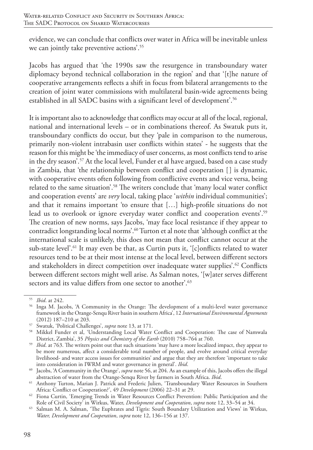evidence, we can conclude that conflicts over water in Africa will be inevitable unless we can jointly take preventive actions'.55

Jacobs has argued that 'the 1990s saw the resurgence in transboundary water diplomacy beyond technical collaboration in the region' and that '[t]he nature of cooperative arrangements reflects a shift in focus from bilateral arrangements to the creation of joint water commissions with multilateral basin-wide agreements being established in all SADC basins with a significant level of development'.<sup>56</sup>

It is important also to acknowledge that conflicts may occur at all of the local, regional, national and international levels – or in combinations thereof. As Swatuk puts it, transboundary conflicts do occur, but they 'pale in comparison to the numerous, primarily non-violent intrabasin user conflicts within states' - he suggests that the reason for this might be 'the immediacy of user concerns, as most conflicts tend to arise in the dry season'.57 At the local level, Funder et al have argued, based on a case study in Zambia, that 'the relationship between conflict and cooperation [] is dynamic, with cooperative events often following from conflictive events and vice versa, being related to the same situation'.<sup>58</sup> The writers conclude that 'many local water conflict and cooperation events' are *very* local, taking place '*within* individual communities'; and that it remains important 'to ensure that […] high-profile situations do not lead us to overlook or ignore everyday water conflict and cooperation events'.<sup>59</sup> The creation of new norms, says Jacobs, 'may face local resistance if they appear to contradict longstanding local norms'.60 Turton et al note that 'although conflict at the international scale is unlikely, this does not mean that conflict cannot occur at the sub-state level'.<sup>61</sup> It may even be that, as Curtin puts it, '[c]onflicts related to water resources tend to be at their most intense at the local level, between different sectors and stakeholders in direct competition over inadequate water supplies'.<sup>62</sup> Conflicts between different sectors might well arise. As Salman notes, '[w]ater serves different sectors and its value differs from one sector to another'.<sup>63</sup>

<sup>55</sup> *Ibid*. at 242.

<sup>56</sup> Inga M. Jacobs, 'A Community in the Orange: The development of a multi-level water governance framework in the Orange-Senqu River basin in southern Africa', 12 *International Environmental Agreements* (2012) 187–210 at 203.

<sup>57</sup> Swatuk, 'Political Challenges', *supra* note 13, at 171.

<sup>58</sup> Mikkel Funder et al, 'Understanding Local Water Conflict and Cooperation: The case of Namwala District, Zambia', 35 *Physics and Chemistry of the Earth* (2010) 758–764 at 760.

<sup>&</sup>lt;sup>59</sup> *Ibid.* at 763. The writers point out that such situations 'may have a more localized impact, they appear to be more numerous, affect a considerable total number of people, and evolve around critical everyday livelihood- and water access issues for communities' and argue that they are therefore 'important to take into consideration in IWRM and water governance in general'. *Ibid*.

<sup>60</sup> Jacobs, 'A Community in the Orange', *supra* note 56, at 204. As an example of this, Jacobs offers the illegal abstraction of water from the Orange-Senqu River by farmers in South Africa. *Ibid*.

<sup>61</sup> Anthony Turton, Marian J. Patrick and Frederic Julien, 'Transboundary Water Resources in Southern Africa: Conflict or Cooperation?', 49 *Development* (2006) 22–31 at 29.

<sup>&</sup>lt;sup>62</sup> Fiona Curtin, 'Emerging Trends in Water Resources Conflict Prevention: Public Participation and the Role of Civil Society' in Wirkus, Water, *Development and Cooperation, supra* note 12, 33–54 at 34.

<sup>&</sup>lt;sup>63</sup> Salman M. A. Salman, 'The Euphrates and Tigris: South Boundary Utilization and Views' in Wirkus, *Water, Development and Cooperation*, *supra* note 12, 136–156 at 137.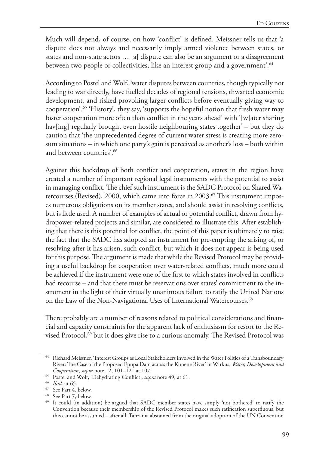Much will depend, of course, on how 'conflict' is defined. Meissner tells us that 'a dispute does not always and necessarily imply armed violence between states, or states and non-state actors … [a] dispute can also be an argument or a disagreement between two people or collectivities, like an interest group and a government'.<sup>64</sup>

According to Postel and Wolf, 'water disputes between countries, though typically not leading to war directly, have fuelled decades of regional tensions, thwarted economic development, and risked provoking larger conflicts before eventually giving way to cooperation'.65 'History', they say, 'supports the hopeful notion that fresh water may foster cooperation more often than conflict in the years ahead' with '[w]ater sharing hav[ing] regularly brought even hostile neighbouring states together' – but they do caution that 'the unprecedented degree of current water stress is creating more zerosum situations – in which one party's gain is perceived as another's loss – both within and between countries'.66

Against this backdrop of both conflict and cooperation, states in the region have created a number of important regional legal instruments with the potential to assist in managing conflict. The chief such instrument is the SADC Protocol on Shared Watercourses (Revised), 2000, which came into force in 2003.<sup>67</sup> This instrument imposes numerous obligations on its member states, and should assist in resolving conflicts, but is little used. A number of examples of actual or potential conflict, drawn from hydropower-related projects and similar, are considered to illustrate this. After establishing that there is this potential for conflict, the point of this paper is ultimately to raise the fact that the SADC has adopted an instrument for pre-empting the arising of, or resolving after it has arisen, such conflict, but which it does not appear is being used for this purpose. The argument is made that while the Revised Protocol may be providing a useful backdrop for cooperation over water-related conflicts, much more could be achieved if the instrument were one of the first to which states involved in conflicts had recourse – and that there must be reservations over states' commitment to the instrument in the light of their virtually unanimous failure to ratify the United Nations on the Law of the Non-Navigational Uses of International Watercourses.<sup>68</sup>

There probably are a number of reasons related to political considerations and financial and capacity constraints for the apparent lack of enthusiasm for resort to the Revised Protocol,<sup>69</sup> but it does give rise to a curious anomaly. The Revised Protocol was

<sup>64</sup> Richard Meissner, 'Interest Groups as Local Stakeholders involved in the Water Politics of a Transboundary River: The Case of the Proposed Epupa Dam across the Kunene River' in Wirkus, *Water, Development and Cooperation*, *supra* note 12, 101–121 at 107.

<sup>65</sup> Postel and Wolf, 'Dehydrating Conflict', *supra* note 49, at 61.

<sup>66</sup> *Ibid*. at 65.

<sup>67</sup> See Part 4, below.

<sup>68</sup> See Part 7, below.

<sup>69</sup> It could (in addition) be argued that SADC member states have simply 'not bothered' to ratify the Convention because their membership of the Revised Protocol makes such ratification superfluous, but this cannot be assumed – after all, Tanzania abstained from the original adoption of the UN Convention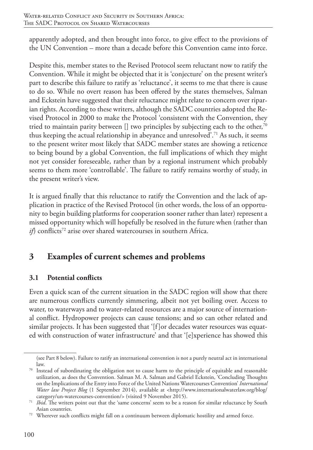apparently adopted, and then brought into force, to give effect to the provisions of the UN Convention – more than a decade before this Convention came into force.

Despite this, member states to the Revised Protocol seem reluctant now to ratify the Convention. While it might be objected that it is 'conjecture' on the present writer's part to describe this failure to ratify as 'reluctance', it seems to me that there is cause to do so. While no overt reason has been offered by the states themselves, Salman and Eckstein have suggested that their reluctance might relate to concern over riparian rights. According to these writers, although the SADC countries adopted the Revised Protocol in 2000 to make the Protocol 'consistent with the Convention, they tried to maintain parity between  $\left[\right]$  two principles by subjecting each to the other,<sup>70</sup> thus keeping the actual relationship in abeyance and unresolved'.<sup>71</sup> As such, it seems to the present writer most likely that SADC member states are showing a reticence to being bound by a global Convention, the full implications of which they might not yet consider foreseeable, rather than by a regional instrument which probably seems to them more 'controllable'. The failure to ratify remains worthy of study, in the present writer's view.

It is argued finally that this reluctance to ratify the Convention and the lack of application in practice of the Revised Protocol (in other words, the loss of an opportunity to begin building platforms for cooperation sooner rather than later) represent a missed opportunity which will hopefully be resolved in the future when (rather than *if*) conflicts<sup>72</sup> arise over shared watercourses in southern Africa.

# **3 Examples of current schemes and problems**

# **3.1 Potential conflicts**

Even a quick scan of the current situation in the SADC region will show that there are numerous conflicts currently simmering, albeit not yet boiling over. Access to water, to waterways and to water-related resources are a major source of international conflict. Hydropower projects can cause tensions; and so can other related and similar projects. It has been suggested that '[f]or decades water resources was equated with construction of water infrastructure' and that '[e]xperience has showed this

<sup>(</sup>see Part 8 below). Failure to ratify an international convention is not a purely neutral act in international

law.  $70$  Instead of subordinating the obligation not to cause harm to the principle of equitable and reasonable utilization, as does the Convention. Salman M. A. Salman and Gabriel Eckstein, 'Concluding Thoughts on the Implications of the Entry into Force of the United Nations Watercourses Convention' *International Water law Project Blog* (1 September 2014), available at <http://www.internationalwaterlaw.org/blog/ category/un-watercourses-convention/> (visited 9 November 2015).

<sup>&</sup>lt;sup>71</sup> *Ibid*. The writers point out that the 'same concerns' seem to be a reason for similar reluctance by South

Asian countries.<br><sup>72</sup> Wherever such conflicts might fall on a continuum between diplomatic hostility and armed force.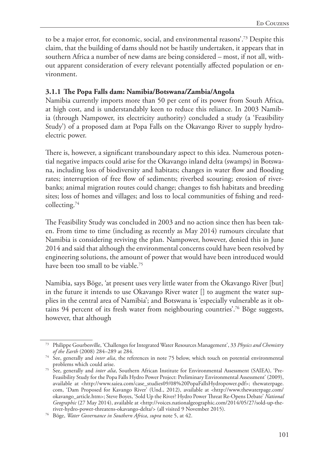to be a major error, for economic, social, and environmental reasons'.73 Despite this claim, that the building of dams should not be hastily undertaken, it appears that in southern Africa a number of new dams are being considered – most, if not all, without apparent consideration of every relevant potentially affected population or environment.

## **3.1.1 The Popa Falls dam: Namibia/Botswana/Zambia/Angola**

Namibia currently imports more than 50 per cent of its power from South Africa, at high cost, and is understandably keen to reduce this reliance. In 2003 Namibia (through Nampower, its electricity authority) concluded a study (a 'Feasibility Study') of a proposed dam at Popa Falls on the Okavango River to supply hydroelectric power.

There is, however, a significant transboundary aspect to this idea. Numerous potential negative impacts could arise for the Okavango inland delta (swamps) in Botswana, including loss of biodiversity and habitats; changes in water flow and flooding rates; interruption of free flow of sediments; riverbed scouring; erosion of riverbanks; animal migration routes could change; changes to fish habitats and breeding sites; loss of homes and villages; and loss to local communities of fishing and reedcollecting.74

The Feasibility Study was concluded in 2003 and no action since then has been taken. From time to time (including as recently as May 2014) rumours circulate that Namibia is considering reviving the plan. Nampower, however, denied this in June 2014 and said that although the environmental concerns could have been resolved by engineering solutions, the amount of power that would have been introduced would have been too small to be viable.<sup>75</sup>

Namibia, says Böge, 'at present uses very little water from the Okavango River [but] in the future it intends to use Okavango River water [] to augment the water supplies in the central area of Namibia'; and Botswana is 'especially vulnerable as it obtains 94 percent of its fresh water from neighbouring countries'.76 Böge suggests, however, that although

<sup>73</sup> Philippe Gourbesville, 'Challenges for Integrated Water Resources Management', 33 *Physics and Chemistry of the Earth* (2008) 284–289 at 284.

<sup>&</sup>lt;sup>74</sup> See, generally and *inter alia*, the references in note 75 below, which touch on potential environmental problems which could arise.

<sup>75</sup> See, generally and *inter alia*, Southern African Institute for Environmental Assessment (SAIEA), 'Pre-Feasibility Study for the Popa Falls Hydro Power Project: Preliminary Environmental Assessment' (2009), available at <http://www.saiea.com/case\_studies09/08%20PopaFallsHydropower.pdf>; thewaterpage. com, 'Dam Proposed for Kavango River' (Und., 2012), available at <http://www.thewaterpage.com/ okavango\_article.htm>; Steve Boyes, 'Sold Up the River? Hydro Power Threat Re-Opens Debate' *National Geographic* (27 May 2014), available at <http://voices.nationalgeographic.com/2014/05/27/sold-up-theriver-hydro-power-threatens-okavango-delta/> (all visited 9 November 2015). 76 Böge, *Water Governance in Southern Africa*, *supra* note 5, at 42.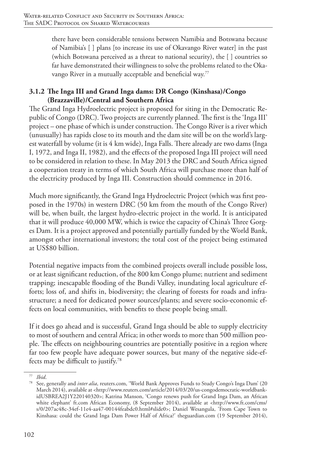there have been considerable tensions between Namibia and Botswana because of Namibia's [ ] plans [to increase its use of Okavango River water] in the past (which Botswana perceived as a threat to national security), the [ ] countries so far have demonstrated their willingness to solve the problems related to the Okavango River in a mutually acceptable and beneficial way.77

## **3.1.2 The Inga III and Grand Inga dams: DR Congo (Kinshasa)/Congo (Brazzaville)/Central and Southern Africa**

The Grand Inga Hydroelectric project is proposed for siting in the Democratic Republic of Congo (DRC). Two projects are currently planned. The first is the 'Inga III' project – one phase of which is under construction. The Congo River is a river which (unusually) has rapids close to its mouth and the dam site will be on the world's largest waterfall by volume (it is 4 km wide), Inga Falls. There already are two dams (Inga I, 1972, and Inga II, 1982), and the effects of the proposed Inga III project will need to be considered in relation to these. In May 2013 the DRC and South Africa signed a cooperation treaty in terms of which South Africa will purchase more than half of the electricity produced by Inga III. Construction should commence in 2016.

Much more significantly, the Grand Inga Hydroelectric Project (which was first proposed in the 1970s) in western DRC (50 km from the mouth of the Congo River) will be, when built, the largest hydro-electric project in the world. It is anticipated that it will produce 40,000 MW, which is twice the capacity of China's Three Gorges Dam. It is a project approved and potentially partially funded by the World Bank, amongst other international investors; the total cost of the project being estimated at US\$80 billion.

Potential negative impacts from the combined projects overall include possible loss, or at least significant reduction, of the 800 km Congo plume; nutrient and sediment trapping; inescapable flooding of the Bundi Valley, inundating local agriculture efforts; loss of, and shifts in, biodiversity; the clearing of forests for roads and infrastructure; a need for dedicated power sources/plants; and severe socio-economic effects on local communities, with benefits to these people being small.

If it does go ahead and is successful, Grand Inga should be able to supply electricity to most of southern and central Africa; in other words to more than 500 million people. The effects on neighbouring countries are potentially positive in a region where far too few people have adequate power sources, but many of the negative side-effects may be difficult to justify.78

<sup>77</sup> *Ibid*.

<sup>78</sup> See, generally and *inter alia*, reuters.com, 'World Bank Approves Funds to Study Congo's Inga Dam' (20 March 2014), available at <http://www.reuters.com/article/2014/03/20/us-congodemocratic-worldbankidUSBREA2J1Y220140320>; Katrina Manson, 'Congo renews push for Grand Inga Dam, an African white elephant' ft.com African Economy, (8 September 2014), available at <http://www.ft.com/cms/ s/0/207ac48c-34ef-11e4-aa47-00144feabdc0.html#slide0>; Daniel Wesangula, 'From Cape Town to Kinshasa: could the Grand Inga Dam Power Half of Africa?' theguardian.com (19 September 2014),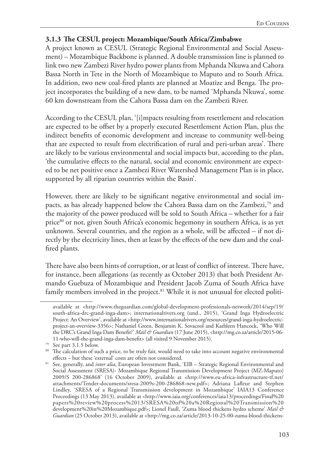#### **3.1.3 The CESUL project: Mozambique/South Africa/Zimbabwe**

A project known as CESUL (Strategic Regional Environmental and Social Assessment) – Mozambique Backbone is planned. A double transmission line is planned to link two new Zambezi River hydro power plants from Mphanda Nkuwa and Cahora Bassa North in Tete in the North of Mozambique to Maputo and to South Africa. In addition, two new coal-fired plants are planned at Moatize and Benga. The project incorporates the building of a new dam, to be named 'Mphanda Nkuwa', some 60 km downstream from the Cahora Bassa dam on the Zambezi River.

According to the CESUL plan, '[i]mpacts resulting from resettlement and relocation are expected to be offset by a properly executed Resettlement Action Plan, plus the indirect benefits of economic development and increase to community well-being that are expected to result from electrification of rural and peri-urban areas'. There are likely to be various environmental and social impacts but, according to the plan, 'the cumulative effects to the natural, social and economic environment are expected to be net positive once a Zambezi River Watershed Management Plan is in place, supported by all riparian countries within the Basin'.

However, there are likely to be significant negative environmental and social impacts, as has already happened below the Cahora Bassa dam on the Zambezi,79 and the majority of the power produced will be sold to South Africa – whether for a fair price<sup>80</sup> or not, given South Africa's economic hegemony in southern Africa, is as yet unknown. Several countries, and the region as a whole, will be affected – if not directly by the electricity lines, then at least by the effects of the new dam and the coalfired plants.

There have also been hints of corruption, or at least of conflict of interest. There have, for instance, been allegations (as recently as October 2013) that both President Armando Guebuza of Mozambique and President Jacob Zuma of South Africa have family members involved in the project.<sup>81</sup> While it is not unusual for elected politi-

available at <http://www.theguardian.com/global-development-professionals-network/2014/sep/19/ south-africa-drc-grand-inga-dam>; internationalrivers.org (und., 2015), 'Grand Inga Hydroelectric Project: An Overview', available at <http://www.internationalrivers.org/resources/grand-inga-hydroelectricproject-an-overview-3356>; Nathaniel Green, Benjamin K. Sovacool and Kathleen Hancock, 'Who Will the DRC's Grand Inga Dam Benefit?' *Mail & Guardian* (17 June 2015), <http://mg.co.za/article/2015-06- 11-who-will-the-grand-inga-dam-benefit> (all visited 9 November 2015).

<sup>79</sup> See part 3.1.5 below.

<sup>&</sup>lt;sup>80</sup> The calculation of such a price, to be truly fair, would need to take into account negative environmental effects – but these 'external' costs are often not considered.

<sup>&</sup>lt;sup>81</sup> See, generally, and *inter alia*, European Investment Bank, 'EIB – Strategic Regional Environmental and Social Assessment (SRESA)- Mozambique Regional Transmission Development Project (MZ-Maputo) 2009/S 200-286868' (16 October 2009), available at <http://www.eu-africa-infrastructure-tf.net/ attachments/Tender-documents/sresa-2009s-200-286868-new.pdf>; Adriana Lafleur and Stephen Lindley, 'SRESA of a Regional Transmission development in Mozambique' IAIA13 Conference Proceedings (13 May 2013), available at <http://www.iaia.org/conferences/iaia13/proceedings/Final%20 papers%20review%20process%2013/SRESA%20of%20a%20Regional%20Transmission%20 development%20in%20Mozambique.pdf>; Lionel Faull, 'Zuma blood thickens hydro scheme' *Mail & Guardian* (25 October 2013), available at <http://mg.co.za/article/2013-10-25-00-zuma-blood-thickens-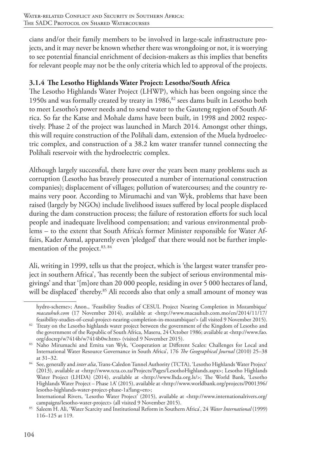cians and/or their family members to be involved in large-scale infrastructure projects, and it may never be known whether there was wrongdoing or not, it is worrying to see potential financial enrichment of decision-makers as this implies that benefits for relevant people may not be the only criteria which led to approval of the projects.

## **3.1.4 The Lesotho Highlands Water Project: Lesotho/South Africa**

The Lesotho Highlands Water Project (LHWP), which has been ongoing since the 1950s and was formally created by treaty in 1986,<sup>82</sup> sees dams built in Lesotho both to meet Lesotho's power needs and to send water to the Gauteng region of South Africa. So far the Katse and Mohale dams have been built, in 1998 and 2002 respectively. Phase 2 of the project was launched in March 2014. Amongst other things, this will require construction of the Polihali dam, extension of the Muela hydroelectric complex, and construction of a 38.2 km water transfer tunnel connecting the Polihali reservoir with the hydroelectric complex.

Although largely successful, there have over the years been many problems such as corruption (Lesotho has bravely prosecuted a number of international construction companies); displacement of villages; pollution of watercourses; and the country remains very poor. According to Mirumachi and van Wyk, problems that have been raised (largely by NGOs) include livelihood issues suffered by local people displaced during the dam construction process; the failure of restoration efforts for such local people and inadequate livelihood compensation; and various environmental problems – to the extent that South Africa's former Minister responsible for Water Affairs, Kader Asmal, apparently even 'pledged' that there would not be further implementation of the project.<sup>83, 84</sup>

Ali, writing in 1999, tells us that the project, which is 'the largest water transfer project in southern Africa', 'has recently been the subject of serious environmental misgivings' and that '[m]ore than 20 000 people, residing in over 5 000 hectares of land, will be displaced' thereby.<sup>85</sup> Ali records also that only a small amount of money was

hydro-scheme>; Anon., 'Feasibility Studies of CESUL Project Nearing Completion in Mozambique' *macauhub.com* (17 November 2014), available at <http://www.macauhub.com.mo/en/2014/11/17/ feasibility-studies-of-cesul-project-nearing-completion-in-mozambique/> (all visited 9 November 2015).

<sup>&</sup>lt;sup>82</sup> Treaty on the Lesotho highlands water project between the government of the Kingdom of Lesotho and the government of the Republic of South Africa, Maseru, 24 October 1986; available at <http://www.fao.

org/docrep/w7414b/w7414b0w.htm> (visited 9 November 2015). 83 Naho Mirumachi and Ernita van Wyk, 'Cooperation at Different Scales: Challenges for Local and International Water Resource Governance in South Africa', 176 *The Geographical Journal* (2010) 25–38 at 31–32.

<sup>&</sup>lt;sup>84</sup> See, generally and *inter alia*, Trans-Caledon Tunnel Authority (TCTA), 'Lesotho Highlands Water Project' (2013), available at <http://www.tcta.co.za/Projects/Pages/LesothoHighlands.aspx>; Lesotho Highlands Water Project (LHDA) (2014), available at <http://www.lhda.org.ls/>; The World Bank, 'Lesotho Highlands Water Project – Phase 1A' (2015), available at <http://www.worldbank.org/projects/P001396/ lesotho-highlands-water-project-phase-1a?lang=en>;

International Rivers, 'Lesotho Water Project<sup>5</sup> (2015), available at <http://www.internationalrivers.org/ campaigns/lesotho-water-project> (all visited 9 November 2015).

<sup>&</sup>lt;sup>85</sup> Saleem H. Ali, 'Water Scarcity and Institutional Reform in Southern Africa', 24 *Water International* (1999) 116–125 at 119.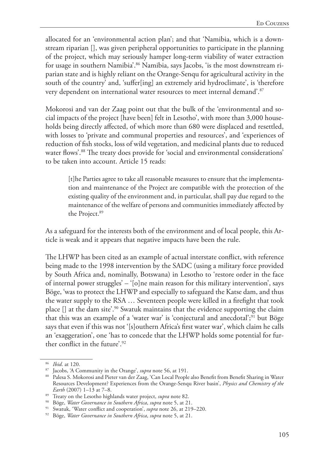allocated for an 'environmental action plan'; and that 'Namibia, which is a downstream riparian [], was given peripheral opportunities to participate in the planning of the project, which may seriously hamper long-term viability of water extraction for usage in southern Namibia'.<sup>86</sup> Namibia, says Jacobs, 'is the most downstream riparian state and is highly reliant on the Orange-Senqu for agricultural activity in the south of the country' and, 'suffer[ing] an extremely arid hydroclimate', is 'therefore very dependent on international water resources to meet internal demand'.<sup>87</sup>

Mokorosi and van der Zaag point out that the bulk of the 'environmental and social impacts of the project [have been] felt in Lesotho', with more than 3,000 households being directly affected, of which more than 680 were displaced and resettled, with losses to 'private and communal properties and resources', and 'experiences of reduction of fish stocks, loss of wild vegetation, and medicinal plants due to reduced water flows'.88 The treaty does provide for 'social and environmental considerations' to be taken into account. Article 15 reads:

[t]he Parties agree to take all reasonable measures to ensure that the implementation and maintenance of the Project are compatible with the protection of the existing quality of the environment and, in particular, shall pay due regard to the maintenance of the welfare of persons and communities immediately affected by the Project.<sup>89</sup>

As a safeguard for the interests both of the environment and of local people, this Article is weak and it appears that negative impacts have been the rule.

The LHWP has been cited as an example of actual interstate conflict, with reference being made to the 1998 intervention by the SADC (using a military force provided by South Africa and, nominally, Botswana) in Lesotho to 'restore order in the face of internal power struggles' – '[o]ne main reason for this military intervention', says Böge, 'was to protect the LHWP and especially to safeguard the Katse dam, and thus the water supply to the RSA … Seventeen people were killed in a firefight that took place  $\Box$  at the dam site'.<sup>90</sup> Swatuk maintains that the evidence supporting the claim that this was an example of a 'water war' is 'conjectural and anecdotal';<sup>91</sup> but Böge says that even if this was not '[s]outhern Africa's first water war', which claim he calls an 'exaggeration', one 'has to concede that the LHWP holds some potential for further conflict in the future'.92

<sup>86</sup> *Ibid*. at 120.

<sup>87</sup> Jacobs, 'A Community in the Orange', *supra* note 56, at 191.

<sup>88</sup> Palesa S. Mokorosi and Pieter van der Zaag, 'Can Local People also Benefit from Benefit Sharing in Water Resources Development? Experiences from the Orange-Senqu River basin', *Physics and Chemistry of the Earth* (2007) 1–13 at 7–8.

<sup>89</sup> Treaty on the Lesotho highlands water project, *supra* note 82.

<sup>90</sup> Böge, *Water Governance in Southern Africa*, *supra* note 5, at 21.

<sup>91</sup> Swatuk, 'Water conflict and cooperation', *supra* note 26, at 219–220.

<sup>92</sup> Böge, *Water Governance in Southern Africa*, *supra* note 5, at 21.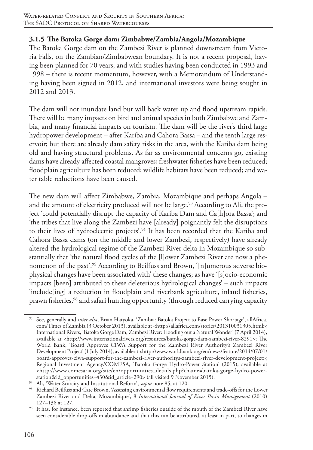### **3.1.5 The Batoka Gorge dam: Zimbabwe/Zambia/Angola/Mozambique**

The Batoka Gorge dam on the Zambezi River is planned downstream from Victoria Falls, on the Zambian/Zimbabwean boundary. It is not a recent proposal, having been planned for 70 years, and with studies having been conducted in 1993 and 1998 – there is recent momentum, however, with a Memorandum of Understanding having been signed in 2012, and international investors were being sought in 2012 and 2013.

The dam will not inundate land but will back water up and flood upstream rapids. There will be many impacts on bird and animal species in both Zimbabwe and Zambia, and many financial impacts on tourism. The dam will be the river's third large hydropower development – after Kariba and Cahora Bassa – and the tenth large reservoir; but there are already dam safety risks in the area, with the Kariba dam being old and having structural problems. As far as environmental concerns go, existing dams have already affected coastal mangroves; freshwater fisheries have been reduced; floodplain agriculture has been reduced; wildlife habitats have been reduced; and water table reductions have been caused.

The new dam will affect Zimbabwe, Zambia, Mozambique and perhaps Angola – and the amount of electricity produced will not be large.<sup>93</sup> According to Ali, the project 'could potentially disrupt the capacity of Kariba Dam and Ca[h]ora Bassa'; and 'the tribes that live along the Zambezi have [already] poignantly felt the disruptions to their lives of hydroelectric projects'.<sup>94</sup> It has been recorded that the Kariba and Cahora Bassa dams (on the middle and lower Zambezi, respectively) have already altered the hydrological regime of the Zambezi River delta in Mozambique so substantially that 'the natural flood cycles of the [l]ower Zambezi River are now a phenomenon of the past'.95 According to Beilfuss and Brown, '[n]umerous adverse biophysical changes have been associated with' these changes; as have '[s]ocio-economic impacts [been] attributed to these deleterious hydrological changes' – such impacts 'include[ing] a reduction in floodplain and riverbank agriculture, inland fisheries, prawn fisheries,<sup>96</sup> and safari hunting opportunity (through reduced carrying capacity

<sup>93</sup> See, generally and *inter alia*, Brian Hatyoka, 'Zambia: Batoka Project to Ease Power Shortage', allAfrica. com/Times of Zambia (3 October 2013), available at <http://allafrica.com/stories/201310031305.html>; International Rivers, 'Batoka Gorge Dam, Zambezi River: Flooding out a Natural Wonder' (7 April 2014), available at <http://www.internationalrivers.org/resources/batoka-gorge-dam-zambezi-river-8291>; The World Bank, 'Board Approves CIWA Support for the Zambezi River Authority's Zambezi River Development Project' (1 July 2014), available at <http://www.worldbank.org/en/news/feature/2014/07/01/ board-approves-ciwa-support-for-the-zambezi-river-authoritys-zambezi-river-development-project>; Regional Investment Agency/COMESA, 'Batoka Gorge Hydro-Power Station' (2015), available at <http://www.comesaria.org/site/en/opportunities\_details.php?chaine=batoka-gorge-hydro-power-

<sup>&</sup>lt;sup>94</sup> Ali, 'Water Scarcity and Institutional Reform', *supra* note 85, at 120.

<sup>95</sup> Richard Beilfuss and Cate Brown, 'Assessing environmental flow requirements and trade-offs for the Lower Zambezi River and Delta, Mozambique', 8 *International Journal of River Basin Management* (2010) 127–138 at 127.

<sup>96</sup> It has, for instance, been reported that shrimp fisheries outside of the mouth of the Zambezi River have seen considerable drop-offs in abundance and that this can be attributed, at least in part, to changes in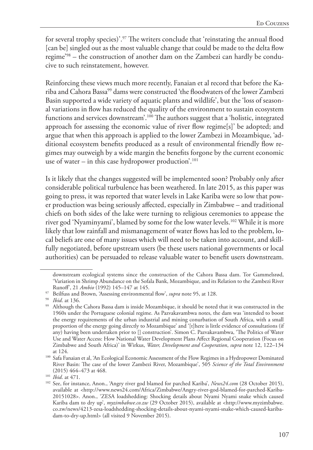for several trophy species)'.97 The writers conclude that 'reinstating the annual flood [can be] singled out as the most valuable change that could be made to the delta flow regime'98 – the construction of another dam on the Zambezi can hardly be conducive to such reinstatement, however.

Reinforcing these views much more recently, Fanaian et al record that before the Kariba and Cahora Bassa99 dams were constructed 'the floodwaters of the lower Zambezi Basin supported a wide variety of aquatic plants and wildlife', but the 'loss of seasonal variations in flow has reduced the quality of the environment to sustain ecosystem functions and services downstream'.100 The authors suggest that a 'holistic, integrated approach for assessing the economic value of river flow regime[s]' be adopted; and argue that when this approach is applied to the lower Zambezi in Mozambique, 'additional ecosystem benefits produced as a result of environmental friendly flow regimes may outweigh by a wide margin the benefits forgone by the current economic use of water – in this case hydropower production'.<sup>101</sup>

Is it likely that the changes suggested will be implemented soon? Probably only after considerable political turbulence has been weathered. In late 2015, as this paper was going to press, it was reported that water levels in Lake Kariba were so low that power production was being seriously affected, especially in Zimbabwe – and traditional chiefs on both sides of the lake were turning to religious ceremonies to appease the river god 'Nyaminyami', blamed by some for the low water levels.102 While it is more likely that low rainfall and mismanagement of water flows has led to the problem, local beliefs are one of many issues which will need to be taken into account, and skillfully negotiated, before upstream users (be these users national governments or local authorities) can be persuaded to release valuable water to benefit users downstream.

downstream ecological systems since the construction of the Cahora Bassa dam. Tor Gammelsrød, 'Variation in Shrimp Abundance on the Sofala Bank, Mozambique, and its Relation to the Zambezi River Runoff', 21 *Ambio* (1992) 145–147 at 145.

<sup>97</sup> Beilfuss and Brown, 'Assessing environmental flow', *supra* note 95, at 128. 98 *Ibid*. at 136.

<sup>99</sup> Although the Cahora Bassa dam is inside Mozambique, it should be noted that it was constructed in the 1960s under the Portuguese colonial regime. As Pazvakavambwa notes, the dam was 'intended to boost the energy requirements of the urban industrial and mining conurbation of South Africa, with a small proportion of the energy going directly to Mozambique' and '[t]here is little evidence of consultations (if any) having been undertaken prior to [] construction'. Simon C. Pazvakavambwa, 'The Politics of Water Use and Water Access: How National Water Development Plans Affect Regional Cooperation (Focus on Zimbabwe and South Africa)' in Wirkus, *Water, Development and Cooperation*, *supra* note 12, 122–134 at 124.

<sup>100</sup> Safa Fanaian et al, 'An Ecological Economic Assessment of the Flow Regimes in a Hydropower Dominated River Basin: The case of the lower Zambezi River, Mozambique', 505 *Science of the Total Environment* (2015) 464–473 at 468. 101 *Ibid*. at 471.

<sup>102</sup> See, for instance, Anon., 'Angry river god blamed for parched Kariba', *News24.com* (28 October 2015), available at <http://www.news24.com/Africa/Zimbabwe/Angry-river-god-blamed-for-parched-Kariba-20151028>. Anon., 'ZESA loadshedding: Shocking details about Nyami Nyami snake which caused Kariba dam to dry up', *myzimbabwe.co.zw* (29 October 2015), available at <http://www.myzimbabwe. co.zw/news/4213-zesa-loadshedding-shocking-details-about-nyami-nyami-snake-which-caused-karibadam-to-dry-up.html> (all visited 9 November 2015).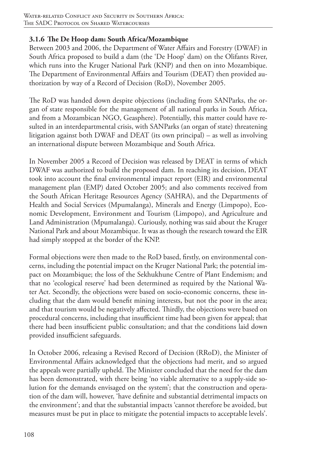## **3.1.6 The De Hoop dam: South Africa/Mozambique**

Between 2003 and 2006, the Department of Water Affairs and Forestry (DWAF) in South Africa proposed to build a dam (the 'De Hoop' dam) on the Olifants River, which runs into the Kruger National Park (KNP) and then on into Mozambique. The Department of Environmental Affairs and Tourism (DEAT) then provided authorization by way of a Record of Decision (RoD), November 2005.

The RoD was handed down despite objections (including from SANParks, the organ of state responsible for the management of all national parks in South Africa, and from a Mozambican NGO, Geasphere). Potentially, this matter could have resulted in an interdepartmental crisis, with SANParks (an organ of state) threatening litigation against both DWAF and DEAT (its own principal) – as well as involving an international dispute between Mozambique and South Africa.

In November 2005 a Record of Decision was released by DEAT in terms of which DWAF was authorized to build the proposed dam. In reaching its decision, DEAT took into account the final environmental impact report (EIR) and environmental management plan (EMP) dated October 2005; and also comments received from the South African Heritage Resources Agency (SAHRA), and the Departments of Health and Social Services (Mpumalanga), Minerals and Energy (Limpopo), Economic Development, Environment and Tourism (Limpopo), and Agriculture and Land Administration (Mpumalanga). Curiously, nothing was said about the Kruger National Park and about Mozambique. It was as though the research toward the EIR had simply stopped at the border of the KNP.

Formal objections were then made to the RoD based, firstly, on environmental concerns, including the potential impact on the Kruger National Park; the potential impact on Mozambique; the loss of the Sekhukhune Centre of Plant Endemism; and that no 'ecological reserve' had been determined as required by the National Water Act. Secondly, the objections were based on socio-economic concerns, these including that the dam would benefit mining interests, but not the poor in the area; and that tourism would be negatively affected. Thirdly, the objections were based on procedural concerns, including that insufficient time had been given for appeal; that there had been insufficient public consultation; and that the conditions laid down provided insufficient safeguards.

In October 2006, releasing a Revised Record of Decision (RRoD), the Minister of Environmental Affairs acknowledged that the objections had merit, and so argued the appeals were partially upheld. The Minister concluded that the need for the dam has been demonstrated, with there being 'no viable alternative to a supply-side solution for the demands envisaged on the system'; that the construction and operation of the dam will, however, 'have definite and substantial detrimental impacts on the environment'; and that the substantial impacts 'cannot therefore be avoided, but measures must be put in place to mitigate the potential impacts to acceptable levels'.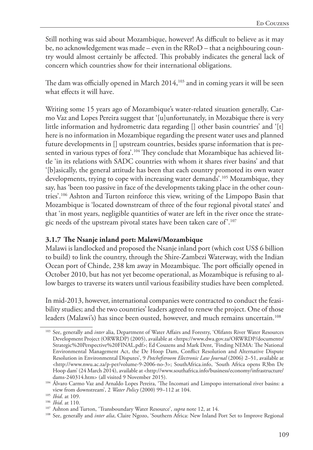Still nothing was said about Mozambique, however! As difficult to believe as it may be, no acknowledgement was made – even in the RRoD – that a neighbouring country would almost certainly be affected. This probably indicates the general lack of concern which countries show for their international obligations.

The dam was officially opened in March 2014,<sup>103</sup> and in coming years it will be seen what effects it will have.

Writing some 15 years ago of Mozambique's water-related situation generally, Carmo Vaz and Lopes Pereira suggest that '[u]unfortunately, in Mozabique there is very little information and hydrometric data regarding [] other basin countries' and '[t] here is no information in Mozambique regarding the present water uses and planned future developments in [] upstream countries, besides sparse information that is presented in various types of fora'.<sup>104</sup> They conclude that Mozambique has achieved little 'in its relations with SADC countries with whom it shares river basins' and that '[b]asically, the general attitude has been that each country promoted its own water developments, trying to cope with increasing water demands'.<sup>105</sup> Mozambique, they say, has 'been too passive in face of the developments taking place in the other countries'.106 Ashton and Turton reinforce this view, writing of the Limpopo Basin that Mozambique is 'located downstream of three of the four regional pivotal states' and that 'in most years, negligible quantities of water are left in the river once the strategic needs of the upstream pivotal states have been taken care of'.107

#### **3.1.7 The Nsanje inland port: Malawi/Mozambique**

Malawi is landlocked and proposed the Nsanje inland port (which cost US\$ 6 billion to build) to link the country, through the Shire-Zambezi Waterway, with the Indian Ocean port of Chinde, 238 km away in Mozambique. The port officially opened in October 2010, but has not yet become operational, as Mozambique is refusing to allow barges to traverse its waters until various feasibility studies have been completed.

In mid-2013, however, international companies were contracted to conduct the feasibility studies; and the two countries' leaders agreed to renew the project. One of those leaders (Malawi's) has since been ousted, however, and much remains uncertain.<sup>108</sup>

<sup>103</sup> See, generally and *inter* alia, Department of Water Affairs and Forestry, 'Olifants River Water Resources Development Project (ORWRDP) (2005), available at <https://www.dwa.gov.za/ORWRDP/documents/ Strategic%20Perspective%20FINAL.pdf>; Ed Couzens and Mark Dent, 'Finding NEMA: The National Environmental Management Act, the De Hoop Dam, Conflict Resolution and Alternative Dispute Resolution in Environmental Disputes', 9 *Potchefstroom Electronic Law Journal* (2006) 2–51, available at <http://www.nwu.ac.za/p-per/volume-9-2006-no-3>; SouthAfrica.info, 'South Africa opens R3bn De Hoop dam' (24 March 2014), available at <http://www.southafrica.info/business/economy/infrastructure/

dams-240314.htm> (all visited 9 November 2015). 104 Álvaro Carmo Vaz and Arnaldo Lopes Pereira, 'The Incomati and Limpopo international river basins: a view from downstream', 2 *Water Policy* (2000) 99–112 at 104.

<sup>105</sup> *Ibid*. at 109.

<sup>106</sup> *Ibid*. at 110.

<sup>107</sup> Ashton and Turton, 'Transboundary Water Resource', *supra* note 12, at 14.

<sup>108</sup> See, generally and *inter alia*, Claire Ngozo, 'Southern Africa: New Inland Port Set to Improve Regional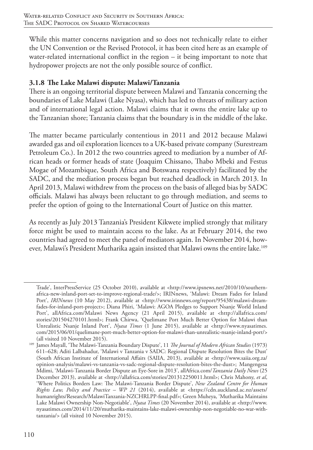While this matter concerns navigation and so does not technically relate to either the UN Convention or the Revised Protocol, it has been cited here as an example of water-related international conflict in the region – it being important to note that hydropower projects are not the only possible source of conflict.

# **3.1.8 The Lake Malawi dispute: Malawi/Tanzania**

There is an ongoing territorial dispute between Malawi and Tanzania concerning the boundaries of Lake Malawi (Lake Nyasa), which has led to threats of military action and of international legal action. Malawi claims that it owns the entire lake up to the Tanzanian shore; Tanzania claims that the boundary is in the middle of the lake.

The matter became particularly contentious in 2011 and 2012 because Malawi awarded gas and oil exploration licences to a UK-based private company (Surestream Petroleum Co.). In 2012 the two countries agreed to mediation by a number of African heads or former heads of state (Joaquim Chissano, Thabo Mbeki and Festus Mogae of Mozambique, South Africa and Botswana respectively) facilitated by the SADC, and the mediation process began but reached deadlock in March 2013. In April 2013, Malawi withdrew from the process on the basis of alleged bias by SADC officials. Malawi has always been reluctant to go through mediation, and seems to prefer the option of going to the International Court of Justice on this matter.

As recently as July 2013 Tanzania's President Kikwete implied strongly that military force might be used to maintain access to the lake. As at February 2014, the two countries had agreed to meet the panel of mediators again. In November 2014, however, Malawi's President Mutharika again insisted that Malawi owns the entire lake.<sup>109</sup>

Trade', InterPressService (25 October 2010), available at <http://www.ipsnews.net/2010/10/southernafrica-new-inland-port-set-to-improve-regional-trade/>; IRINnews, 'Malawi: Dream Fades for Inland Port', *IRINnews* (10 May 2012), available at <http://www.irinnews.org/report/95438/malawi-dreamfades-for-inland-port-project>; Diana Phiri, 'Malawi: AGOA Pledges to Support Nsanje World Inland Port', allAfrica.com/Malawi News Agency (21 April 2015), available at <http://allafrica.com/ stories/201504270101.html>; Frank Chirwa, 'Quelimane Port Much Better Option for Malawi than Unrealistic Nsanje Inland Port', *Nyasa Times* (1 June 2015), available at <http://www.nyasatimes. com/2015/06/01/quelimane-port-much-better-option-for-malawi-than-unrealistic-nsanje-inland-port/>

<sup>(</sup>all visited 10 November 2015). 109 James Mayall, 'The Malawi-Tanzania Boundary Dispute', 11 *The Journal of Modern African Studies* (1973) 611–628; Aditi Lalbahadur, 'Malawi v Tanzania v SADC: Regional Dispute Resolution Bites the Dust' (South African Institute of International Affairs (SAIIA, 2013), available at <http://www.saiia.org.za/ opinion-analysis/malawi-vs-tanzania-vs-sadc-regional-dispute-resolution-bites-the-dust>; Mangengesa Mdimi, 'Malawi-Tanzania Border Dispute an Eye-Sore in 2013', allAfrica.com/*Tanzania Daily News* (25 December 2013), available at <http://allafrica.com/stories/201312250011.html>; Chris Mahony, *et al*, 'Where Politics Borders Law: The Malawi-Tanzania Border Dispute', *New Zealand Centre for Human Rights Law, Policy and Practice – WP 21* (2014), available at <https://cdn.auckland.ac.nz/assets/ humanrights/Research/MalawiTanzania-NZCHRLPP-final.pdf>; Green Muheya, 'Mutharika Maintains Lake Malawi Ownership Non-Negotiable', *Nyasa Times* (20 November 2014), available at <http://www. nyasatimes.com/2014/11/20/mutharika-maintains-lake-malawi-ownership-non-negotiable-no-war-withtanzania/> (all visited 10 November 2015).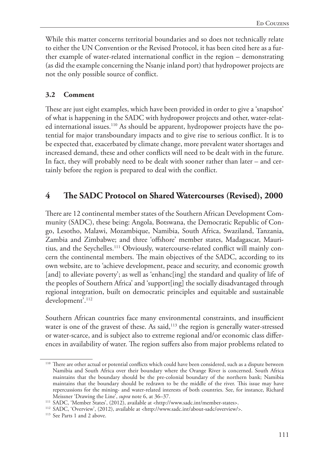While this matter concerns territorial boundaries and so does not technically relate to either the UN Convention or the Revised Protocol, it has been cited here as a further example of water-related international conflict in the region – demonstrating (as did the example concerning the Nsanje inland port) that hydropower projects are not the only possible source of conflict.

## **3.2 Comment**

These are just eight examples, which have been provided in order to give a 'snapshot' of what is happening in the SADC with hydropower projects and other, water-related international issues.110 As should be apparent, hydropower projects have the potential for major transboundary impacts and to give rise to serious conflict. It is to be expected that, exacerbated by climate change, more prevalent water shortages and increased demand, these and other conflicts will need to be dealt with in the future. In fact, they will probably need to be dealt with sooner rather than later – and certainly before the region is prepared to deal with the conflict.

# **4 The SADC Protocol on Shared Watercourses (Revised), 2000**

There are 12 continental member states of the Southern African Development Community (SADC), these being: Angola, Botswana, the Democratic Republic of Congo, Lesotho, Malawi, Mozambique, Namibia, South Africa, Swaziland, Tanzania, Zambia and Zimbabwe; and three 'offshore' member states, Madagascar, Mauritius, and the Seychelles.111 Obviously, watercourse-related conflict will mainly concern the continental members. The main objectives of the SADC, according to its own website, are to 'achieve development, peace and security, and economic growth [and] to alleviate poverty'; as well as 'enhanc[ing] the standard and quality of life of the peoples of Southern Africa' and 'support[ing] the socially disadvantaged through regional integration, built on democratic principles and equitable and sustainable development'.<sup>112</sup>

Southern African countries face many environmental constraints, and insufficient water is one of the gravest of these. As said,<sup>113</sup> the region is generally water-stressed or water-scarce, and is subject also to extreme regional and/or economic class differences in availability of water. The region suffers also from major problems related to

<sup>110</sup> There are other actual or potential conflicts which could have been considered, such as a dispute between Namibia and South Africa over their boundary where the Orange River is concerned. South Africa maintains that the boundary should be the pre-colonial boundary of the northern bank; Namibia maintains that the boundary should be redrawn to be the middle of the river. This issue may have repercussions for the mining- and water-related interests of both countries. See, for instance, Richard Meissner 'Drawing the Line', *supra* note 6, at 36–37.

<sup>111</sup> SADC, 'Member States', (2012), available at <http://www.sadc.int/member-states>.

<sup>112</sup> SADC, 'Overview', (2012), available at <http://www.sadc.int/about-sadc/overview/>.

<sup>&</sup>lt;sup>113</sup> See Parts 1 and 2 above.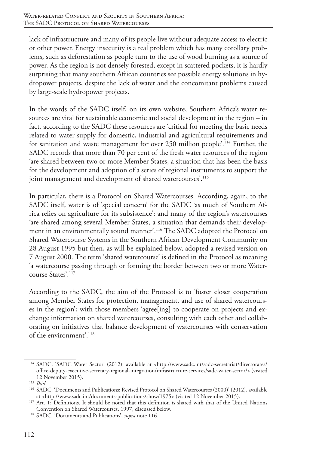lack of infrastructure and many of its people live without adequate access to electric or other power. Energy insecurity is a real problem which has many corollary problems, such as deforestation as people turn to the use of wood burning as a source of power. As the region is not densely forested, except in scattered pockets, it is hardly surprising that many southern African countries see possible energy solutions in hydropower projects, despite the lack of water and the concomitant problems caused by large-scale hydropower projects.

In the words of the SADC itself, on its own website, Southern Africa's water resources are vital for sustainable economic and social development in the region – in fact, according to the SADC these resources are 'critical for meeting the basic needs related to water supply for domestic, industrial and agricultural requirements and for sanitation and waste management for over 250 million people'.<sup>114</sup> Further, the SADC records that more than 70 per cent of the fresh water resources of the region 'are shared between two or more Member States, a situation that has been the basis for the development and adoption of a series of regional instruments to support the joint management and development of shared watercourses'.<sup>115</sup>

In particular, there is a Protocol on Shared Watercourses. According, again, to the SADC itself, water is of 'special concern' for the SADC 'as much of Southern Africa relies on agriculture for its subsistence'; and many of the region's watercourses 'are shared among several Member States, a situation that demands their development in an environmentally sound manner'.116 The SADC adopted the Protocol on Shared Watercourse Systems in the Southern African Development Community on 28 August 1995 but then, as will be explained below, adopted a revised version on 7 August 2000. The term 'shared watercourse' is defined in the Protocol as meaning 'a watercourse passing through or forming the border between two or more Watercourse States'.117

According to the SADC, the aim of the Protocol is to 'foster closer cooperation among Member States for protection, management, and use of shared watercourses in the region'; with those members 'agree[ing] to cooperate on projects and exchange information on shared watercourses, consulting with each other and collaborating on initiatives that balance development of watercourses with conservation of the environment'.118

<sup>114</sup> SADC, 'SADC Water Sector' (2012), available at <http://www.sadc.int/sadc-secretariat/directorates/ office-deputy-executive-secretary-regional-integration/infrastructure-services/sadc-water-sector/> (visited 12 November 2015).

<sup>115</sup> *Ibid*.

<sup>116</sup> SADC, 'Documents and Publications: Revised Protocol on Shared Watercourses (2000)' (2012), available at <http://www.sadc.int/documents-publications/show/1975> (visited 12 November 2015).

<sup>&</sup>lt;sup>117</sup> Art. 1: Definitions. It should be noted that this definition is shared with that of the United Nations Convention on Shared Watercourses, 1997, discussed below.

<sup>118</sup> SADC, 'Documents and Publications', *supra* note 116.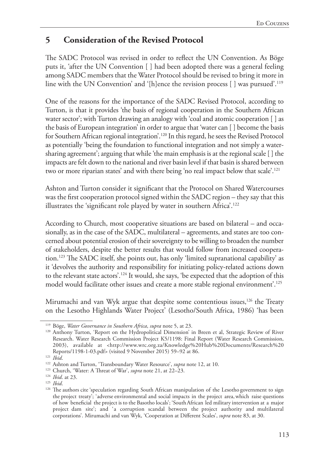# **5 Consideration of the Revised Protocol**

The SADC Protocol was revised in order to reflect the UN Convention. As Böge puts it, 'after the UN Convention [ ] had been adopted there was a general feeling among SADC members that the Water Protocol should be revised to bring it more in line with the UN Convention' and '[h]ence the revision process [] was pursued'.<sup>119</sup>

One of the reasons for the importance of the SADC Revised Protocol, according to Turton, is that it provides 'the basis of regional cooperation in the Southern African water sector'; with Turton drawing an analogy with 'coal and atomic cooperation [ ] as the basis of European integration' in order to argue that 'water can [ ] become the basis for Southern African regional integration'.120 In this regard, he sees the Revised Protocol as potentially 'being the foundation to functional integration and not simply a watersharing agreement'; arguing that while 'the main emphasis is at the regional scale [ ] the impacts are felt down to the national and river basin level if that basin is shared between two or more riparian states' and with there being 'no real impact below that scale'.121

Ashton and Turton consider it significant that the Protocol on Shared Watercourses was the first cooperation protocol signed within the SADC region – they say that this illustrates the 'significant role played by water in southern Africa'.122

According to Church, most cooperative situations are based on bilateral – and occasionally, as in the case of the SADC, multilateral – agreements, and states are too concerned about potential erosion of their sovereignty to be willing to broaden the number of stakeholders, despite the better results that would follow from increased cooperation.123 The SADC itself, she points out, has only 'limited supranational capability' as it 'devolves the authority and responsibility for initiating policy-related actions down to the relevant state actors'.124 It would, she says, 'be expected that the adoption of this model would facilitate other issues and create a more stable regional environment'.125

Mirumachi and van Wyk argue that despite some contentious issues,<sup>126</sup> the Treaty on the Lesotho Highlands Water Project' (Lesotho/South Africa, 1986) 'has been

<sup>119</sup> Böge, *Water Governance in Southern Africa*, *supra* note 5, at 23.

<sup>120</sup> Anthony Turton, 'Report on the Hydropolitical Dimension' in Breen et al, Strategic Review of River Research. Water Research Commission Project K5/1198: Final Report (Water Research Commission, 2003), available at <http://www.wrc.org.za/Knowledge%20Hub%20Documents/Research%20 Reports/1198-1-03.pdf> (visited 9 November 2015) 59–92 at 86.

<sup>121</sup> *Ibid*.

<sup>122</sup> Ashton and Turton, 'Transboundary Water Resource', *supra* note 12, at 10.

<sup>123</sup> Church, 'Water: A Threat of War', *supra* note 21, at 22–23.

<sup>124</sup> *Ibid*. at 23.

<sup>&</sup>lt;sup>126</sup> The authors cite 'speculation regarding South African manipulation of the Lesotho government to sign the project treaty'; 'adverse environmental and social impacts in the project area, which raise questions of how beneficial the project is to the Basotho locals'; 'South African led military intervention at a major project dam site'; and 'a corruption scandal between the project authority and multilateral corporations'. Mirumachi and van Wyk, 'Cooperation at Different Scales', *supra* note 83, at 30.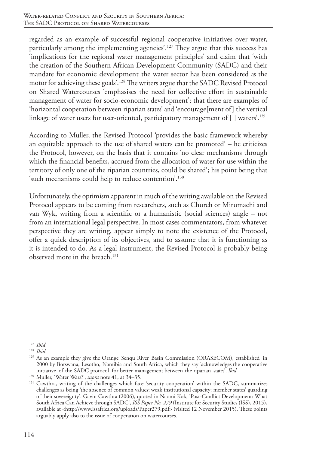regarded as an example of successful regional cooperative initiatives over water, particularly among the implementing agencies'.127 They argue that this success has 'implications for the regional water management principles' and claim that 'with the creation of the Southern African Development Community (SADC) and their mandate for economic development the water sector has been considered as the motor for achieving these goals'.128 The writers argue that the SADC Revised Protocol on Shared Watercourses 'emphasises the need for collective effort in sustainable management of water for socio-economic development'; that there are examples of 'horizontal cooperation between riparian states' and 'encourage[ment of] the vertical linkage of water users for user-oriented, participatory management of  $\lceil \cdot \rceil$  waters<sup>'.129</sup>

According to Muller, the Revised Protocol 'provides the basic framework whereby an equitable approach to the use of shared waters can be promoted' – he criticizes the Protocol, however, on the basis that it contains 'no clear mechanisms through which the financial benefits, accrued from the allocation of water for use within the territory of only one of the riparian countries, could be shared'; his point being that 'such mechanisms could help to reduce contention'.130

Unfortunately, the optimism apparent in much of the writing available on the Revised Protocol appears to be coming from researchers, such as Church or Mirumachi and van Wyk, writing from a scientific or a humanistic (social sciences) angle – not from an international legal perspective. In most cases commentators, from whatever perspective they are writing, appear simply to note the existence of the Protocol, offer a quick description of its objectives, and to assume that it is functioning as it is intended to do. As a legal instrument, the Revised Protocol is probably being observed more in the breach.131

<sup>127</sup> *Ibid*.

<sup>128</sup> *Ibid*.

<sup>&</sup>lt;sup>129</sup> As an example they give the Orange Senqu River Basin Commission (ORASECOM), established in 2000 by Botswana, Lesotho, Namibia and South Africa, which they say 'acknowledges the cooperative initiative of the SADC protocol for better management between the riparian states'. *Ibid*.

<sup>130</sup> Muller, 'Water Wars?', *supra* note 41, at 34–35.

<sup>&</sup>lt;sup>131</sup> Cawthra, writing of the challenges which face 'security cooperation' within the SADC, summarizes challenges as being 'the absence of common values; weak institutional capacity; member states' guarding of their sovereignty'. Gavin Cawthra (2006), quoted in Naomi Kok, 'Post-Conflict Development: What South Africa Can Achieve through SADC', *ISS Paper No. 279* (Institute for Security Studies (ISS), 2015), available at <http://www.issafrica.org/uploads/Paper279.pdf> (visited 12 November 2015). These points arguably apply also to the issue of cooperation on watercourses.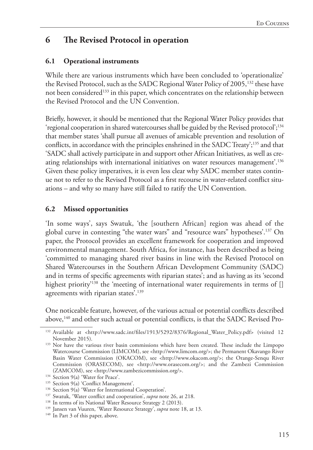# **6 The Revised Protocol in operation**

## **6.1 Operational instruments**

While there are various instruments which have been concluded to 'operationalize' the Revised Protocol, such as the SADC Regional Water Policy of 2005,<sup>132</sup> these have not been considered<sup>133</sup> in this paper, which concentrates on the relationship between the Revised Protocol and the UN Convention.

Briefly, however, it should be mentioned that the Regional Water Policy provides that 'regional cooperation in shared watercourses shall be guided by the Revised protocol';<sup>134</sup> that member states 'shall pursue all avenues of amicable prevention and resolution of conflicts, in accordance with the principles enshrined in the SADC Treaty';<sup>135</sup> and that 'SADC shall actively participate in and support other African Initiatives, as well as creating relationships with international initiatives on water resources management'.136 Given these policy imperatives, it is even less clear why SADC member states continue not to refer to the Revised Protocol as a first recourse in water-related conflict situations – and why so many have still failed to ratify the UN Convention.

## **6.2 Missed opportunities**

'In some ways', says Swatuk, 'the [southern African] region was ahead of the global curve in contesting "the water wars" and "resource wars" hypotheses'.137 On paper, the Protocol provides an excellent framework for cooperation and improved environmental management. South Africa, for instance, has been described as being 'committed to managing shared river basins in line with the Revised Protocol on Shared Watercourses in the Southern African Development Community (SADC) and in terms of specific agreements with riparian states'; and as having as its 'second highest priority<sup>'138</sup> the 'meeting of international water requirements in terms of  $\Box$ agreements with riparian states'.<sup>139</sup>

One noticeable feature, however, of the various actual or potential conflicts described above,140 and other such actual or potential conflicts, is that the SADC Revised Pro-

<sup>&</sup>lt;sup>132</sup> Available at <http://www.sadc.int/files/1913/5292/8376/Regional\_Water\_Policy.pdf> (visited 12 November 2015). 133 Nor have the various river basin commissions which have been created. These include the Limpopo

Watercourse Commission (LIMCOM), see <http://www.limcom.org/>; the Permanent Okavango River Basin Water Commission (OKACOM), see <http://www.okacom.org/>; the Orange-Senqu River Commission (ORASECOM), see <http://www.orasecom.org/>; and the Zambezi Commission (ZAMCOM), see <http://www.zambezicommission.org/>.

<sup>&</sup>lt;sup>134</sup> Section 9(a) 'Water for Peace'.

<sup>&</sup>lt;sup>135</sup> Section 9(a) 'Conflict Management'.

<sup>136</sup> Section 9(a) 'Water for International Cooperation'.

<sup>137</sup> Swatuk, 'Water conflict and cooperation', *supra* note 26, at 218.

<sup>&</sup>lt;sup>138</sup> In terms of its National Water Resource Strategy 2 (2013).

<sup>139</sup> Jansen van Vuuren, 'Water Resource Strategy', *supra* note 18, at 13.

<sup>&</sup>lt;sup>140</sup> In Part 3 of this paper, above.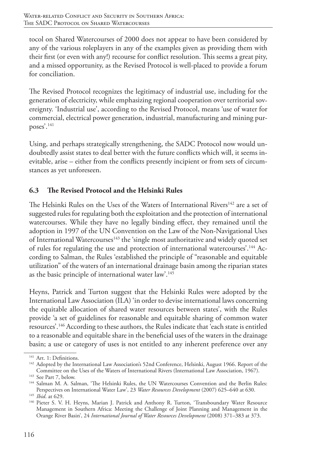tocol on Shared Watercourses of 2000 does not appear to have been considered by any of the various roleplayers in any of the examples given as providing them with their first (or even with any!) recourse for conflict resolution. This seems a great pity, and a missed opportunity, as the Revised Protocol is well-placed to provide a forum for conciliation.

The Revised Protocol recognizes the legitimacy of industrial use, including for the generation of electricity, while emphasizing regional cooperation over territorial sovereignty. 'Industrial use', according to the Revised Protocol, means 'use of water for commercial, electrical power generation, industrial, manufacturing and mining purposes'.141

Using, and perhaps strategically strengthening, the SADC Protocol now would undoubtedly assist states to deal better with the future conflicts which will, it seems inevitable, arise – either from the conflicts presently incipient or from sets of circumstances as yet unforeseen.

# **6.3 The Revised Protocol and the Helsinki Rules**

The Helsinki Rules on the Uses of the Waters of International Rivers<sup>142</sup> are a set of suggested rules for regulating both the exploitation and the protection of international watercourses. While they have no legally binding effect, they remained until the adoption in 1997 of the UN Convention on the Law of the Non-Navigational Uses of International Watercourses<sup>143</sup> the 'single most authoritative and widely quoted set of rules for regulating the use and protection of international watercourses'.144 According to Salman, the Rules 'established the principle of "reasonable and equitable utilization" of the waters of an international drainage basin among the riparian states as the basic principle of international water law'.145

Heyns, Patrick and Turton suggest that the Helsinki Rules were adopted by the International Law Association (ILA) 'in order to devise international laws concerning the equitable allocation of shared water resources between states', with the Rules provide 'a set of guidelines for reasonable and equitable sharing of common water resources'.146 According to these authors, the Rules indicate that 'each state is entitled to a reasonable and equitable share in the beneficial uses of the waters in the drainage basin; a use or category of uses is not entitled to any inherent preference over any

<sup>&</sup>lt;sup>141</sup> Art. 1: Definitions.

<sup>&</sup>lt;sup>142</sup> Adopted by the International Law Association's 52nd Conference, Helsinki, August 1966. Report of the Committee on the Uses of the Waters of International Rivers (International Law Association, 1967). 143 See Part 7, below.

<sup>144</sup> Salman M. A. Salman, 'The Helsinki Rules, the UN Watercourses Convention and the Berlin Rules: Perspectives on International Water Law', 23 *Water Resources Development* (2007) 625–640 at 630. <sup>145</sup> *Ibid*. at 629.

<sup>146</sup> Pieter S. V. H. Heyns, Marian J. Patrick and Anthony R. Turton, 'Transboundary Water Resource Management in Southern Africa: Meeting the Challenge of Joint Planning and Management in the Orange River Basin', 24 *International Journal of Water Resources Development* (2008) 371–383 at 373.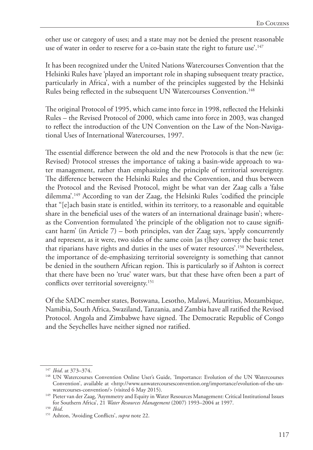other use or category of uses; and a state may not be denied the present reasonable use of water in order to reserve for a co-basin state the right to future use'.<sup>147</sup>

It has been recognized under the United Nations Watercourses Convention that the Helsinki Rules have 'played an important role in shaping subsequent treaty practice, particularly in Africa', with a number of the principles suggested by the Helsinki Rules being reflected in the subsequent UN Watercourses Convention.<sup>148</sup>

The original Protocol of 1995, which came into force in 1998, reflected the Helsinki Rules – the Revised Protocol of 2000, which came into force in 2003, was changed to reflect the introduction of the UN Convention on the Law of the Non-Navigational Uses of International Watercourses, 1997.

The essential difference between the old and the new Protocols is that the new (ie: Revised) Protocol stresses the importance of taking a basin-wide approach to water management, rather than emphasizing the principle of territorial sovereignty. The difference between the Helsinki Rules and the Convention, and thus between the Protocol and the Revised Protocol, might be what van der Zaag calls a 'false dilemma'.149 According to van der Zaag, the Helsinki Rules 'codified the principle that "[e]ach basin state is entitled, within its territory, to a reasonable and equitable share in the beneficial uses of the waters of an international drainage basin'; whereas the Convention formulated 'the principle of the obligation not to cause significant harm' (in Article 7) – both principles, van der Zaag says, 'apply concurrently and represent, as it were, two sides of the same coin [as t]hey convey the basic tenet that riparians have rights and duties in the uses of water resources'.150 Nevertheless, the importance of de-emphasizing territorial sovereignty is something that cannot be denied in the southern African region. This is particularly so if Ashton is correct that there have been no 'true' water wars, but that these have often been a part of conflicts over territorial sovereignty.<sup>151</sup>

Of the SADC member states, Botswana, Lesotho, Malawi, Mauritius, Mozambique, Namibia, South Africa, Swaziland, Tanzania, and Zambia have all ratified the Revised Protocol. Angola and Zimbabwe have signed. The Democratic Republic of Congo and the Seychelles have neither signed nor ratified.

<sup>147</sup> *Ibid*. at 373–374.

<sup>148</sup> UN Watercourses Convention Online User's Guide, 'Importance: Evolution of the UN Watercourses Convention', available at <http://www.unwatercoursesconvention.org/importance/evolution-of-the-unwatercourses-convention/> (visited 6 May 2015).

<sup>149</sup> Pieter van der Zaag, 'Asymmetry and Equity in Water Resources Management: Critical Institutional Issues for Southern Africa', 21 *Water Resources Management* (2007) 1993–2004 at 1997.

<sup>150</sup> *Ibid*.

<sup>151</sup> Ashton, 'Avoiding Conflicts', *supra* note 22.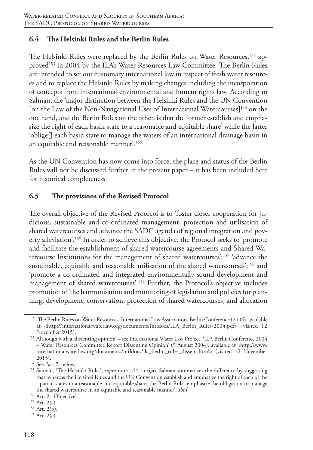## **6.4 The Helsinki Rules and the Berlin Rules**

The Helsinki Rules were replaced by the Berlin Rules on Water Resources,<sup>152</sup> approved<sup>153</sup> in 2004 by the ILA's Water Resources Law Committee. The Berlin Rules are intended to set out customary international law in respect of fresh water resources and to replace the Helsinki Rules by making changes including the incorporation of concepts from international environmental and human rights law. According to Salman, the 'major distinction between the Helsinki Rules and the UN Convention [on the Law of the Non-Navigational Uses of International Watercourses]<sup>154</sup> on the one hand, and the Berlin Rules on the other, is that the former establish and emphasize the right of each basin state to a reasonable and equitable share' while the latter 'oblige[] each basin state to manage the waters of an international drainage basin in an equitable and reasonable manner'.155

As the UN Convention has now come into force, the place and status of the Berlin Rules will not be discussed further in the present paper – it has been included here for historical completeness.

## **6.5 The provisions of the Revised Protocol**

The overall objective of the Revised Protocol is to 'foster closer cooperation for judicious, sustainable and co-ordinated management, protection and utilisation of shared watercourses and advance the SADC agenda of regional integration and poverty alleviation'.156 In order to achieve this objective, the Protocol seeks to 'promote and facilitate the establishment of shared watercourse agreements and Shared Watercourse Institutions for the management of shared watercourses';157 'advance the sustainable, equitable and reasonable utilisation of the shared watercourses';<sup>158</sup> and 'promote a co-ordinated and integrated environmentally sound development and management of shared watercourses'.159 Further, the Protocol's objective includes promotion of 'the harmonisation and monitoring of legislation and policies for planning, development, conservation, protection of shared watercourses, and allocation

<sup>&</sup>lt;sup>152</sup> The Berlin Rules on Water Resources, International Law Association, Berlin Conference (2004), available at <http://internationalwaterlaw.org/documents/intldocs/ILA\_Berlin\_Rules-2004.pdf> (visited 12 November 2015).

<sup>153</sup> Although with a 'dissenting opinion' – see International Water Law Project, 'ILA Berlin Conference 2004 – Water Resources Committee Report Dissenting Opinion' (9 August 2004), available at <http://www. internationalwaterlaw.org/documents/intldocs/ila\_berlin\_rules\_dissent.html> (visited 12 November 2015).

<sup>154</sup> See Part 7, below.

<sup>155</sup> Salman, 'The Helsinki Rules', *supra* note 144, at 636. Salman summarizes the difference by suggesting that 'whereas the Helsinki Rules and the UN Convention establish and emphasize the right of each of the riparian states to a reasonable and equitable share, the Berlin Rules emphasize the obligation to manage the shared watercourse in an equitable and reasonable manner'. *Ibid*.

<sup>&</sup>lt;sup>156</sup> Art. 2: 'Objective'.<br><sup>157</sup> Art. 2(a).

 $158$  Art. 2(b).

<sup>159</sup> Art. 2(c).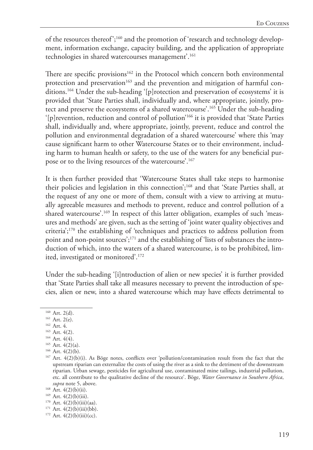of the resources thereof';<sup>160</sup> and the promotion of 'research and technology development, information exchange, capacity building, and the application of appropriate technologies in shared watercourses management'.<sup>161</sup>

There are specific provisions<sup>162</sup> in the Protocol which concern both environmental protection and preservation<sup>163</sup> and the prevention and mitigation of harmful conditions.164 Under the sub-heading '[p]rotection and preservation of ecosystems' it is provided that 'State Parties shall, individually and, where appropriate, jointly, protect and preserve the ecosystems of a shared watercourse'.165 Under the sub-heading '[p]revention, reduction and control of pollution'166 it is provided that 'State Parties shall, individually and, where appropriate, jointly, prevent, reduce and control the pollution and environmental degradation of a shared watercourse' where this 'may cause significant harm to other Watercourse States or to their environment, including harm to human health or safety, to the use of the waters for any beneficial purpose or to the living resources of the watercourse'.<sup>167</sup>

It is then further provided that 'Watercourse States shall take steps to harmonise their policies and legislation in this connection';<sup>168</sup> and that 'State Parties shall, at the request of any one or more of them, consult with a view to arriving at mutually agreeable measures and methods to prevent, reduce and control pollution of a shared watercourse'.169 In respect of this latter obligation, examples of such 'measures and methods' are given, such as the setting of 'joint water quality objectives and criteria';170 the establishing of 'techniques and practices to address pollution from point and non-point sources';171 and the establishing of 'lists of substances the introduction of which, into the waters of a shared watercourse, is to be prohibited, limited, investigated or monitored'.172

Under the sub-heading '[i]ntroduction of alien or new species' it is further provided that 'State Parties shall take all measures necessary to prevent the introduction of species, alien or new, into a shared watercourse which may have effects detrimental to

- <sup>161</sup> Art. 2(e).
- <sup>162</sup> Art. 4.
- <sup>163</sup> Art. 4(2).

 $169$  Art.  $4(2)(b)(iii)$ .

<sup>&</sup>lt;sup>160</sup> Art. 2(d).

<sup>&</sup>lt;sup>164</sup> Art. 4(4).

 $165$  Art.  $4(2)(a)$ .

 $166$  Art.  $4(2)(b)$ .

<sup>&</sup>lt;sup>167</sup> Art. 4(2)(b)(i). As Böge notes, conflicts over 'pollution/contamination result from the fact that the upstream riparian can externalize the costs of using the river as a sink to the detriment of the downstream riparian. Urban sewage, pesticides for agricultural use, contaminated mine tailings, industrial pollution, etc. all contribute to the qualitative decline of the resource'. Böge, *Water Governance in Southern Africa*, *supra* note 5, above.<br><sup>168</sup> Art. 4(2)(b)(ii).

 $170$  Art.  $4(2)(b)(iii)(aa)$ .

 $171$  Art.  $4(2)(b)(iii)(bb)$ .

 $172$  Art.  $4(2)(b)(iii)(cc)$ .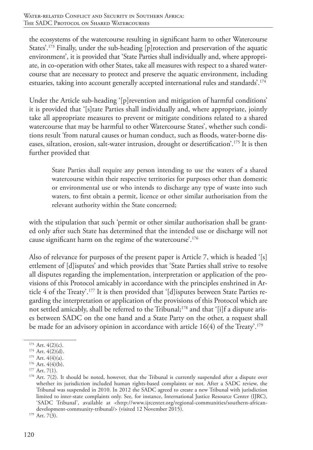the ecosystems of the watercourse resulting in significant harm to other Watercourse States'.173 Finally, under the sub-heading [p]rotection and preservation of the aquatic environment', it is provided that 'State Parties shall individually and, where appropriate, in co-operation with other States, take all measures with respect to a shared watercourse that are necessary to protect and preserve the aquatic environment, including estuaries, taking into account generally accepted international rules and standards'.<sup>174</sup>

Under the Article sub-heading '[p]revention and mitigation of harmful conditions' it is provided that '[s]tate Parties shall individually and, where appropriate, jointly take all appropriate measures to prevent or mitigate conditions related to a shared watercourse that may be harmful to other Watercourse States', whether such conditions result 'from natural causes or human conduct, such as floods, water-borne diseases, siltation, erosion, salt-water intrusion, drought or desertification'.175 It is then further provided that

State Parties shall require any person intending to use the waters of a shared watercourse within their respective territories for purposes other than domestic or environmental use or who intends to discharge any type of waste into such waters, to first obtain a permit, licence or other similar authorisation from the relevant authority within the State concerned;

with the stipulation that such 'permit or other similar authorisation shall be granted only after such State has determined that the intended use or discharge will not cause significant harm on the regime of the watercourse'.176

Also of relevance for purposes of the present paper is Article 7, which is headed '[s] ettlement of [d]isputes' and which provides that 'State Parties shall strive to resolve all disputes regarding the implementation, interpretation or application of the provisions of this Protocol amicably in accordance with the principles enshrined in Article 4 of the Treaty'.177 It is then provided that '[d]isputes between State Parties regarding the interpretation or application of the provisions of this Protocol which are not settled amicably, shall be referred to the Tribunal;<sup>178</sup> and that '[i]f a dispute arises between SADC on the one hand and a State Party on the other, a request shall be made for an advisory opinion in accordance with article  $16(4)$  of the Treaty'.<sup>179</sup>

 $173$  Art.  $4(2)(c)$ .

 $174$  Art.  $4(2)(d)$ .

 $175$  Art.  $4(4)(a)$ .

 $176$  Art.  $4(4)(b)$ .

<sup>&</sup>lt;sup>177</sup> Art. 7(1).

<sup>&</sup>lt;sup>178</sup> Art. 7(2). It should be noted, however, that the Tribunal is currently suspended after a dispute over whether its jurisdiction included human rights-based complaints or not. After a SADC review, the Tribunal was suspended in 2010. In 2012 the SADC agreed to create a new Tribunal with jurisdiction limited to inter-state complaints only. See, for instance, International Justice Resource Center (IJRC), 'SADC Tribunal', available at <http://www.ijrcenter.org/regional-communities/southern-africandevelopment-community-tribunal/> (visited 12 November 2015). 179 Art. 7(3).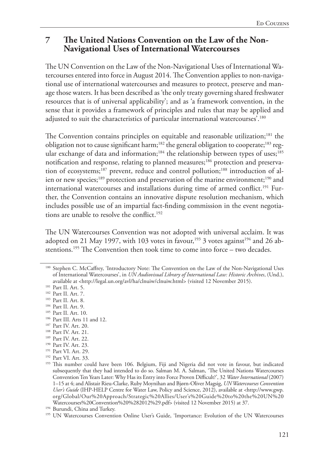# **7 The United Nations Convention on the Law of the Non-Navigational Uses of International Watercourses**

The UN Convention on the Law of the Non-Navigational Uses of International Watercourses entered into force in August 2014. The Convention applies to non-navigational use of international watercourses and measures to protect, preserve and manage those waters. It has been described as 'the only treaty governing shared freshwater resources that is of universal applicability'; and as 'a framework convention, in the sense that it provides a framework of principles and rules that may be applied and adjusted to suit the characteristics of particular international watercourses'.<sup>180</sup>

The Convention contains principles on equitable and reasonable utilization;<sup>181</sup> the obligation not to cause significant harm;<sup>182</sup> the general obligation to cooperate;<sup>183</sup> regular exchange of data and information;<sup>184</sup> the relationship between types of uses;<sup>185</sup> notification and response, relating to planned measures;<sup>186</sup> protection and preservation of ecosystems;<sup>187</sup> prevent, reduce and control pollution;<sup>188</sup> introduction of alien or new species;<sup>189</sup> protection and preservation of the marine environment;<sup>190</sup> and international watercourses and installations during time of armed conflict.<sup>191</sup> Further, the Convention contains an innovative dispute resolution mechanism, which includes possible use of an impartial fact-finding commission in the event negotiations are unable to resolve the conflict.<sup>192</sup>

The UN Watercourses Convention was not adopted with universal acclaim. It was adopted on 21 May 1997, with 103 votes in favour,<sup>193</sup> 3 votes against<sup>194</sup> and 26 abstentions.<sup>195</sup> The Convention then took time to come into force – two decades.

- <sup>184</sup> Part II. Art. 9.
- <sup>185</sup> Part II. Art. 10.
- 186 Part III. Arts 11 and 12.
- <sup>187</sup> Part IV. Art. 20.
- <sup>188</sup> Part IV. Art. 21.
- <sup>189</sup> Part IV. Art. 22.
- <sup>190</sup> Part IV. Art. 23.
- <sup>191</sup> Part VI. Art. 29.
- <sup>192</sup> Part VI. Art. 33.

<sup>180</sup> Stephen C. McCaffrey, 'Introductory Note: The Convention on the Law of the Non-Navigational Uses of International Watercourses', in *UN Audiovisual Library of International Law: Historic Archives*, (Und.), available at <http://legal.un.org/avl/ha/clnuiw/clnuiw.html> (visited 12 November 2015).

<sup>181</sup> Part II. Art. 5.

<sup>182</sup> Part II. Art. 7.

<sup>183</sup> Part II. Art. 8.

<sup>193</sup> This number could have been 106. Belgium, Fiji and Nigeria did not vote in favour, but indicated subsequently that they had intended to do so. Salman M. A. Salman, 'The United Nations Watercourses Convention Ten Years Later: Why Has its Entry into Force Proven Difficult?', 32 *Water International* (2007) 1–15 at 4; and Alistair Rieu-Clarke, Ruby Moynihan and Bjørn-Oliver Magsig, *UN Watercourses Convention User's Guide* (IHP-HELP Centre for Water Law, Policy and Science, 2012), available at <http://www.gwp. org/Global/Our%20Approach/Strategic%20Allies/User's%20Guide%20to%20the%20UN%20 Watercourses%20Convention%20%282012%29.pdf> (visited 12 November 2015) at 37.

<sup>&</sup>lt;sup>195</sup> UN Watercourses Convention Online User's Guide, 'Importance: Evolution of the UN Watercourses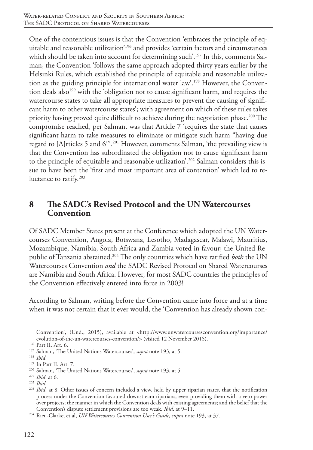One of the contentious issues is that the Convention 'embraces the principle of equitable and reasonable utilization'196 and provides 'certain factors and circumstances which should be taken into account for determining such'.<sup>197</sup> In this, comments Salman, the Convention 'follows the same approach adopted thirty years earlier by the Helsinki Rules, which established the principle of equitable and reasonable utilization as the guiding principle for international water law'.198 However, the Convention deals also<sup>199</sup> with the 'obligation not to cause significant harm, and requires the watercourse states to take all appropriate measures to prevent the causing of significant harm to other watercourse states'; with agreement on which of these rules takes priority having proved quite difficult to achieve during the negotiation phase.<sup>200</sup> The compromise reached, per Salman, was that Article 7 'requires the state that causes significant harm to take measures to eliminate or mitigate such harm "having due regard to [A]rticles 5 and 6"'.201 However, comments Salman, 'the prevailing view is that the Convention has subordinated the obligation not to cause significant harm to the principle of equitable and reasonable utilization'.<sup>202</sup> Salman considers this issue to have been the 'first and most important area of contention' which led to reluctance to ratify.203

# **8 The SADC's Revised Protocol and the UN Watercourses Convention**

Of SADC Member States present at the Conference which adopted the UN Watercourses Convention, Angola, Botswana, Lesotho, Madagascar, Malawi, Mauritius, Mozambique, Namibia, South Africa and Zambia voted in favour; the United Republic of Tanzania abstained.204 The only countries which have ratified *both* the UN Watercourses Convention *and* the SADC Revised Protocol on Shared Watercourses are Namibia and South Africa. However, for most SADC countries the principles of the Convention effectively entered into force in 2003!

According to Salman, writing before the Convention came into force and at a time when it was not certain that it ever would, the 'Convention has already shown con-

Convention', (Und., 2015), available at <http://www.unwatercoursesconvention.org/importance/ evolution-of-the-un-watercourses-convention/> (visited 12 November 2015).

<sup>196</sup> Part II. Art. 6.

<sup>197</sup> Salman, 'The United Nations Watercourses', *supra* note 193, at 5.

<sup>198</sup> *Ibid*.

<sup>199</sup> In Part II. Art. 7.

<sup>200</sup> Salman, 'The United Nations Watercourses', *supra* note 193, at 5.

<sup>201</sup> *Ibid*. at 6.

<sup>202</sup> *Ibid*.

<sup>203</sup> *Ibid*. at 8. Other issues of concern included a view, held by upper riparian states, that the notification process under the Convention favoured downstream riparians, even providing them with a veto power over projects; the manner in which the Convention deals with existing agreements; and the belief that the Convention's dispute settlement provisions are too weak. *Ibid*. at 9–11.

<sup>204</sup> Rieu-Clarke, et al, *UN Watercourses Convention User's Guide, supra* note 193, at 37.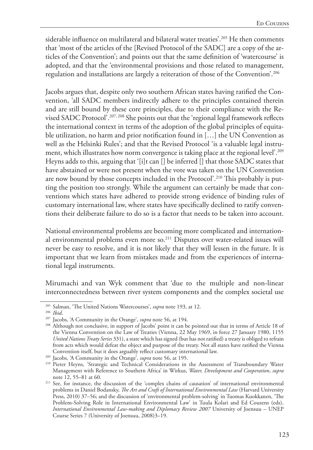siderable influence on multilateral and bilateral water treaties'.<sup>205</sup> He then comments that 'most of the articles of the [Revised Protocol of the SADC] are a copy of the articles of the Convention'; and points out that the same definition of 'watercourse' is adopted, and that the 'environmental provisions and those related to management, regulation and installations are largely a reiteration of those of the Convention'.206

Jacobs argues that, despite only two southern African states having ratified the Convention, 'all SADC members indirectly adhere to the principles contained therein and are still bound by these core principles, due to their compliance with the Revised SADC Protocol'.207, 208 She points out that the 'regional legal framework reflects the international context in terms of the adoption of the global principles of equitable utilization, no harm and prior notification found in […] the UN Convention as well as the Helsinki Rules'; and that the Revised Protocol 'is a valuable legal instrument, which illustrates how norm convergence is taking place at the regional level'.<sup>209</sup> Heyns adds to this, arguing that '[i]t can [] be inferred [] that those SADC states that have abstained or were not present when the vote was taken on the UN Convention are now bound by those concepts included in the Protocol'.<sup>210</sup> This probably is putting the position too strongly. While the argument can certainly be made that conventions which states have adhered to provide strong evidence of binding rules of customary international law, where states have specifically declined to ratify conventions their deliberate failure to do so is a factor that needs to be taken into account.

National environmental problems are becoming more complicated and international environmental problems even more so.211 Disputes over water-related issues will never be easy to resolve, and it is not likely that they will lessen in the future. It is important that we learn from mistakes made and from the experiences of international legal instruments.

Mirumachi and van Wyk comment that 'due to the multiple and non-linear interconnectedness between river system components and the complex societal use

<sup>205</sup> Salman, 'The United Nations Watercourses', *supra* note 193, at 12.

<sup>&</sup>lt;sup>206</sup> *Ibid.* <sup>207</sup> Jacobs, 'A Community in the Orange', *supra* note 56, at 194.

<sup>&</sup>lt;sup>208</sup> Although not conclusive, in support of Jacobs' point it can be pointed out that in terms of Article 18 of the Vienna Convention on the Law of Treaties (Vienna, 22 May 1969, in force 27 January 1980, 1155 *United Nations Treaty Series* 331), a state which has signed (but has not ratified) a treaty is obliged to refrain from acts which would defeat the object and purpose of the treaty. Not all states have ratified the Vienna

<sup>&</sup>lt;sup>209</sup> Jacobs, 'A Community in the Orange', *supra* note 56, at 195.

<sup>&</sup>lt;sup>210</sup> Pieter Heyns, 'Strategic and Technical Considerations in the Assessment of Transboundary Water Management with Reference to Southern Africa' in Wirkus, *Water, Development and Cooperation*, *supra* note 12, 55–81 at 60.

<sup>&</sup>lt;sup>211</sup> See, for instance, the discussion of the 'complex chains of causation' of international environmental problems in Daniel Bodansky, *The Art and Craft of International Environmental Law* (Harvard University Press, 2010) 37–56; and the discussion of 'environmental problem-solving' in Tuomas Kuokkanen, 'The Problem-Solving Role in International Environmental Law' in Tuula Kolari and Ed Couzens (eds), *International Environmental Law-making and Diplomacy Review 2007* University of Joensuu – UNEP Course Series 7 (University of Joensuu, 2008)3–19.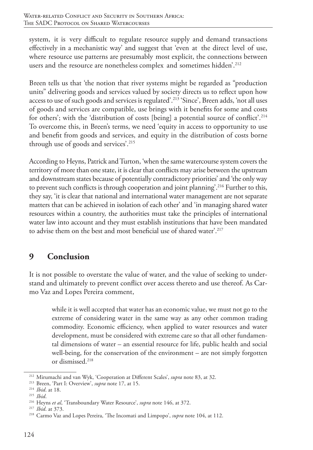system, it is very difficult to regulate resource supply and demand transactions effectively in a mechanistic way' and suggest that 'even at the direct level of use, where resource use patterns are presumably most explicit, the connections between users and the resource are nonetheless complex and sometimes hidden'.<sup>212</sup>

Breen tells us that 'the notion that river systems might be regarded as "production units" delivering goods and services valued by society directs us to reflect upon how access to use of such goods and services is regulated'.<sup>213</sup> 'Since', Breen adds, 'not all uses of goods and services are compatible, use brings with it benefits for some and costs for others'; with the 'distribution of costs [being] a potential source of conflict'.<sup>214</sup> To overcome this, in Breen's terms, we need 'equity in access to opportunity to use and benefit from goods and services, and equity in the distribution of costs borne through use of goods and services'.<sup>215</sup>

According to Heyns, Patrick and Turton, 'when the same watercourse system covers the territory of more than one state, it is clear that conflicts may arise between the upstream and downstream states because of potentially contradictory priorities' and 'the only way to prevent such conflicts is through cooperation and joint planning'.<sup>216</sup> Further to this, they say, 'it is clear that national and international water management are not separate matters that can be achieved in isolation of each other' and 'in managing shared water resources within a country, the authorities must take the principles of international water law into account and they must establish institutions that have been mandated to advise them on the best and most beneficial use of shared water'.217

# **9 Conclusion**

It is not possible to overstate the value of water, and the value of seeking to understand and ultimately to prevent conflict over access thereto and use thereof. As Carmo Vaz and Lopes Pereira comment,

while it is well accepted that water has an economic value, we must not go to the extreme of considering water in the same way as any other common trading commodity. Economic efficiency, when applied to water resources and water development, must be considered with extreme care so that all other fundamental dimensions of water – an essential resource for life, public health and social well-being, for the conservation of the environment – are not simply forgotten or dismissed.218

<sup>212</sup> Mirumachi and van Wyk, 'Cooperation at Different Scales', *supra* note 83, at 32.

<sup>213</sup> Breen, 'Part I: Overview', *supra* note 17, at 15.

<sup>214</sup> *Ibid*. at 18.

<sup>215</sup> *Ibid*.

<sup>216</sup> Heyns *et al*, 'Transboundary Water Resource', *supra* note 146, at 372.

<sup>217</sup> *Ibid*. at 373.

<sup>218</sup> Carmo Vaz and Lopes Pereira, 'The Incomati and Limpopo', *supra* note 104, at 112.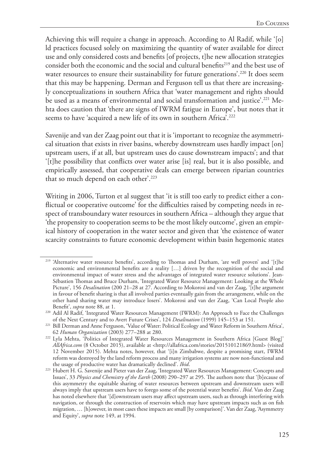Achieving this will require a change in approach. According to Al Radif, while '[o] ld practices focused solely on maximizing the quantity of water available for direct use and only considered costs and benefits [of projects, t]he new allocation strategies consider both the economic and the social and cultural benefits<sup>219</sup> and the best use of water resources to ensure their sustainability for future generations'.<sup>220</sup> It does seem that this may be happening. Derman and Ferguson tell us that there are increasingly conceptualizations in southern Africa that 'water management and rights should be used as a means of environmental and social transformation and justice'.<sup>221</sup> Mehta does caution that 'there are signs of IWRM fatigue in Europe', but notes that it seems to have 'acquired a new life of its own in southern Africa'.<sup>222</sup>

Savenije and van der Zaag point out that it is 'important to recognize the asymmetrical situation that exists in river basins, whereby downstream uses hardly impact [on] upstream users, if at all, but upstream uses do cause downstream impacts'; and that '[t]he possibility that conflicts over water arise [is] real, but it is also possible, and empirically assessed, that cooperative deals can emerge between riparian countries that so much depend on each other'.<sup>223</sup>

Writing in 2006, Turton et al suggest that 'it is still too early to predict either a conflictual or cooperative outcome' for the difficulties raised by competing needs in respect of transboundary water resources in southern Africa – although they argue that 'the propensity to cooperation seems to be the most likely outcome', given an empirical history of cooperation in the water sector and given that 'the existence of water scarcity constraints to future economic development within basin hegemonic states

<sup>219</sup> 'Alternative water resource benefits', according to Thomas and Durham, 'are well proven' and '[t]he economic and environmental benefits are a reality […] driven by the recognition of the social and environmental impact of water stress and the advantages of integrated water resource solutions'. Jean-Sébastien Thomas and Bruce Durham, 'Integrated Water Resource Management: Looking at the Whole Picture', 156 *Desalination* (200 21–28 at 27. According to Mokorosi and van der Zaag, '[t]he argument in favour of benefit sharing is that all involved parties eventually gain from the arrangement, while on the other hand sharing water may introduce losers'. Mokorosi and van der Zaag, 'Can Local People also Benefit', *supra* note 88, at 1.

<sup>220</sup> Adil Al Radif, 'Integrated Water Resources Management (IWRM): An Approach to Face the Challenges of the Next Century and to Avert Future Crises', 124 *Desalination* (1999) 145–153 at 151.

<sup>&</sup>lt;sup>221</sup> Bill Derman and Anne Ferguson, 'Value of Water: Political Ecology and Water Reform in Southern Africa', 62 *Human Organization* (2003) 277–288 at 280.

<sup>222</sup> Lyla Mehta, 'Politics of Integrated Water Resources Management in Southern Africa [Guest Blog]' *AllAfrica.com* (8 October 2015), available at <http://allafrica.com/stories/201510121869.html> (visited 12 November 2015). Mehta notes, however, that '[i]n Zimbabwe, despite a promising start, IWRM reform was destroyed by the land reform process and many irrigation systems are now non-functional and the usage of productive water has dramatically declined'. *Ibid*.

<sup>223</sup> Hubert H. G. Savenije and Pieter van der Zaag, 'Integrated Water Resources Management: Concepts and Issues', 33 *Physics and Chemistry of the Earth* (2008) 290–297 at 295. The authors note that '[b]ecause of this asymmetry the equitable sharing of water resources between upstream and downstream users will always imply that upstream users have to forego some of the potential water benefits'. *Ibid*. Van der Zaag has noted elsewhere that '[d]ownstream users may affect upstream users, such as through interfering with navigation, or through the construction of reservoirs which may have upstream impacts such as on fish migration, … [h]owever, in most cases these impacts are small [by comparison]'. Van der Zaag, 'Asymmetry and Equity', *supra* note 149, at 1994.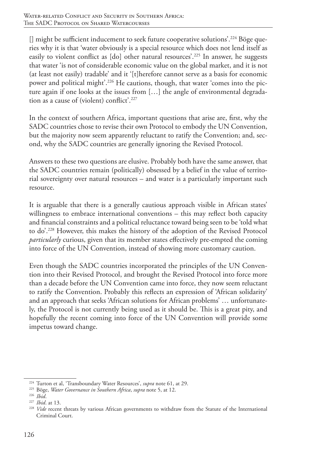[] might be sufficient inducement to seek future cooperative solutions'.<sup>224</sup> Böge queries why it is that 'water obviously is a special resource which does not lend itself as easily to violent conflict as [do] other natural resources'.225 In answer, he suggests that water 'is not of considerable economic value on the global market, and it is not (at least not easily) tradable' and it '[t]herefore cannot serve as a basis for economic power and political might'.226 He cautions, though, that water 'comes into the picture again if one looks at the issues from […] the angle of environmental degradation as a cause of (violent) conflict'.227

In the context of southern Africa, important questions that arise are, first, why the SADC countries chose to revise their own Protocol to embody the UN Convention, but the majority now seem apparently reluctant to ratify the Convention; and, second, why the SADC countries are generally ignoring the Revised Protocol.

Answers to these two questions are elusive. Probably both have the same answer, that the SADC countries remain (politically) obsessed by a belief in the value of territorial sovereignty over natural resources – and water is a particularly important such resource.

It is arguable that there is a generally cautious approach visible in African states' willingness to embrace international conventions – this may reflect both capacity and financial constraints and a political reluctance toward being seen to be 'told what to do'.228 However, this makes the history of the adoption of the Revised Protocol *particularly* curious, given that its member states effectively pre-empted the coming into force of the UN Convention, instead of showing more customary caution.

Even though the SADC countries incorporated the principles of the UN Convention into their Revised Protocol, and brought the Revised Protocol into force more than a decade before the UN Convention came into force, they now seem reluctant to ratify the Convention. Probably this reflects an expression of 'African solidarity' and an approach that seeks 'African solutions for African problems' … unfortunately, the Protocol is not currently being used as it should be. This is a great pity, and hopefully the recent coming into force of the UN Convention will provide some impetus toward change.

<sup>&</sup>lt;sup>224</sup> Turton et al, 'Transboundary Water Resources', *supra* note 61, at 29.<br><sup>225</sup> Böge, *Water Governance in Southern Africa*, *supra* note 5, at 12.<br><sup>226</sup> Ibid.

<sup>226</sup> *Ibid*. 227 *Ibid*. at 13.

<sup>&</sup>lt;sup>228</sup> *Vide* recent threats by various African governments to withdraw from the Statute of the International Criminal Court.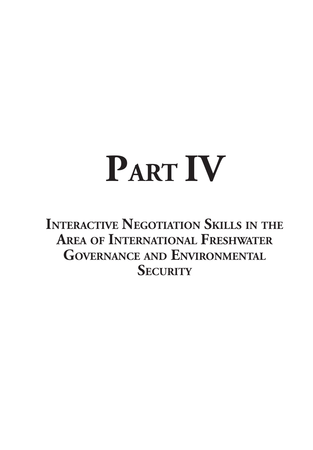# **PART IV**

**Interactive Negotiation Skills in the Area of International Freshwater Governance and Environmental Security**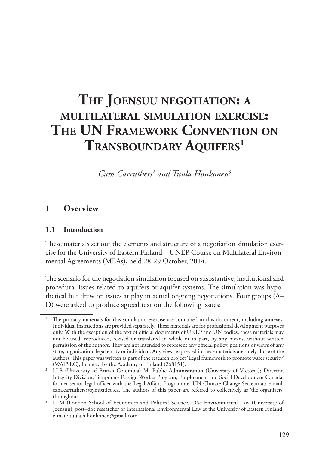# **The Joensuu negotiation: a multilateral simulation exercise: The UN Framework Convention on Transboundary Aquifers1**

Cam Carruthers<sup>2</sup> and Tuula Honkonen<sup>3</sup>

## **1 Overview**

#### **1.1 Introduction**

These materials set out the elements and structure of a negotiation simulation exercise for the University of Eastern Finland – UNEP Course on Multilateral Environmental Agreements (MEAs), held 28-29 October, 2014.

The scenario for the negotiation simulation focused on susbstantive, institutional and procedural issues related to aquifers or aquifer systems. The simulation was hypothetical but drew on issues at play in actual ongoing negotiations. Four groups (A– D) were asked to produce agreed text on the following issues:

<sup>1</sup> The primary materials for this simulation exercise are contained in this document, including annexes. Individual instructions are provided separately. These materials are for professional development purposes only. With the exception of the text of official documents of UNEP and UN bodies, these materials may not be used, reproduced, revised or translated in whole or in part, by any means, without written permission of the authors. They are not intended to represent any official policy, positions or views of any state, organization, legal entity or individual. Any views expressed in these materials are solely those of the authors. This paper was written as part of the research project 'Legal framework to promote water security' (WATSEC), financed by the Academy of Finland (268151).

<sup>2</sup> LLB (University of British Colombia) M. Public Administration (University of Victoria); Director, Integrity Division, Temporary Foreign Worker Program, Employment and Social Development Canada; former senior legal officer with the Legal Affairs Programme, UN Climate Change Secretariat; e-mail: cam.carruthers@sympatico.ca. The authors of this paper are referred to collectively as 'the organizers' throughout.

<sup>&</sup>lt;sup>3</sup> LLM (London School of Economics and Political Science) DSc Environmental Law (University of Joensuu); post–doc researcher of International Environmental Law at the University of Eastern Finland; e-mail: tuula.h.honkonen@gmail.com.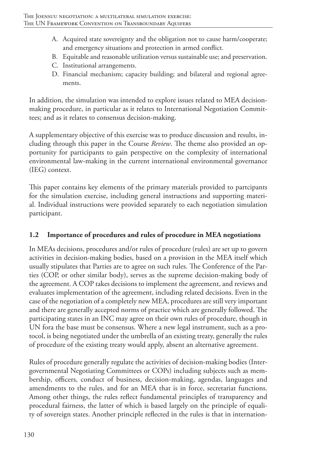- A. Acquired state sovereignty and the obligation not to cause harm/cooperate; and emergency situations and protection in armed conflict.
- B. Equitable and reasonable utilization versus sustainable use; and preservation.
- C. Institutional arrangements.
- D. Financial mechanism; capacity building; and bilateral and regional agreements.

In addition, the simulation was intended to explore issues related to MEA decisionmaking procedure, in particular as it relates to International Negotiation Committees; and as it relates to consensus decision-making.

A supplementary objective of this exercise was to produce discussion and results, including through this paper in the Course *Review*. The theme also provided an opportunity for participants to gain perspective on the complexity of international environmental law-making in the current international environmental governance (IEG) context.

This paper contains key elements of the primary materials provided to partcipants for the simulation exercise, including general instructions and supporting material. Individual instructions were provided separately to each negotiation simulation participant.

## **1.2 Importance of procedures and rules of procedure in MEA negotiations**

In MEAs decisions, procedures and/or rules of procedure (rules) are set up to govern activities in decision-making bodies, based on a provision in the MEA itself which usually stipulates that Parties are to agree on such rules. The Conference of the Parties (COP, or other similar body), serves as the supreme decision-making body of the agreement. A COP takes decisions to implement the agreement, and reviews and evaluates implementation of the agreement, including related decisions. Even in the case of the negotiation of a completely new MEA, procedures are still very important and there are generally accepted norms of practice which are generally followed. The participating states in an INC may agree on their own rules of procedure, though in UN fora the base must be consensus. Where a new legal instrument, such as a protocol, is being negotiated under the umbrella of an existing treaty, generally the rules of procedure of the existing treaty would apply, absent an alternative agreement.

Rules of procedure generally regulate the activities of decision-making bodies (Intergovernmental Negotiating Committees or COPs) including subjects such as membership, officers, conduct of business, decision-making, agendas, languages and amendments to the rules, and for an MEA that is in force, secretariat functions. Among other things, the rules reflect fundamental principles of transparency and procedural fairness, the latter of which is based largely on the principle of equality of sovereign states. Another principle reflected in the rules is that in internation-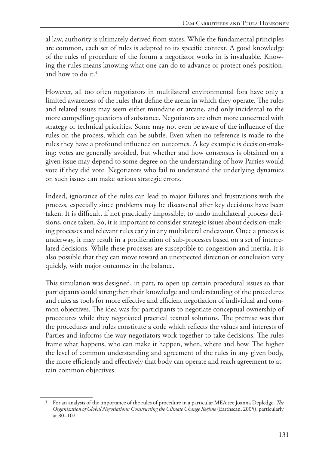al law, authority is ultimately derived from states. While the fundamental principles are common, each set of rules is adapted to its specific context. A good knowledge of the rules of procedure of the forum a negotiator works in is invaluable. Knowing the rules means knowing what one can do to advance or protect one's position, and how to do it.4

However, all too often negotiators in multilateral environmental fora have only a limited awareness of the rules that define the arena in which they operate. The rules and related issues may seem either mundane or arcane, and only incidental to the more compelling questions of substance. Negotiators are often more concerned with strategy or technical priorities. Some may not even be aware of the influence of the rules on the process, which can be subtle. Even when no reference is made to the rules they have a profound influence on outcomes. A key example is decision-making: votes are generally avoided, but whether and how consensus is obtained on a given issue may depend to some degree on the understanding of how Parties would vote if they did vote. Negotiators who fail to understand the underlying dynamics on such issues can make serious strategic errors.

Indeed, ignorance of the rules can lead to major failures and frustrations with the process, especially since problems may be discovered after key decisions have been taken. It is difficult, if not practically impossible, to undo multilateral process decisions, once taken. So, it is important to consider strategic issues about decision-making processes and relevant rules early in any multilateral endeavour. Once a process is underway, it may result in a proliferation of sub-processes based on a set of interrelated decisions. While these processes are susceptible to congestion and inertia, it is also possible that they can move toward an unexpected direction or conclusion very quickly, with major outcomes in the balance.

This simulation was designed, in part, to open up certain procedural issues so that participants could strengthen their knowledge and understanding of the procedures and rules as tools for more effective and efficient negotiation of individual and common objectives. The idea was for participants to negotiate conceptual ownership of procedures while they negotiated practical textual solutions. The premise was that the procedures and rules constitute a code which reflects the values and interests of Parties and informs the way negotiators work together to take decisions. The rules frame what happens, who can make it happen, when, where and how. The higher the level of common understanding and agreement of the rules in any given body, the more efficiently and effectively that body can operate and reach agreement to attain common objectives.

<sup>4</sup> For an analysis of the importance of the rules of procedure in a particular MEA see Joanna Depledge, *The Organization of Global Negotiations: Constructing the Climate Change Regime* (Earthscan, 2005), particularly at 80–102.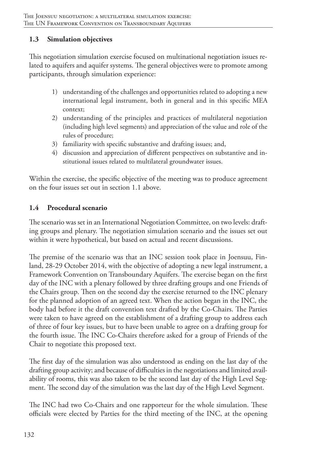## **1.3 Simulation objectives**

This negotiation simulation exercise focused on multinational negotiation issues related to aquifers and aquifer systems. The general objectives were to promote among participants, through simulation experience:

- 1) understanding of the challenges and opportunities related to adopting a new international legal instrument, both in general and in this specific MEA context;
- 2) understanding of the principles and practices of multilateral negotiation (including high level segments) and appreciation of the value and role of the rules of procedure;
- 3) familiarity with specific substantive and drafting issues; and,
- 4) discussion and appreciation of different perspectives on substantive and institutional issues related to multilateral groundwater issues.

Within the exercise, the specific objective of the meeting was to produce agreement on the four issues set out in section 1.1 above.

## **1.4 Procedural scenario**

The scenario was set in an International Negotiation Committee, on two levels: drafting groups and plenary. The negotiation simulation scenario and the issues set out within it were hypothetical, but based on actual and recent discussions.

The premise of the scenario was that an INC session took place in Joensuu, Finland, 28-29 October 2014, with the objective of adopting a new legal instrument, a Framework Convention on Transboundary Aquifers. The exercise began on the first day of the INC with a plenary followed by three drafting groups and one Friends of the Chairs group. Then on the second day the exercise returned to the INC plenary for the planned adoption of an agreed text. When the action began in the INC, the body had before it the draft convention text drafted by the Co-Chairs. The Parties were taken to have agreed on the establishment of a drafting group to address each of three of four key issues, but to have been unable to agree on a drafting group for the fourth issue. The INC Co-Chairs therefore asked for a group of Friends of the Chair to negotiate this proposed text.

The first day of the simulation was also understood as ending on the last day of the drafting group activity; and because of difficulties in the negotiations and limited availability of rooms, this was also taken to be the second last day of the High Level Segment. The second day of the simulation was the last day of the High Level Segment.

The INC had two Co-Chairs and one rapporteur for the whole simulation. These officials were elected by Parties for the third meeting of the INC, at the opening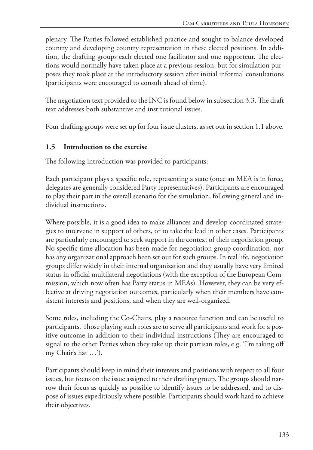plenary. The Parties followed established practice and sought to balance developed country and developing country representation in these elected positions. In addition, the drafting groups each elected one facilitator and one rapporteur. The elections would normally have taken place at a previous session, but for simulation purposes they took place at the introductory session after initial informal consultations (participants were encouraged to consult ahead of time).

The negotiation text provided to the INC is found below in subsection 3.3. The draft text addresses both substantive and institutional issues.

Four drafting groups were set up for four issue clusters, as set out in section 1.1 above.

#### **1.5 Introduction to the exercise**

The following introduction was provided to participants:

Each participant plays a specific role, representing a state (once an MEA is in force, delegates are generally considered Party representatives). Participants are encouraged to play their part in the overall scenario for the simulation, following general and individual instructions.

Where possible, it is a good idea to make alliances and develop coordinated strategies to intervene in support of others, or to take the lead in other cases. Participants are particularly encouraged to seek support in the context of their negotiation group. No specific time allocation has been made for negotiation group coordination, nor has any organizational approach been set out for such groups. In real life, negotiation groups differ widely in their internal organization and they usually have very limited status in official multilateral negotiations (with the exception of the European Commission, which now often has Party status in MEAs). However, they can be very effective at driving negotiation outcomes, particularly when their members have consistent interests and positions, and when they are well-organized.

Some roles, including the Co-Chairs, play a resource function and can be useful to participants. Those playing such roles are to serve all participants and work for a positive outcome in addition to their individual instructions (They are encouraged to signal to the other Parties when they take up their partisan roles, e.g. 'I'm taking off my Chair's hat …').

Participants should keep in mind their interests and positions with respect to all four issues, but focus on the issue assigned to their drafting group. The groups should narrow their focus as quickly as possible to identify issues to be addressed, and to dispose of issues expeditiously where possible. Participants should work hard to achieve their objectives.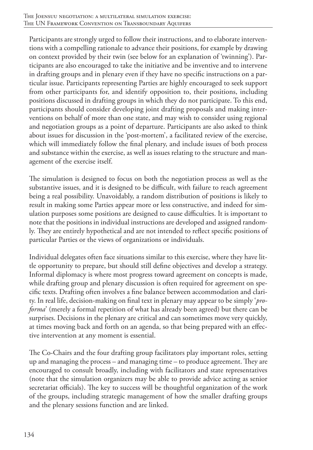Participants are strongly urged to follow their instructions, and to elaborate interventions with a compelling rationale to advance their positions, for example by drawing on context provided by their twin (see below for an explanation of 'twinning'). Participants are also encouraged to take the initiative and be inventive and to intervene in drafting groups and in plenary even if they have no specific instructions on a particular issue. Participants representing Parties are highly encouraged to seek support from other participants for, and identify opposition to, their positions, including positions discussed in drafting groups in which they do not participate. To this end, participants should consider developing joint drafting proposals and making interventions on behalf of more than one state, and may wish to consider using regional and negotiation groups as a point of departure. Participants are also asked to think about issues for discussion in the 'post-mortem', a facilitated review of the exercise, which will immediately follow the final plenary, and include issues of both process and substance within the exercise, as well as issues relating to the structure and management of the exercise itself.

The simulation is designed to focus on both the negotiation process as well as the substantive issues, and it is designed to be difficult, with failure to reach agreement being a real possibility. Unavoidably, a random distribution of positions is likely to result in making some Parties appear more or less constructive, and indeed for simulation purposes some positions are designed to cause difficulties. It is important to note that the positions in individual instructions are developed and assigned randomly. They are entirely hypothetical and are not intended to reflect specific positions of particular Parties or the views of organizations or individuals.

Individual delegates often face situations similar to this exercise, where they have little opportunity to prepare, but should still define objectives and develop a strategy. Informal diplomacy is where most progress toward agreement on concepts is made, while drafting group and plenary discussion is often required for agreement on specific texts. Drafting often involves a fine balance between accommodation and clarity. In real life, decision-making on final text in plenary may appear to be simply '*proforma*' (merely a formal repetition of what has already been agreed) but there can be surprises. Decisions in the plenary are critical and can sometimes move very quickly, at times moving back and forth on an agenda, so that being prepared with an effective intervention at any moment is essential.

The Co-Chairs and the four drafting group facilitators play important roles, setting up and managing the process – and managing time – to produce agreement. They are encouraged to consult broadly, including with facilitators and state representatives (note that the simulation organizers may be able to provide advice acting as senior secretariat officials). The key to success will be thoughtful organization of the work of the groups, including strategic management of how the smaller drafting groups and the plenary sessions function and are linked.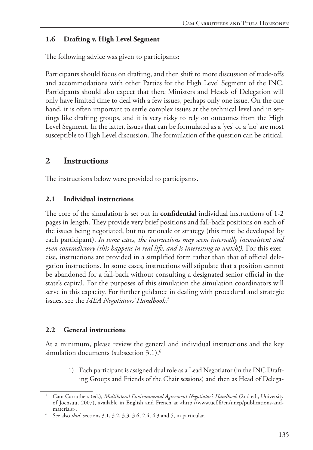## **1.6 Drafting v. High Level Segment**

The following advice was given to participants:

Participants should focus on drafting, and then shift to more discussion of trade-offs and accommodations with other Parties for the High Level Segment of the INC. Participants should also expect that there Ministers and Heads of Delegation will only have limited time to deal with a few issues, perhaps only one issue. On the one hand, it is often important to settle complex issues at the technical level and in settings like drafting groups, and it is very risky to rely on outcomes from the High Level Segment. In the latter, issues that can be formulated as a 'yes' or a 'no' are most susceptible to High Level discussion. The formulation of the question can be critical.

## **2 Instructions**

The instructions below were provided to participants.

## **2.1 Individual instructions**

The core of the simulation is set out in **confidential** individual instructions of 1-2 pages in length. They provide very brief positions and fall-back positions on each of the issues being negotiated, but no rationale or strategy (this must be developed by each participant). *In some cases, the instructions may seem internally inconsistent and even contradictory (this happens in real life, and is interesting to watch!).* For this exercise, instructions are provided in a simplified form rather than that of official delegation instructions. In some cases, instructions will stipulate that a position cannot be abandoned for a fall-back without consulting a designated senior official in the state's capital. For the purposes of this simulation the simulation coordinators will serve in this capacity. For further guidance in dealing with procedural and strategic issues, see the *MEA Negotiators' Handbook.*<sup>5</sup>

## **2.2 General instructions**

At a minimum, please review the general and individual instructions and the key simulation documents (subsection 3.1).<sup>6</sup>

1) Each participant is assigned dual role as a Lead Negotiator (in the INC Drafting Groups and Friends of the Chair sessions) and then as Head of Delega-

<sup>5</sup> Cam Carruthers (ed.), *Multilateral Environmental Agreement Negotiator's Handbook* (2nd ed., University of Joensuu, 2007), available in English and French at <http://www.uef.fi/en/unep/publications-andmaterials>.

<sup>6</sup> See also *ibid*. sections 3.1, 3.2, 3.3, 3.6, 2.4, 4.3 and 5, in particular.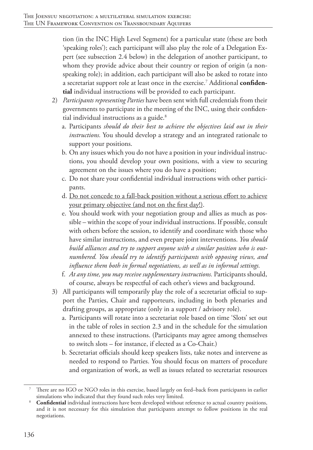tion (in the INC High Level Segment) for a particular state (these are both 'speaking roles'); each participant will also play the role of a Delegation Expert (see subsection 2.4 below) in the delegation of another participant, to whom they provide advice about their country or region of origin (a nonspeaking role); in addition, each participant will also be asked to rotate into a secretariat support role at least once in the exercise.7 Additional **confidential** individual instructions will be provided to each participant.

- 2) *Participants representing Parties* have been sent with full credentials from their governments to participate in the meeting of the INC, using their confidential individual instructions as a guide.<sup>8</sup>
	- a. Participants *should do their best to achieve the objectives laid out in their instructions.* You should develop a strategy and an integrated rationale to support your positions.
	- b. On any issues which you do not have a position in your individual instructions, you should develop your own positions, with a view to securing agreement on the issues where you do have a position;
	- c. Do not share your confidential individual instructions with other participants.
	- d. Do not concede to a fall-back position without a serious effort to achieve your primary objective (and not on the first day!).
	- e. You should work with your negotiation group and allies as much as possible – within the scope of your individual instructions. If possible, consult with others before the session, to identify and coordinate with those who have similar instructions, and even prepare joint interventions. *You should build alliances and try to support anyone with a similar position who is outnumbered. You should try to identify participants with opposing views, and influence them both in formal negotiations, as well as in informal settings.*
	- f. *At any time, you may receive supplementary instructions.* Participants should, of course, always be respectful of each other's views and background.
- 3) All participants will temporarily play the role of a secretariat official to support the Parties, Chair and rapporteurs, including in both plenaries and drafting groups, as appropriate (only in a support / advisory role).
	- a. Participants will rotate into a secretariat role based on time 'Slots' set out in the table of roles in section 2.3 and in the schedule for the simulation annexed to these instructions. (Participants may agree among themselves to switch slots – for instance, if elected as a Co-Chair.)
	- b. Secretariat officials should keep speakers lists, take notes and intervene as needed to respond to Parties. You should focus on matters of procedure and organization of work, as well as issues related to secretariat resources

There are no IGO or NGO roles in this exercise, based largely on feed–back from participants in earlier simulations who indicated that they found such roles very limited.

<sup>8</sup> **Confidential** individual instructions have been developed without reference to actual country positions, and it is not necessary for this simulation that participants attempt to follow positions in the real negotiations.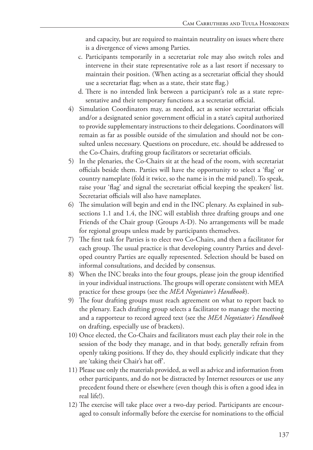and capacity, but are required to maintain neutrality on issues where there is a divergence of views among Parties.

- c. Participants temporarily in a secretariat role may also switch roles and intervene in their state representative role as a last resort if necessary to maintain their position. (When acting as a secretariat official they should use a secretariat flag; when as a state, their state flag.)
- d. There is no intended link between a participant's role as a state representative and their temporary functions as a secretariat official.
- 4) Simulation Coordinators may, as needed, act as senior secretariat officials and/or a designated senior government official in a state's capital authorized to provide supplementary instructions to their delegations. Coordinators will remain as far as possible outside of the simulation and should not be consulted unless necessary. Questions on procedure, etc. should be addressed to the Co-Chairs, drafting group facilitators or secretariat officials.
- 5) In the plenaries, the Co-Chairs sit at the head of the room, with secretariat officials beside them. Parties will have the opportunity to select a 'flag' or country nameplate (fold it twice, so the name is in the mid panel). To speak, raise your 'flag' and signal the secretariat official keeping the speakers' list. Secretariat officials will also have nameplates.
- 6) The simulation will begin and end in the INC plenary. As explained in subsections 1.1 and 1.4, the INC will establish three drafting groups and one Friends of the Chair group (Groups A-D). No arrangements will be made for regional groups unless made by participants themselves.
- 7) The first task for Parties is to elect two Co-Chairs, and then a facilitator for each group. The usual practice is that developing country Parties and developed country Parties are equally represented. Selection should be based on informal consultations, and decided by consensus.
- 8) When the INC breaks into the four groups, please join the group identified in your individual instructions. The groups will operate consistent with MEA practice for these groups (see the *MEA Negotiator's Handbook*).
- 9) The four drafting groups must reach agreement on what to report back to the plenary. Each drafting group selects a facilitator to manage the meeting and a rapporteur to record agreed text (see the *MEA Negotiator's Handbook* on drafting, especially use of brackets).
- 10) Once elected, the Co-Chairs and facilitators must each play their role in the session of the body they manage, and in that body, generally refrain from openly taking positions. If they do, they should explicitly indicate that they are 'taking their Chair's hat off'.
- 11) Please use only the materials provided, as well as advice and information from other participants, and do not be distracted by Internet resources or use any precedent found there or elsewhere (even though this is often a good idea in real life!).
- 12) The exercise will take place over a two-day period. Participants are encouraged to consult informally before the exercise for nominations to the official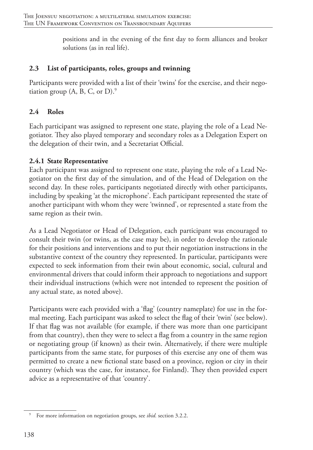positions and in the evening of the first day to form alliances and broker solutions (as in real life).

## **2.3 List of participants, roles, groups and twinning**

Participants were provided with a list of their 'twins' for the exercise, and their negotiation group  $(A, B, C, or D)$ .<sup>9</sup>

## **2.4 Roles**

Each participant was assigned to represent one state, playing the role of a Lead Negotiator. They also played temporary and secondary roles as a Delegation Expert on the delegation of their twin, and a Secretariat Official.

## **2.4.1 State Representative**

Each participant was assigned to represent one state, playing the role of a Lead Negotiator on the first day of the simulation, and of the Head of Delegation on the second day. In these roles, participants negotiated directly with other participants, including by speaking 'at the microphone'. Each participant represented the state of another participant with whom they were 'twinned', or represented a state from the same region as their twin.

As a Lead Negotiator or Head of Delegation, each participant was encouraged to consult their twin (or twins, as the case may be), in order to develop the rationale for their positions and interventions and to put their negotiation instructions in the substantive context of the country they represented. In particular, participants were expected to seek information from their twin about economic, social, cultural and environmental drivers that could inform their approach to negotiations and support their individual instructions (which were not intended to represent the position of any actual state, as noted above).

Participants were each provided with a 'flag' (country nameplate) for use in the formal meeting. Each participant was asked to select the flag of their 'twin' (see below). If that flag was not available (for example, if there was more than one participant from that country), then they were to select a flag from a country in the same region or negotiating group (if known) as their twin. Alternatively, if there were multiple participants from the same state, for purposes of this exercise any one of them was permitted to create a new fictional state based on a province, region or city in their country (which was the case, for instance, for Finland). They then provided expert advice as a representative of that 'country'.

<sup>9</sup> For more information on negotiation groups, see *ibid.* section 3.2.2.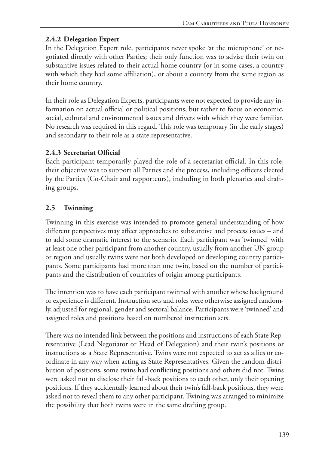## **2.4.2 Delegation Expert**

In the Delegation Expert role, participants never spoke 'at the microphone' or negotiated directly with other Parties; their only function was to advise their twin on substantive issues related to their actual home country (or in some cases, a country with which they had some affiliation), or about a country from the same region as their home country.

In their role as Delegation Experts, participants were not expected to provide any information on actual official or political positions, but rather to focus on economic, social, cultural and environmental issues and drivers with which they were familiar. No research was required in this regard. This role was temporary (in the early stages) and secondary to their role as a state representative.

## **2.4.3 Secretariat Official**

Each participant temporarily played the role of a secretariat official. In this role, their objective was to support all Parties and the process, including officers elected by the Parties (Co-Chair and rapporteurs), including in both plenaries and drafting groups.

## **2.5 Twinning**

Twinning in this exercise was intended to promote general understanding of how different perspectives may affect approaches to substantive and process issues – and to add some dramatic interest to the scenario. Each participant was 'twinned' with at least one other participant from another country, usually from another UN group or region and usually twins were not both developed or developing country participants. Some participants had more than one twin, based on the number of participants and the distribution of countries of origin among participants.

The intention was to have each participant twinned with another whose background or experience is different. Instruction sets and roles were otherwise assigned randomly, adjusted for regional, gender and sectoral balance. Participants were 'twinned' and assigned roles and positions based on numbered instruction sets.

There was no intended link between the positions and instructions of each State Representative (Lead Negotiator or Head of Delegation) and their twin's positions or instructions as a State Representative. Twins were not expected to act as allies or coordinate in any way when acting as State Representatives. Given the random distribution of positions, some twins had conflicting positions and others did not. Twins were asked not to disclose their fall-back positions to each other, only their opening positions. If they accidentally learned about their twin's fall-back positions, they were asked not to reveal them to any other participant. Twining was arranged to minimize the possibility that both twins were in the same drafting group.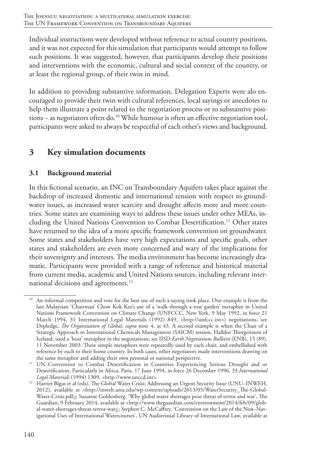Individual instructions were developed without reference to actual country positions, and it was not expected for this simulation that participants would attempt to follow such positions. It was suggested, however, that participants develop their positions and interventions with the economic, cultural and social context of the country, or at least the regional group, of their twin in mind.

In addition to providing substantive information, Delegation Experts were alo encouraged to provide their twin with cultural references, local sayings or anecdotes to help them illustrate a point related to the negotiation process or to substantive positions – as negotiators often do.10 While humour is often an effective negotiation tool, participants were asked to always be respectful of each other's views and background.

# **3 Key simulation documents**

## **3.1 Background material**

In this fictional scenario, an INC on Transboundary Aquifers takes place against the backdrop of increased domestic and international tension with respect to groundwater issues, as increased water scarcity and drought affects more and more countries. Some states are examining ways to address these issues under other MEAs, including the United Nations Convention to Combat Desertification.<sup>11</sup> Other states have returned to the idea of a more specific framework convention on groundwater. Some states and stakeholders have very high expectations and specific goals, other states and stakeholders are even more concerned and wary of the implications for their sovereignty and interests. The media environment has become increasingly dramatic. Participants were provided with a range of reference and historical material from current media, academic and United Nations sources, including relevant international decisions and agreements.<sup>12</sup>

An informal competition and vote for the best use of such a saying took place. One example is from the late Malaysian 'Chairman' Chow Kok Kee's use of a 'walk through a rose garden' metaphor in United Nations Framework Convention on Climate Change (UNFCCC, New York, 9 May 1992, in force 21 March 1994, 31 International Legal Materials (1992) 849, <http://unfccc.int>) negotiations, see Depledge, *The Organization of Global*, *supra* note 4, at 43. A second example is when the Chair of a Strategic Approach to International Chemicals Management (SAICM) session, Halldor Thorgeirsson of Iceland, used a 'boat' metaphor in the negotiations; see IISD *Earth Negotiations Bulletin* (ENB), 15 (89), 11 November 2003. These simple metaphors were repeatedly used by each chair, and embellished with reference by each to their home country. In both cases, other negotiators made interventions drawing on the same metaphor and adding their own personal or national perspective.

<sup>&</sup>lt;sup>11</sup> UN Convention to Combat Desertification in Countries Experiencing Serious Drought and or Desertification, Particularly in Africa, Paris, 17 June 1994, in force 26 December 1996, 33 *International Legal Materials* (1994) 1309, <http://www.unccd.int>.

<sup>&</sup>lt;sup>12</sup> Harriet Bigas et al (eds), The Global Water Crisis: Addressing an Urgent Security Issue (UNU–INWEH, 2012), available at <http://inweh.unu.edu/wp-content/uploads/2013/05/WaterSecurity\_The-Global-Water-Crisis.pdf<sub>2</sub>; Suzanne Goldenberg, 'Why global water shortages pose threat of terror and war', The Guardian, 9 February 2014, available at <http://www.theguardian.com/environment/2014/feb/09/global-water-shortages-threat-terror-war<sub>2</sub>; Stephen C. McCaffrey, 'Convention on the Law of the Non–Navigational Uses of International Watercourses', UN Audiovisual Library of International Law, available at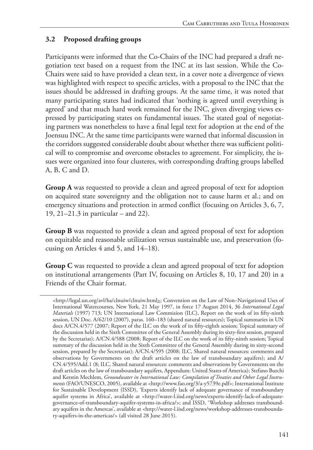## **3.2 Proposed drafting groups**

Participants were informed that the Co-Chairs of the INC had prepared a draft negotiation text based on a request from the INC at its last session. While the Co-Chairs were said to have provided a clean text, in a cover note a divergence of views was highlighted with respect to specific articles, with a proposal to the INC that the issues should be addressed in drafting groups. At the same time, it was noted that many participating states had indicated that 'nothing is agreed until everything is agreed' and that much hard work remained for the INC, given diverging views expressed by participating states on fundamental issues. The stated goal of negotiating partners was nonetheless to have a final legal text for adoption at the end of the Joensuu INC. At the same time participants were warned that informal discussion in the corridors suggested considerable doubt about whether there was sufficient political will to compromise and overcome obstacles to agreement. For simplicity, the issues were organized into four clusteres, with corresponding drafting groups labelled A, B, C and D.

**Group A** was requested to provide a clean and agreed proposal of text for adoption on acquired state sovereignty and the obligation not to cause harm et al.; and on emergency situations and protection in armed conflict (focusing on Articles 3, 6, 7, 19, 21–21.3 in particular – and 22).

**Group B** was requested to provide a clean and agreed proposal of text for adoption on equitable and reasonable utilization versus sustainable use, and preservation (focusing on Articles 4 and 5, and 14–18).

**Group C** was requested to provide a clean and agreed proposal of text for adoption on institutional arrangements (Part IV, focusing on Articles 8, 10, 17 and 20) in a Friends of the Chair format.

<sup>&</sup>lt;http://legal.un.org/avl/ha/clnuiw/clnuiw.html>; Convention on the Law of Non-Navigational Uses of International Watercourses, New York, 21 May 1997, in force 17 August 2014, 36 *International Legal Materials* (1997) 713; UN International Law Commision (ILC), Report on the work of its fifty-ninth session, UN Doc. A/62/10 (2007), paras. 160–183 (shared natural resources); Topical summaries in UN docs A/CN.4/577 (2007; Report of the ILC on the work of its fifty-eighth session; Topical summary of the discussion held in the Sixth Committee of the General Assembly during its sixty-first session, prepared by the Secretariat); A/CN.4/588 (2008; Report of the ILC on the work of its fifty-ninth session; Topical summary of the discussion held in the Sixth Committee of the General Assembly during its sixty-second session, prepared by the Secretariat); A/CN.4/595 (2008; ILC, Shared natural resources: comments and observations by Governments on the draft articles on the law of transboundary aquifers); and A/ CN.4/595/Add.1 (8; ILC, Shared natural resources: comments and observations by Governments on the draft articles on the law of transboundary aquifers, Appendum: United States of America); Stefano Burchi and Kerstin Mechlem, *Groundwater in International Law: Compilation of Treaties and Other Legal Instruments* (FAO/UNESCO, 2005), available at <http://www.fao.org/3/a-y5739e.pdf>; International Institute for Sustainable Development (ISSD), 'Experts identify lack of adequate governance of transboundary aquifer systems in Africa', available at <http://water-l.iisd.org/news/experts-identify-lack-of-adequategovernance-of-transboundary-aquifer-systems-in-africa/>; and ISSD, 'Workshop addresses transboundary aquifers in the Amercas', available at <http://water-l.iisd.org/news/workshop-addresses-transboundary-aquifers-in-the-americas/> (all visited 28 June 2015).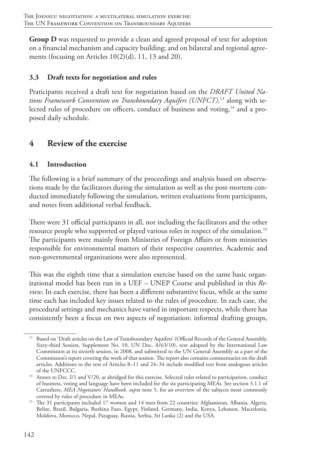**Group D** was requested to provide a clean and agreed proposal of text for adoption on a financial mechanism and capacity building; and on bilateral and regional agreements (focusing on Articles 10(2)(d), 11, 13 and 20).

## **3.3 Draft texts for negotiation and rules**

Praticipants received a draft text for negotiation based on the *DRAFT United Nations Framework Convention on Transboundary Aquifers (UNFCT),*13 along with selected rules of procedure on officers, conduct of business and voting,<sup>14</sup> and a proposed daily schedule.

# **4 Review of the exercise**

## **4.1 Introduction**

The following is a brief summary of the proceedings and analysis based on observations made by the facilitators during the simulation as well as the post-mortem conducted immediately following the simulation, written evaluations from participants, and notes from additional verbal feedback.

There were 31 official participants in all, not including the facilitators and the other resource people who supported or played various roles in respect of the simulation.<sup>15</sup> The participants were mainly from Ministries of Foreign Affairs or from ministries responsible for environmental matters of their respective countries. Academic and non-governmental organizations were also represented.

This was the eighth time that a simulation exercise based on the same basic organizational model has been run in a UEF – UNEP Course and published in this *Review*. In each exercise, there has been a different substantive focus, while at the same time each has included key issues related to the rules of procedure. In each case, the procedural settings and mechanics have varied in important respects, while there has consistently been a focus on two aspects of negotiation: informal drafting groups,

<sup>13</sup> Based on 'Draft articles on the Law of Transboundary Aquifers' (Official Records of the General Assembly, Sixty-third Session, Supplement No. 10, UN Doc. A/63/10), text adopted by the International Law Commission at its sixtieth session, in 2008, and submitted to the UN General Assembly as a part of the Commission's report covering the work of that session. The report also contains commentaries on the draft articles. Additions to the text of Articles 8–11 and 24–34 include modified text from analogous articles of the UNFCCC.

<sup>&</sup>lt;sup>14</sup> Annex to Dec. I/1 and V/20, as abridged for this exercise. Selected rules related to participation, conduct of business, voting and language have been included for the six participating MEAs. See section 3.1.1 of Carruthers, *MEA Negotiators' Handbook, supra* note 5, for an overview of the subjects most commonly covered by rules of procedure in MEAs.

<sup>&</sup>lt;sup>15</sup> The 31 participants included 17 women and 14 men from 22 countries: Afghanistan, Albania, Algeria, Belize, Brazil, Bulgaria, Burkina Faso, Egypt, Finland, Germany, India, Kenya, Lebanon, Macedonia, Moldova, Morocco, Nepal, Paraguay, Russia, Serbia, Sri Lanka (2) and the USA.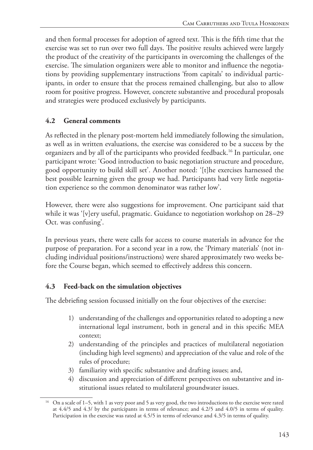and then formal processes for adoption of agreed text. This is the fifth time that the exercise was set to run over two full days. The positive results achieved were largely the product of the creativity of the participants in overcoming the challenges of the exercise. The simulation organizers were able to monitor and influence the negotiations by providing supplementary instructions 'from capitals' to individual participants, in order to ensure that the process remained challenging, but also to allow room for positive progress. However, concrete substantive and procedural proposals and strategies were produced exclusively by participants.

## **4.2 General comments**

As reflected in the plenary post-mortem held immediately following the simulation, as well as in written evaluations, the exercise was considered to be a success by the organizers and by all of the participants who provided feedback.16 In particular, one participant wrote: 'Good introduction to basic negotiation structure and procedure, good opportunity to build skill set'. Another noted: '[t]he exercises harnessed the best possible learning given the group we had. Participants had very little negotiation experience so the common denominator was rather low'.

However, there were also suggestions for improvement. One participant said that while it was '[v]ery useful, pragmatic. Guidance to negotiation workshop on 28–29 Oct. was confusing'.

In previous years, there were calls for access to course materials in advance for the purpose of preparation. For a second year in a row, the 'Primary materials' (not including individual positions/instructions) were shared approximately two weeks before the Course began, which seemed to effectively address this concern.

## **4.3 Feed-back on the simulation objectives**

The debriefing session focussed initially on the four objectives of the exercise:

- 1) understanding of the challenges and opportunities related to adopting a new international legal instrument, both in general and in this specific MEA context;
- 2) understanding of the principles and practices of multilateral negotiation (including high level segments) and appreciation of the value and role of the rules of procedure;
- 3) familiarity with specific substantive and drafting issues; and,
- 4) discussion and appreciation of different perspectives on substantive and institutional issues related to multilateral groundwater issues.

<sup>&</sup>lt;sup>16</sup> On a scale of 1–5, with 1 as very poor and 5 as very good, the two introductions to the exercise were rated at 4.4/5 and 4.3/ by the participants in terms of relevance; and 4.2/5 and 4.0/5 in terms of quality. Participation in the exercise was rated at 4.5/5 in terms of relevance and 4.3/5 in terms of quality.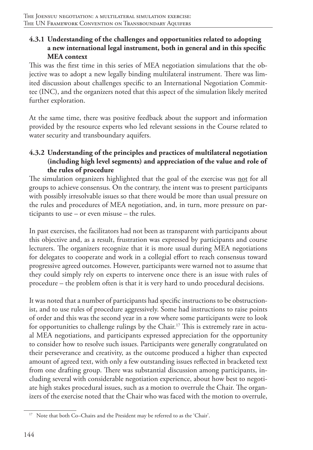## **4.3.1 Understanding of the challenges and opportunities related to adopting a new international legal instrument, both in general and in this specific MEA context**

This was the first time in this series of MEA negotiation simulations that the objective was to adopt a new legally binding multilateral instrument. There was limited discussion about challenges specific to an International Negotiation Committee (INC), and the organizers noted that this aspect of the simulation likely merited further exploration.

At the same time, there was positive feedback about the support and information provided by the resource experts who led relevant sessions in the Course related to water security and transboundary aquifers.

## **4.3.2 Understanding of the principles and practices of multilateral negotiation (including high level segments) and appreciation of the value and role of the rules of procedure**

The simulation organizers highlighted that the goal of the exercise was not for all groups to achieve consensus. On the contrary, the intent was to present participants with possibly irresolvable issues so that there would be more than usual pressure on the rules and procedures of MEA negotiation, and, in turn, more pressure on participants to use – or even misuse – the rules.

In past exercises, the facilitators had not been as transparent with participants about this objective and, as a result, frustration was expressed by participants and course lecturers. The organizers recognize that it is more usual during MEA negotiations for delegates to cooperate and work in a collegial effort to reach consensus toward progressive agreed outcomes. However, participants were warned not to assume that they could simply rely on experts to intervene once there is an issue with rules of procedure – the problem often is that it is very hard to undo procedural decisions.

It was noted that a number of participants had specific instructions to be obstructionist, and to use rules of procedure aggressively. Some had instructions to raise points of order and this was the second year in a row where some participants were to look for opportunities to challenge rulings by the Chair.<sup>17</sup> This is extremely rare in actual MEA negotiations, and participants expressed appreciation for the opportunity to consider how to resolve such issues. Participants were generally congratulated on their perseverance and creativity, as the outcome produced a higher than expected amount of agreed text, with only a few outstanding issues reflected in bracketed text from one drafting group. There was substantial discussion among participants, including several with considerable negotiation experience, about how best to negotiate high stakes procedural issues, such as a motion to overrule the Chair. The organizers of the exercise noted that the Chair who was faced with the motion to overrule,

<sup>&</sup>lt;sup>17</sup> Note that both Co–Chairs and the President may be referred to as the 'Chair'.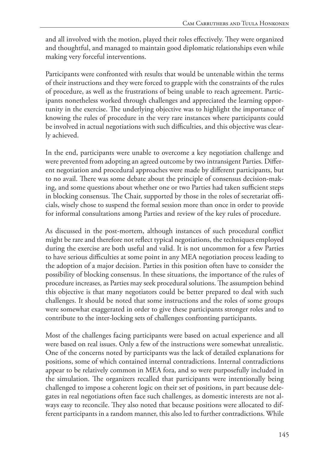and all involved with the motion, played their roles effectively. They were organized and thoughtful, and managed to maintain good diplomatic relationships even while making very forceful interventions.

Participants were confronted with results that would be untenable within the terms of their instructions and they were forced to grapple with the constraints of the rules of procedure, as well as the frustrations of being unable to reach agreement. Participants nonetheless worked through challenges and appreciated the learning opportunity in the exercise. The underlying objective was to highlight the importance of knowing the rules of procedure in the very rare instances where participants could be involved in actual negotiations with such difficulties, and this objective was clearly achieved.

In the end, participants were unable to overcome a key negotiation challenge and were prevented from adopting an agreed outcome by two intransigent Parties. Different negotiation and procedural approaches were made by different participants, but to no avail. There was some debate about the principle of consensus decision-making, and some questions about whether one or two Parties had taken sufficient steps in blocking consensus. The Chair, supported by those in the roles of secretariat officials, wisely chose to suspend the formal session more than once in order to provide for informal consultations among Parties and review of the key rules of procedure.

As discussed in the post-mortem, although instances of such procedural conflict might be rare and therefore not reflect typical negotiations, the techniques employed during the exercise are both useful and valid. It is not uncommon for a few Parties to have serious difficulties at some point in any MEA negotiation process leading to the adoption of a major decision. Parties in this position often have to consider the possibility of blocking consensus. In these situations, the importance of the rules of procedure increases, as Parties may seek procedural solutions. The assumption behind this objective is that many negotiators could be better prepared to deal with such challenges. It should be noted that some instructions and the roles of some groups were somewhat exaggerated in order to give these participants stronger roles and to contribute to the inter-locking sets of challenges confronting participants.

Most of the challenges facing participants were based on actual experience and all were based on real issues. Only a few of the instructions were somewhat unrealistic. One of the concerns noted by participants was the lack of detailed explanations for positions, some of which contained internal contradictions. Internal contradictions appear to be relatively common in MEA fora, and so were purposefully included in the simulation. The organizers recalled that participants were intentionally being challenged to impose a coherent logic on their set of positions, in part because delegates in real negotiations often face such challenges, as domestic interests are not always easy to reconcile. They also noted that because positions were allocated to different participants in a random manner, this also led to further contradictions. While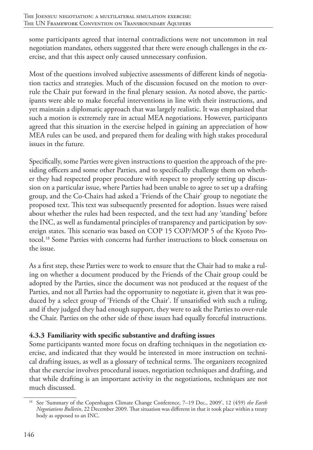some participants agreed that internal contradictions were not uncommon in real negotiation mandates, others suggested that there were enough challenges in the exercise, and that this aspect only caused unnecessary confusion.

Most of the questions involved subjective assessments of different kinds of negotiation tactics and strategies. Much of the discussion focused on the motion to overrule the Chair put forward in the final plenary session. As noted above, the participants were able to make forceful interventions in line with their instructions, and yet maintain a diplomatic approach that was largely realistic. It was emphasized that such a motion is extremely rare in actual MEA negotiations. However, participants agreed that this situation in the exercise helped in gaining an appreciation of how MEA rules can be used, and prepared them for dealing with high stakes procedural issues in the future.

Specifically, some Parties were given instructions to question the approach of the presiding officers and some other Parties, and to specifically challenge them on whether they had respected proper procedure with respect to properly setting up discussion on a particular issue, where Parties had been unable to agree to set up a drafting group, and the Co-Chairs had asked a 'Friends of the Chair' group to negotiate the proposed text. This text was subsequently presented for adoption. Issues were raised about whether the rules had been respected, and the text had any 'standing' before the INC, as well as fundamental principles of transparency and participation by sovereign states. This scenario was based on COP 15 COP/MOP 5 of the Kyoto Protocol.18 Some Parties with concerns had further instructions to block consensus on the issue.

As a first step, these Parties were to work to ensure that the Chair had to make a ruling on whether a document produced by the Friends of the Chair group could be adopted by the Parties, since the document was not produced at the request of the Parties, and not all Parties had the opportunity to negotiate it, given that it was produced by a select group of 'Friends of the Chair'. If unsatisfied with such a ruling, and if they judged they had enough support, they were to ask the Parties to over-rule the Chair. Parties on the other side of these issues had equally forceful instructions.

## **4.3.3 Familiarity with specific substantive and drafting issues**

Some participants wanted more focus on drafting techniques in the negotiation exercise, and indicated that they would be interested in more instruction on technical drafting issues, as well as a glossary of technical terms. The organizers recognized that the exercise involves procedural issues, negotiation techniques and drafting, and that while drafting is an important activity in the negotiations, techniques are not much discussed.

<sup>18</sup> See 'Summary of the Copenhagen Climate Change Conference, 7–19 Dec., 2009', 12 (459) *the Earth Negotiations Bulletin*, 22 December 2009. That situation was different in that it took place within a treaty body as opposed to an INC.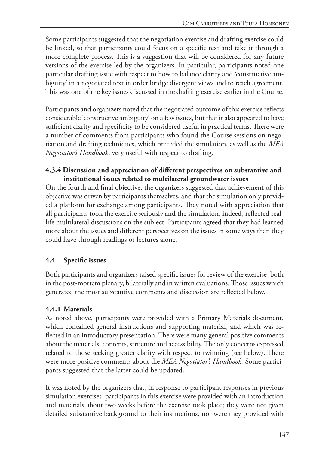Some participants suggested that the negotiation exercise and drafting exercise could be linked, so that participants could focus on a specific text and take it through a more complete process. This is a suggestion that will be considered for any future versions of the exercise led by the organizers. In particular, participants noted one particular drafting issue with respect to how to balance clarity and 'constructive ambiguity' in a negotiated text in order bridge divergent views and to reach agreement. This was one of the key issues discussed in the drafting exercise earlier in the Course.

Participants and organizers noted that the negotiated outcome of this exercise reflects considerable 'constructive ambiguity' on a few issues, but that it also appeared to have sufficient clarity and specificity to be considered useful in practical terms. There were a number of comments from participants who found the Course sessions on negotiation and drafting techniques, which preceded the simulation, as well as the *MEA Negotiator's Handbook*, very useful with respect to drafting*.* 

#### **4.3.4 Discussion and appreciation of different perspectives on substantive and institutional issues related to multilateral groundwater issues**

On the fourth and final objective*,* the organizers suggested that achievement of this objective was driven by participants themselves, and that the simulation only provided a platform for exchange among participants. They noted with appreciation that all participants took the exercise seriously and the simulation, indeed, reflected reallife multilateral discussions on the subject. Participants agreed that they had learned more about the issues and different perspectives on the issues in some ways than they could have through readings or lectures alone.

## **4.4 Specific issues**

Both participants and organizers raised specific issues for review of the exercise, both in the post-mortem plenary, bilaterally and in written evaluations. Those issues which generated the most substantive comments and discussion are reflected below.

## **4.4.1 Materials**

As noted above, participants were provided with a Primary Materials document, which contained general instructions and supporting material, and which was reflected in an introductory presentation. There were many general positive comments about the materials, contents, structure and accessibility. The only concerns expressed related to those seeking greater clarity with respect to twinning (see below). There were more positive comments about the *MEA Negotiator's Handbook.* Some participants suggested that the latter could be updated.

It was noted by the organizers that, in response to participant responses in previous simulation exercises, participants in this exercise were provided with an introduction and materials about two weeks before the exercise took place; they were not given detailed substantive background to their instructions, nor were they provided with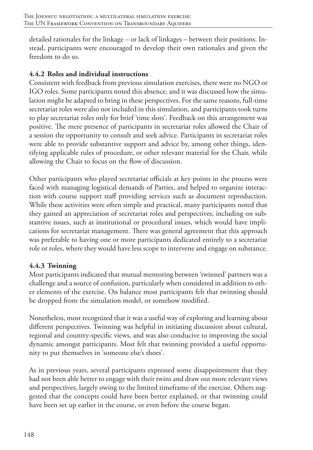detailed rationales for the linkage – or lack of linkages – between their positions. Instead, participants were encouraged to develop their own rationales and given the freedom to do so.

## **4.4.2 Roles and individual instructions**

Consistent with feedback from previous simulation exercises, there were no NGO or IGO roles. Some participants noted this absence, and it was discussed how the simulation might be adapted to bring in these perspectives. For the same reasons, full-time secretariat roles were also not included in this simulation, and participants took turns to play secretariat roles only for brief 'time slots'. Feedback on this arrangement was positive. The mere presence of participants in secretariat roles allowed the Chair of a session the opportunity to consult and seek advice. Participants in secretariat roles were able to provide substantive support and advice by, among other things, identifying applicable rules of procedure, or other relevant material for the Chair, while allowing the Chair to focus on the flow of discussion.

Other participants who played secretariat officials at key points in the process were faced with managing logistical demands of Parties, and helped to organize interaction with course support staff providing services such as document reproduction. While these activities were often simple and practical, many participants noted that they gained an appreciation of secretariat roles and perspectives, including on substantive issues, such as institutional or procedural issues, which would have implications for secretariat management. There was general agreement that this approach was preferable to having one or more participants dedicated entirely to a secretariat role or roles, where they would have less scope to intervene and engage on substance.

## **4.4.3 Twinning**

Most participants indicated that mutual mentoring between 'twinned' partners was a challenge and a source of confusion, particularly when considered in addition to other elements of the exercise. On balance most participants felt that twinning should be dropped from the simulation model, or somehow modified.

Nonetheless, most recognized that it was a useful way of exploring and learning about different perspectives. Twinning was helpful in initiating discussion about cultural, regional and country-specific views, and was also conducive to improving the social dynamic amongst participants. Most felt that twinning provided a useful opportunity to put themselves in 'someone else's shoes'.

As in previous years, several participants expressed some disappointment that they had not been able better to engage with their twins and draw out more relevant views and perspectives, largely owing to the limited timeframe of the exercise. Others suggested that the concepts could have been better explained, or that twinning could have been set up earlier in the course, or even before the course began.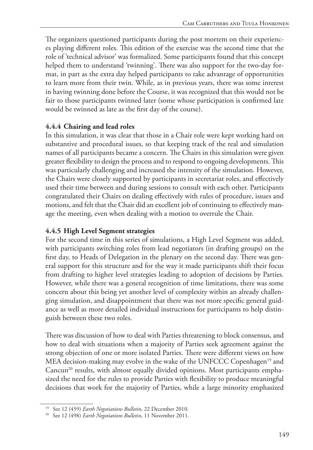The organizers questioned participants during the post mortem on their experiences playing different roles. This edition of the exercise was the second time that the role of 'technical advisor' was formalized. Some participants found that this concept helped them to understand 'twinning'. There was also support for the two-day format, in part as the extra day helped participants to take advantage of opportunities to learn more from their twin. While, as in previous years, there was some interest in having twinning done before the Course, it was recognized that this would not be fair to those participants twinned later (some whose participation is confirmed late would be twinned as late as the first day of the course).

## **4.4.4 Chairing and lead roles**

In this simulation, it was clear that those in a Chair role were kept working hard on substantive and procedural issues, so that keeping track of the real and simulation names of all participants became a concern. The Chairs in this simulation were given greater flexibility to design the process and to respond to ongoing developments. This was particularly challenging and increased the intensity of the simulation. However, the Chairs were closely supported by participants in secretariat roles, and effectively used their time between and during sessions to consult with each other. Participants congratulated their Chairs on dealing effectively with rules of procedure, issues and motions, and felt that the Chair did an excellent job of continuing to effectively manage the meeting, even when dealing with a motion to overrule the Chair.

## **4.4.5 High Level Segment strategies**

For the second time in this series of simulations, a High Level Segment was added, with participants switching roles from lead negotiators (in drafting groups) on the first day, to Heads of Delegation in the plenary on the second day. There was general support for this structure and for the way it made participants shift their focus from drafting to higher level strategies leading to adoption of decisions by Parties. However, while there was a general recognition of time limitations, there was some concern about this being yet another level of complexity within an already challenging simulation, and disappointment that there was not more specific general guidance as well as more detailed individual instructions for participants to help distinguish between these two roles.

There was discussion of how to deal with Parties threatening to block consensus, and how to deal with situations when a majority of Parties seek agreement against the strong objection of one or more isolated Parties. There were different views on how MEA decision-making may evolve in the wake of the UNFCCC Copenhagen<sup>19</sup> and Cancun<sup>20</sup> results, with almost equally divided opinions. Most participants emphasized the need for the rules to provide Parties with flexibility to produce meaningful decisions that work for the majority of Parties, while a large minority emphasized

<sup>19</sup> See 12 (459) *Earth Negotiations Bulletin*, 22 December 2010.

<sup>20</sup> See 12 (498) *Earth Negotiations Bulletin*, 11 November 2011.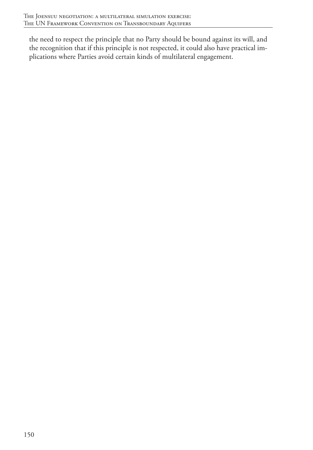the need to respect the principle that no Party should be bound against its will, and the recognition that if this principle is not respected, it could also have practical implications where Parties avoid certain kinds of multilateral engagement.